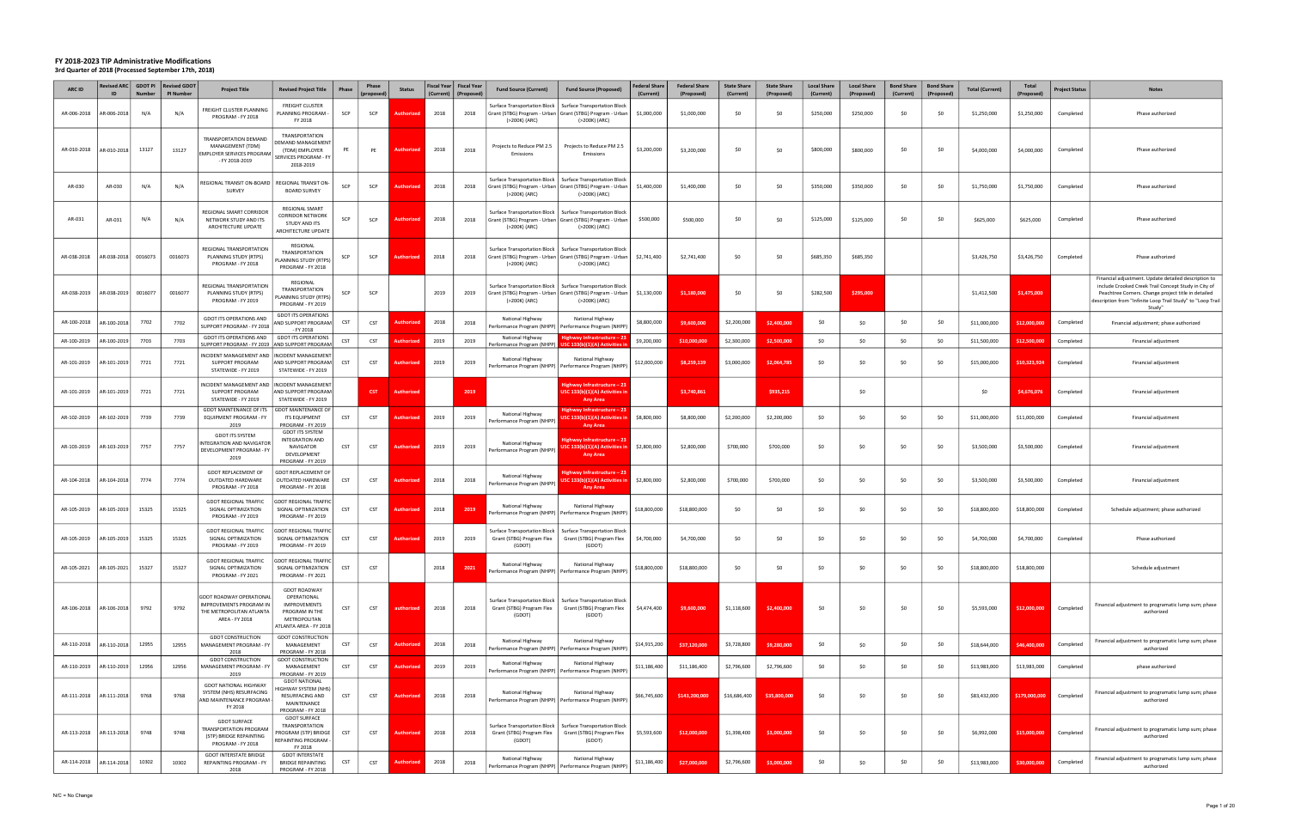| <b>ARC ID</b> | ID          | Revised ARC GDOT PI<br><b>Number</b> | <b>Revised GDOT</b><br>PI Number | <b>Project Title</b>                                                                                            | <b>Revised Project Title</b>                                                                                   | Phase      | Phase<br>(proposed) | <b>Status</b>     | (Current) | Fiscal Year   Fiscal Year<br>(Proposec | <b>Fund Source (Current)</b>                                               | <b>Fund Source (Proposed)</b>                                                                                                               | <b>Federal Share</b><br>(Current) | <b>Federal Share</b><br>(Proposed) | <b>State Share</b><br>(Current) | <b>State Share</b><br>(Proposed) | <b>Local Share</b><br>(Current) | <b>Local Share</b><br>(Proposed) | <b>Bond Share</b><br>(Current) | <b>Bond Share</b><br>(Proposed) | <b>Total (Current)</b> | Total<br>(Proposed) | Project Status | <b>Notes</b>                                                                                                                                                                                                                                 |
|---------------|-------------|--------------------------------------|----------------------------------|-----------------------------------------------------------------------------------------------------------------|----------------------------------------------------------------------------------------------------------------|------------|---------------------|-------------------|-----------|----------------------------------------|----------------------------------------------------------------------------|---------------------------------------------------------------------------------------------------------------------------------------------|-----------------------------------|------------------------------------|---------------------------------|----------------------------------|---------------------------------|----------------------------------|--------------------------------|---------------------------------|------------------------|---------------------|----------------|----------------------------------------------------------------------------------------------------------------------------------------------------------------------------------------------------------------------------------------------|
| AR-006-2018   | R-006-2018  | N/A                                  | N/A                              | FREIGHT CLUSTER PLANNING<br>PROGRAM - FY 2018                                                                   | <b>FREIGHT CLUSTER</b><br>PLANNING PROGRAM -<br>FY 2018                                                        | SCP        | SCP                 | uthorize          | 2018      | 2018                                   | Surface Transportation Block<br>(>200K) (ARC)                              | <b>Surface Transportation Block</b><br>Grant (STBG) Program - Urban   Grant (STBG) Program - Urban<br>(>200K) (ARC)                         | \$1,000,000                       | \$1,000,000                        | -SO                             | \$0                              | \$250,000                       | \$250,000                        | \$0                            | -SO                             | \$1,250,000            | \$1,250,000         | Completed      | Phase authorized                                                                                                                                                                                                                             |
| AR-010-2018   | AR-010-2018 | 13127                                | 13127                            | TRANSPORTATION DEMAND<br>MANAGEMENT (TDM)<br><b>EMPLOYER SERVICES PROGRAM</b><br>- FY 2018-2019                 | <b>TRANSPORTATION</b><br>EMAND MANAGEMENT<br>(TDM) EMPLOYER<br>SERVICES PROGRAM - FY<br>2018-2019              | PE         | PE                  | Authorize         | 2018      | 2018                                   | Projects to Reduce PM 2.5<br>Emissions                                     | Projects to Reduce PM 2.5<br>Emissions                                                                                                      | \$3,200,000                       | \$3,200,000                        | -SO                             | \$0                              | \$800,000                       | \$800,000                        | \$0                            | -SO                             | \$4,000,000            | \$4,000,000         | Completed      | Phase authorized                                                                                                                                                                                                                             |
| AR-030        | AR-030      | N/A                                  | N/A                              | REGIONAL TRANSIT ON-BOARD<br>SURVEY                                                                             | REGIONAL TRANSIT ON-<br><b>BOARD SURVEY</b>                                                                    | SCP        | SCP                 | Authorize         | 2018      | 2018                                   | Surface Transportation Block  <br>(>200K) (ARC)                            | <b>Surface Transportation Block</b><br>Grant (STBG) Program - Urban   Grant (STBG) Program - Urban  <br>(>200K) (ARC)                       | \$1,400,000                       | \$1,400,000                        | -SO                             | \$0                              | \$350,000                       | \$350,000                        | \$0                            | \$0                             | \$1,750,000            | \$1,750,000         | Completed      | Phase authorized                                                                                                                                                                                                                             |
| AR-031        | AR-031      | N/A                                  | N/A                              | REGIONAL SMART CORRIDOR<br>NETWORK STUDY AND ITS<br>ARCHITECTURE UPDATE                                         | REGIONAL SMART<br>CORRIDOR NETWORK<br>STUDY AND ITS<br>ARCHITECTURE UPDATE                                     | SCP        | SCP                 | Authoriz          | 2018      | 2018                                   | (>200K) (ARC)                                                              | Surface Transportation Block   Surface Transportation Block<br>Grant (STBG) Program - Urban   Grant (STBG) Program - Urban<br>(>200K) (ARC) | \$500,000                         | \$500,000                          | SO.                             | \$0                              | \$125,000                       | \$125,000                        | \$0                            | -SO                             | \$625,000              | \$625,000           | Completed      | Phase authorized                                                                                                                                                                                                                             |
| AR-038-2018   | AR-038-2018 | 0016073                              | 0016073                          | REGIONAL TRANSPORTATION<br>PLANNING STUDY (RTPS)<br>PROGRAM - FY 2018                                           | REGIONAL<br>TRANSPORTATION<br><b>LANNING STUDY (RTPS)</b><br>PROGRAM - FY 2018                                 | SCP        | SCP                 |                   | 2018      | 2018                                   | (>200K) (ARC)                                                              | Surface Transportation Block   Surface Transportation Block<br>Grant (STBG) Program - Urban   Grant (STBG) Program - Urban<br>(>200K) (ARC) | \$2,741,400                       | \$2,741,400                        | \$0                             | \$0                              | \$685,350                       | \$685,350                        |                                |                                 | \$3,426,750            | \$3,426,750         | Completed      | Phase authorized                                                                                                                                                                                                                             |
| AR-038-2019   | AR-038-2019 | 0016077                              | 0016077                          | REGIONAL TRANSPORTATION<br>PLANNING STUDY (RTPS)<br>PROGRAM - FY 2019                                           | REGIONAL<br>TRANSPORTATION<br><b>LANNING STUDY (RTPS)</b><br>PROGRAM - FY 2019                                 | SCP        | SCP                 |                   | 2019      | 2019                                   | (>200K) (ARC)                                                              | Surface Transportation Block   Surface Transportation Block<br>Grant (STBG) Program - Urban   Grant (STBG) Program - Urban<br>(>200K) (ARC) | \$1,130,000                       | \$1,180,000                        | \$0                             | \$0                              | \$282,500                       | \$295,000                        |                                |                                 | \$1,412,500            | \$1,475,000         |                | Financial adjustment. Update detailed description to<br>include Crooked Creek Trail Concept Study in City of<br>Peachtree Corners. Change project title in detailed<br>description from "Infinite Loop Trail Study" to "Loop Trail<br>Study" |
| AR-100-2018   | R-100-2018  | 7702                                 | 7702                             | GDOT ITS OPERATIONS AND<br>SUPPORT PROGRAM - FY 2018                                                            | <b>GDOT ITS OPERATIONS</b><br><b>IND SUPPORT PROGRAM</b><br>- FY 2018                                          | CST        | CST                 | uthoriz           | 2018      | 2018                                   | National Highway                                                           | National Highway<br>'erformance Program (NHPP)   Performance Program (NHPP)                                                                 | \$8,800,000                       | \$9,600,000                        | \$2,200,000                     | \$2,400,000                      | \$0                             | \$0                              | \$0                            | SO.                             | \$11,000,000           | \$12,000,00         | Completed      | Financial adjustment; phase authorized                                                                                                                                                                                                       |
| AR-100-2019   | R-100-2019  | 7703                                 | 7703                             | GDOT ITS OPERATIONS AND<br>SUPPORT PROGRAM - FY 2019 AND SUPPORT PROGRAM                                        | <b>GDOT ITS OPERATIONS</b>                                                                                     | <b>CST</b> | CST                 |                   | 2019      | 2019                                   | National Highway<br>Performance Program (NHPP)                             | Highway Infrastructure – 23<br>USC 133(b)(1)(A) Activities                                                                                  | \$9,200,000                       | \$10,000,000                       | \$2,300,000                     | \$2,500,000                      | \$0                             | -SO                              | \$0                            | \$0                             | \$11,500,000           | \$12,500,000        | Completed      | Financial adjustment                                                                                                                                                                                                                         |
| AR-101-2019   | R-101-2019  | 7721                                 | 7721                             | INCIDENT MANAGEMENT AND<br>SUPPORT PROGRAM<br>STATEWIDE - FY 2019                                               | INCIDENT MANAGEMENT<br>AND SUPPORT PROGRAM<br>STATEWIDE - FY 2019                                              | CST        | CST                 | Authorize         | 2019      | 2019                                   | National Highway                                                           | National Highway<br>Performance Program (NHPP)   Performance Program (NHPP)                                                                 | \$12,000,000                      | \$8,259,139                        | \$3,000,000                     | \$2,064,785                      | \$0                             | SO.                              | \$0                            | SO.                             | \$15,000,000           | \$10,323,924        | Completed      | Financial adjustment                                                                                                                                                                                                                         |
| AR-101-2019   | AR-101-2019 | 7721                                 | 7721                             | NCIDENT MANAGEMENT AND<br>SUPPORT PROGRAM<br>STATEWIDE - FY 2019                                                | <b>INCIDENT MANAGEMENT</b><br>AND SUPPORT PROGRAM<br>STATEWIDE - FY 2019                                       |            | <b>CST</b>          | <b>Authorize</b>  |           | 2019                                   |                                                                            | Highway Infrastructure – 23<br>USC 133(b)(1)(A) Activities in<br><b>Any Area</b>                                                            |                                   | \$3,740,861                        |                                 | \$935,215                        |                                 | \$0                              |                                |                                 | \$0                    | \$4,676,076         | Completed      | Financial adjustment                                                                                                                                                                                                                         |
| AR-102-2019   | R-102-2019  | 7739                                 | 7739                             | <b>GDOT MAINTENANCE OF ITS</b><br>EQUIPMENT PROGRAM - FY<br>2019                                                | <b>GDOT MAINTENANCE OF</b><br><b>ITS EQUIPMENT</b><br>PROGRAM - FY 2019                                        | CST        | CST                 | Authorize         | 2019      | 2019                                   | National Highway<br>Performance Program (NHPP)                             | ighway Infrastructure - 23<br>SC 133(b)(1)(A) Activities<br>Any Area                                                                        | \$8,800,000                       | \$8,800,000                        | \$2,200,000                     | \$2,200,000                      | \$0                             | \$0                              | \$0                            | - SO                            | \$11,000,000           | \$11,000,000        | Completed      | Financial adjustment                                                                                                                                                                                                                         |
| AR-103-2019   | R-103-2019  | 7757                                 | 7757                             | <b>GDOT ITS SYSTEM</b><br><b>INTEGRATION AND NAVIGATOR</b><br>DEVELOPMENT PROGRAM - FY<br>2019                  | <b>GDOT ITS SYSTEM</b><br><b>INTEGRATION AND</b><br>NAVIGATOR<br>DEVELOPMENT<br>PROGRAM - FY 2019              | CST        | CST                 | Authoriz          | 2019      | 2019                                   | National Highway<br>Performance Program (NHPP)                             | Highway Infrastructure – 23<br>JSC 133(b)(1)(A) Activities<br><b>Any Area</b>                                                               | \$2,800,000                       | \$2,800,000                        | \$700,000                       | \$700,000                        | \$0                             | -SO                              | \$0                            | \$0                             | \$3,500,000            | \$3,500,000         | Completed      | Financial adjustment                                                                                                                                                                                                                         |
| AR-104-2018   | AR-104-2018 | 7774                                 | 7774                             | <b>GDOT REPLACEMENT OF</b><br>OUTDATED HARDWARE<br>PROGRAM - FY 2018                                            | <b>GDOT REPLACEMENT OF</b><br>OUTDATED HARDWARE<br>PROGRAM - FY 2018                                           | CST        | CST                 | <b>Authorize</b>  | 2018      | 2018                                   | National Highway<br>Performance Program (NHPP)                             | -iighway Infrastructure – 23<br>JSC 133(b)(1)(A) Activities in<br><b>Any Area</b>                                                           | \$2,800,000                       | \$2,800,000                        | \$700,000                       | \$700,000                        | \$0                             | \$0                              | \$0                            | \$0                             | \$3,500,000            | \$3,500,000         | Completed      | Financial adjustment                                                                                                                                                                                                                         |
| AR-105-2019   | AR-105-2019 | 15325                                | 15325                            | <b>GDOT REGIONAL TRAFFIC</b><br>SIGNAL OPTIMIZATION<br>PROGRAM - FY 2019                                        | <b>GDOT REGIONAL TRAFFIC</b><br>SIGNAL OPTIMIZATION<br>PROGRAM - FY 2019                                       | CST        | CST                 | uthori            | 2018      | 2019                                   | National Highway                                                           | National Highway<br>Performance Program (NHPP)   Performance Program (NHPP)                                                                 | \$18,800,000                      | \$18,800,000                       | \$0                             | \$0                              | \$0                             | \$0                              | \$0                            | \$0                             | \$18,800,000           | \$18,800,000        | Completed      | Schedule adjustment; phase authorized                                                                                                                                                                                                        |
| AR-105-2019   | AR-105-2019 | 15325                                | 15325                            | <b>GDOT REGIONAL TRAFFIC</b><br>SIGNAL OPTIMIZATION<br>PROGRAM - FY 2019                                        | <b>GDOT REGIONAL TRAFFIC</b><br>SIGNAL OPTIMIZATION<br>PROGRAM - FY 2019                                       | CST        | CST                 | Authorized        | 2019      | 2019                                   | Surface Transportation Block<br>Grant (STBG) Program Flex<br>(GDOT)        | <b>Surface Transportation Block</b><br>Grant (STBG) Program Flex<br>(GDOT)                                                                  | \$4,700,000                       | \$4,700,000                        | \$0                             | \$0                              | \$0                             | \$0                              | \$0                            | SO                              | \$4,700,000            | \$4,700,000         | Completed      | Phase authorized                                                                                                                                                                                                                             |
| AR-105-2021   | AR-105-2021 | 15327                                | 15327                            | <b>GDOT REGIONAL TRAFFIC</b><br>SIGNAL OPTIMIZATION<br>PROGRAM - FY 2021                                        | <b>GDOT REGIONAL TRAFFIC</b><br>SIGNAL OPTIMIZATION<br>PROGRAM - FY 2021                                       | <b>CST</b> | CST                 |                   | 2018      | 2021                                   | National Highway                                                           | National Highway<br>Performance Program (NHPP)   Performance Program (NHPP)                                                                 | \$18,800,000                      | \$18,800,000                       | \$0                             | \$0                              | \$0                             | \$0                              | \$0                            | \$0                             | \$18,800,000           | \$18,800,000        |                | Schedule adjustment                                                                                                                                                                                                                          |
| AR-106-2018   | AR-106-2018 | 9792                                 | 9792                             | <b>GDOT ROADWAY OPERATIONAL</b><br><b>IMPROVEMENTS PROGRAM IN</b><br>THE METROPOLITAN ATLANTA<br>AREA - FY 2018 | <b>GDOT ROADWAY</b><br>OPERATIONAL<br>IMPROVEMENTS<br>PROGRAM IN THE<br>METROPOLITAN<br>ATLANTA AREA - FY 2018 | CST        | <b>CST</b>          | authorized        | 2018      | 2018                                   | Grant (STBG) Program Flex<br>(GDOT)                                        | Surface Transportation Block   Surface Transportation Block<br>Grant (STBG) Program Flex<br>(GDOT)                                          | \$4,474,400                       | \$9,600,000                        | \$1,118,600                     | \$2,400,000                      | \$0                             | \$0                              | \$0                            | \$0                             | \$5,593,000            | \$12,000,000        | Completed      | Financial adjustment to programatic lump sum; phase<br>authorized                                                                                                                                                                            |
| AR-110-2018   | AR-110-2018 | 12955                                | 12955                            | <b>GDOT CONSTRUCTION</b><br><b>MANAGEMENT PROGRAM - FY</b>                                                      | <b>GDOT CONSTRUCTION</b><br>MANAGEMENT                                                                         | CST        | CST                 | Authorizec        | 2018      | 2018                                   | National Highway                                                           | National Highway<br>erformance Program (NHPP)   Performance Program (NHPP)                                                                  | \$14,915,200                      | \$37,120,000                       | \$3,728,800                     | \$9,280,000                      | \$0                             | \$0                              | \$0                            | \$0                             | \$18,644,000           | \$46,400,000        | Completed      | Financial adjustment to programatic lump sum; phase<br>authorized                                                                                                                                                                            |
| AR-110-2019   | AR-110-2019 | 12956                                | 12956                            | 2018<br><b>GDOT CONSTRUCTION</b><br>MANAGEMENT PROGRAM - FY                                                     | PROGRAM - FY 2018<br><b>GDOT CONSTRUCTION</b><br>MANAGEMENT                                                    | CST        | <b>CST</b>          | Authorize         | 2019      | 2019                                   | National Highway                                                           | National Highway<br>Performance Program (NHPP)   Performance Program (NHPP)                                                                 | \$11,186,400                      | \$11,186,400                       | \$2,796,600                     | \$2,796,600                      | \$0                             | \$0                              | \$0                            | \$0                             | \$13,983,000           | \$13,983,000        | Completed      | phase authorized                                                                                                                                                                                                                             |
| AR-111-2018   | R-111-2018  | 9768                                 | 9768                             | 2019<br><b>GDOT NATIONAL HIGHWAY</b><br>SYSTEM (NHS) RESURFACING<br>AND MAINTENANCE PROGRAM<br>FY 2018          | PROGRAM - FY 2019<br><b>GDOT NATIONAL</b><br>IIGHWAY SYSTEM (NHS)<br>RESURFACING AND<br>MAINTENANCE            | CST        | <b>CST</b>          | <b>Authorize</b>  | 2018      | 2018                                   | National Highway<br>Performance Program (NHPP)   Performance Program (NHPP | National Highway                                                                                                                            | \$66,745,600                      | \$143,200,000                      | \$16,686,400                    | \$35,800,000                     | \$0                             | \$0                              | \$0                            | -SO                             | \$83,432,000           | \$179,000,000       | Completed      | Financial adjustment to programatic lump sum; phase<br>authorized                                                                                                                                                                            |
| AR-113-2018   | AR-113-2018 | 9748                                 | 9748                             | <b>GDOT SURFACE</b><br>TRANSPORTATION PROGRAM<br>(STP) BRIDGE REPAINTING<br>PROGRAM - FY 2018                   | PROGRAM - FY 2018<br><b>GDOT SURFACE</b><br><b>TRANSPORTATION</b><br>ROGRAM (STP) BRIDGE<br>REPAINTING PROGRAM | CST        | <b>CST</b>          | Authorized        | 2018      | 2018                                   | Grant (STBG) Program Flex<br>(GDOT)                                        | Surface Transportation Block   Surface Transportation Block<br>Grant (STBG) Program Flex<br>(GDOT)                                          | \$5,593,600                       | \$12,000,000                       | \$1,398,400                     | \$3,000,000                      | \$0                             | \$0                              | \$0                            | \$0                             | \$6,992,000            | \$15,000,000        | Completed      | Financial adjustment to programatic lump sum; phase<br>authorized                                                                                                                                                                            |
| AR-114-2018   | AR-114-2018 | 10302                                | 10302                            | <b>GDOT INTERSTATE BRIDGE</b><br><b>REPAINTING PROGRAM - FY</b><br>2018                                         | FY 2018<br><b>GDOT INTERSTATE</b><br><b>BRIDGE REPAINTING</b><br>PROGRAM - FY 2018                             | CST        | <b>CST</b>          | <b>Authorized</b> | 2018      | 2018                                   | National Highway                                                           | National Highway<br>Performance Program (NHPP)   Performance Program (NHPP)                                                                 | \$11,186,400                      | \$27,000,000                       | \$2,796,600                     | \$3,000,000                      | \$0                             | \$0                              | \$0                            | \$0                             | \$13,983,000           | \$30,000,000        | Completed      | Financial adjustment to programatic lump sum; phase<br>authorized                                                                                                                                                                            |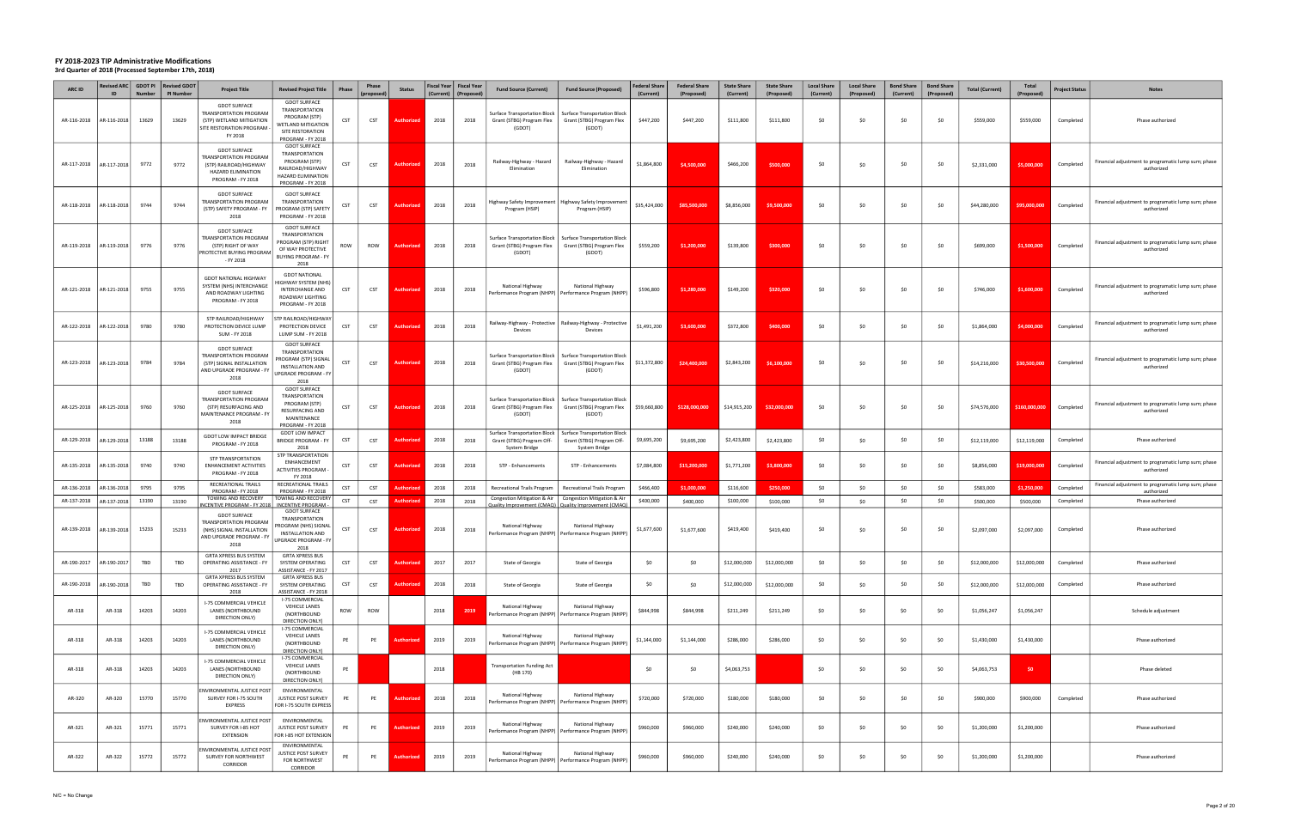| <b>ARC ID</b> | Revised ARC GDOT PI<br>ID | <b>Number</b> | <b>Revised GDOT</b><br>PI Number | <b>Project Title</b>                                                                                                  | <b>Revised Project Title</b>                                                                                                          | <b>Phase</b> | Phase<br>(proposed | <b>Status</b>     | (Current) | Fiscal Year   Fiscal Year<br>(Proposed | <b>Fund Source (Current)</b>                                               | <b>Fund Source (Proposed)</b>                                                          | <b>Federal Share</b><br>(Current) | <b>Federal Share</b><br>(Proposed) | <b>State Share</b><br>(Current) | <b>State Share</b><br>(Proposed) | <b>Local Share</b><br>(Current) | <b>Local Share</b><br>(Proposed) | <b>Bond Share</b><br>(Current) | <b>Bond Share</b><br>(Proposed) | <b>Total (Current)</b> | Total<br>(Proposed) | Project Status | <b>Notes</b>                                                      |
|---------------|---------------------------|---------------|----------------------------------|-----------------------------------------------------------------------------------------------------------------------|---------------------------------------------------------------------------------------------------------------------------------------|--------------|--------------------|-------------------|-----------|----------------------------------------|----------------------------------------------------------------------------|----------------------------------------------------------------------------------------|-----------------------------------|------------------------------------|---------------------------------|----------------------------------|---------------------------------|----------------------------------|--------------------------------|---------------------------------|------------------------|---------------------|----------------|-------------------------------------------------------------------|
| AR-116-2018   | R-116-2018                | 13629         | 13629                            | <b>GDOT SURFACE</b><br>TRANSPORTATION PROGRAM<br>(STP) WETLAND MITIGATION<br>SITE RESTORATION PROGRAM -<br>FY 2018    | <b>GDOT SURFACE</b><br><b>TRANSPORTATION</b><br>PROGRAM (STP)<br><b>VETLAND MITIGATION</b><br>SITE RESTORATION<br>PROGRAM - FY 2018   | <b>CST</b>   | <b>CST</b>         | <b>Authorize</b>  | 2018      | 2018                                   | <b>Surface Transportation Block</b><br>Grant (STBG) Program Flex<br>(GDOT) | <b>Surface Transportation Block</b><br>Grant (STBG) Program Flex<br>(GDOT)             | \$447,200                         | \$447,200                          | \$111,800                       | \$111,800                        | \$0                             | \$0                              | \$0                            | - SO                            | \$559,000              | \$559,000           | Completed      | Phase authorized                                                  |
| AR-117-2018   | AR-117-2018               | 9772          | 9772                             | <b>GDOT SURFACE</b><br>TRANSPORTATION PROGRAM<br>(STP) RAILROAD/HIGHWAY<br>HAZARD ELIMINATION<br>PROGRAM - FY 2018    | <b>GDOT SURFACE</b><br><b>TRANSPORTATION</b><br>PROGRAM (STP)<br>RAILROAD/HIGHWAY<br>HAZARD ELIMINATION<br>PROGRAM - FY 2018          | CST          | <b>CST</b>         | <b>Authorizer</b> | 2018      | 2018                                   | Railway-Highway - Hazard<br>Elimination                                    | Railway-Highway - Hazard<br>Elimination                                                | \$1,864,800                       | \$4,500,000                        | \$466,200                       | \$500,000                        | \$0                             | \$0                              | \$0                            | -SO                             | \$2,331,000            | \$5,000,000         | Completed      | Financial adjustment to programatic lump sum; phase<br>authorized |
| AR-118-2018   | AR-118-2018               | 9744          | 9744                             | <b>GDOT SURFACE</b><br>TRANSPORTATION PROGRAM<br>(STP) SAFETY PROGRAM - FY<br>2018                                    | <b>GDOT SURFACE</b><br>TRANSPORTATION<br>PROGRAM (STP) SAFETY<br>PROGRAM - FY 2018                                                    | CST          | CST                | Authorize         | 2018      | 2018                                   | Highway Safety Improvement  <br>Program (HSIP)                             | Highway Safety Improvement<br>Program (HSIP)                                           | \$35,424,000                      | \$85,500,000                       | \$8,856,000                     | \$9,500,000                      | \$0                             | \$0                              | \$0                            | -SO                             | \$44,280,000           | \$95,000,000        | Completed      | Financial adjustment to programatic lump sum; phase<br>authorized |
| AR-119-2018   | AR-119-2018               | 9776          | 9776                             | <b>GDOT SURFACE</b><br>TRANSPORTATION PROGRAM<br>(STP) RIGHT OF WAY<br>PROTECTIVE BUYING PROGRAM<br>- FY 2018         | <b>GDOT SURFACE</b><br><b>TRANSPORTATION</b><br><b>PROGRAM (STP) RIGHT</b><br>OF WAY PROTECTIVE<br><b>BUYING PROGRAM - FY</b><br>2018 | ROW          | ROW                | <b>Authorized</b> | 2018      | 2018                                   | <b>Surface Transportation Block</b><br>Grant (STBG) Program Flex<br>(GDOT) | <b>Surface Transportation Block</b><br>Grant (STBG) Program Flex<br>(GDOT)             | \$559,200                         | \$1,200,000                        | \$139,800                       | \$300,000                        | \$0                             | \$0                              | \$0                            | SO.                             | \$699,000              | \$1,500,000         | Completed      | Financial adjustment to programatic lump sum; phase<br>authorized |
| AR-121-2018   | AR-121-2018               | 9755          | 9755                             | <b>GDOT NATIONAL HIGHWAY</b><br>SYSTEM (NHS) INTERCHANGE<br>AND ROADWAY LIGHTING<br>PROGRAM - FY 2018                 | <b>GDOT NATIONAL</b><br>IGHWAY SYSTEM (NHS)<br>INTERCHANGE AND<br>ROADWAY LIGHTING<br>PROGRAM - FY 2018                               | CST          | CST                | <b>Authorized</b> | 2018      | 2018                                   | National Highway                                                           | National Highway<br>Performance Program (NHPP)   Performance Program (NHPP)            | \$596,800                         | \$1,280,000                        | \$149,200                       | \$320,000                        | \$0                             | \$0                              | \$0                            | SO.                             | \$746,000              | \$1,600,000         | Completed      | Financial adjustment to programatic lump sum; phase<br>authorized |
| AR-122-2018   | AR-122-2018               | 9780          | 9780                             | STP RAILROAD/HIGHWAY<br>PROTECTION DEVICE LUMP<br>SUM - FY 2018                                                       | <b>TP RAILROAD/HIGHWAY</b><br>PROTECTION DEVICE<br>LUMP SUM - FY 2018                                                                 | CST          | <b>CST</b>         | <b>Authorize</b>  | 2018      | 2018                                   | Devices                                                                    | Railway-Highway - Protective   Railway-Highway - Protective<br>Devices                 | \$1,491,200                       | \$3,600,000                        | \$372,800                       | \$400,000                        | \$0                             | \$0                              | \$0                            | -SO                             | \$1,864,000            | \$4,000,000         | Completed      | Financial adjustment to programatic lump sum; phase<br>authorized |
| AR-123-2018   | AR-123-2018               | 9784          | 9784                             | <b>GDOT SURFACE</b><br><b>TRANSPORTATION PROGRAM</b><br>(STP) SIGNAL INSTALLATION<br>AND UPGRADE PROGRAM - FY<br>2018 | <b>GDOT SURFACE</b><br>TRANSPORTATION<br>PROGRAM (STP) SIGNAL<br><b>INSTALLATION AND</b><br>JPGRADE PROGRAM - FY<br>2018              | <b>CST</b>   | CST                | Authorize         | 2018      | 2018                                   | Surface Transportation Block  <br>Grant (STBG) Program Flex<br>(GDOT)      | <b>Surface Transportation Block</b><br>Grant (STBG) Program Flex<br>(GDOT)             | \$11,372,800                      | \$24,400,000                       | \$2,843,200                     | \$6,100,000                      | \$0                             | \$0                              | \$0                            | -SO                             | \$14,216,000           | \$30,500,000        | Completed      | Financial adjustment to programatic lump sum; phase<br>authorized |
| AR-125-2018   | AR-125-2018               | 9760          | 9760                             | <b>GDOT SURFACE</b><br>TRANSPORTATION PROGRAM<br>(STP) RESURFACING AND<br>MAINTENANCE PROGRAM - FY<br>2018            | <b>GDOT SURFACE</b><br>TRANSPORTATION<br>PROGRAM (STP)<br><b>RESURFACING AND</b><br>MAINTENANCE<br>PROGRAM - FY 2018                  | <b>CST</b>   | CST                | <b>Authorized</b> | 2018      | 2018                                   | Surface Transportation Block  <br>Grant (STBG) Program Flex<br>(GDOT)      | <b>Surface Transportation Block</b><br>Grant (STBG) Program Flex<br>(GDOT)             | \$59,660,800                      | \$128,000,000                      | \$14,915,200                    | \$32,000,000                     | \$0                             | \$0                              | \$0                            | -SO                             | \$74,576,000           | \$160,000,000       | Completed      | Financial adjustment to programatic lump sum; phase<br>authorized |
| AR-129-2018   | R-129-2018                | 13188         | 13188                            | <b>GDOT LOW IMPACT BRIDGE</b><br>PROGRAM - FY 2018                                                                    | <b>GDOT LOW IMPACT</b><br><b>BRIDGE PROGRAM - FY</b>                                                                                  | CST          | <b>CST</b>         | Authorized        | 2018      | 2018                                   | <b>Surface Transportation Block</b><br>Grant (STBG) Program Off-           | <b>Surface Transportation Block</b><br>Grant (STBG) Program Off-                       | \$9,695,200                       | \$9,695,200                        | \$2,423,800                     | \$2,423,800                      | \$0                             | \$0                              | \$0                            | -SO                             | \$12,119,000           | \$12,119,000        | Completed      | Phase authorized                                                  |
| AR-135-2018   | R-135-2018                | 9740          | 9740                             | <b>STP TRANSPORTATION</b><br>ENHANCEMENT ACTIVITIES<br>PROGRAM - FY 2018                                              | 2018<br>STP TRANSPORTATION<br>ENHANCEMENT<br><b>ACTIVITIES PROGRAM -</b><br>FY 2018                                                   | CST          | CST                | Authoriz          | 2018      | 2018                                   | System Bridge<br>STP - Enhancements                                        | System Bridge<br>STP - Enhancements                                                    | \$7,084,800                       | \$15,200,000                       | \$1,771,200                     | \$3,800,000                      | \$0                             | \$0                              | \$0                            | SO.                             | \$8,856,000            | \$19,000,000        | Completed      | Financial adjustment to programatic lump sum; phase<br>authorized |
| AR-136-2018   | R-136-2018                | 9795          | 9795                             | RECREATIONAL TRAILS<br>PROGRAM - FY 2018                                                                              | RECREATIONAL TRAILS<br>PROGRAM - FY 2018                                                                                              | CST          | <b>CST</b>         | uthor             | 2018      | 2018                                   | <b>Recreational Trails Program</b>                                         | <b>Recreational Trails Program</b>                                                     | \$466,400                         | \$1,000,000                        | \$116,600                       | \$250,000                        | \$0                             | \$0                              | \$0                            | -SO                             | \$583,000              | \$1,250,000         | Completed      | Financial adjustment to programatic lump sum; phase<br>authorized |
| AR-137-2018   | AR-137-2018               | 13190         | 13190                            | TOWING AND RECOVERY<br><b>NCENTIVE PROGRAM - FY 2018</b>                                                              | TOWING AND RECOVERY<br><b>INCENTIVE PROGRAM</b>                                                                                       | <b>CST</b>   | <b>CST</b>         | Authorizec        | 2018      | 2018                                   | Congestion Mitigation & Air                                                | Congestion Mitigation & Air<br>Quality Improvement (CMAQ)   Quality Improvement (CMAQ) | \$400,000                         | \$400,000                          | \$100,000                       | \$100,000                        | \$0                             | \$0                              | \$0                            | \$0                             | \$500,000              | \$500,000           | Completed      | Phase authorized                                                  |
| AR-139-2018   | AR-139-2018               | 15233         | 15233                            | <b>GDOT SURFACE</b><br>TRANSPORTATION PROGRAM<br>(NHS) SIGNAL INSTALLATION<br>AND UPGRADE PROGRAM - FY<br>2018        | <b>GDOT SURFACE</b><br><b>TRANSPORTATION</b><br>ROGRAM (NHS) SIGNAL<br><b>INSTALLATION AND</b><br>UPGRADE PROGRAM - FY<br>2018        | <b>CST</b>   | CST                | <b>Authorized</b> | 2018      | 2018                                   | National Highway                                                           | National Highway<br>Performance Program (NHPP)   Performance Program (NHPP)            | \$1,677,600                       | \$1,677,600                        | \$419,400                       | \$419,400                        | \$0                             | \$0                              | \$0                            | -SO                             | \$2,097,000            | \$2,097,000         | Completed      | Phase authorized                                                  |
| AR-190-2017   | AR-190-2017               | TBD           | TBD                              | GRTA XPRESS BUS SYSTEM<br>OPERATING ASSISTANCE - FY<br>2017                                                           | <b>GRTA XPRESS BUS</b><br>SYSTEM OPERATING<br>ASSISTANCE - FY 2017                                                                    | CST          | <b>CST</b>         | <b>Authorized</b> | 2017      | 2017                                   | State of Georgia                                                           | State of Georgia                                                                       | \$0                               | \$0                                | \$12,000,000                    | \$12,000,000                     | \$0                             | \$0                              | \$0                            | \$0                             | \$12,000,000           | \$12,000,000        | Completed      | Phase authorized                                                  |
| AR-190-2018   | R-190-2018                | TBD           | TBD                              | GRTA XPRESS BUS SYSTEM<br>OPERATING ASSISTANCE - FY<br>2018                                                           | <b>GRTA XPRESS BUS</b><br>SYSTEM OPERATING<br>ASSISTANCE - FY 2018                                                                    | CST          | <b>CST</b>         | <b>Authorized</b> | 2018      | 2018                                   | State of Georgia                                                           | State of Georgia                                                                       | \$0                               | \$0                                | \$12,000,000                    | \$12,000,000                     | \$0                             | \$0                              | \$0                            | SO.                             | \$12,000,000           | \$12,000,000        | Completed      | Phase authorized                                                  |
| AR-318        | AR-318                    | 14203         | 14203                            | I-75 COMMERCIAL VEHICLE<br>LANES (NORTHBOUND<br>DIRECTION ONLY)                                                       | I-75 COMMERCIAL<br><b>VEHICLE LANES</b><br>(NORTHBOUND<br>DIRECTION ONLY)                                                             | ROW          | ROW                |                   | 2018      | 2019                                   | National Highway                                                           | National Highway<br>erformance Program (NHPP) Performance Program (NHPP                | \$844,998                         | \$844,998                          | \$211,249                       | \$211,249                        | \$0                             | \$0                              | \$0                            | \$0                             | \$1,056,247            | \$1,056,247         |                | Schedule adjustment                                               |
| AR-318        | AR-318                    | 14203         | 14203                            | I-75 COMMERCIAL VEHICLE<br>LANES (NORTHBOUND<br>DIRECTION ONLY)                                                       | I-75 COMMERCIAL<br><b>VEHICLE LANES</b><br>(NORTHBOUND<br>DIRECTION ONLY)                                                             | PE           | PE                 | Authorizeo        | 2019      | 2019                                   | National Highway                                                           | National Highway<br>Performance Program (NHPP)   Performance Program (NHPP)            | \$1,144,000                       | \$1,144,000                        | \$286,000                       | \$286,000                        | \$0                             | \$0                              | \$0                            | \$0                             | \$1,430,000            | \$1,430,000         |                | Phase authorized                                                  |
| AR-318        | AR-318                    | 14203         | 14203                            | -75 COMMERCIAL VEHICLE<br>LANES (NORTHBOUND<br>DIRECTION ONLY)                                                        | <b>I-75 COMMERCIAL</b><br><b>VEHICLE LANES</b><br>(NORTHBOUND<br>DIRECTION ONLY)                                                      | PE           |                    |                   | 2018      |                                        | <b>Transportation Funding Act</b><br>(HB 170)                              |                                                                                        | \$0                               | \$0                                | \$4,063,753                     |                                  | \$0                             | \$0                              | \$0                            | \$0                             | \$4,063,753            | \$0                 |                | Phase deleted                                                     |
| AR-320        | AR-320                    | 15770         | 15770                            | ENVIRONMENTAL JUSTICE POST<br>SURVEY FOR I-75 SOUTH<br><b>EXPRESS</b>                                                 | ENVIRONMENTAL<br>JUSTICE POST SURVEY<br>OR I-75 SOUTH EXPRESS                                                                         | PE           | PE                 | <b>Authorized</b> | 2018      | 2018                                   | National Highway                                                           | National Highway<br>Performance Program (NHPP)   Performance Program (NHPP)            | \$720,000                         | \$720,000                          | \$180,000                       | \$180,000                        | \$0                             | \$0                              | \$0                            | \$0                             | \$900,000              | \$900,000           | Completed      | Phase authorized                                                  |
| AR-321        | AR-321                    | 15771         | 15771                            | <b>ENVIRONMENTAL JUSTICE POST</b><br>SURVEY FOR I-85 HOT<br>EXTENSION                                                 | ENVIRONMENTAL<br><b>JUSTICE POST SURVEY</b><br>FOR I-85 HOT EXTENSION                                                                 | PE           | PE                 | <b>Authorized</b> | 2019      | 2019                                   | National Highway                                                           | National Highway<br>erformance Program (NHPP)   Performance Program (NHPP              | \$960,000                         | \$960,000                          | \$240,000                       | \$240,000                        | \$0                             | \$0                              | \$0                            | \$0                             | \$1,200,000            | \$1,200,000         |                | Phase authorized                                                  |
| AR-322        | AR-322                    | 15772         | 15772                            | ENVIRONMENTAL JUSTICE POST<br>SURVEY FOR NORTHWEST<br>CORRIDOR                                                        | ENVIRONMENTAL<br><b>USTICE POST SURVEY</b><br>FOR NORTHWEST<br>CORRIDOR                                                               | PE           | PE                 | Authorizeo        | 2019      | 2019                                   | National Highway                                                           | National Highway<br>Performance Program (NHPP)   Performance Program (NHPP             | \$960,000                         | \$960,000                          | \$240,000                       | \$240,000                        | \$0                             | \$0                              | \$0                            | \$0                             | \$1,200,000            | \$1,200,000         |                | Phase authorized                                                  |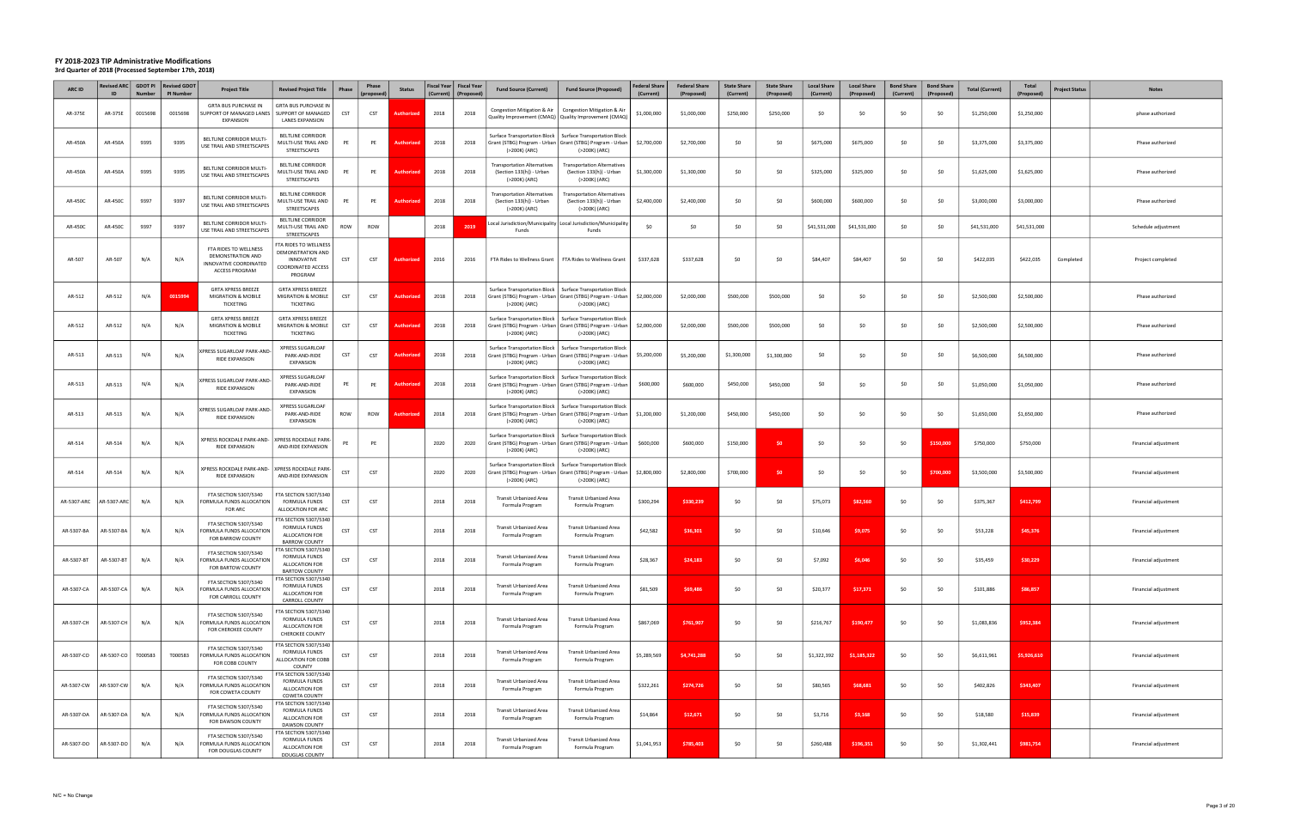| <b>ARC ID</b> | ID          | <b>Number</b> | Revised ARC   GDOT PI   Revised GDOT<br><b>PI Number</b> | <b>Project Title</b>                                                                   | <b>Revised Project Title</b>                                                              | Phase      | Phase<br>(proposec | <b>Status</b>     | (Current) | Fiscal Year   Fiscal Year<br>(Proposed) | <b>Fund Source (Current)</b>                                                    | <b>Fund Source (Proposed)</b>                                                                                        | <b>Federal Share</b><br>(Current) | <b>Federal Share</b><br>(Proposed) | <b>State Share</b><br>(Current) | <b>State Share</b><br>(Proposed) | <b>Local Share</b><br>(Current) | <b>Local Share</b><br>(Proposed) | <b>Bond Share</b><br>(Current) | <b>Bond Share</b><br>(Proposed) | <b>Total (Current)</b> | Total<br>(Proposed) | <b>Project Status</b> | <b>Notes</b>         |
|---------------|-------------|---------------|----------------------------------------------------------|----------------------------------------------------------------------------------------|-------------------------------------------------------------------------------------------|------------|--------------------|-------------------|-----------|-----------------------------------------|---------------------------------------------------------------------------------|----------------------------------------------------------------------------------------------------------------------|-----------------------------------|------------------------------------|---------------------------------|----------------------------------|---------------------------------|----------------------------------|--------------------------------|---------------------------------|------------------------|---------------------|-----------------------|----------------------|
| AR-375E       | AR-375E     | 0015698       | 0015698                                                  | <b>GRTA BUS PURCHASE IN</b><br>SUPPORT OF MANAGED LANES<br><b>EXPANSION</b>            | <b>GRTA BUS PURCHASE IN</b><br>SUPPORT OF MANAGED<br><b>LANES EXPANSION</b>               | <b>CST</b> | CST                | Authorized        | 2018      | 2018                                    |                                                                                 | Congestion Mitigation & Air   Congestion Mitigation & Air<br>Quality Improvement (CMAQ)   Quality Improvement (CMAQ) | \$1,000,000                       | \$1,000,000                        | \$250,000                       | \$250,000                        | \$0                             | \$0                              | \$0                            | \$0                             | \$1,250,000            | \$1,250,000         |                       | phase authorized     |
| AR-450A       | AR-450A     | 9395          | 9395                                                     | BELTLINE CORRIDOR MULTI-<br>USE TRAIL AND STREETSCAPES                                 | BELTLINE CORRIDOR<br>MULTI-USE TRAIL AND<br>STREETSCAPES                                  | PE         | PE                 | <b>Authorize</b>  | 2018      | 2018                                    | Surface Transportation Block  <br>(>200K) (ARC)                                 | <b>Surface Transportation Block</b><br>Grant (STBG) Program - Urban Grant (STBG) Program - Urban<br>(>200K) (ARC)    | \$2,700,000                       | \$2,700,000                        | \$0                             | \$0                              | \$675,000                       | \$675,000                        | \$0                            | \$0                             | \$3,375,000            | \$3,375,000         |                       | Phase authorized     |
| AR-450A       | AR-450A     | 9395          | 9395                                                     | BELTLINE CORRIDOR MULTI-<br>USE TRAIL AND STREETSCAPES                                 | <b>BELTLINE CORRIDOR</b><br>MULTI-USE TRAIL AND<br>STREETSCAPES                           | PE         | PE                 | Authori:          | 2018      | 2018                                    | <b>Transportation Alternatives</b><br>(Section 133(h)) - Urban<br>(>200K) (ARC) | <b>Transportation Alternatives</b><br>(Section 133(h)) - Urban<br>(>200K) (ARC)                                      | \$1,300,000                       | \$1,300,000                        | \$0                             | \$0                              | \$325,000                       | \$325,000                        | \$0                            | \$0                             | \$1,625,000            | \$1,625,000         |                       | Phase authorized     |
| AR-450C       | AR-450C     | 9397          | 9397                                                     | BELTLINE CORRIDOR MULTI-<br>USE TRAIL AND STREETSCAPES                                 | <b>BELTLINE CORRIDOR</b><br>MULTI-USE TRAIL AND<br>STREETSCAPES                           | PE         | PE                 | Authorized        | 2018      | 2018                                    | Transportation Alternatives<br>(Section 133(h)) - Urban<br>(>200K) (ARC)        | <b>Transportation Alternatives</b><br>(Section 133(h)) - Urban<br>(>200K) (ARC)                                      | \$2,400,000                       | \$2,400,000                        | \$0                             | \$0                              | \$600,000                       | \$600,000                        | \$0                            | \$0                             | \$3,000,000            | \$3,000,000         |                       | Phase authorized     |
| AR-450C       | AR-450C     | 9397          | 9397                                                     | BELTLINE CORRIDOR MULTI-<br>USE TRAIL AND STREETSCAPES                                 | BELTLINE CORRIDOR<br>MULTI-USE TRAIL AND<br>STREETSCAPES                                  | ROW        | ROW                |                   | 2018      | 201                                     | Funds                                                                           | Local Jurisdiction/Municipality   Local Jurisdiction/Municipality<br>Funds                                           | \$0                               | \$0                                | \$0                             | \$0                              | \$41,531,000                    | \$41,531,000                     | \$0                            | \$0                             | \$41,531,000           | \$41,531,000        |                       | Schedule adjustment  |
| AR-507        | AR-507      | N/A           | N/A                                                      | FTA RIDES TO WELLNESS<br>DEMONSTRATION AND<br>INNOVATIVE COORDINATED<br>ACCESS PROGRAM | FTA RIDES TO WELLNESS<br>DEMONSTRATION AND<br>INNOVATIVE<br>COORDINATED ACCESS<br>PROGRAM | CST        | CST                | Authorize         | 2016      | 2016                                    | FTA Rides to Wellness Grant                                                     | FTA Rides to Wellness Grant                                                                                          | \$337,628                         | \$337,628                          | \$0                             | \$0                              | \$84,407                        | \$84,407                         | \$0                            | \$0                             | \$422,035              | \$422,035           | Completed             | Project completed    |
| AR-512        | AR-512      | N/A           | 0015994                                                  | <b>GRTA XPRESS BREEZE</b><br><b>MIGRATION &amp; MOBILE</b><br>TICKETING                | <b>GRTA XPRESS BREEZE</b><br>MIGRATION & MOBILE<br>TICKETING                              | CST        | <b>CST</b>         | Authorized        | 2018      | 2018                                    | Surface Transportation Block<br>(>200K) (ARC)                                   | <b>Surface Transportation Block</b><br>Grant (STBG) Program - Urban   Grant (STBG) Program - Urban<br>(>200K) (ARC)  | \$2,000,000                       | \$2,000,000                        | \$500,000                       | \$500,000                        | \$0                             | \$0                              | \$0                            | \$0                             | \$2,500,000            | \$2,500,000         |                       | Phase authorized     |
| AR-512        | AR-512      | N/A           | N/A                                                      | <b>GRTA XPRESS BREEZE</b><br><b>MIGRATION &amp; MOBILE</b><br>TICKETING                | <b>GRTA XPRESS BREEZE</b><br>MIGRATION & MOBILE<br>TICKETING                              | CST        | <b>CST</b>         | Authorized        | 2018      | 2018                                    | Surface Transportation Block<br>(>200K) (ARC)                                   | <b>Surface Transportation Block</b><br>Grant (STBG) Program - Urban   Grant (STBG) Program - Urban<br>(>200K) (ARC)  | \$2,000,000                       | \$2,000,000                        | \$500,000                       | \$500,000                        | \$0                             | \$0                              | \$0                            | \$0                             | \$2,500,000            | \$2,500,000         |                       | Phase authorized     |
| AR-513        | AR-513      | N/A           | N/A                                                      | XPRESS SUGARLOAF PARK-AND-<br>RIDE EXPANSION                                           | XPRESS SUGARLOAF<br>PARK-AND-RIDE<br>EXPANSION                                            | <b>CST</b> | <b>CST</b>         | Author            | 2018      | 2018                                    | Surface Transportation Block  <br>(>200K) (ARC)                                 | <b>Surface Transportation Block</b><br>Grant (STBG) Program - Urban   Grant (STBG) Program - Urban<br>(>200K) (ARC)  | \$5,200,000                       | \$5,200,000                        | \$1,300,000                     | \$1,300,000                      | \$0                             | \$0                              | \$0                            | SO.                             | \$6,500,000            | \$6,500,000         |                       | Phase authorized     |
| AR-513        | AR-513      | N/A           | N/A                                                      | XPRESS SUGARLOAF PARK-AND-<br>RIDE EXPANSION                                           | <b>XPRESS SUGARLOAF</b><br>PARK-AND-RIDE<br>EXPANSION                                     | PE         | PE                 | Authorized        | 2018      | 2018                                    | Surface Transportation Block  <br>(>200K) (ARC)                                 | <b>Surface Transportation Block</b><br>Grant (STBG) Program - Urban   Grant (STBG) Program - Urban<br>(>200K) (ARC)  | \$600,000                         | \$600,000                          | \$450,000                       | \$450,000                        | \$0                             | \$0                              | \$0                            | \$0                             | \$1,050,000            | \$1,050,000         |                       | Phase authorized     |
| AR-513        | AR-513      | N/A           | N/A                                                      | XPRESS SUGARLOAF PARK-AND<br>RIDE EXPANSION                                            | <b>XPRESS SUGARLOAF</b><br>PARK-AND-RIDE<br>EXPANSION                                     | ROW        | ROW                | <b>Authorized</b> | 2018      | 2018                                    | Surface Transportation Block<br>(>200K) (ARC)                                   | <b>Surface Transportation Block</b><br>Grant (STBG) Program - Urban   Grant (STBG) Program - Urban<br>(>200K) (ARC)  | \$1,200,000                       | \$1,200,000                        | \$450,000                       | \$450,000                        | \$0                             | \$0                              | \$0                            | \$0                             | \$1,650,000            | \$1,650,000         |                       | Phase authorized     |
| AR-514        | AR-514      | N/A           | N/A                                                      | XPRESS ROCKDALE PARK-AND-   XPRESS ROCKDALE PARK-<br>RIDE EXPANSION                    | AND-RIDE EXPANSION                                                                        | PE         | PE                 |                   | 2020      | 2020                                    | Surface Transportation Block  <br>(>200K) (ARC)                                 | <b>Surface Transportation Block</b><br>Grant (STBG) Program - Urban   Grant (STBG) Program - Urban<br>(>200K) (ARC)  | \$600,000                         | \$600,000                          | \$150,000                       | \$0                              | \$0                             | \$0                              | \$0                            | \$150,000                       | \$750,000              | \$750,000           |                       | Financial adjustment |
| AR-514        | AR-514      | N/A           | N/A                                                      | XPRESS ROCKDALE PARK-AND-<br>RIDE EXPANSION                                            | <b>XPRESS ROCKDALE PARK-</b><br>AND-RIDE EXPANSION                                        | <b>CST</b> | CST                |                   | 2020      | 2020                                    | Surface Transportation Block  <br>(>200K) (ARC)                                 | <b>Surface Transportation Block</b><br>Grant (STBG) Program - Urban   Grant (STBG) Program - Urban<br>(>200K) (ARC)  | \$2,800,000                       | \$2,800,000                        | \$700,000                       | \$0                              | \$0                             | \$0                              | \$0                            | \$700,000                       | \$3,500,000            | \$3,500,000         |                       | Financial adjustment |
| AR-5307-ARC   | AR-5307-ARC | N/A           | N/A                                                      | FTA SECTION 5307/5340<br>FORMULA FUNDS ALLOCATION<br>FOR ARC                           | TA SECTION 5307/5340<br><b>FORMULA FUNDS</b><br>ALLOCATION FOR ARC                        | CST        | CST                |                   | 2018      | 2018                                    | Transit Urbanized Area<br>Formula Program                                       | <b>Transit Urbanized Area</b><br>Formula Program                                                                     | \$300,294                         | \$330,239                          | \$0                             | \$0                              | \$75,073                        | \$82,560                         | \$0                            | \$0                             | \$375,367              | \$412,799           |                       | Financial adjustment |
| AR-5307-BA    | AR-5307-BA  | N/A           | N/A                                                      | FTA SECTION 5307/5340<br>FORMULA FUNDS ALLOCATION<br>FOR BARROW COUNTY                 | FTA SECTION 5307/5340<br><b>FORMULA FUNDS</b><br>ALLOCATION FOR<br><b>BARROW COUNTY</b>   | <b>CST</b> | CST                |                   | 2018      | 2018                                    | Transit Urbanized Area<br>Formula Program                                       | Transit Urbanized Area<br>Formula Program                                                                            | \$42,582                          | \$36,301                           | \$0                             | \$0                              | \$10,646                        | \$9,075                          | \$0                            | \$0                             | \$53,228               | \$45,376            |                       | Financial adjustment |
| AR-5307-BT    | AR-5307-BT  | N/A           | N/A                                                      | FTA SECTION 5307/5340<br>FORMULA FUNDS ALLOCATION<br>FOR BARTOW COUNTY                 | FTA SECTION 5307/5340<br>FORMULA FUNDS<br>ALLOCATION FOR<br><b>BARTOW COUNTY</b>          | <b>CST</b> | CST                |                   | 2018      | 2018                                    | Transit Urbanized Area<br>Formula Program                                       | Transit Urbanized Area<br>Formula Program                                                                            | \$28,367                          | \$24,183                           | -SO                             | \$0                              | \$7,092                         | \$6,046                          | \$0                            | \$0                             | \$35,459               | \$30,229            |                       | Financial adjustment |
| AR-5307-CA    | AR-5307-CA  | N/A           | N/A                                                      | FTA SECTION 5307/5340<br>FORMULA FUNDS ALLOCATION<br>FOR CARROLL COUNTY                | TA SECTION 5307/5340<br><b>FORMULA FUNDS</b><br>ALLOCATION FOR<br>CARROLL COUNTY          | <b>CST</b> | CST                |                   | 2018      | 2018                                    | Transit Urbanized Area<br>Formula Program                                       | Transit Urbanized Area<br>Formula Program                                                                            | \$81,509                          | \$69,486                           | \$0                             | \$0                              | \$20,377                        | \$17,371                         | \$0                            | \$0                             | \$101,886              | \$86,857            |                       | Financial adjustment |
| AR-5307-CH    | AR-5307-CH  | N/A           | N/A                                                      | FTA SECTION 5307/5340<br>FORMULA FUNDS ALLOCATION<br>FOR CHEROKEE COUNTY               | FTA SECTION 5307/5340<br><b>FORMULA FUNDS</b><br>ALLOCATION FOR<br>CHEROKEE COUNTY        | <b>CST</b> | CST                |                   | 2018      | 2018                                    | Transit Urbanized Area<br>Formula Program                                       | Transit Urbanized Area<br>Formula Program                                                                            | \$867,069                         | \$761,907                          | \$0                             | \$0                              | \$216,767                       | \$190,477                        | \$0                            | \$0                             | \$1,083,836            | \$952,384           |                       | Financial adjustment |
| AR-5307-CO    | AR-5307-CO  | T000583       | T000583                                                  | FTA SECTION 5307/5340<br>FORMULA FUNDS ALLOCATION<br>FOR COBB COUNTY                   | FTA SECTION 5307/5340<br><b>FORMULA FUNDS</b><br>ALLOCATION FOR COBB<br>COUNTY            | <b>CST</b> | CST                |                   | 2018      | 2018                                    | Transit Urbanized Area<br>Formula Program                                       | Transit Urbanized Area<br>Formula Program                                                                            | \$5,289,569                       | \$4,741,288                        | \$0                             | \$0                              | \$1,322,392                     | \$1.185.322                      | \$0                            | \$0                             | \$6,611,961            | \$5,926,610         |                       | Financial adjustment |
| AR-5307-CW    | AR-5307-CW  | N/A           | N/A                                                      | FTA SECTION 5307/5340<br>FORMULA FUNDS ALLOCATION<br>FOR COWETA COUNTY                 | TA SECTION 5307/5340<br>FORMULA FUNDS<br>ALLOCATION FOR<br>COWETA COUNTY                  | <b>CST</b> | CST                |                   | 2018      | 2018                                    | Transit Urbanized Area<br>Formula Program                                       | Transit Urbanized Area<br>Formula Program                                                                            | \$322,261                         | \$274,726                          | \$0                             | \$0                              | \$80,565                        | \$68,681                         | \$0                            | \$0                             | \$402,826              | \$343,407           |                       | Financial adjustment |
| AR-5307-DA    | AR-5307-DA  | N/A           | N/A                                                      | FTA SECTION 5307/5340<br>FORMULA FUNDS ALLOCATION<br>FOR DAWSON COUNTY                 | FTA SECTION 5307/5340<br><b>FORMULA FUNDS</b><br>ALLOCATION FOR<br><b>DAWSON COUNTY</b>   | CST        | CST                |                   | 2018      | 2018                                    | Transit Urbanized Area<br>Formula Program                                       | Transit Urbanized Area<br>Formula Program                                                                            | \$14,864                          | \$12,671                           | \$0                             | \$0                              | \$3,716                         | \$3,168                          | \$0                            | \$0                             | \$18,580               | \$15,839            |                       | Financial adjustment |
| AR-5307-DO    | AR-5307-DO  | N/A           | N/A                                                      | FTA SECTION 5307/5340<br>FORMULA FUNDS ALLOCATION<br>FOR DOUGLAS COUNTY                | TA SECTION 5307/5340<br>FORMULA FUNDS<br>ALLOCATION FOR<br>DOUGLAS COUNTY                 | <b>CST</b> | CST                |                   | 2018      | 2018                                    | Transit Urbanized Area<br>Formula Program                                       | Transit Urbanized Area<br>Formula Program                                                                            | \$1,041,953                       | \$785,403                          | \$0                             | \$0                              | \$260,488                       | \$196,351                        | \$0                            | \$0                             | \$1,302,441            | \$981,754           |                       | Financial adjustment |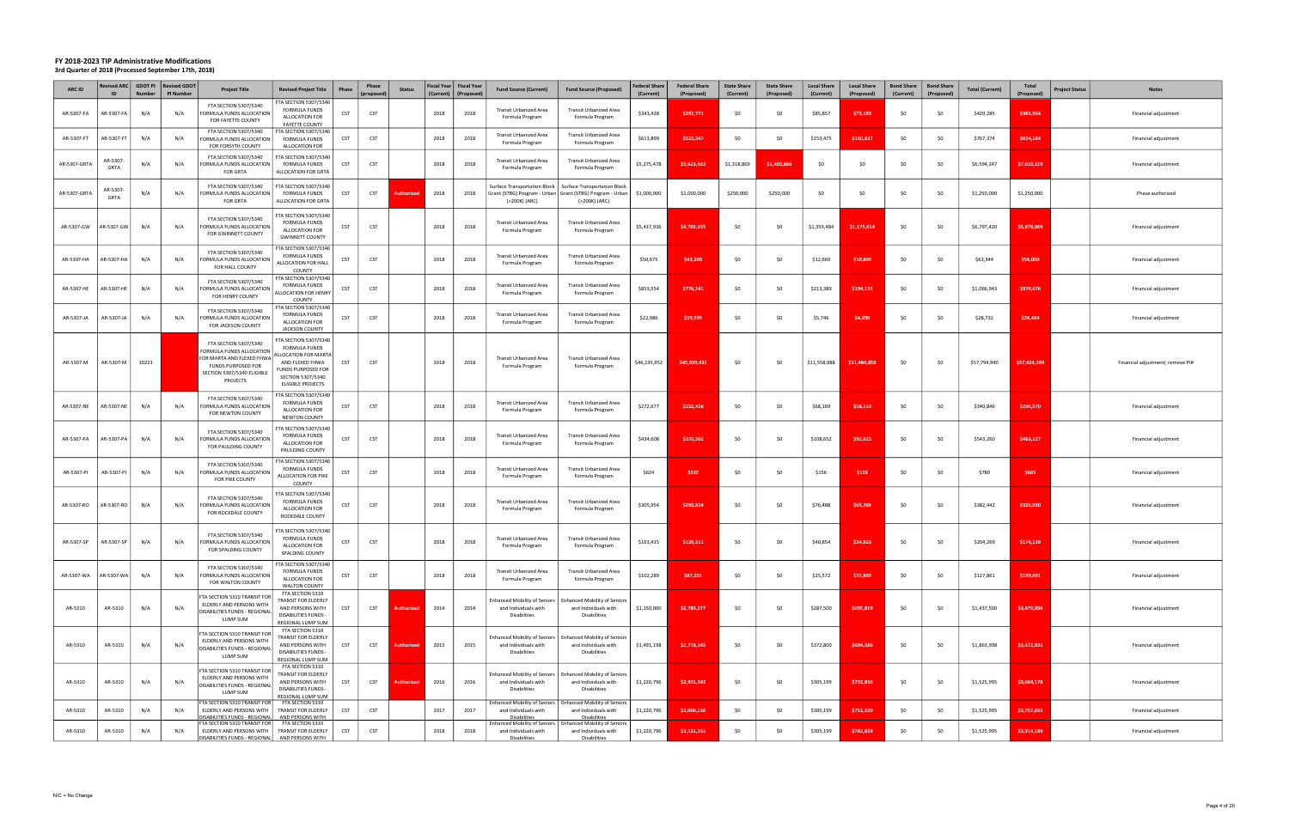| ARC ID       | <b>Revised ARC</b><br>ID | <b>Number</b> | GDOT PI   Revised GDOT<br><b>PI Number</b> | <b>Project Title</b>                                                                                                                                  | <b>Revised Project Title</b><br>Phase                                                                                                                                       | Phase<br>(proposed | <b>Status</b>     | (Current) | Fiscal Year   Fiscal Year<br>(Proposed) | <b>Fund Source (Current)</b>                                                       | <b>Fund Source (Proposed)</b>                                                                                       | <b>Federal Share</b><br>(Current) | <b>Federal Share</b><br>(Proposed) | <b>State Share</b><br>(Current) | <b>State Share</b><br>(Proposed) | <b>Local Share</b><br>(Current) | <b>Local Share</b><br>(Proposed) | <b>Bond Share</b><br>(Current) | <b>Bond Share</b><br>(Proposed) | <b>Total (Current)</b> | <b>Total</b><br>(Proposed) | <b>Project Status</b><br><b>Notes</b> |
|--------------|--------------------------|---------------|--------------------------------------------|-------------------------------------------------------------------------------------------------------------------------------------------------------|-----------------------------------------------------------------------------------------------------------------------------------------------------------------------------|--------------------|-------------------|-----------|-----------------------------------------|------------------------------------------------------------------------------------|---------------------------------------------------------------------------------------------------------------------|-----------------------------------|------------------------------------|---------------------------------|----------------------------------|---------------------------------|----------------------------------|--------------------------------|---------------------------------|------------------------|----------------------------|---------------------------------------|
| AR-5307-FA   | AR-5307-FA               | N/A           | N/A                                        | FTA SECTION 5307/5340<br>FORMULA FUNDS ALLOCATION<br>FOR FAYETTE COUNTY                                                                               | TA SECTION 5307/5340<br><b>FORMULA FUNDS</b><br><b>CST</b><br>ALLOCATION FOR<br><b>FAYETTE COUNTY</b>                                                                       | CST                |                   | 2018      | 2018                                    | Transit Urbanized Area<br>Formula Program                                          | <b>Transit Urbanized Area</b><br>Formula Program                                                                    | \$343,428                         | \$292,771                          |                                 | \$0                              | \$85,857                        | \$73,193                         | \$0                            | \$0                             | \$429,285              | \$365,964                  | Financial adjustment                  |
| AR-5307-FT   | AR-5307-FT               | N/A           | N/A                                        | FTA SECTION 5307/5340<br>FORMULA FUNDS ALLOCATION<br>FOR FORSYTH COUNTY                                                                               | TA SECTION 5307/5340<br><b>CST</b><br><b>FORMULA FUNDS</b><br>ALLOCATION FOR                                                                                                | CST                |                   | 2018      | 2018                                    | Transit Urbanized Area<br>Formula Program                                          | Transit Urbanized Area<br>Formula Program                                                                           | \$613,899                         | \$523,347                          | \$0                             | \$0                              | \$153,475                       | \$130,837                        | \$0                            | SO.                             | \$767,374              | \$654,184                  | Financial adjustment                  |
| AR-5307-GRTA | AR-5307-<br>GRTA         | N/A           | N/A                                        | FTA SECTION 5307/5340<br>FORMULA FUNDS ALLOCATION<br>FOR GRTA                                                                                         | FTA SECTION 5307/5340<br>CST<br><b>FORMULA FUNDS</b><br>ALLOCATION FOR GRTA                                                                                                 | CST                |                   | 2018      | 2018                                    | Transit Urbanized Area<br>Formula Program                                          | Transit Urbanized Area<br>Formula Program                                                                           | \$5,275,478                       | \$5,623,463                        | \$1,318,869                     | \$1,405,866                      | \$0                             | \$0                              | \$0                            | \$0                             | \$6,594,347            | \$7,029,329                | Financial adjustment                  |
| AR-5307-GRTA | AR-5307-<br>GRTA         | N/A           | N/A                                        | FTA SECTION 5307/5340<br>FORMULA FUNDS ALLOCATION<br><b>FOR GRTA</b>                                                                                  | FTA SECTION 5307/5340<br><b>FORMULA FUNDS</b><br>CST<br>ALLOCATION FOR GRTA                                                                                                 | CST                | uthori:           | 2018      | 2018                                    | Surface Transportation Block<br>(>200K) (ARC)                                      | <b>Surface Transportation Block</b><br>Grant (STBG) Program - Urban   Grant (STBG) Program - Urban<br>(>200K) (ARC) | \$1,000,000                       | \$1,000,000                        | \$250,000                       | \$250,000                        | \$0                             | \$0                              | \$0                            | \$0                             | \$1,250,000            | \$1,250,000                | Phase authorized                      |
| AR-5307-GW   | <b>AR-5307-GW</b>        | N/A           | N/A                                        | FTA SECTION 5307/5340<br>FORMULA FUNDS ALLOCATION<br>FOR GWINNETT COUNTY                                                                              | TA SECTION 5307/5340<br><b>FORMULA FUNDS</b><br><b>CST</b><br>ALLOCATION FOR<br><b>GWINNETT COUNTY</b>                                                                      | CST                |                   | 2018      | 2018                                    | Transit Urbanized Area<br>Formula Program                                          | <b>Transit Urbanized Area</b><br>Formula Program                                                                    | \$5,437,936                       | \$4,702,455                        | \$0                             | \$0                              | \$1,359,484                     | \$1,175,614                      | \$0                            | \$0                             | \$6,797,420            | \$5,878,069                | Financial adjustment                  |
| AR-5307-HA   | AR-5307-HA               | N/A           | N/A                                        | FTA SECTION 5307/5340<br>FORMULA FUNDS ALLOCATION<br>FOR HALL COUNTY                                                                                  | FTA SECTION 5307/5340<br><b>FORMULA FUNDS</b><br>CST<br>ALLOCATION FOR HALI<br>COUNTY                                                                                       | CST                |                   | 2018      | 2018                                    | Transit Urbanized Area<br>Formula Program                                          | <b>Transit Urbanized Area</b><br>Formula Program                                                                    | \$50,675                          | \$43,200                           | \$0                             | \$0                              | \$12,669                        | \$10,800                         | \$0                            | \$0                             | \$63,344               | \$54,000                   | Financial adjustment                  |
| AR-5307-HE   | AR-5307-HE               | N/A           | N/A                                        | FTA SECTION 5307/5340<br>FORMULA FUNDS ALLOCATION<br>FOR HENRY COUNTY                                                                                 | TA SECTION 5307/5340<br><b>FORMULA FUNDS</b><br>CST<br><b>ALLOCATION FOR HENRY</b><br>COUNTY                                                                                | CST                |                   | 2018      | 2018                                    | Transit Urbanized Area<br>Formula Program                                          | <b>Transit Urbanized Area</b><br>Formula Program                                                                    | \$853,554                         | \$776,541                          | -SO                             | \$0                              | \$213,389                       | \$194,135                        | \$0                            | SO.                             | \$1,066,943            | \$970,676                  | Financial adjustment                  |
| AR-5307-JA   | <b>AR-5307-JA</b>        | N/A           | N/A                                        | FTA SECTION 5307/5340<br>FORMULA FUNDS ALLOCATION<br>FOR JACKSON COUNTY                                                                               | TA SECTION 5307/5340<br><b>FORMULA FUNDS</b><br>CST<br>ALLOCATION FOR<br>JACKSON COUNTY                                                                                     | CST                |                   | 2018      | 2018                                    | Transit Urbanized Area<br>Formula Program                                          | Transit Urbanized Area<br>Formula Program                                                                           | \$22,986                          | \$19,595                           | \$0                             | \$0                              | \$5,746                         | \$4,899                          | \$0                            | \$0                             | \$28,732               | \$24,494                   | Financial adjustment                  |
| AR-5307-M    | AR-5307-M                | 10221         |                                            | FTA SECTION 5307/5340<br>FORMULA FUNDS ALLOCATION<br>FOR MARTA AND FLEXED FHWA<br><b>FUNDS PURPOSED FOR</b><br>SECTION 5307/5340 ELIGIBLE<br>PROJECTS | TA SECTION 5307/5340<br><b>FORMULA FUNDS</b><br>LLOCATION FOR MARTA<br>AND FLEXED FHWA<br><b>CST</b><br>FUNDS PURPOSED FOR<br>SECTION 5307/5340<br><b>ELIGIBLE PROJECTS</b> | CST                |                   | 2018      | 2018                                    | Transit Urbanized Area<br>Formula Program                                          | <b>Transit Urbanized Area</b><br>Formula Program                                                                    | \$46,235,952                      | \$45,939,431                       | \$0                             | \$0                              | \$11,558,988                    | \$11,484,858                     | \$0                            | \$0                             | \$57,794,940           | \$57,424,289               | Financial adjustment; remove PI#      |
| AR-5307-NE   | AR-5307-NE               | N/A           | N/A                                        | FTA SECTION 5307/5340<br>FORMULA FUNDS ALLOCATION<br>FOR NEWTON COUNTY                                                                                | TA SECTION 5307/5340<br><b>FORMULA FUNDS</b><br>CST<br>ALLOCATION FOR<br>NEWTON COUNTY                                                                                      | CST                |                   | 2018      | 2018                                    | Transit Urbanized Area<br>Formula Program                                          | <b>Transit Urbanized Area</b><br>Formula Program                                                                    | \$272,677                         | \$232,456                          | \$0                             | \$0                              | \$68,169                        | \$58,114                         | \$0                            | \$0                             | \$340,846              | \$290,570                  | Financial adjustment                  |
| AR-5307-PA   | AR-5307-PA               | N/A           | N/A                                        | FTA SECTION 5307/5340<br>FORMULA FUNDS ALLOCATION<br>FOR PAULDING COUNTY                                                                              | TA SECTION 5307/5340<br><b>FORMULA FUNDS</b><br><b>CST</b><br>ALLOCATION FOR<br>PAULDING COUNTY                                                                             | CST                |                   | 2018      | 2018                                    | Transit Urbanized Area<br>Formula Program                                          | <b>Transit Urbanized Area</b><br>Formula Program                                                                    | \$434,608                         | \$370,502                          |                                 | \$0                              | \$108,652                       | \$92,625                         | \$0                            | \$0                             | \$543,260              | \$463,127                  | Financial adjustment                  |
| AR-5307-PI   | AR-5307-PI               | N/A           | N/A                                        | FTA SECTION 5307/5340<br>FORMULA FUNDS ALLOCATION<br>FOR PIKE COUNTY                                                                                  | TA SECTION 5307/5340<br><b>FORMULA FUNDS</b><br><b>CST</b><br>ALLOCATION FOR PIKE<br>COUNTY                                                                                 | CST                |                   | 2018      | 2018                                    | Transit Urbanized Area<br>Formula Program                                          | <b>Transit Urbanized Area</b><br>Formula Program                                                                    | \$624                             | \$532                              | \$0                             | \$0                              | \$156                           | \$133                            | \$0                            | SO.                             | \$780                  | \$665                      | Financial adjustment                  |
| AR-5307-RO   | 4R-5307-RO               | N/A           | N/A                                        | FTA SECTION 5307/5340<br>FORMULA FUNDS ALLOCATION<br>FOR ROCKDALE COUNTY                                                                              | TA SECTION 5307/5340<br><b>FORMULA FUNDS</b><br><b>CST</b><br>ALLOCATION FOR<br>ROCKDALE COUNTY                                                                             | CST                |                   | 2018      | 2018                                    | Transit Urbanized Area<br>Formula Program                                          | Transit Urbanized Area<br>Formula Program                                                                           | \$305,954                         | \$260,824                          | \$0                             | \$0                              | \$76,488                        | \$65,206                         | \$0                            | SO.                             | \$382,442              | \$326,030                  | Financial adjustment                  |
| AR-5307-SP   | AR-5307-SP               | N/A           | N/A                                        | FTA SECTION 5307/5340<br>FORMULA FUNDS ALLOCATION<br>FOR SPALDING COUNTY                                                                              | TA SECTION 5307/5340<br>FORMULA FUNDS<br>CST<br>ALLOCATION FOR<br>SPALDING COUNTY                                                                                           | CST                |                   | 2018      | 2018                                    | <b>Transit Urbanized Area</b><br>Formula Program                                   | <b>Transit Urbanized Area</b><br>Formula Program                                                                    | \$163,415                         | \$139,311                          | \$0                             | \$0                              | \$40,854                        | \$34,828                         | \$0                            | \$0                             | \$204,269              | \$174,139                  | Financial adjustment                  |
| AR-5307-WA   | AR-5307-WA               | N/A           | N/A                                        | FTA SECTION 5307/5340<br>FORMULA FUNDS ALLOCATION<br>FOR WALTON COUNTY                                                                                | TA SECTION 5307/5340<br>FORMULA FUNDS<br><b>CST</b><br>ALLOCATION FOR<br>WALTON COUNTY                                                                                      | CST                |                   | 2018      | 2018                                    | Transit Urbanized Area<br>Formula Program                                          | Transit Urbanized Area<br>Formula Program                                                                           | \$102,289                         | \$87,201                           | \$0                             | \$0                              | \$25,572                        | \$21,800                         | \$0                            | \$0                             | \$127,861              | \$109,001                  | Financial adjustment                  |
| AR-5310      | AR-5310                  | N/A           | N/A                                        | FTA SECTION 5310 TRANSIT FOR<br>ELDERLY AND PERSONS WITH<br><b>DISABILITIES FUNDS - REGIONAL</b><br>LUMP SUM                                          | FTA SECTION 5310<br><b>TRANSIT FOR ELDERLY</b><br>AND PERSONS WITH<br><b>CST</b><br>DISABILITIES FUNDS -<br>REGIONAL LUMP SUM                                               | <b>CST</b>         | <b>Authorized</b> | 2014      | 2014                                    | <b>Enhanced Mobility of Seniors</b><br>and Individuals with<br>Disabilities        | <b>Enhanced Mobility of Seniors</b><br>and Individuals with<br>Disabilities                                         | \$1,150,000                       | \$2,783,277                        | \$0                             | \$0                              | \$287,500                       | \$695,819                        | \$0                            | \$0                             | \$1,437,500            | \$3,479,096                | Financial adjustment                  |
| AR-5310      | AR-5310                  | N/A           | N/A                                        | FTA SECTION 5310 TRANSIT FOR<br>ELDERLY AND PERSONS WITH<br><b>DISABILITIES FUNDS - REGIONAL</b><br>LUMP SUM                                          | FTA SECTION 5310<br><b>TRANSIT FOR ELDERLY</b><br>AND PERSONS WITH<br><b>CST</b><br>DISABILITIES FUNDS -<br>REGIONAL LUMP SUM                                               | <b>CST</b>         | <b>Authorized</b> | 2015      | 2015                                    | <b>Enhanced Mobility of Seniors</b><br>and Individuals with<br><b>Disabilities</b> | <b>Enhanced Mobility of Seniors</b><br>and Individuals with<br>Disabilities                                         | \$1,491,198                       | \$2,778,345                        | \$0                             | \$0                              | \$372,800                       | \$694,586                        | \$0                            | \$0                             | \$1,863,998            | \$3,472,931                | Financial adjustment                  |
| AR-5310      | AR-5310                  | N/A           | N/A                                        | FTA SECTION 5310 TRANSIT FOR<br>ELDERLY AND PERSONS WITH<br>DISABILITIES FUNDS - REGIONAL<br>LUMP SUM                                                 | FTA SECTION 5310<br><b>TRANSIT FOR ELDERLY</b><br>CST<br>AND PERSONS WITH<br>DISABILITIES FUNDS -<br>REGIONAL LUMP SUM                                                      | <b>CST</b>         | Authorized        | 2016      | 2016                                    | <b>Enhanced Mobility of Seniors</b><br>and Individuals with<br>Disabilities        | <b>Enhanced Mobility of Seniors</b><br>and Individuals with<br>Disabilities                                         | \$1,220,796                       | \$2,931,342                        | \$0                             | \$0                              | \$305,199                       | \$732,836                        | \$0                            | \$0                             | \$1,525,995            | \$3,664,178                | Financial adjustment                  |
| AR-5310      | AR-5310                  | N/A           | N/A                                        | TA SECTION 5310 TRANSIT FOR<br>ELDERLY AND PERSONS WITH<br>DISABILITIES FUNDS - REGIONAL                                                              | FTA SECTION 5310<br>TRANSIT FOR ELDERLY<br>CST<br>AND PERSONS WITH                                                                                                          | CST                |                   | 2017      | 2017                                    | Inhanced Mobility of Seniors<br>and Individuals with<br><b>Disabilities</b>        | <b>Enhanced Mobility of Seniors</b><br>and Individuals with<br>Disabilities                                         | \$1,220,796                       | \$3,006,156                        | \$0                             | \$0                              | \$305,199                       | \$751,539                        | \$0                            | \$0                             | \$1,525,995            | \$3,757,695                | Financial adjustment                  |
| AR-5310      | AR-5310                  | N/A           | N/A                                        | FTA SECTION 5310 TRANSIT FOR<br>ELDERLY AND PERSONS WITH<br>DISABILITIES FUNDS - REGIONAL   AND PERSONS WITH                                          | FTA SECTION 5310<br><b>CST</b><br>TRANSIT FOR ELDERLY                                                                                                                       | CST                |                   | 2018      | 2018                                    | Enhanced Mobility of Seniors  <br>and Individuals with<br><b>Disabilities</b>      | <b>Enhanced Mobility of Seniors</b><br>and Individuals with<br>Disabilities                                         | \$1,220,796                       | \$3,131,351                        | \$0                             | \$0                              | \$305,199                       | \$782,838                        | \$0                            | SO.                             | \$1,525,995            | \$3,914,189                | Financial adjustment                  |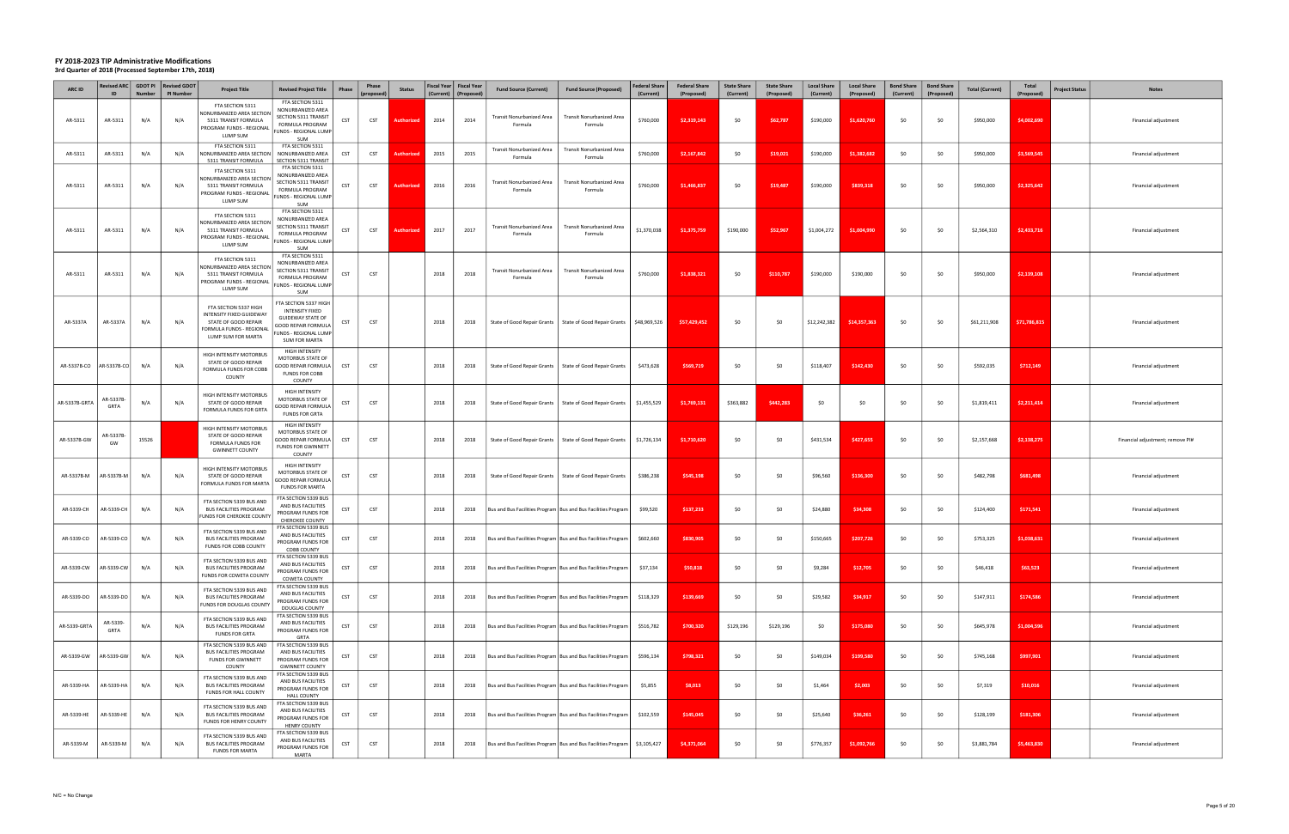| ARC ID        | ID                        | <b>Number</b> | Revised ARC GDOT PI Revised GDOT<br><b>PI Number</b> | <b>Project Title</b>                                                                                                        | <b>Revised Project Title</b>                                                                                                                       | Phase      | Phase<br>(proposed) | <b>Status</b>    | Fiscal Year   Fiscal Year<br>(Current) | (Proposed) | <b>Fund Source (Current)</b>                                    | <b>Fund Source (Proposed)</b>                                   | <b>Federal Share</b><br>(Current) | <b>Federal Share</b><br>(Proposed) | <b>State Share</b><br>(Current) | <b>State Share</b><br>(Proposed) | <b>Local Share</b><br>(Current) | <b>Local Share</b><br>(Proposed) | <b>Bond Share</b><br>(Current) | <b>Bond Share</b><br>(Proposed) | <b>Total (Current)</b> | Total<br>(Proposed) | <b>Project Status</b> | <b>Notes</b>                     |
|---------------|---------------------------|---------------|------------------------------------------------------|-----------------------------------------------------------------------------------------------------------------------------|----------------------------------------------------------------------------------------------------------------------------------------------------|------------|---------------------|------------------|----------------------------------------|------------|-----------------------------------------------------------------|-----------------------------------------------------------------|-----------------------------------|------------------------------------|---------------------------------|----------------------------------|---------------------------------|----------------------------------|--------------------------------|---------------------------------|------------------------|---------------------|-----------------------|----------------------------------|
| AR-5311       | AR-5311                   | N/A           | N/A                                                  | FTA SECTION 5311<br>NONURBANIZED AREA SECTION<br>5311 TRANSIT FORMULA<br>PROGRAM FUNDS - REGIONAL<br>LUMP SUM               | FTA SECTION 5311<br>NONURBANIZED AREA<br>SECTION 5311 TRANSIT<br>FORMULA PROGRAM<br>UNDS - REGIONAL LUMP<br>SUM                                    | CST        | CST                 | <b>Authorize</b> | 2014                                   | 2014       | Transit Nonurbanized Area<br>Formula                            | <b>Transit Nonurbanized Area</b><br>Formula                     | \$760,000                         | \$2,319,143                        | \$0                             | \$62,787                         | \$190,000                       | \$1,620,760                      | \$0                            | \$0                             | \$950,000              | \$4,002,690         |                       | Financial adjustment             |
| AR-5311       | AR-5311                   | N/A           | N/A                                                  | FTA SECTION 5311<br>NONURBANIZED AREA SECTION<br>5311 TRANSIT FORMULA                                                       | FTA SECTION 5311<br>NONURBANIZED AREA<br><b>SECTION 5311 TRANSIT</b>                                                                               | CST        | <b>CST</b>          | <b>Authorize</b> | 2015                                   | 2015       | <b>Transit Nonurbanized Area</b><br>Formula                     | Transit Nonurbanized Area<br>Formula                            | \$760,000                         | \$2,167,842                        | \$0                             | \$19,021                         | \$190,000                       | \$1,382,682                      | \$0                            | \$0                             | \$950,000              | \$3,569,545         |                       | Financial adjustment             |
| AR-5311       | AR-5311                   | N/A           | N/A                                                  | FTA SECTION 5311<br>NONURBANIZED AREA SECTION<br>5311 TRANSIT FORMULA<br>PROGRAM FUNDS - REGIONAL<br>LUMP SUM               | FTA SECTION 5311<br>NONURBANIZED AREA<br>SECTION 5311 TRANSIT<br>FORMULA PROGRAM<br>UNDS - REGIONAL LUMP<br>SUM                                    | CST        | CST                 | <b>Authorize</b> | 2016                                   | 2016       | Transit Nonurbanized Area<br>Formula                            | Transit Nonurbanized Area<br>Formula                            | \$760,000                         | \$1,466,837                        | \$0                             | \$19,487                         | \$190,000                       | \$839,318                        | \$0                            | \$0                             | \$950,000              | \$2,325,642         |                       | Financial adjustment             |
| AR-5311       | AR-5311                   | N/A           | N/A                                                  | FTA SECTION 5311<br>NONURBANIZED AREA SECTION<br>5311 TRANSIT FORMULA<br>PROGRAM FUNDS - REGIONAL<br>LUMP SUM               | FTA SECTION 5311<br>NONURBANIZED AREA<br>SECTION 5311 TRANSIT<br>FORMULA PROGRAM<br>UNDS - REGIONAL LUMP<br>SUM                                    | <b>CST</b> | CST                 | Authorize        | 2017                                   | 2017       | Transit Nonurbanized Area<br>Formula                            | <b>Transit Nonurbanized Area</b><br>Formula                     | \$1,370,038                       | \$1,375,759                        | \$190,000                       | \$52,967                         | \$1,004,272                     | \$1,004,990                      | \$0                            | \$0                             | \$2,564,310            | \$2,433,716         |                       | Financial adjustment             |
| AR-5311       | AR-5311                   | N/A           | N/A                                                  | FTA SECTION 5311<br>NONURBANIZED AREA SECTION<br>5311 TRANSIT FORMULA<br>PROGRAM FUNDS - REGIONAL<br>LUMP SUM               | FTA SECTION 5311<br>NONURBANIZED AREA<br>SECTION 5311 TRANSIT<br>FORMULA PROGRAM<br>UNDS - REGIONAL LUMP<br>SUM                                    | CST        | CST                 |                  | 2018                                   | 2018       | Transit Nonurbanized Area<br>Formula                            | Transit Nonurbanized Area<br>Formula                            | \$760,000                         | \$1,838,321                        | \$0                             | \$110,787                        | \$190,000                       | \$190,000                        | \$0                            | \$0                             | \$950,000              | \$2,139,108         |                       | Financial adjustment             |
| AR-5337A      | AR-5337A                  | N/A           | N/A                                                  | FTA SECTION 5337 HIGH<br>INTENSITY FIXED GUIDEWAY<br>STATE OF GOOD REPAIR<br>FORMULA FUNDS - REGIONAL<br>LUMP SUM FOR MARTA | FTA SECTION 5337 HIGH<br>INTENSITY FIXED<br><b>GUIDEWAY STATE OF</b><br><b>GOOD REPAIR FORMULA</b><br>UNDS - REGIONAL LUMP<br><b>SUM FOR MARTA</b> | CST        | CST                 |                  | 2018                                   | 2018       |                                                                 | State of Good Repair Grants   State of Good Repair Grants       | \$48,969,526                      | \$57,429,452                       | \$0                             | \$0                              | \$12,242,382                    | \$14,357,363                     | \$0                            | \$0                             | \$61,211,908           | \$71,786,815        |                       | Financial adjustment             |
|               | AR-5337B-CO   AR-5337B-CO | N/A           | N/A                                                  | HIGH INTENSITY MOTORBUS<br>STATE OF GOOD REPAIR<br>FORMULA FUNDS FOR COBB<br>COUNTY                                         | HIGH INTENSITY<br>MOTORBUS STATE OF<br><b>GOOD REPAIR FORMULA</b><br><b>FUNDS FOR COBB</b><br>COUNTY                                               | CST        | <b>CST</b>          |                  | 2018                                   | 2018       |                                                                 | State of Good Repair Grants   State of Good Repair Grants       | \$473,628                         | \$569,719                          | \$0                             | \$0                              | \$118,407                       | \$142,430                        | \$0                            | \$0                             | \$592,035              | \$712,149           |                       | Financial adjustment             |
| AR-5337B-GRTA | \R-5337B-<br>GRTA         | N/A           | N/A                                                  | HIGH INTENSITY MOTORBUS<br>STATE OF GOOD REPAIR<br>FORMULA FUNDS FOR GRTA                                                   | HIGH INTENSITY<br>MOTORBUS STATE OF<br><b>GOOD REPAIR FORMULA</b><br><b>FUNDS FOR GRTA</b>                                                         | CST        | CST                 |                  | 2018                                   | 2018       |                                                                 | State of Good Repair Grants   State of Good Repair Grants       | \$1,455,529                       | \$1,769,131                        | \$363,882                       | \$442,283                        | \$0                             | SO.                              | \$0                            | - SO                            | \$1,819,411            | \$2,211,414         |                       | Financial adjustment             |
| AR-5337B-GW   | AR-5337B<br>GW            | 15526         |                                                      | HIGH INTENSITY MOTORBUS<br>STATE OF GOOD REPAIR<br><b>FORMULA FUNDS FOR</b><br><b>GWINNETT COUNTY</b>                       | HIGH INTENSITY<br>MOTORBUS STATE OF<br><b>GOOD REPAIR FORMULA</b><br><b>FUNDS FOR GWINNETT</b><br>COUNTY                                           | CST        | CST                 |                  | 2018                                   | 2018       |                                                                 | State of Good Repair Grants   State of Good Repair Grants       | \$1,726,134                       | \$1,710,620                        | \$0                             | \$0                              | \$431,534                       | \$427,655                        | \$0                            | - SO                            | \$2,157,668            | \$2,138,275         |                       | Financial adjustment; remove PI# |
| AR-5337B-M    | AR-5337B-M                | N/A           | N/A                                                  | HIGH INTENSITY MOTORBUS<br>STATE OF GOOD REPAIR<br>FORMULA FUNDS FOR MARTA                                                  | HIGH INTENSITY<br>MOTORBUS STATE OF<br>GOOD REPAIR FORMULA<br><b>FUNDS FOR MARTA</b>                                                               | CST        | <b>CST</b>          |                  | 2018                                   | 2018       |                                                                 | State of Good Repair Grants   State of Good Repair Grants       | \$386,238                         | \$545,198                          | \$0                             | \$0                              | \$96,560                        | \$136,300                        | \$0                            | \$0                             | \$482,798              | \$681,498           |                       | Financial adjustment             |
| AR-5339-CH    | AR-5339-CH                | N/A           | N/A                                                  | FTA SECTION 5339 BUS AND<br><b>BUS FACILITIES PROGRAM</b><br>UNDS FOR CHEROKEE COUNTY                                       | FTA SECTION 5339 BUS<br>AND BUS FACILITIES<br>PROGRAM FUNDS FOR<br>CHEROKEE COUNTY                                                                 | CST        | CST                 |                  | 2018                                   | 2018       |                                                                 | Bus and Bus Facilities Program   Bus and Bus Facilities Program | \$99,520                          | \$137,233                          | \$0                             | \$0                              | \$24,880                        | \$34,308                         | \$0                            | \$0                             | \$124,400              | \$171,541           |                       | Financial adjustment             |
| AR-5339-CO    | AR-5339-CO                | N/A           | N/A                                                  | FTA SECTION 5339 BUS AND<br><b>BUS FACILITIES PROGRAM</b><br>FUNDS FOR COBB COUNTY                                          | FTA SECTION 5339 BUS<br>AND BUS FACILITIES<br>PROGRAM FUNDS FOR<br>COBB COUNTY                                                                     | CST        | <b>CST</b>          |                  | 2018                                   | 2018       | Bus and Bus Facilities Program   Bus and Bus Facilities Program |                                                                 | \$602,660                         | \$830,905                          | \$0                             | \$0                              | \$150,665                       | \$207,726                        | \$0                            | \$0                             | \$753,325              | \$1,038,631         |                       | Financial adjustment             |
| AR-5339-CW    | AR-5339-CW                | N/A           | N/A                                                  | FTA SECTION 5339 BUS AND<br><b>BUS FACILITIES PROGRAM</b><br>FUNDS FOR COWETA COUNTY                                        | FTA SECTION 5339 BUS<br>AND BUS FACILITIES<br>PROGRAM FUNDS FOR<br>COWETA COUNTY                                                                   | CST        | <b>CST</b>          |                  | 2018                                   | 2018       | Bus and Bus Facilities Program   Bus and Bus Facilities Program |                                                                 | \$37,134                          | \$50,818                           | \$0                             | \$0                              | \$9,284                         | \$12,705                         | \$0                            | \$0                             | \$46,418               | \$63,523            |                       | Financial adjustment             |
| AR-5339-DO    | AR-5339-DO                | N/A           | N/A                                                  | FTA SECTION 5339 BUS AND<br><b>BUS FACILITIES PROGRAM</b><br>FUNDS FOR DOUGLAS COUNTY                                       | FTA SECTION 5339 BUS<br>AND BUS FACILITIES<br>PROGRAM FUNDS FOR<br>DOUGLAS COUNTY                                                                  | <b>CST</b> | CST                 |                  | 2018                                   | 2018       | Bus and Bus Facilities Program   Bus and Bus Facilities Program |                                                                 | \$118,329                         | \$139,669                          | \$0                             | \$0                              | \$29,582                        | \$34,917                         | \$0                            | \$0                             | \$147,911              | \$174,586           |                       | Financial adjustment             |
| AR-5339-GRTA  | AR-5339-<br>GRTA          | N/A           | N/A                                                  | FTA SECTION 5339 BUS AND<br><b>BUS FACILITIES PROGRAM</b><br><b>FUNDS FOR GRTA</b>                                          | FTA SECTION 5339 BUS<br>AND BUS FACILITIES<br>PROGRAM FUNDS FOR<br>GRTA                                                                            | CST        | <b>CST</b>          |                  | 2018                                   | 2018       | Bus and Bus Facilities Program   Bus and Bus Facilities Program |                                                                 | \$516,782                         | \$700,320                          | \$129,196                       | \$129,196                        | \$0                             | \$175,080                        | \$0                            | \$0                             | \$645,978              | \$1,004,596         |                       | Financial adjustment             |
| AR-5339-GW    | <b>AR-5339-GW</b>         | N/A           | N/A                                                  | FTA SECTION 5339 BUS AND<br><b>BUS FACILITIES PROGRAM</b><br><b>FUNDS FOR GWINNETT</b><br>COUNTY                            | FTA SECTION 5339 BUS<br>AND BUS FACILITIES<br>PROGRAM FUNDS FOR<br><b>GWINNETT COUNTY</b>                                                          | CST        | CST                 |                  | 2018                                   | 2018       | Bus and Bus Facilities Program   Bus and Bus Facilities Program |                                                                 | \$596,134                         | \$798,321                          | \$0                             | \$0                              | \$149,034                       | \$199,580                        | \$0                            | \$0                             | \$745,168              | \$997,901           |                       | Financial adjustment             |
| AR-5339-HA    | AR-5339-HA                | N/A           | N/A                                                  | FTA SECTION 5339 BUS AND<br><b>BUS FACILITIES PROGRAM</b><br>FUNDS FOR HALL COUNTY                                          | FTA SECTION 5339 BUS<br>AND BUS FACILITIES<br>PROGRAM FUNDS FOR<br><b>HALL COUNTY</b>                                                              | <b>CST</b> | <b>CST</b>          |                  | 2018                                   | 2018       | Bus and Bus Facilities Program   Bus and Bus Facilities Program |                                                                 | \$5,855                           | \$8,013                            | \$0                             | \$0                              | \$1,464                         | \$2,003                          | \$0                            | \$0                             | \$7,319                | \$10,016            |                       | Financial adjustment             |
| AR-5339-HE    | AR-5339-HE                | N/A           | N/A                                                  | FTA SECTION 5339 BUS AND<br><b>BUS FACILITIES PROGRAM</b><br>FUNDS FOR HENRY COUNTY                                         | FTA SECTION 5339 BUS<br>AND BUS FACILITIES<br>PROGRAM FUNDS FOR<br><b>HENRY COUNTY</b>                                                             | <b>CST</b> | <b>CST</b>          |                  | 2018                                   | 2018       | Bus and Bus Facilities Program   Bus and Bus Facilities Program |                                                                 | \$102,559                         | \$145,045                          | \$0                             | \$0                              | \$25,640                        | \$36,261                         | \$0                            | \$0                             | \$128,199              | \$181,306           |                       | Financial adjustment             |
| AR-5339-M     | AR-5339-M                 | N/A           | N/A                                                  | FTA SECTION 5339 BUS AND<br><b>BUS FACILITIES PROGRAM</b><br><b>FUNDS FOR MARTA</b>                                         | FTA SECTION 5339 BUS<br>AND BUS FACILITIES<br>PROGRAM FUNDS FOR<br>MARTA                                                                           | CST        | CST                 |                  | 2018                                   | 2018       |                                                                 | Bus and Bus Facilities Program   Bus and Bus Facilities Program | \$3,105,427                       | \$4,371,064                        | \$0                             | \$0                              | \$776,357                       | \$1,092,766                      | \$0                            | \$0                             | \$3,881,784            | \$5,463,830         |                       | Financial adjustment             |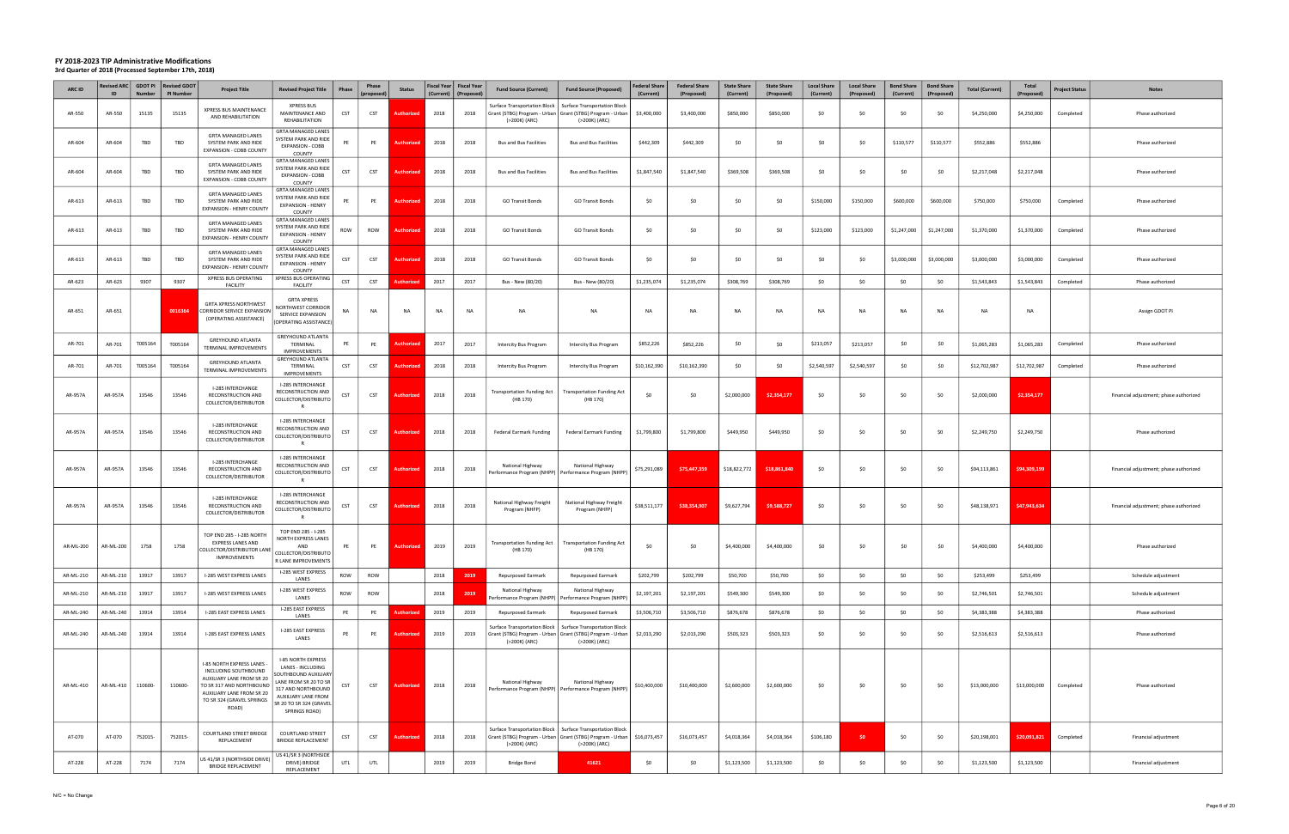| ARC ID    | ID        | <b>Number</b> | Revised ARC   GDOT PI   Revised GDOT<br><b>PI Number</b> | <b>Project Title</b>                                                                                                                                                           | <b>Revised Project Title</b>                                                                                                                                                                    | Phase      | Phase<br>(proposed) | <b>Status</b>     | (Current) | Fiscal Year   Fiscal Year<br>(Proposed) | <b>Fund Source (Current)</b>                                              | <b>Fund Source (Proposed)</b>                                                                                                               | <b>Federal Share</b><br>(Current) | <b>Federal Share</b><br>(Proposed) | <b>State Share</b><br>(Current) | <b>State Share</b><br>(Proposed) | <b>Local Share</b><br>(Current) | <b>Local Share</b><br>(Proposed) | <b>Bond Share</b><br>(Current) | <b>Bond Share</b><br>(Proposed) | <b>Total (Current)</b> | Total<br>(Proposed) | <b>Project Status</b> | <b>Notes</b>                           |
|-----------|-----------|---------------|----------------------------------------------------------|--------------------------------------------------------------------------------------------------------------------------------------------------------------------------------|-------------------------------------------------------------------------------------------------------------------------------------------------------------------------------------------------|------------|---------------------|-------------------|-----------|-----------------------------------------|---------------------------------------------------------------------------|---------------------------------------------------------------------------------------------------------------------------------------------|-----------------------------------|------------------------------------|---------------------------------|----------------------------------|---------------------------------|----------------------------------|--------------------------------|---------------------------------|------------------------|---------------------|-----------------------|----------------------------------------|
| AR-550    | AR-550    | 15135         | 15135                                                    | XPRESS BUS MAINTENANCE<br>AND REHABILITATION                                                                                                                                   | <b>XPRESS BUS</b><br>MAINTENANCE AND<br>REHABILITATION                                                                                                                                          | CST        | CST                 | Authorized        | 2018      | 2018                                    | <b>Surface Transportation Block</b><br>(>200K) (ARC)                      | <b>Surface Transportation Block</b><br>Grant (STBG) Program - Urban   Grant (STBG) Program - Urban  <br>(>200K) (ARC)                       | \$3,400,000                       | \$3,400,000                        | \$850,000                       | \$850,000                        | \$0                             | \$0                              | \$0                            | \$0                             | \$4,250,000            | \$4,250,000         | Completed             | Phase authorized                       |
| AR-604    | AR-604    | TBD           | TBD                                                      | <b>GRTA MANAGED LANES</b><br>SYSTEM PARK AND RIDE<br>EXPANSION - COBB COUNTY                                                                                                   | GRTA MANAGED LANES<br>SYSTEM PARK AND RIDE<br>EXPANSION - COBB<br>COUNTY                                                                                                                        | PE         | PE                  | <b>Authorize</b>  | 2018      | 2018                                    | <b>Bus and Bus Facilities</b>                                             | <b>Bus and Bus Facilities</b>                                                                                                               | \$442,309                         | \$442,309                          | \$0                             | \$0                              | \$0                             | \$0                              | \$110,577                      | \$110,577                       | \$552,886              | \$552,886           |                       | Phase authorized                       |
| AR-604    | AR-604    | TBD           | TBD                                                      | <b>GRTA MANAGED LANES</b><br>SYSTEM PARK AND RIDE<br>EXPANSION - COBB COUNTY                                                                                                   | <b>GRTA MANAGED LANES</b><br>YSTEM PARK AND RIDE<br><b>EXPANSION - COBB</b><br>COUNTY                                                                                                           | CST        | <b>CST</b>          | Authorize         | 2018      | 2018                                    | <b>Bus and Bus Facilities</b>                                             | <b>Bus and Bus Facilities</b>                                                                                                               | \$1,847,540                       | \$1,847,540                        | \$369,508                       | \$369,508                        | \$0                             | \$0                              | \$0                            | SO.                             | \$2,217,048            | \$2,217,048         |                       | Phase authorized                       |
| AR-613    | AR-613    | TBD           | TBD                                                      | <b>GRTA MANAGED LANES</b><br>SYSTEM PARK AND RIDE<br><b>EXPANSION - HENRY COUNTY</b>                                                                                           | <b>GRTA MANAGED LANES</b><br>YSTEM PARK AND RIDE<br>EXPANSION - HENRY<br>COUNTY                                                                                                                 | PE         | PE                  | Authorized        | 2018      | 2018                                    | <b>GO Transit Bonds</b>                                                   | <b>GO Transit Bonds</b>                                                                                                                     | \$0                               | \$0                                | \$0                             | \$0                              | \$150,000                       | \$150,000                        | \$600,000                      | \$600,000                       | \$750,000              | \$750,000           | Completed             | Phase authorized                       |
| AR-613    | AR-613    | TBD           | TBD                                                      | <b>GRTA MANAGED LANES</b><br>SYSTEM PARK AND RIDE<br><b>EXPANSION - HENRY COUNTY</b>                                                                                           | <b>GRTA MANAGED LANES</b><br>SYSTEM PARK AND RIDE<br>EXPANSION - HENRY<br>COUNTY                                                                                                                | ROW        | ROW                 | Authoriz          | 2018      | 2018                                    | <b>GO Transit Bonds</b>                                                   | <b>GO Transit Bonds</b>                                                                                                                     | \$0                               | \$0                                | \$0                             | \$0                              | \$123,000                       | \$123,000                        | \$1,247,000                    | \$1,247,000                     | \$1,370,000            | \$1,370,000         | Completed             | Phase authorized                       |
| AR-613    | AR-613    | TBD           | TBD                                                      | <b>GRTA MANAGED LANES</b><br>SYSTEM PARK AND RIDE<br><b>EXPANSION - HENRY COUNTY</b>                                                                                           | <b>GRTA MANAGED LANES</b><br>YSTEM PARK AND RIDE<br><b>EXPANSION - HENRY</b><br>COUNTY                                                                                                          | <b>CST</b> | <b>CST</b>          | Authorize         | 2018      | 2018                                    | <b>GO Transit Bonds</b>                                                   | <b>GO Transit Bonds</b>                                                                                                                     | \$0                               | \$0                                | -SO                             | \$0                              | \$0                             | \$0                              | \$3,000,000                    | \$3,000,000                     | \$3,000,000            | \$3,000,000         | Completed             | Phase authorized                       |
| AR-623    | AR-623    | 9307          | 9307                                                     | XPRESS BUS OPERATING<br><b>FACILITY</b>                                                                                                                                        | <b>XPRESS BUS OPERATING</b><br><b>FACILITY</b>                                                                                                                                                  | <b>CST</b> | CST                 | <b>uthorize</b>   | 2017      | 2017                                    | Bus - New (80/20)                                                         | Bus - New (80/20)                                                                                                                           | \$1,235,074                       | \$1,235,074                        | \$308,769                       | \$308,769                        | \$0                             | \$0                              | \$0                            | \$0                             | \$1,543,843            | \$1,543,843         | Completed             | Phase authorized                       |
| AR-651    | AR-651    |               | 0016364                                                  | <b>GRTA XPRESS NORTHWEST</b><br>CORRIDOR SERVICE EXPANSION<br>(OPERATING ASSISTANCE)                                                                                           | <b>GRTA XPRESS</b><br>NORTHWEST CORRIDOR<br>SERVICE EXPANSION<br>(OPERATING ASSISTANCE)                                                                                                         | NA         | <b>NA</b>           | NA                | <b>NA</b> | <b>NA</b>                               | <b>NA</b>                                                                 | <b>NA</b>                                                                                                                                   | <b>NA</b>                         | <b>NA</b>                          | N <sub>A</sub>                  | <b>NA</b>                        | <b>NA</b>                       | <b>NA</b>                        | <b>NA</b>                      | <b>NA</b>                       | <b>NA</b>              | <b>NA</b>           |                       | Assign GDOT PI                         |
| AR-701    | AR-701    | T005164       | T005164                                                  | <b>GREYHOUND ATLANTA</b><br>TERMINAL IMPROVEMENTS                                                                                                                              | GREYHOUND ATLANTA<br>TERMINAL<br><b>IMPROVEMENTS</b>                                                                                                                                            | PE         | PE                  | uthoriz           | 2017      | 2017                                    | Intercity Bus Program                                                     | <b>Intercity Bus Program</b>                                                                                                                | \$852,226                         | \$852,226                          | \$0                             | \$0                              | \$213,057                       | \$213,057                        | \$0                            | -SO                             | \$1,065,283            | \$1,065,283         | Completed             | Phase authorized                       |
| AR-701    | AR-701    | T005164       | T005164                                                  | GREYHOUND ATLANTA<br>TERMINAL IMPROVEMENTS                                                                                                                                     | GREYHOUND ATLANTA<br>TERMINAL<br><b>IMPROVEMENTS</b>                                                                                                                                            | <b>CST</b> | <b>CST</b>          | Authorized        | 2018      | 2018                                    | <b>Intercity Bus Program</b>                                              | <b>Intercity Bus Program</b>                                                                                                                | \$10,162,390                      | \$10,162,390                       | \$0                             | \$0                              | \$2,540,597                     | \$2,540,597                      | \$0                            | SO.                             | \$12,702,987           | \$12,702,987        | Completed             | Phase authorized                       |
| AR-957A   | AR-957A   | 13546         | 13546                                                    | I-285 INTERCHANGE<br>RECONSTRUCTION AND<br>COLLECTOR/DISTRIBUTOR                                                                                                               | I-285 INTERCHANGE<br>RECONSTRUCTION AND<br>COLLECTOR/DISTRIBUTO                                                                                                                                 | <b>CST</b> | CST                 | Authori:          | 2018      | 2018                                    | <b>Transportation Funding Act</b><br>(HB 170)                             | <b>Transportation Funding Act</b><br>(HB 170)                                                                                               | \$0                               | \$0                                | \$2,000,000                     | \$2,354,177                      | \$0                             | -SO                              | \$0                            | \$0                             | \$2,000,000            | \$2,354,177         |                       | Financial adjustment; phase authorized |
| AR-957A   | AR-957A   | 13546         | 13546                                                    | I-285 INTERCHANGE<br>RECONSTRUCTION AND<br>COLLECTOR/DISTRIBUTOR                                                                                                               | I-285 INTERCHANGE<br>RECONSTRUCTION AND<br>COLLECTOR/DISTRIBUTO                                                                                                                                 | <b>CST</b> | CST                 | Authorizec        | 2018      | 2018                                    | <b>Federal Earmark Funding</b>                                            | <b>Federal Earmark Funding</b>                                                                                                              | \$1,799,800                       | \$1,799,800                        | \$449,950                       | \$449,950                        | \$0                             | \$0                              | \$0                            | \$0                             | \$2,249,750            | \$2,249,750         |                       | Phase authorized                       |
| AR-957A   | AR-957A   | 13546         | 13546                                                    | I-285 INTERCHANGE<br>RECONSTRUCTION AND<br>COLLECTOR/DISTRIBUTOR                                                                                                               | I-285 INTERCHANGE<br>RECONSTRUCTION AND<br>COLLECTOR/DISTRIBUTO<br>R                                                                                                                            | CST        | CST                 | <b>uthoriz</b>    | 2018      | 2018                                    | National Highway                                                          | National Highway<br>Performance Program (NHPP)   Performance Program (NHPP)                                                                 | \$75,291,089                      | \$75,447,359                       | \$18,822,772                    | \$18,861,840                     | \$0                             | \$0                              | \$0                            | -SO                             | \$94,113,861           | \$94,309,199        |                       | Financial adjustment; phase authorized |
| AR-957A   | AR-957A   | 13546         | 13546                                                    | I-285 INTERCHANGE<br>RECONSTRUCTION AND<br>COLLECTOR/DISTRIBUTOR                                                                                                               | I-285 INTERCHANGE<br>RECONSTRUCTION AND<br>COLLECTOR/DISTRIBUTO<br>$\mathsf{R}$                                                                                                                 | <b>CST</b> | CST                 | <b>Authorize</b>  | 2018      | 2018                                    | National Highway Freight<br>Program (NHFP)                                | National Highway Freight<br>Program (NHFP)                                                                                                  | \$38,511,177                      | \$38,354,907                       | \$9,627,794                     | \$9,588,727                      | \$0                             | \$0                              | \$0                            | \$0                             | \$48,138,971           | \$47,943,634        |                       | Financial adjustment; phase authorized |
| AR-ML-200 | AR-ML-200 | 1758          | 1758                                                     | TOP END 285 - I-285 NORTH<br>EXPRESS LANES AND<br>COLLECTOR/DISTRIBUTOR LANE<br><b>IMPROVEMENTS</b>                                                                            | TOP END 285 - I-285<br>NORTH EXPRESS LANES<br>AND<br>COLLECTOR/DISTRIBUTO<br>R LANE IMPROVEMENTS                                                                                                | PE         | PE                  | Authorized        | 2019      | 2019                                    | <b>Transportation Funding Act</b><br>(HB 170)                             | <b>Transportation Funding Act</b><br>(HB 170)                                                                                               | \$0                               | \$0                                | \$4,400,000                     | \$4,400,000                      | \$0                             | \$0                              | \$0                            | SO.                             | \$4,400,000            | \$4,400,000         |                       | Phase authorized                       |
| AR-ML-210 | AR-ML-210 | 13917         | 13917                                                    | I-285 WEST EXPRESS LANES                                                                                                                                                       | I-285 WEST EXPRESS<br>LANES                                                                                                                                                                     | ROW        | ROW                 |                   | 2018      | 2019                                    | <b>Repurposed Earmark</b>                                                 | <b>Repurposed Earmark</b>                                                                                                                   | \$202,799                         | \$202,799                          | \$50,700                        | \$50,700                         | \$0                             | \$0                              | \$0                            | \$0                             | \$253,499              | \$253,499           |                       | Schedule adjustment                    |
| AR-ML-210 | AR-ML-210 | 13917         | 13917                                                    | I-285 WEST EXPRESS LANES                                                                                                                                                       | I-285 WEST EXPRESS<br>LANES                                                                                                                                                                     | ROW        | ROW                 |                   | 2018      | 2019                                    | National Highway<br>erformance Program (NHPP)                             | National Highway<br>Performance Program (NHPP                                                                                               | \$2,197,201                       | \$2,197,201                        | \$549,300                       | \$549,300                        | \$0                             | \$0                              | \$0                            | \$0                             | \$2,746,501            | \$2,746,501         |                       | Schedule adjustment                    |
| AR-ML-240 | AR-ML-240 | 13914         | 13914                                                    | I-285 EAST EXPRESS LANES                                                                                                                                                       | I-285 EAST EXPRESS<br>LANES                                                                                                                                                                     | PE         | PE                  | <b>Authorized</b> | 2019      | 2019                                    | Repurposed Earmark                                                        | <b>Repurposed Earmark</b>                                                                                                                   | \$3,506,710                       | \$3,506,710                        | \$876,678                       | \$876,678                        | \$0                             | \$0                              | \$0                            | \$0                             | \$4,383,388            | \$4,383,388         |                       | Phase authorized                       |
| AR-ML-240 | AR-ML-240 | 13914         | 13914                                                    | I-285 EAST EXPRESS LANES                                                                                                                                                       | I-285 EAST EXPRESS<br>LANES                                                                                                                                                                     | PE         | PE                  | Authorized        | 2019      | 2019                                    | Surface Transportation Block  <br>(>200K) (ARC)                           | <b>Surface Transportation Block</b><br>Grant (STBG) Program - Urban   Grant (STBG) Program - Urban<br>(>200K) (ARC)                         | \$2,013,290                       | \$2,013,290                        | \$503,323                       | \$503,323                        | \$0                             | \$0                              | \$0                            | \$0                             | \$2,516,613            | \$2,516,613         |                       | Phase authorized                       |
| AR-ML-410 | AR-ML-410 | 110600-       | 110600-                                                  | I-85 NORTH EXPRESS LANES -<br>INCLUDING SOUTHBOUND<br>AUXILIARY LANE FROM SR 20<br>TO SR 317 AND NORTHBOUND<br>AUXILIARY LANE FROM SR 20<br>TO SR 324 (GRAVEL SPRINGS<br>ROAD) | I-85 NORTH EXPRESS<br>LANES - INCLUDING<br><b>SOUTHBOUND AUXILIARY</b><br>LANE FROM SR 20 TO SR<br>317 AND NORTHBOUND<br><b>AUXILIARY LANE FROM</b><br>SR 20 TO SR 324 (GRAVEL<br>SPRINGS ROAD) | <b>CST</b> | <b>CST</b>          | Authorized        | 2018      | 2018                                    | National Highway<br>Performance Program (NHPP) Performance Program (NHPP) | National Highway                                                                                                                            | \$10,400,000                      | \$10,400,000                       | \$2,600,000                     | \$2,600,000                      | \$0                             | \$0                              | \$0                            | \$0                             | \$13,000,000           | \$13,000,000        | Completed             | Phase authorized                       |
| AT-070    | AT-070    | 752015-       | 752015-                                                  | COURTLAND STREET BRIDGE<br>REPLACEMENT                                                                                                                                         | COURTLAND STREET<br><b>BRIDGE REPLACEMENT</b>                                                                                                                                                   | <b>CST</b> | CST                 | Authorized        | 2018      | 2018                                    | (>200K) (ARC)                                                             | Surface Transportation Block   Surface Transportation Block<br>Grant (STBG) Program - Urban   Grant (STBG) Program - Urban<br>(>200K) (ARC) | \$16,073,457                      | \$16,073,457                       | \$4,018,364                     | \$4,018,364                      | \$106,180                       | \$0                              | \$0                            | \$0                             | \$20,198,001           | \$20,091,821        | Completed             | Financial adjustment                   |
| AT-228    | AT-228    | 7174          | 7174                                                     | US 41/SR 3 (NORTHSIDE DRIVE)<br><b>BRIDGE REPLACEMENT</b>                                                                                                                      | US 41/SR 3 (NORTHSIDE<br>DRIVE) BRIDGE<br>REPLACEMENT                                                                                                                                           | UTL        | UTL                 |                   | 2019      | 2019                                    | <b>Bridge Bond</b>                                                        | 41621                                                                                                                                       | \$0                               | \$0                                | \$1,123,500                     | \$1,123,500                      | \$0                             | \$0                              | \$0                            | \$0                             | \$1,123,500            | \$1,123,500         |                       | Financial adjustment                   |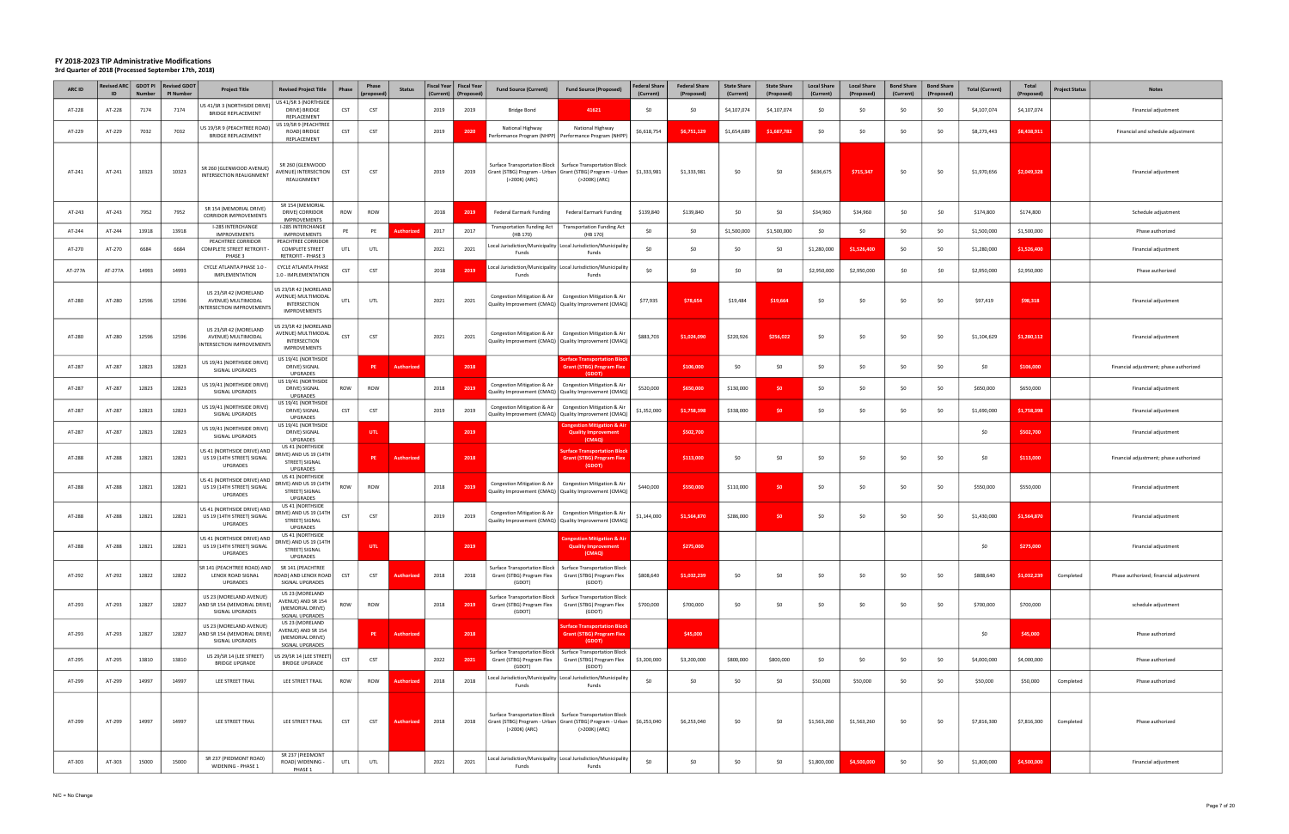| <b>ARC ID</b> | <b>Revised ARC</b><br>ID | <b>Number</b> | GDOT PI Revised GDOT<br><b>PI Number</b> | <b>Project Title</b>                                                            | <b>Revised Project Title</b>                                                       | Phase      | Phase<br>(proposec | <b>Status</b>     | Fiscal Year   Fiscal Year<br>(Current) | (Proposed) | <b>Fund Source (Current)</b>                                                                                   | <b>Fund Source (Proposed)</b>                                                                      | <b>Federal Share</b><br>(Current) | <b>Federal Share</b><br>(Proposed) | <b>State Share</b><br>(Current) | <b>State Share</b><br>(Proposed) | <b>Local Share</b><br>(Current) | <b>Local Share</b><br>(Proposed) | <b>Bond Share</b><br>(Current) | <b>Bond Share</b><br>(Proposed) | <b>Total (Current)</b> | Total<br><b>Project Status</b><br>(Proposed) | <b>Notes</b>                           |
|---------------|--------------------------|---------------|------------------------------------------|---------------------------------------------------------------------------------|------------------------------------------------------------------------------------|------------|--------------------|-------------------|----------------------------------------|------------|----------------------------------------------------------------------------------------------------------------|----------------------------------------------------------------------------------------------------|-----------------------------------|------------------------------------|---------------------------------|----------------------------------|---------------------------------|----------------------------------|--------------------------------|---------------------------------|------------------------|----------------------------------------------|----------------------------------------|
| AT-228        | AT-228                   | 7174          | 7174                                     | JS 41/SR 3 (NORTHSIDE DRIVE)<br><b>BRIDGE REPLACEMENT</b>                       | US 41/SR 3 (NORTHSIDE<br>DRIVE) BRIDGE<br>REPLACEMENT                              | CST        | CST                |                   | 2019                                   | 2019       | Bridge Bond                                                                                                    | 41621                                                                                              | \$0                               | \$0                                | \$4,107,074                     | \$4,107,074                      | \$0                             | \$0                              | \$0                            | SO.                             | \$4,107,074            | \$4,107,074                                  | Financial adjustment                   |
| AT-229        | AT-229                   | 7032          | 7032                                     | US 19/SR 9 (PEACHTREE ROAD)<br><b>BRIDGE REPLACEMENT</b>                        | US 19/SR 9 (PEACHTREE<br>ROAD) BRIDGE<br>REPLACEMENT                               | <b>CST</b> | CST                |                   | 2019                                   | 2020       | National Highway<br>Performance Program (NHPP)   Performance Program (NHPI                                     | National Highway                                                                                   | \$6,618,754                       | \$6,751,129                        | \$1,654,689                     | \$1,687,782                      | \$0                             | \$0                              | \$0                            | SO.                             | \$8,273,443            | \$8,438,911                                  | Financial and schedule adjustment      |
| AT-241        | AT-241                   | 10323         | 10323                                    | SR 260 (GLENWOOD AVENUE)<br>INTERSECTION REALIGNMENT                            | SR 260 (GLENWOOD<br>AVENUE) INTERSECTION<br>REALIGNMENT                            | <b>CST</b> | CST                |                   | 2019                                   | 2019       | Grant (STBG) Program - Urban   Grant (STBG) Program - Urban<br>(>200K) (ARC)                                   | Surface Transportation Block   Surface Transportation Block<br>(>200K) (ARC)                       | \$1,333,981                       | \$1,333,981                        | - SO                            | \$0                              | \$636,675                       | \$715,347                        | \$0                            | \$0                             | \$1,970,656            | \$2,049,328                                  | Financial adjustment                   |
| AT-243        | AT-243                   | 7952          | 7952                                     | SR 154 (MEMORIAL DRIVE)<br><b>CORRIDOR IMPROVEMENTS</b>                         | SR 154 (MEMORIAL<br>DRIVE) CORRIDOR<br><b>IMPROVEMENTS</b>                         | ROW        | ROW                |                   | 2018                                   | 2019       | <b>Federal Earmark Funding</b>                                                                                 | <b>Federal Earmark Funding</b>                                                                     | \$139,840                         | \$139,840                          | \$0                             | \$0                              | \$34,960                        | \$34,960                         | \$0                            | \$0                             | \$174,800              | \$174,800                                    | Schedule adjustment                    |
| AT-244        | AT-244                   | 13918         | 13918                                    | <b>I-285 INTERCHANGE</b><br><b>IMPROVEMENTS</b>                                 | I-285 INTERCHANGE<br><b>IMPROVEMENTS</b>                                           | PE         | PE                 | <b>uthori:</b>    | 2017                                   | 2017       | <b>Transportation Funding Act</b><br>(HB 170)                                                                  | <b>Transportation Funding Act</b><br>(HB 170)                                                      | \$0                               | \$0                                | \$1,500,000                     | \$1,500,000                      | \$0                             | \$0                              | \$0                            | \$0                             | \$1,500,000            | \$1,500,000                                  | Phase authorized                       |
| AT-270        | AT-270                   | 6684          | 6684                                     | PEACHTREE CORRIDOR<br><b>COMPLETE STREET RETROFIT</b><br>PHASE 3                | PEACHTREE CORRIDOR<br><b>COMPLETE STREET</b><br>RETROFIT - PHASE 3                 | UTL        | UTL                |                   | 2021                                   | 2021       | Funds                                                                                                          | ocal Jurisdiction/Municipality   Local Jurisdiction/Municipality.<br>Funds                         | S <sub>0</sub>                    | \$0                                | -SO                             | \$0                              | \$1,280,000                     | \$1,526,400                      | \$0                            | SO.                             | \$1,280,000            | \$1,526,400                                  | Financial adjustment                   |
| AT-277A       | AT-277A                  | 14993         | 14993                                    | CYCLE ATLANTA PHASE 1.0 -<br>IMPLEMENTATION                                     | <b>CYCLE ATLANTA PHASE</b><br>1.0 - IMPLEMENTATION                                 | CST        | <b>CST</b>         |                   | 2018                                   | 2019       | Funds                                                                                                          | ocal Jurisdiction/Municipality   Local Jurisdiction/Municipalit<br>Funds                           | \$0                               | \$0                                | \$0                             | \$0                              | \$2,950,000                     | \$2,950,000                      | \$0                            | \$0                             | \$2,950,000            | \$2,950,000                                  | Phase authorized                       |
| AT-280        | AT-280                   | 12596         | 12596                                    | US 23/SR 42 (MORELAND<br>AVENUE) MULTIMODAL<br><b>INTERSECTION IMPROVEMENTS</b> | US 23/SR 42 (MORELAND<br>AVENUE) MULTIMODAL<br>INTERSECTION<br><b>IMPROVEMENTS</b> | UTL        | UTL                |                   | 2021                                   | 2021       | Congestion Mitigation & Air<br>Quality Improvement (CMAQ) Quality Improvement (CMAQ)                           | Congestion Mitigation & Air                                                                        | \$77,935                          | \$78,654                           | \$19,484                        | \$19,664                         | \$0                             | \$0                              | \$0                            | \$0                             | \$97,419               | \$98,318                                     | Financial adjustment                   |
| AT-280        | AT-280                   | 12596         | 12596                                    | US 23/SR 42 (MORELAND<br>AVENUE) MULTIMODAL<br>INTERSECTION IMPROVEMENTS        | JS 23/SR 42 (MORELAND<br>AVENUE) MULTIMODAL<br>INTERSECTION<br>IMPROVEMENTS        | <b>CST</b> | CST                |                   | 2021                                   | 2021       | Congestion Mitigation & Air<br>Quality Improvement (CMAQ)   Quality Improvement (CMAQ)                         | Congestion Mitigation & Air                                                                        | \$883,703                         | \$1.024.090                        | \$220,926                       | \$256,022                        | \$0                             | \$0                              | \$0                            | \$0                             | \$1,104,629            | \$1,280,112                                  | Financial adjustment                   |
| AT-287        | AT-287                   | 12823         | 12823                                    | US 19/41 (NORTHSIDE DRIVE)<br>SIGNAL UPGRADES                                   | US 19/41 (NORTHSIDE<br>DRIVE) SIGNAL<br><b>UPGRADES</b>                            |            | PE                 | Authorized        |                                        | 2018       |                                                                                                                | <b>Surface Transportation Bloc</b><br><b>Grant (STBG) Program Flex</b><br>(GDOT)                   |                                   | \$106,000                          | \$0                             | \$0                              | \$0                             | \$0                              | \$0                            | \$0                             | \$0                    | \$106,000                                    | Financial adjustment; phase authorized |
| AT-287        | AT-287                   | 12823         | 12823                                    | US 19/41 (NORTHSIDE DRIVE)<br>SIGNAL UPGRADES                                   | US 19/41 (NORTHSIDE<br>DRIVE) SIGNAL<br><b>UPGRADES</b>                            | ROW        | ROW                |                   | 2018                                   | 2019       | Congestion Mitigation & Air<br>Quality Improvement (CMAQ)   Quality Improvement (CMAQ)                         | Congestion Mitigation & Air                                                                        | \$520,000                         | \$650,000                          | \$130,000                       | SO.                              | \$0                             | -SO                              | \$0                            | S0                              | \$650,000              | \$650,000                                    | Financial adjustment                   |
| AT-287        | AT-287                   | 12823         | 12823                                    | US 19/41 (NORTHSIDE DRIVE)<br>SIGNAL UPGRADES                                   | US 19/41 (NORTHSIDE<br>DRIVE) SIGNAL<br><b>UPGRADES</b>                            | CST        | CST                |                   | 2019                                   | 2019       | Congestion Mitigation & Air<br>Quality Improvement (CMAQ)   Quality Improvement (CMAQ)                         | Congestion Mitigation & Air                                                                        | \$1,352,000                       | \$1,758,398                        | \$338,000                       | \$0                              | \$0                             | \$0                              | \$0                            | \$0                             | \$1,690,000            | \$1,758,398                                  | Financial adjustment                   |
| AT-287        | AT-287                   | 12823         | 12823                                    | US 19/41 (NORTHSIDE DRIVE)<br>SIGNAL UPGRADES                                   | US 19/41 (NORTHSIDE<br>DRIVE) SIGNAL<br><b>UPGRADES</b>                            |            | UTL                |                   |                                        | 2019       |                                                                                                                | <b>Congestion Mitigation &amp; Air</b><br><b>Quality Improvement</b><br>(CMAQ)                     |                                   | \$502,700                          |                                 |                                  |                                 |                                  |                                |                                 | \$0                    | \$502,700                                    | Financial adjustment                   |
| AT-288        | AT-288                   | 12821         | 12821                                    | US 41 (NORTHSIDE DRIVE) AND<br>US 19 (14TH STREET) SIGNAL<br>UPGRADES           | US 41 (NORTHSIDE<br>DRIVE) AND US 19 (14TH<br>STREET) SIGNAL<br><b>UPGRADES</b>    |            | <b>PE</b>          | Authorized        |                                        | 2018       |                                                                                                                | urface Transportation Blocl<br><b>Grant (STBG) Program Flex</b><br>(GDOT)                          |                                   | \$113,000                          | \$0                             | \$0                              | \$0                             | \$0                              | \$0                            | \$0                             | \$0                    | \$113,000                                    | Financial adjustment; phase authorized |
| AT-288        | AT-288                   | 12821         | 12821                                    | US 41 (NORTHSIDE DRIVE) AND<br>US 19 (14TH STREET) SIGNAL<br>UPGRADES           | US 41 (NORTHSIDE<br>DRIVE) AND US 19 (14TH<br>STREET) SIGNAL<br><b>UPGRADES</b>    | ROW        | ROW                |                   | 2018                                   | 2019       | Congestion Mitigation & Air<br>Quality Improvement (CMAQ)   Quality Improvement (CMAQ)                         | Congestion Mitigation & Air                                                                        | \$440,000                         | \$550,000                          | \$110,000                       | \$0                              | \$0                             | \$0                              | \$0                            | \$0                             | \$550,000              | \$550,000                                    | Financial adjustment                   |
| AT-288        | AT-288                   | 12821         | 12821                                    | US 41 (NORTHSIDE DRIVE) AND<br>US 19 (14TH STREET) SIGNAL<br><b>UPGRADES</b>    | US 41 (NORTHSIDE<br>DRIVE) AND US 19 (14TH<br>STREET) SIGNAL<br><b>UPGRADES</b>    | CST        | CST                |                   | 2019                                   | 2019       | Quality Improvement (CMAQ)   Quality Improvement (CMAQ)                                                        | Congestion Mitigation & Air   Congestion Mitigation & Air                                          | \$1,144,000                       | \$1,564,870                        | \$286,000                       | SO                               | \$0                             | \$0                              | \$0                            | \$0                             | \$1,430,000            | \$1,564,870                                  | Financial adjustment                   |
| AT-288        | AT-288                   | 12821         | 12821                                    | US 41 (NORTHSIDE DRIVE) AND<br>US 19 (14TH STREET) SIGNAL<br>UPGRADES           | US 41 (NORTHSIDE<br>DRIVE) AND US 19 (14TH<br>STREET) SIGNAL<br><b>UPGRADES</b>    |            | UTL                |                   |                                        | 2019       |                                                                                                                | <b>Congestion Mitigation &amp; Air</b><br><b>Quality Improvement</b><br>(CMAQ)                     |                                   | \$275,000                          |                                 |                                  |                                 |                                  |                                |                                 | \$0                    | \$275,000                                    | Financial adjustment                   |
| AT-292        | AT-292                   | 12822         | 12822                                    | SR 141 (PEACHTREE ROAD) AND<br>LENOX ROAD SIGNAL<br>UPGRADES                    | SR 141 (PEACHTREE<br>ROAD) AND LENOX ROAD<br>SIGNAL UPGRADES                       | <b>CST</b> | <b>CST</b>         | Authorized        | 2018                                   | 2018       | Surface Transportation Block  <br>Grant (STBG) Program Flex<br>(GDOT)                                          | <b>Surface Transportation Block</b><br>Grant (STBG) Program Flex<br>(GDOT)                         | \$808,640                         | \$1,032,239                        | \$0                             | \$0                              | \$0                             | \$0                              | \$0                            | \$0                             | \$808,640              | \$1,032,239<br>Completed                     | Phase authorized; financial adjustment |
| AT-293        | AT-293                   | 12827         | 12827                                    | US 23 (MORELAND AVENUE)<br>AND SR 154 (MEMORIAL DRIVE)<br>SIGNAL UPGRADES       | US 23 (MORELAND<br>AVENUE) AND SR 154<br>(MEMORIAL DRIVE)<br>SIGNAL UPGRADES       | ROW        | ROW                |                   | 2018                                   | 2019       | Surface Transportation Block  <br>Grant (STBG) Program Flex<br>(GDOT)                                          | <b>Surface Transportation Block</b><br>Grant (STBG) Program Flex<br>(GDOT)                         | \$700,000                         | \$700,000                          | \$0                             | \$0                              | \$0                             | \$0                              | \$0                            | \$0                             | \$700,000              | \$700,000                                    | schedule adjustment                    |
| AT-293        | AT-293                   | 12827         | 12827                                    | US 23 (MORELAND AVENUE)<br>AND SR 154 (MEMORIAL DRIVE)<br>SIGNAL UPGRADES       | US 23 (MORELAND<br>AVENUE) AND SR 154<br>(MEMORIAL DRIVE)<br>SIGNAL UPGRADES       |            | PE.                | Authorized        |                                        | 2018       |                                                                                                                | urface Transportation Block<br><b>Grant (STBG) Program Flex</b><br>(GDOT)                          |                                   | \$45,000                           |                                 |                                  |                                 |                                  |                                |                                 | \$0                    | \$45,000                                     | Phase authorized                       |
| AT-295        | AT-295                   | 13810         | 13810                                    | US 29/SR 14 (LEE STREET)<br><b>BRIDGE UPGRADE</b>                               | JS 29/SR 14 (LEE STREET)<br><b>BRIDGE UPGRADE</b>                                  | <b>CST</b> | CST                |                   | 2022                                   | 2021       | Grant (STBG) Program Flex<br>(GDOT)                                                                            | Surface Transportation Block   Surface Transportation Block<br>Grant (STBG) Program Flex<br>(GDOT) | \$3,200,000                       | \$3,200,000                        | \$800,000                       | \$800,000                        | \$0                             | \$0                              | \$0                            | \$0                             | \$4,000,000            | \$4,000,000                                  | Phase authorized                       |
| AT-299        | AT-299                   | 14997         | 14997                                    | LEE STREET TRAIL                                                                | LEE STREET TRAIL                                                                   | ROW        | ROW                | <b>Authorized</b> | 2018                                   | 2018       | Funds                                                                                                          | Local Jurisdiction/Municipality   Local Jurisdiction/Municipality<br>Funds                         | \$0                               | \$0                                | \$0                             | \$0                              | \$50,000                        | \$50,000                         | \$0                            | \$0                             | \$50,000               | \$50,000<br>Completed                        | Phase authorized                       |
| AT-299        | AT-299                   | 14997         | 14997                                    | LEE STREET TRAIL                                                                | LEE STREET TRAIL                                                                   | CST        | <b>CST</b>         | Authorized        | 2018                                   | 2018       | Surface Transportation Block  <br>Grant (STBG) Program - Urban   Grant (STBG) Program - Urban<br>(>200K) (ARC) | <b>Surface Transportation Block</b><br>(>200K) (ARC)                                               | \$6,253,040                       | \$6,253,040                        | \$0                             | \$0                              | \$1,563,260                     | \$1,563,260                      | \$0                            | \$0                             | \$7,816,300            | \$7,816,300<br>Completed                     | Phase authorized                       |
| AT-303        | AT-303                   | 15000         | 15000                                    | SR 237 (PIEDMONT ROAD)<br>WIDENING - PHASE 1                                    | SR 237 (PIEDMONT<br>ROAD) WIDENING -<br>PHASE 1                                    | UTL        | UTL                |                   | 2021                                   | 2021       | Local Jurisdiction/Municipality   Local Jurisdiction/Municipality<br>Funds                                     | Funds                                                                                              | \$0                               | \$0                                | \$0                             | \$0                              | \$1,800,000                     | \$4,500,000                      | \$0                            | \$0                             | \$1,800,000            | \$4,500,000                                  | Financial adjustment                   |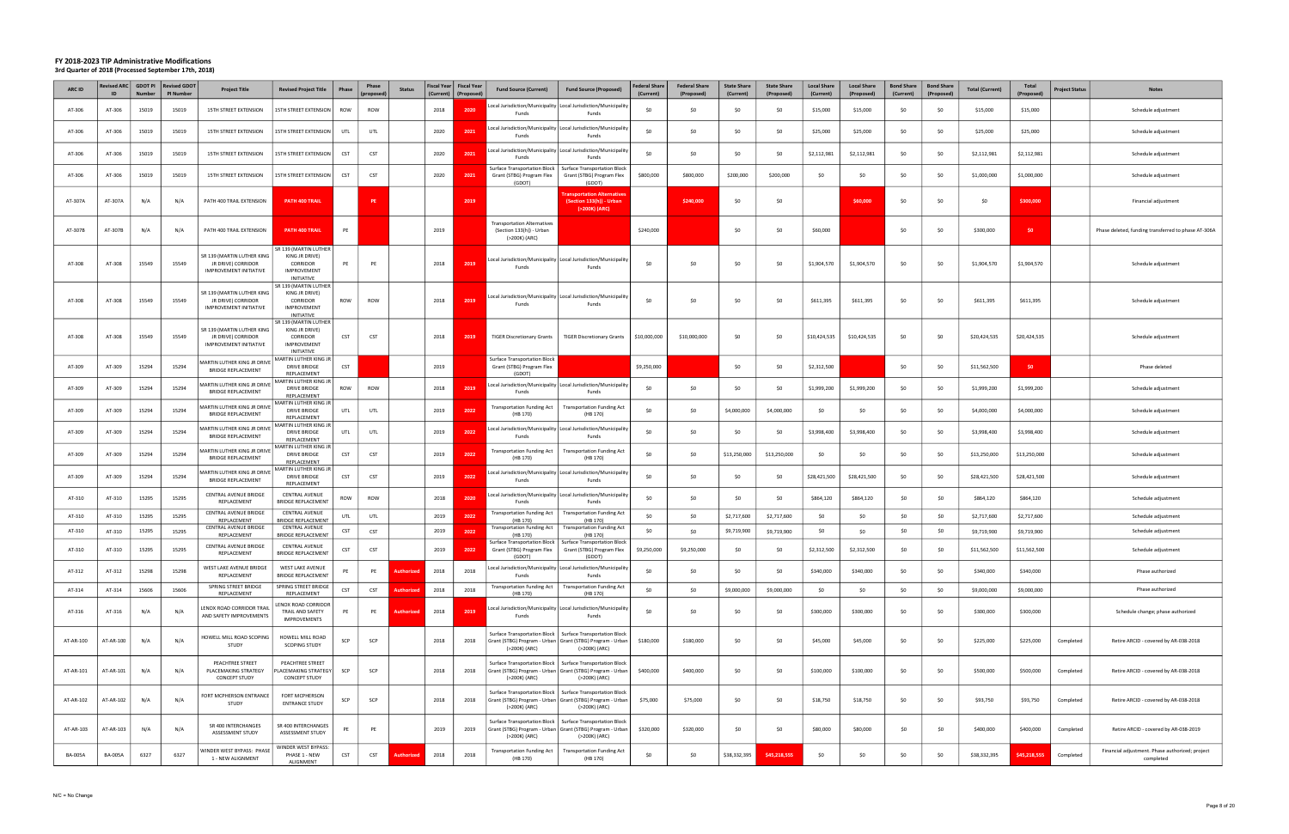| ARC ID         | <b>Revised ARC</b>  <br>ID | <b>GDOT PI</b><br><b>Number</b> | <b>Revised GDOT</b><br>PI Number | <b>Project Title</b>                                                       | <b>Revised Project Title</b>                                                                   | Phase      | Phase<br>(propose | <b>Status</b>     | <b>Fiscal Year</b><br>(Current) | <b>Fiscal Year</b><br>(Proposed | <b>Fund Source (Current)</b>                                                                                 | <b>Fund Source (Proposed)</b>                                                                      | <b>Federal Share</b><br>(Current) | <b>Federal Share</b><br>(Proposed) | <b>State Share</b><br>(Current) | <b>State Share</b><br>(Proposed) | <b>Local Share</b><br>(Current) | <b>Local Share</b><br>(Proposed) | <b>Bond Share</b><br>(Current) | <b>Bond Share</b><br>(Proposed) | <b>Total (Current)</b> | <b>Total</b><br>(Proposed) | Project Status<br><b>Notes</b>                                            |
|----------------|----------------------------|---------------------------------|----------------------------------|----------------------------------------------------------------------------|------------------------------------------------------------------------------------------------|------------|-------------------|-------------------|---------------------------------|---------------------------------|--------------------------------------------------------------------------------------------------------------|----------------------------------------------------------------------------------------------------|-----------------------------------|------------------------------------|---------------------------------|----------------------------------|---------------------------------|----------------------------------|--------------------------------|---------------------------------|------------------------|----------------------------|---------------------------------------------------------------------------|
| AT-306         | AT-306                     | 15019                           | 15019                            | 15TH STREET EXTENSION                                                      | 15TH STREET EXTENSION                                                                          | ROW        | ROW               |                   | 2018                            | 202                             | Funds                                                                                                        | cal Jurisdiction/Municipality   Local Jurisdiction/Municipality<br>Funds                           | SO.                               | \$0                                | -SO                             | \$0                              | \$15,000                        | \$15,000                         | \$0                            | \$0                             | \$15,000               | \$15,000                   | Schedule adjustment                                                       |
| AT-306         | AT-306                     | 15019                           | 15019                            | 15TH STREET EXTENSION                                                      | 15TH STREET EXTENSION                                                                          | UTL        | UTL               |                   | 2020                            | 2021                            | Funds                                                                                                        | ocal Jurisdiction/Municipality   Local Jurisdiction/Municipality.<br>Funds                         | -SO                               | \$0                                | \$0                             | \$0                              | \$25,000                        | \$25,000                         | \$0                            | - SO                            | \$25,000               | \$25,000                   | Schedule adjustment                                                       |
| AT-306         | AT-306                     | 15019                           | 15019                            | 15TH STREET EXTENSION                                                      | 15TH STREET EXTENSION                                                                          | <b>CST</b> | <b>CST</b>        |                   | 2020                            | 2021                            | Funds                                                                                                        | ocal Jurisdiction/Municipality   Local Jurisdiction/Municipality<br>Funds                          | . ሩስ                              | \$0                                | -SO                             | \$0                              | \$2,112,981                     | \$2,112,981                      | \$0                            | - SO                            | \$2,112,981            | \$2,112,981                | Schedule adjustment                                                       |
| AT-306         | AT-306                     | 15019                           | 15019                            | 15TH STREET EXTENSION                                                      | 15TH STREET EXTENSION                                                                          | CST        | <b>CST</b>        |                   | 2020                            | 2021                            | Surface Transportation Block  <br>Grant (STBG) Program Flex<br>(GDOT)                                        | <b>Surface Transportation Block</b><br>Grant (STBG) Program Flex<br>(GDOT)                         | \$800,000                         | \$800,000                          | \$200,000                       | \$200,000                        | \$0                             | \$0                              | \$0                            | -SO                             | \$1,000,000            | \$1,000,000                | Schedule adjustment                                                       |
| AT-307A        | AT-307A                    | N/A                             | N/A                              | PATH 400 TRAIL EXTENSION                                                   | PATH 400 TRAIL                                                                                 |            | PE                |                   |                                 | 2019                            |                                                                                                              | ransportation Alternativ<br>(Section 133(h)) - Urban<br>(>200K) (ARC)                              |                                   | \$240,000                          | \$0                             | \$0                              |                                 | \$60,000                         | \$0                            | - SO                            | \$0                    | \$300,000                  | Financial adjustment                                                      |
| AT-307B        | AT-307B                    | N/A                             | N/A                              | PATH 400 TRAIL EXTENSION                                                   | PATH 400 TRAIL                                                                                 | PE         |                   |                   | 2019                            |                                 | ransportation Alternatives<br>(Section 133(h)) - Urban<br>(>200K) (ARC)                                      |                                                                                                    | \$240,000                         |                                    | \$0                             | \$0                              | \$60,000                        |                                  | \$0                            | \$0                             | \$300,000              | \$0                        | Phase deleted, funding transferred to phase AT-306A                       |
| AT-308         | AT-308                     | 15549                           | 15549                            | SR 139 (MARTIN LUTHER KING<br>JR DRIVE) CORRIDOR<br>IMPROVEMENT INITIATIVE | SR 139 (MARTIN LUTHER<br>KING JR DRIVE)<br><b>CORRIDOR</b><br><b>IMPROVEMENT</b><br>INITIATIVE | PE         | PE                |                   | 2018                            | 2019                            | Funds                                                                                                        | ocal Jurisdiction/Municipality   Local Jurisdiction/Municipality<br>Funds                          | -SO                               | \$0                                | \$0                             | \$0                              | \$1,904,570                     | \$1,904,570                      | \$0                            | \$0                             | \$1,904,570            | \$1,904,570                | Schedule adjustment                                                       |
| AT-308         | AT-308                     | 15549                           | 15549                            | SR 139 (MARTIN LUTHER KING<br>JR DRIVE) CORRIDOR<br>IMPROVEMENT INITIATIVE | SR 139 (MARTIN LUTHER<br>KING JR DRIVE)<br>CORRIDOR<br><b>IMPROVEMENT</b><br><b>INITIATIVE</b> | ROW        | ROW               |                   | 2018                            | 201                             | Funds                                                                                                        | ocal Jurisdiction/Municipality   Local Jurisdiction/Municipality<br>Funds                          | ₹∩                                | \$0                                | -SO                             | \$0                              | \$611,395                       | \$611,395                        | \$0                            | S <sub>0</sub>                  | \$611,395              | \$611,395                  | Schedule adjustment                                                       |
| AT-308         | AT-308                     | 15549                           | 15549                            | SR 139 (MARTIN LUTHER KING<br>JR DRIVE) CORRIDOR<br>IMPROVEMENT INITIATIVE | SR 139 (MARTIN LUTHER<br>KING JR DRIVE)<br>CORRIDOR<br>IMPROVEMENT<br>INITIATIVE               | CST        | CST               |                   | 2018                            | 2019                            | <b>TIGER Discretionary Grants</b>                                                                            | <b>TIGER Discretionary Grants</b>                                                                  | \$10,000,000                      | \$10,000,000                       | -SO                             | \$0                              | \$10,424,535                    | \$10,424,535                     | \$0                            | - SO                            | \$20,424,535           | \$20,424,535               | Schedule adjustment                                                       |
| AT-309         | AT-309                     | 15294                           | 15294                            | <b>MARTIN LUTHER KING JR DRIVE</b><br><b>BRIDGE REPLACEMENT</b>            | MARTIN LUTHER KING JF<br>DRIVE BRIDGE<br>REPLACEMENT                                           | <b>CST</b> |                   |                   | 2019                            |                                 | <b>Surface Transportation Block</b><br>Grant (STBG) Program Flex<br>(GDOT)                                   |                                                                                                    | \$9,250,000                       |                                    | \$0                             | \$0                              | \$2,312,500                     |                                  | \$0                            | \$0                             | \$11,562,500           | \$0                        | Phase deleted                                                             |
| AT-309         | AT-309                     | 15294                           | 15294                            | AARTIN LUTHER KING JR DRIVE<br><b>BRIDGE REPLACEMENT</b>                   | MARTIN LUTHER KING JR<br><b>DRIVE BRIDGE</b><br>REPLACEMENT                                    | ROW        | <b>ROW</b>        |                   | 2018                            | 2019                            | Funds                                                                                                        | ocal Jurisdiction/Municipality   Local Jurisdiction/Municipality<br>Funds                          | \$0                               | \$0                                |                                 | \$0                              | \$1,999,200                     | \$1,999,200                      | \$0                            | SO                              | \$1,999,200            | \$1,999,200                | Schedule adjustment                                                       |
| AT-309         | AT-309                     | 15294                           | 15294                            | AARTIN LUTHER KING JR DRIVE<br><b>BRIDGE REPLACEMENT</b>                   | MARTIN LUTHER KING JF<br><b>DRIVE BRIDGE</b><br>REPLACEMENT                                    | UTL        | UTL               |                   | 2019                            | 2022                            | ransportation Funding Act<br>(HB 170)                                                                        | <b>Transportation Funding Act</b><br>(HB 170)                                                      | -SO                               | \$0                                | \$4,000,000                     | \$4,000,000                      | \$0                             | \$0                              | \$0                            | \$0                             | \$4,000,000            | \$4,000,000                | Schedule adjustment                                                       |
| AT-309         | AT-309                     | 15294                           | 15294                            | MARTIN LUTHER KING JR DRIVE<br><b>BRIDGE REPLACEMENT</b>                   | MARTIN LUTHER KING JR<br>DRIVE BRIDGE<br>REPLACEMENT                                           | UTL        | UTL               |                   | 2019                            | 2022                            | Funds                                                                                                        | ocal Jurisdiction/Municipality   Local Jurisdiction/Municipality<br>Funds                          | -SO                               | \$0                                | -SO                             | \$0                              | \$3,998,400                     | \$3,998,400                      | \$0                            | \$0                             | \$3,998,400            | \$3,998,400                | Schedule adjustment                                                       |
| AT-309         | AT-309                     | 15294                           | 15294                            | MARTIN LUTHER KING JR DRIVE<br><b>BRIDGE REPLACEMENT</b>                   | MARTIN LUTHER KING JR<br>DRIVE BRIDGE                                                          | CST        | CST               |                   | 2019                            | 2022                            | ransportation Funding Act<br>(HB 170)                                                                        | <b>Transportation Funding Act</b><br>(HB 170)                                                      | \$0                               | SO                                 | \$13,250,000                    | \$13,250,000                     | \$0                             | \$0                              | \$0                            | SO.                             | \$13,250,000           | \$13,250,000               | Schedule adjustment                                                       |
| AT-309         | AT-309                     | 15294                           | 15294                            | AARTIN LUTHER KING JR DRIVE<br><b>BRIDGE REPLACEMENT</b>                   | REPLACEMENT<br>MARTIN LUTHER KING JR<br>DRIVE BRIDGE<br>REPLACEMENT                            | <b>CST</b> | <b>CST</b>        |                   | 2019                            | 2022                            | Funds                                                                                                        | ocal Jurisdiction/Municipality Local Jurisdiction/Municipality<br>Funds                            | \$0                               | \$0                                |                                 | \$0                              | \$28,421,500                    | \$28,421,500                     | \$0                            | \$0                             | \$28,421,500           | \$28,421,500               | Schedule adjustment                                                       |
| AT-310         | AT-310                     | 15295                           | 15295                            | CENTRAL AVENUE BRIDGE<br>REPLACEMENT                                       | <b>CENTRAL AVENUE</b><br><b>BRIDGE REPLACEMENT</b>                                             | ROW        | <b>ROW</b>        |                   | 2018                            | 202                             | Funds                                                                                                        | ocal Jurisdiction/Municipality Local Jurisdiction/Municipality<br>Funds                            | \$0                               | SO                                 | \$0                             | \$0                              | \$864,120                       | \$864,120                        | \$0                            | -SO                             | \$864,120              | \$864,120                  | Schedule adjustment                                                       |
| AT-310         | AT-310                     | 15295                           | 15295                            | CENTRAL AVENUE BRIDGE<br>REPLACEMENT                                       | <b>CENTRAL AVENUE</b><br><b>BRIDGE REPLACEMENT</b>                                             | UTL        | UTL               |                   | 2019                            | 2022                            | Transportation Funding Act<br>(HB 170)                                                                       | <b>Transportation Funding Act</b><br>(HB 170)                                                      | \$0                               | \$0                                | \$2,717,600                     | \$2,717,600                      | \$0                             | \$0                              | \$0                            | \$0                             | \$2,717,600            | \$2,717,600                | Schedule adjustment                                                       |
| AT-310         | AT-310                     | 15295                           | 15295                            | CENTRAL AVENUE BRIDGE<br>REPLACEMENT                                       | <b>CENTRAL AVENUE</b><br><b>BRIDGE REPLACEMENT</b>                                             | CST        | <b>CST</b>        |                   | 2019                            | 2022                            | Transportation Funding Act<br>(HB 170)                                                                       | <b>Transportation Funding Act</b><br>(HB 170)                                                      | \$0                               | \$0                                | \$9,719,900                     | \$9,719,900                      | SO                              | \$0                              | \$0                            | -SO                             | \$9,719,900            | \$9,719,900                | Schedule adjustment                                                       |
| AT-310         | AT-310                     | 15295                           | 15295                            | CENTRAL AVENUE BRIDGE<br>REPLACEMENT                                       | <b>CENTRAL AVENUE</b><br><b>BRIDGE REPLACEMENT</b>                                             | <b>CST</b> | <b>CST</b>        |                   | 2019                            |                                 | Grant (STBG) Program Flex<br>(GDOT)                                                                          | Surface Transportation Block   Surface Transportation Block<br>Grant (STBG) Program Flex<br>(GDOT) | \$9,250,000                       | \$9,250,000                        | \$0                             | \$0                              | \$2,312,500                     | \$2,312,500                      | SO                             |                                 | \$11,562,500           | \$11,562,500               | Schedule adjustment                                                       |
| AT-312         | AT-312                     | 15298                           | 15298                            | WEST LAKE AVENUE BRIDGE<br>REPLACEMENT                                     | WEST LAKE AVENUE<br><b>BRIDGE REPLACEMENT</b>                                                  | PE         | PE                | Authorized        | 2018                            | 2018                            | Funds                                                                                                        | Local Jurisdiction/Municipality Local Jurisdiction/Municipality<br>Funds                           | \$0                               | \$0                                | \$0                             | \$0                              | \$340,000                       | \$340,000                        | \$0                            | \$0                             | \$340,000              | \$340,000                  | Phase authorized                                                          |
| AT-314         | AT-314                     | 15606                           | 15606                            | SPRING STREET BRIDGE<br>REPLACEMENT                                        | SPRING STREET BRIDGE<br>REPLACEMENT                                                            | CST        | <b>CST</b>        | <b>Authorize</b>  | 2018                            | 2018                            | <b>Transportation Funding Act</b><br>(HB 170)                                                                | <b>Transportation Funding Act</b><br>(HB 170)                                                      | \$0                               | \$0                                | \$9,000,000                     | \$9,000,000                      | \$0                             | \$0                              | \$0                            | \$0                             | \$9,000,000            | \$9,000,000                | Phase authorized                                                          |
| AT-316         | AT-316                     | N/A                             | N/A                              | LENOX ROAD CORRIDOR TRAIL<br>AND SAFETY IMPROVEMENTS                       | LENOX ROAD CORRIDOR<br>TRAIL AND SAFETY<br>IMPROVEMENTS                                        | PE         | PE                | <b>Authorized</b> | 2018                            | 2019                            | Funds                                                                                                        | Local Jurisdiction/Municipality   Local Jurisdiction/Municipality<br>Funds                         | \$0                               | \$0                                | \$0                             | \$0                              | \$300,000                       | \$300,000                        | \$0                            | \$0                             | \$300,000              | \$300,000                  | Schedule change; phase authorized                                         |
| AT-AR-100      | AT-AR-100                  | N/A                             | N/A                              | HOWELL MILL ROAD SCOPING<br>STUDY                                          | HOWELL MILL ROAD<br><b>SCOPING STUDY</b>                                                       | SCP        | SCP               |                   | 2018                            | 2018                            | Grant (STBG) Program - Urban   Grant (STBG) Program - Urban<br>(>200K) (ARC)                                 | Surface Transportation Block   Surface Transportation Block<br>(>200K) (ARC)                       | \$180,000                         | \$180,000                          | \$0                             | \$0                              | \$45,000                        | \$45,000                         | \$0                            | \$0                             | \$225,000              | \$225,000                  | Completed<br>Retire ARCID - covered by AR-038-2018                        |
| AT-AR-101      | AT-AR-101                  | N/A                             | N/A                              | PEACHTREE STREET<br>PLACEMAKING STRATEGY<br><b>CONCEPT STUDY</b>           | PEACHTREE STREET<br>LACEMAKING STRATEGY<br><b>CONCEPT STUDY</b>                                | SCP        | SCP               |                   | 2018                            | 2018                            | Surface Transportation Block<br>Grant (STBG) Program - Urban   Grant (STBG) Program - Urban<br>(>200K) (ARC) | <b>Surface Transportation Block</b><br>(>200K) (ARC)                                               | \$400,000                         | \$400,000                          | \$0                             | \$0                              | \$100,000                       | \$100,000                        | \$0                            | \$0                             | \$500,000              | \$500,000                  | Completed<br>Retire ARCID - covered by AR-038-2018                        |
| AT-AR-102      | AT-AR-102                  | N/A                             | N/A                              | FORT MCPHERSON ENTRANCE<br>STUDY                                           | FORT MCPHERSON<br><b>ENTRANCE STUDY</b>                                                        | SCP        | SCP               |                   | 2018                            | 2018                            | Grant (STBG) Program - Urban   Grant (STBG) Program - Urban<br>(>200K) (ARC)                                 | Surface Transportation Block   Surface Transportation Block<br>(>200K) (ARC)                       | \$75,000                          | \$75,000                           | \$0                             | \$0                              | \$18,750                        | \$18,750                         | \$0                            | \$0                             | \$93,750               | \$93,750                   | Completed<br>Retire ARCID - covered by AR-038-2018                        |
| AT-AR-103      | AT-AR-103                  | N/A                             | N/A                              | SR 400 INTERCHANGES<br>ASSESSMENT STUDY                                    | SR 400 INTERCHANGES<br>ASSESSMENT STUDY                                                        | PE         | PE                |                   | 2019                            | 2019                            | Grant (STBG) Program - Urban   Grant (STBG) Program - Urban<br>(>200K) (ARC)                                 | Surface Transportation Block   Surface Transportation Block<br>(>200K) (ARC)                       | \$320,000                         | \$320,000                          | \$0                             | \$0                              | \$80,000                        | \$80,000                         | \$0                            | \$0                             | \$400,000              | \$400,000                  | Completed<br>Retire ARCID - covered by AR-038-2019                        |
| <b>BA-005A</b> | <b>BA-005A</b>             | 6327                            | 6327                             | WINDER WEST BYPASS: PHASE<br>1 - NEW ALIGNMENT                             | WINDER WEST BYPASS:<br>PHASE 1 - NEW<br>ALIGNMENT                                              | <b>CST</b> | <b>CST</b>        | Authorized        | 2018                            | 2018                            | <b>Transportation Funding Act</b><br>(HB 170)                                                                | <b>Transportation Funding Act</b><br>(HB 170)                                                      | \$0                               | \$0                                | \$38,332,395                    | \$45,218,555                     | \$0                             | \$0                              | \$0                            | \$0                             | \$38,332,395           | \$45,218,555               | Financial adjustment. Phase authorized; project<br>Completed<br>completed |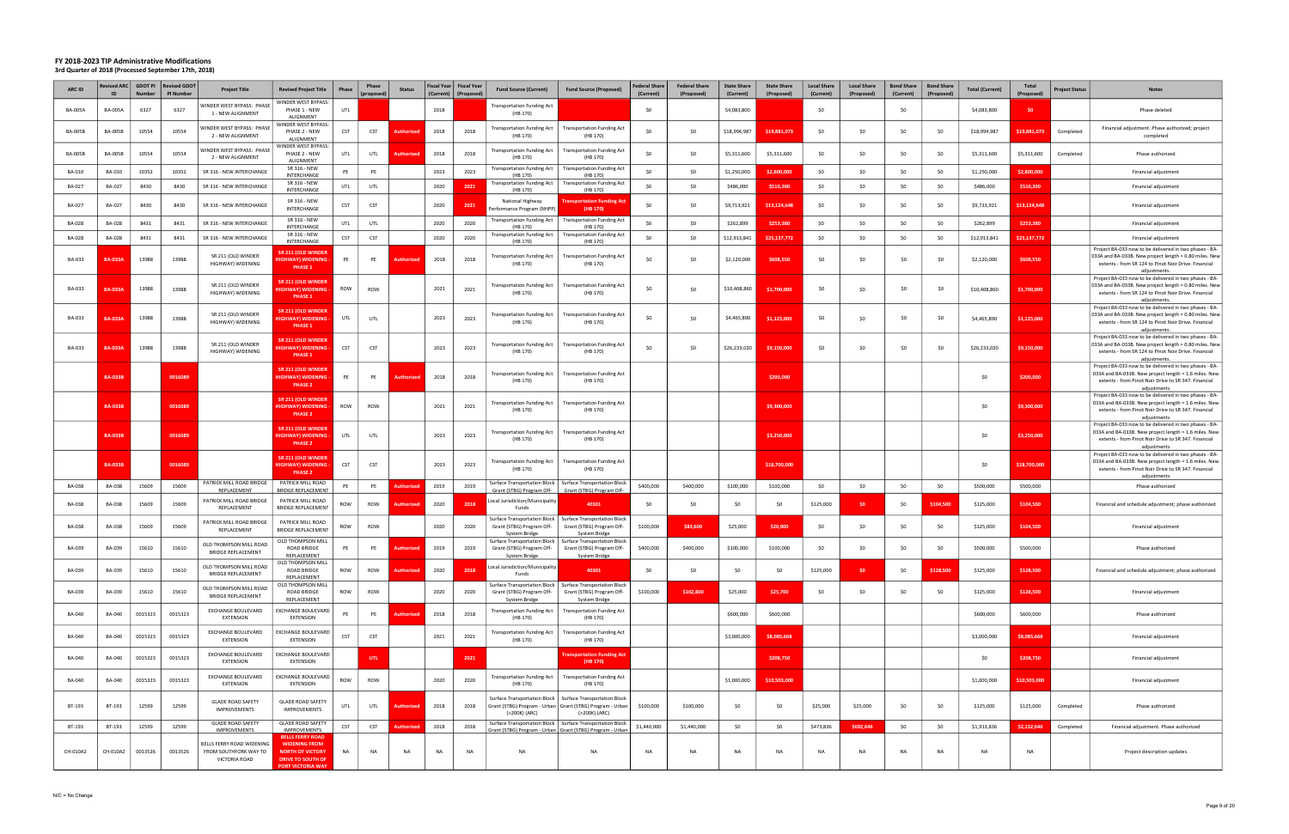| ARC ID         | <b>Revised ARC</b><br>ID | <b>GDOT PI</b><br><b>Number</b> | <b>Revised GDOT</b><br><b>PI Number</b> | <b>Project Title</b>                                                | <b>Revised Project Title</b>                                                                                                       | Phase      | Phase<br>(proposed) | <b>Status</b> |      | Fiscal Year   Fiscal Year<br>(Current)   (Proposed) | <b>Fund Source (Current)</b>                                                      | <b>Fund Source (Proposed)</b>                                                                                             | <b>Federal Share</b><br>(Current) | <b>Federal Share</b><br>(Proposed) | <b>State Share</b><br>(Current) | <b>State Share</b><br>(Proposed) | <b>Local Share</b><br>(Current) | <b>Local Share</b><br>(Proposed) | <b>Bond Share</b><br>(Current) | <b>Bond Share</b><br>(Proposed) | <b>Total (Current)</b> | Total<br>(Proposed) | <b>Project Status</b> | <b>Notes</b>                                                                                                                                                                             |
|----------------|--------------------------|---------------------------------|-----------------------------------------|---------------------------------------------------------------------|------------------------------------------------------------------------------------------------------------------------------------|------------|---------------------|---------------|------|-----------------------------------------------------|-----------------------------------------------------------------------------------|---------------------------------------------------------------------------------------------------------------------------|-----------------------------------|------------------------------------|---------------------------------|----------------------------------|---------------------------------|----------------------------------|--------------------------------|---------------------------------|------------------------|---------------------|-----------------------|------------------------------------------------------------------------------------------------------------------------------------------------------------------------------------------|
| <b>BA-005A</b> | <b>BA-005A</b>           | 6327                            | 6327                                    | VINDER WEST BYPASS: PHASI<br>1 - NEW ALIGNMENT                      | <b>NINDER WEST BYPASS:</b><br>PHASE 1 - NEW<br>ALIGNMENT                                                                           | UTL        |                     |               | 2018 |                                                     | <b>Transportation Funding Act</b><br>(HB 170)                                     |                                                                                                                           | \$0                               |                                    | \$4,083,800                     |                                  | \$0                             |                                  | \$0                            |                                 | \$4,083,800            | \$0                 |                       | Phase deleted                                                                                                                                                                            |
| <b>BA-005B</b> | <b>BA-005B</b>           | 10554                           | 10554                                   | VINDER WEST BYPASS: PHASI<br>2 - NEW ALIGNMENT                      | WINDER WEST BYPASS:<br>PHASE 2 - NEW<br>ALIGNMENT                                                                                  | CST        | CST                 |               | 2018 | 2018                                                | <b>Transportation Funding Act</b><br>(HB 170)                                     | <b>Transportation Funding Act</b><br>(HB 170)                                                                             | \$0                               | \$0                                | \$18,994,987                    | \$19,881,073                     | \$0                             | \$0                              | \$0                            | - SO                            | \$18,994,987           | \$19,881,073        | Completed             | Financial adjustment. Phase authorized; project<br>completed                                                                                                                             |
| <b>BA-005B</b> | <b>BA-005B</b>           | 10554                           | 10554                                   | VINDER WEST BYPASS: PHASI<br>2 - NEW ALIGNMENT                      | <b>NINDER WEST BYPASS:</b><br>PHASE 2 - NEW<br>ALIGNMENT                                                                           | UTL        | UTL                 |               | 2018 | 2018                                                | <b>Transportation Funding Act</b><br>(HB 170)                                     | <b>Transportation Funding Act</b><br>(HB 170)                                                                             | \$0                               | \$0                                | \$5,311,600                     | \$5,311,600                      | \$0                             | \$0                              | \$0                            | - SO                            | \$5,311,600            | \$5,311,600         | Completed             | Phase authorized                                                                                                                                                                         |
| BA-010         | BA-010                   | 10352                           | 10352                                   | SR 316 - NEW INTERCHANGE                                            | SR 316 - NEW<br>INTERCHANGE                                                                                                        | PE         | PE                  |               | 2023 | 2023                                                | <b>Transportation Funding Act</b><br>(HB 170)                                     | <b>Transportation Funding Act</b><br>(HB 170)                                                                             | \$0                               | \$0                                | \$1,250,000                     | \$2,800,000                      | \$0                             | \$0                              | \$0                            | S <sub>0</sub>                  | \$1,250,000            | \$2,800,000         |                       | Financial adjustment                                                                                                                                                                     |
| <b>BA-027</b>  | BA-027                   | 8430                            | 8430                                    | SR 316 - NEW INTERCHANGE                                            | SR 316 - NEW<br>INTERCHANGE                                                                                                        | UTL        | UTL                 |               | 2020 | 2021                                                | <b>Transportation Funding Act</b><br>(HB 170)                                     | <b>Transportation Funding Act</b><br>(HB 170)                                                                             | \$0                               | \$0                                | \$486,000                       | \$510,300                        | \$0                             | \$0                              | \$0                            | \$0                             | \$486,000              | \$510,300           |                       | Financial adjustment                                                                                                                                                                     |
| <b>BA-027</b>  | BA-027                   | 8430                            | 8430                                    | SR 316 - NEW INTERCHANGE                                            | SR 316 - NEW<br>INTERCHANGE                                                                                                        | CST        | <b>CST</b>          |               | 2020 | 2021                                                | National Highway<br>erformance Program (NHPP)                                     | <b>Transportation Funding Act</b><br>(HB 170)                                                                             | \$0                               | \$0                                | \$9,713,921                     | \$13,124,648                     | \$0                             | \$0                              | \$0                            | S <sub>0</sub>                  | \$9,713,921            | \$13,124,648        |                       | Financial adjustment                                                                                                                                                                     |
| <b>BA-028</b>  | <b>BA-028</b>            | 8431                            | 8431                                    | SR 316 - NEW INTERCHANGE                                            | SR 316 - NEW<br>INTERCHANGE                                                                                                        | UTL        | UTL                 |               | 2020 | 2020                                                | <b>Transportation Funding Act</b><br>(HB 170)                                     | <b>Transportation Funding Act</b><br>(HB 170)                                                                             | \$0                               | \$0                                | \$262,899                       | \$253,380                        | \$0                             | \$0                              | \$0                            | - SO                            | \$262,899              | \$253,380           |                       | Financial adjustment                                                                                                                                                                     |
| BA-028         | BA-028                   | 8431                            | 8431                                    | SR 316 - NEW INTERCHANGE                                            | SR 316 - NEW<br>INTERCHANGE                                                                                                        | <b>CST</b> | <b>CST</b>          |               | 2020 | 2020                                                | <b>Transportation Funding Act</b><br>(HB 170)                                     | <b>Transportation Funding Act</b><br>(HB 170)                                                                             | \$0                               | \$0                                | \$12,913,841                    | \$25,137,772                     | \$0                             | \$0                              | \$0                            | \$0                             | \$12,913,841           | \$25,137,772        |                       | Financial adjustment                                                                                                                                                                     |
| BA-033         | <b>BA-033A</b>           | 13988                           | 13988                                   | SR 211 (OLD WINDER<br>HIGHWAY) WIDENING                             | SR 211 (OLD WINDER<br><b>GHWAY) WIDENING</b><br>PHASE 1                                                                            | PE         | PE                  | Authorizec    | 2018 | 2018                                                | <b>Transportation Funding Act</b><br>(HB 170)                                     | <b>Transportation Funding Act</b><br>(HB 170)                                                                             | \$0                               | \$0                                | \$2,120,000                     | \$608,550                        | \$0                             | \$0                              | \$0                            | -SO                             | \$2,120,000            | \$608,550           |                       | Project BA-033 now to be delivered in two phases - BA-<br>033A and BA-033B. New project length = 0.80 miles. New<br>extents - from SR 124 to Pinot Noir Drive. Financial<br>adjustments  |
| BA-033         | <b>BA-033A</b>           | 13988                           | 13988                                   | SR 211 (OLD WINDER<br>HIGHWAY) WIDENING                             | SR 211 (OLD WINDER<br><b>GHWAY) WIDENING</b><br>PHASE 1                                                                            | ROW        | ROW                 |               | 2021 | 2021                                                | Transportation Funding Act<br>(HB 170)                                            | <b>Transportation Funding Act</b><br>(HB 170)                                                                             | \$0                               | \$0                                | \$10,408,860                    | \$1,700,000                      | \$0                             | \$0                              | \$0                            | \$0                             | \$10,408,860           | \$1,700,000         |                       | Project BA-033 now to be delivered in two phases - BA-<br>033A and BA-033B. New project length = 0.80 miles. New<br>extents - from SR 124 to Pinot Noir Drive. Financial<br>adjustments. |
| BA-033         | <b>BA-033A</b>           | 13988                           | 13988                                   | SR 211 (OLD WINDER<br>HIGHWAY) WIDENING                             | SR 211 (OLD WINDER<br><b>GHWAY) WIDENING -</b><br>PHASE 1                                                                          | UTL        | UTL                 |               | 2023 | 2023                                                | <b>Transportation Funding Act</b><br>(HB 170)                                     | <b>Transportation Funding Act</b><br>(HB 170)                                                                             | \$0                               | \$0                                | \$4,465,890                     | \$1,125,000                      | \$0                             | \$0                              | \$0                            | \$0                             | \$4,465,890            | \$1,125,000         |                       | Project BA-033 now to be delivered in two phases - BA-<br>033A and BA-033B. New project length = 0.80 miles. New<br>extents - from SR 124 to Pinot Noir Drive. Financial<br>adjustments. |
| BA-033         | <b>BA-033A</b>           | 13988                           | 13988                                   | SR 211 (OLD WINDER<br>HIGHWAY) WIDENING                             | SR 211 (OLD WINDER<br><b>GHWAY) WIDENING</b><br>PHASE 1                                                                            | CST        | <b>CST</b>          |               | 2023 | 2023                                                | Transportation Funding Act<br>(HB 170)                                            | <b>Transportation Funding Act</b><br>(HB 170)                                                                             | \$0                               | \$0                                | \$26,233,020                    | \$9,150,000                      | \$0                             | \$0                              | \$0                            | \$0                             | \$26,233,020           | \$9,150,000         |                       | Project BA-033 now to be delivered in two phases - BA-<br>033A and BA-033B. New project length = 0.80 miles. New<br>extents - from SR 124 to Pinot Noir Drive. Financial<br>adjustments  |
|                | <b>BA-033B</b>           |                                 | 0016089                                 |                                                                     | <b>SR 211 (OLD WINDER</b><br>IIGHWAY) WIDENING<br>PHASE <sub>2</sub>                                                               | PE         | PE                  |               | 2018 | 2018                                                | <b>Transportation Funding Act</b><br>(HB 170)                                     | <b>Transportation Funding Act</b><br>(HB 170)                                                                             |                                   |                                    |                                 | \$200,000                        |                                 |                                  |                                |                                 | \$0                    | \$200,000           |                       | Project BA-033 now to be delivered in two phases - BA-<br>033A and BA-033B. New project length = 1.6 miles. New<br>extents - from Pinot Noir Drive to SR 347. Financial<br>adjustments   |
|                | <b>BA-033B</b>           |                                 | 0016089                                 |                                                                     | SR 211 (OLD WINDER<br><b>GHWAY) WIDENING</b><br><b>PHASE 2</b>                                                                     | ROW        | ROW                 |               | 2021 | 2021                                                | <b>Transportation Funding Act</b><br>(HB 170)                                     | <b>Transportation Funding Act</b><br>(HB 170)                                                                             |                                   |                                    |                                 | \$9,300,000                      |                                 |                                  |                                |                                 | \$0                    | \$9,300,000         |                       | Project BA-033 now to be delivered in two phases - BA-<br>033A and BA-033B. New project length = 1.6 miles. New<br>extents - from Pinot Noir Drive to SR 347. Financial<br>adjustments   |
|                | <b>BA-033B</b>           |                                 | 0016089                                 |                                                                     | SR 211 (OLD WINDER<br>IIGHWAY) WIDENING<br>PHASE <sub>2</sub>                                                                      | UTL        | UTL                 |               | 2023 | 2023                                                | <b>Transportation Funding Act</b><br>(HB 170)                                     | <b>Transportation Funding Act</b><br>(HB 170)                                                                             |                                   |                                    |                                 | \$3,250,000                      |                                 |                                  |                                |                                 | \$0                    | \$3,250,000         |                       | Project BA-033 now to be delivered in two phases - BA-<br>033A and BA-033B. New project length = 1.6 miles. Nev<br>extents - from Pinot Noir Drive to SR 347. Financial<br>adjustments   |
|                | <b>BA-033B</b>           |                                 | 0016089                                 |                                                                     | SR 211 (OLD WINDER<br><b>HIGHWAY) WIDENING</b><br><b>PHASE 2</b>                                                                   | CST        | <b>CST</b>          |               | 2023 | 2023                                                | <b>Transportation Funding Act</b><br>(HB 170)                                     | <b>Transportation Funding Act</b><br>(HB 170)                                                                             |                                   |                                    |                                 | \$18,700,000                     |                                 |                                  |                                |                                 | \$0                    | \$18,700,000        |                       | Project BA-033 now to be delivered in two phases - BA-<br>033A and BA-033B. New project length = 1.6 miles. New<br>extents - from Pinot Noir Drive to SR 347. Financial<br>adjustments   |
| <b>BA-038</b>  | <b>BA-038</b>            | 15609                           | 15609                                   | PATRICK MILL ROAD BRIDGE<br>REPLACEMENT                             | PATRICK MILL ROAD<br>BRIDGE REPLACEMENT                                                                                            | PE         | PE                  |               | 2019 | 2019                                                | <b>Surface Transportation Block</b><br>Grant (STBG) Program Off-                  | <b>Surface Transportation Block</b><br>Grant (STBG) Program Off-                                                          | \$400,000                         | \$400,000                          | \$100,000                       | \$100,000                        | \$0                             | \$0                              | \$0                            | \$0                             | \$500,000              | \$500,000           |                       | Phase authorized                                                                                                                                                                         |
| <b>BA-038</b>  | <b>BA-038</b>            | 15609                           | 15609                                   | PATRICK MILL ROAD BRIDGE<br>REPLACEMENT                             | PATRICK MILL ROAD<br><b>BRIDGE REPLACEMENT</b>                                                                                     | ROW        | ROW                 |               | 2020 | 2018                                                | Local Jurisdiction/Municipality<br>Funds                                          | 40301                                                                                                                     | \$0                               | \$0                                | \$0                             | \$0                              | \$125,000                       | \$0                              | \$0                            | \$104,500                       | \$125,000              | \$104,500           |                       | Financial and schedule adjustment; phase authorized                                                                                                                                      |
| BA-038         | BA-038                   | 15609                           | 15609                                   | PATRICK MILL ROAD BRIDGE<br>REPLACEMENT                             | PATRICK MILL ROAD<br><b>BRIDGE REPLACEMENT</b>                                                                                     | ROW        | ROW                 |               | 2020 | 2020                                                | <b>Surface Transportation Block</b><br>Grant (STBG) Program Off-<br>System Bridge | <b>Surface Transportation Block</b><br>Grant (STBG) Program Off-<br>System Bridge                                         | \$100,000                         | \$83,600                           | \$25,000                        | \$20,900                         | \$0                             | SO.                              | \$0                            |                                 | \$125,000              | \$104,500           |                       | Financial adjustment                                                                                                                                                                     |
| BA-039         | BA-039                   | 15610                           | 15610                                   | OLD THOMPSON MILL ROAD<br>BRIDGE REPLACEMENT                        | OLD THOMPSON MILL<br><b>ROAD BRIDGE</b><br>REPLACEMENT                                                                             | PE         | PE                  |               | 2019 | 2019                                                | Surface Transportation Block  <br>Grant (STBG) Program Off-<br>System Bridge      | <b>Surface Transportation Block</b><br>Grant (STBG) Program Off-<br>System Bridge                                         | \$400,000                         | \$400,000                          | \$100,000                       | \$100,000                        | \$0                             | -SO                              | \$0                            | ۹n                              | \$500,000              | \$500,000           |                       | Phase authorized                                                                                                                                                                         |
| BA-039         | BA-039                   | 15610                           | 15610                                   | OLD THOMPSON MILL ROAD<br><b>BRIDGE REPLACEMENT</b>                 | <b>OLD THOMPSON MILL</b><br><b>ROAD BRIDGE</b><br>REPLACEMENT                                                                      | ROW        | ROW                 | Authorizeo    | 2020 | 2018                                                | ocal Jurisdiction/Municipality<br>Funds                                           | 40301                                                                                                                     | \$0                               | \$0                                | \$0                             | \$0                              | \$125,000                       | -\$0                             | \$0                            | \$128,500                       | \$125,000              | \$128,500           |                       | Financial and schedule adjustment; phase authorized                                                                                                                                      |
| BA-039         | BA-039                   | 15610                           | 15610                                   | OLD THOMPSON MILL ROAD<br>BRIDGE REPLACEMENT                        | OLD THOMPSON MILL<br><b>ROAD BRIDGE</b><br>REPLACEMENT                                                                             | ROW        | ROW                 |               | 2020 | 2020                                                | Surface Transportation Block  <br>Grant (STBG) Program Off-<br>System Bridge      | <b>Surface Transportation Block</b><br>Grant (STBG) Program Off-<br>System Bridge                                         | \$100,000                         | \$102,800                          | \$25,000                        | \$25,700                         | \$0                             | \$0                              | \$0                            | \$0                             | \$125,000              | \$128,500           |                       | Financial adjustment                                                                                                                                                                     |
| BA-040         | <b>BA-040</b>            | 0015323                         | 0015323                                 | EXCHANGE BOULEVARD<br><b>EXTENSION</b>                              | EXCHANGE BOULEVARD<br>EXTENSION                                                                                                    | PE         | PE                  | Authorized    | 2018 | 2018                                                | Transportation Funding Act<br>(HB 170)                                            | <b>Transportation Funding Act</b><br>(HB 170)                                                                             |                                   |                                    | \$600,000                       | \$600,000                        |                                 |                                  |                                |                                 | \$600,000              | \$600,000           |                       | Phase authorized                                                                                                                                                                         |
| BA-040         | <b>BA-040</b>            | 0015323                         | 0015323                                 | EXCHANGE BOULEVARD<br><b>EXTENSION</b>                              | EXCHANGE BOULEVARD<br>EXTENSION                                                                                                    | CST        | <b>CST</b>          |               | 2021 | 2021                                                | Transportation Funding Act<br>(HB 170)                                            | <b>Transportation Funding Act</b><br>(HB 170)                                                                             |                                   |                                    | \$3,000,000                     | \$8,085,668                      |                                 |                                  |                                |                                 | \$3,000,000            | \$8,085,668         |                       | Financial adjustment                                                                                                                                                                     |
| BA-040         | <b>BA-040</b>            | 0015323                         | 0015323                                 | EXCHANGE BOULEVARD<br><b>EXTENSION</b>                              | EXCHANGE BOULEVARD<br>EXTENSION                                                                                                    |            | UTL                 |               |      | 2021                                                |                                                                                   | <b>Fransportation Funding Act</b><br>(HB 170)                                                                             |                                   |                                    |                                 | \$208,750                        |                                 |                                  |                                |                                 | \$0                    | \$208,750           |                       | Financial adjustment                                                                                                                                                                     |
| BA-040         | BA-040                   | 0015323                         | 0015323                                 | EXCHANGE BOULEVARD<br><b>EXTENSION</b>                              | EXCHANGE BOULEVARD<br>EXTENSION                                                                                                    | ROW        | ROW                 |               | 2020 | 2020                                                | <b>Transportation Funding Act</b><br>(HB 170)                                     | <b>Transportation Funding Act</b><br>(HB 170)                                                                             |                                   |                                    | \$1,000,000                     | \$10,503,000                     |                                 |                                  |                                |                                 | \$1,000,000            | \$10,503,000        |                       | Financial adjustment                                                                                                                                                                     |
| BT-193         | BT-193                   | 12599                           | 12599                                   | <b>GLADE ROAD SAFETY</b><br><b>IMPROVEMENTS</b>                     | <b>GLADE ROAD SAFETY</b><br><b>IMPROVEMENTS</b>                                                                                    | UTL        | UTL                 | Authorize     | 2018 | 2018                                                | Surface Transportation Block  <br>(>200K) (ARC)                                   | <b>Surface Transportation Block</b><br>Grant (STBG) Program - Urban   Grant (STBG) Program - Urban<br>(>200K) (ARC)       | \$100,000                         | \$100,000                          | \$0                             | \$0                              | \$25,000                        | \$25,000                         | \$0                            | S0                              | \$125,000              | \$125,000           | Completed             | Phase authorized                                                                                                                                                                         |
| BT-193         | BT-193                   | 12599                           | 12599                                   | <b>GLADE ROAD SAFETY</b><br><b>IMPROVEMENTS</b>                     | <b>GLADE ROAD SAFETY</b><br><b>IMPROVEMENTS</b>                                                                                    | CST        | <b>CST</b>          | Authorized    | 2018 | 2018                                                |                                                                                   | Surface Transportation Block   Surface Transportation Block<br>Grant (STBG) Program - Urban   Grant (STBG) Program - Urba | \$1,440,000                       | \$1,440,000                        | \$0                             | \$0                              | \$473,836                       | \$692,646                        | \$0                            | \$0                             | \$1,913,836            | \$2,132,646         | Completed             | Financial adjustment. Phase authorized                                                                                                                                                   |
| CH-010A2       | CH-010A2                 | 0013526                         | 0013526                                 | BELLS FERRY ROAD WIDENING<br>FROM SOUTHFORK WAY TO<br>VICTORIA ROAD | <b>BELLS FERRY ROAD</b><br><b>WIDENING FROM</b><br><b>NORTH OF VICTORY</b><br><b>DRIVE TO SOUTH OF</b><br><b>PORT VICTORIA WAY</b> | NA         | NA                  | <b>NA</b>     | NA   | NA                                                  | NA                                                                                | <b>NA</b>                                                                                                                 | <b>NA</b>                         | NA                                 | <b>NA</b>                       | <b>NA</b>                        | <b>NA</b>                       | <b>NA</b>                        | <b>NA</b>                      | <b>NA</b>                       | <b>NA</b>              | <b>NA</b>           |                       | Project description updates                                                                                                                                                              |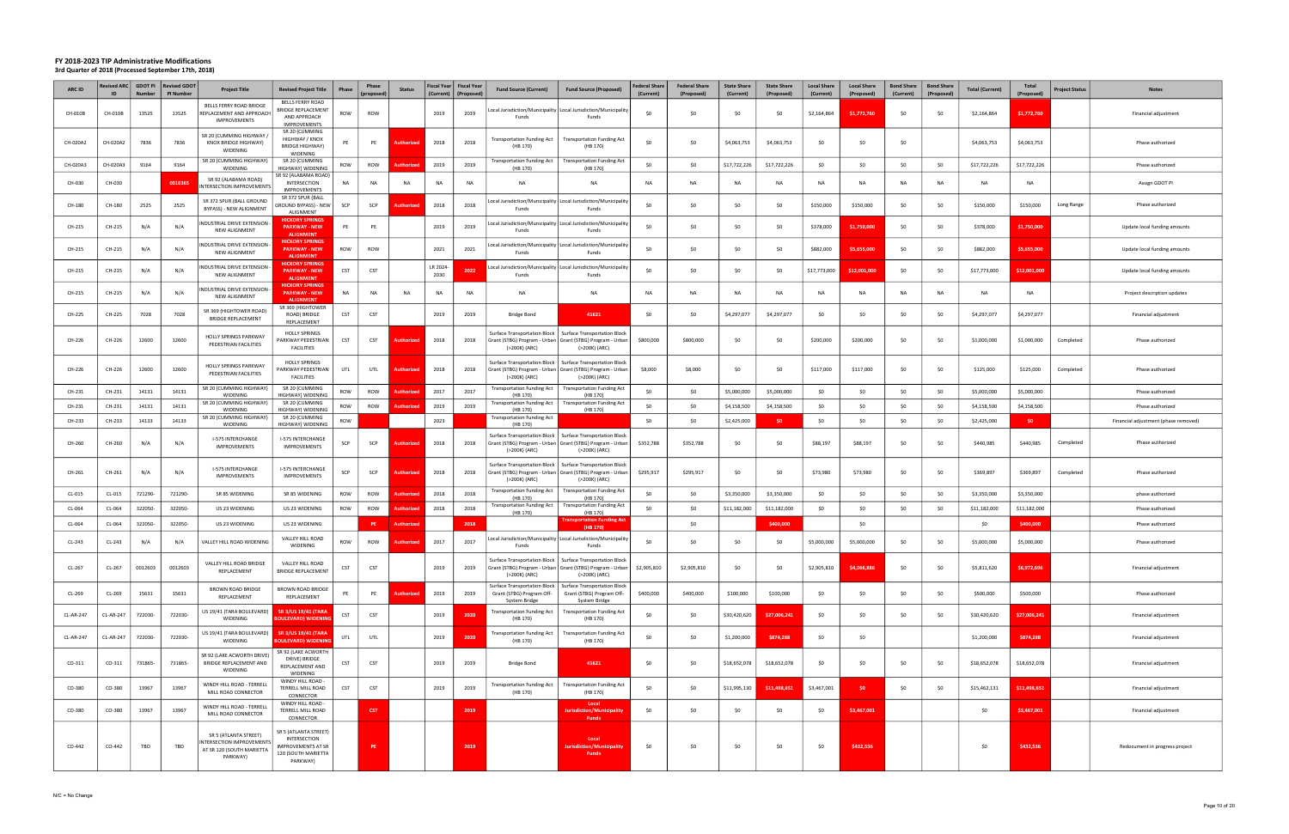| ARC ID           | <b>Revised ARC</b><br>ID | <b>Number</b> | GDOT PI Revised GDOT<br>PI Number | <b>Project Title</b>                                                                        | <b>Revised Project Title</b>                                                                          | <b>Phase</b> | Phase<br>(propose | <b>Status</b>   | (Current)       | Fiscal Year   Fiscal Year<br>(Proposed | <b>Fund Source (Current)</b>                                                                                  | <b>Fund Source (Proposed)</b>                                                                                       | <b>Federal Share</b><br>(Current) | <b>Federal Share</b><br>(Proposed) | <b>State Share</b><br>(Current) | <b>State Share</b><br>(Proposed) | <b>Local Share</b><br>(Current) | <b>Local Share</b><br>(Proposed) | <b>Bond Share</b><br>(Current) | <b>Bond Share</b><br>(Proposed) | <b>Total (Current)</b> | Total<br>(Proposed) | <b>Project Status</b> | <b>Notes</b>                         |
|------------------|--------------------------|---------------|-----------------------------------|---------------------------------------------------------------------------------------------|-------------------------------------------------------------------------------------------------------|--------------|-------------------|-----------------|-----------------|----------------------------------------|---------------------------------------------------------------------------------------------------------------|---------------------------------------------------------------------------------------------------------------------|-----------------------------------|------------------------------------|---------------------------------|----------------------------------|---------------------------------|----------------------------------|--------------------------------|---------------------------------|------------------------|---------------------|-----------------------|--------------------------------------|
| CH-010B          | CH-010B                  | 13525         | 13525                             | BELLS FERRY ROAD BRIDGE<br>REPLACEMENT AND APPROACH<br><b>IMPROVEMENTS</b>                  | <b>BELLS FERRY ROAD</b><br><b>BRIDGE REPLACEMENT</b><br>AND APPROACH<br><b>IMPROVEMENTS</b>           | ROW          | ROW               |                 | 2019            | 2019                                   | Funds                                                                                                         | Local Jurisdiction/Municipality   Local Jurisdiction/Municipality<br>Funds                                          | \$0                               | \$0                                | -SO                             | \$0                              | \$2,164,864                     | \$1,772,760                      | \$0                            |                                 | \$2,164,864            | \$1,772,760         |                       | Financial adjustment                 |
| CH-020A2         | CH-020A2                 | 7836          | 7836                              | SR 20 (CUMMING HIGHWAY /<br>KNOX BRIDGE HIGHWAY)<br>WIDENING                                | SR 20 (CUMMING<br>HIGHWAY / KNOX<br><b>BRIDGE HIGHWAY)</b><br>WIDENING                                | PE           | PE                | <b>Authoriz</b> | 2018            | 2018                                   | <b>Transportation Funding Act</b><br>(HB 170)                                                                 | <b>Transportation Funding Act</b><br>(HB 170)                                                                       | \$0                               | \$0                                | \$4,063,753                     | \$4,063,753                      | \$0                             | \$0                              | \$0                            |                                 | \$4,063,753            | \$4,063,753         |                       | Phase authorized                     |
| CH-020A3         | CH-020A3                 | 9164          | 9164                              | SR 20 (CUMMING HIGHWAY)<br>WIDENING                                                         | SR 20 (CUMMING<br>HIGHWAY) WIDENING                                                                   | ROW          | ROW               | uthorize        | 2019            | 2019                                   | <b>Transportation Funding Act</b><br>(HB 170)                                                                 | <b>Transportation Funding Act</b><br>(HB 170)                                                                       | \$0                               | \$0                                | \$17,722,226                    | \$17,722,226                     | \$0                             | \$0                              | \$0                            | SO.                             | \$17,722,226           | \$17,722,226        |                       | Phase authorized                     |
| CH-030           | CH-030                   |               | 0016365                           | SR 92 (ALABAMA ROAD)<br>NTERSECTION IMPROVEMENTS                                            | SR 92 (ALABAMA ROAD)<br>INTERSECTION<br><b>IMPROVEMENTS</b>                                           | NA           | <b>NA</b>         | N/              | NA              | NA                                     | <b>NA</b>                                                                                                     | NA                                                                                                                  | <b>NA</b>                         | NA                                 | <b>NA</b>                       | <b>NA</b>                        | <b>NA</b>                       | <b>NA</b>                        | <b>NA</b>                      | <b>NA</b>                       | NA                     | NA                  |                       | Assign GDOT PI                       |
| CH-180           | CH-180                   | 2525          | 2525                              | SR 372 SPUR (BALL GROUND<br>BYPASS) - NEW ALIGNMENT                                         | SR 372 SPUR (BALL<br><b>GROUND BYPASS) - NEW</b><br>ALIGNMENT                                         | SCP          | SCP               | uthorized       | 2018            | 2018                                   | Funds                                                                                                         | ocal Jurisdiction/Municipality Local Jurisdiction/Municipalit<br>Funds                                              | \$0                               | \$0                                | \$0                             | \$0                              | \$150,000                       | \$150,000                        | \$0                            | \$0                             | \$150,000              | \$150,000           | Long Range            | Phase authorized                     |
| CH-215           | CH-215                   | N/A           | N/A                               | INDUSTRIAL DRIVE EXTENSION<br>NEW ALIGNMENT                                                 | <b>HICKORY SPRINGS</b><br><b>PARKWAY - NEW</b><br><b>ALIGNMENT</b>                                    | PE           | PE                |                 | 2019            | 2019                                   | Funds                                                                                                         | Local Jurisdiction/Municipality Local Jurisdiction/Municipality<br>Funds                                            | \$0                               | \$0                                | \$0                             | \$0                              | \$378,000                       | \$1,750,000                      | \$0                            | \$0                             | \$378,000              | \$1,750,000         |                       | Update local funding amounts         |
| CH-215           | CH-215                   | N/A           | N/A                               | NDUSTRIAL DRIVE EXTENSION<br>NEW ALIGNMENT                                                  | <b>HICKORY SPRINGS</b><br><b>PARKWAY - NEW</b><br><b>ALIGNMENT</b>                                    | ROW          | ROW               |                 | 2021            | 2021                                   | Funds                                                                                                         | ocal Jurisdiction/Municipality   Local Jurisdiction/Municipalit<br>Funds                                            | \$0                               | \$0                                | -SO                             | \$0                              | \$882,000                       | \$5,655,000                      | \$0                            | -SO                             | \$882,000              | \$5,655,000         |                       | Update local funding amounts         |
| CH-215           | CH-215                   | N/A           | N/A                               | NDUSTRIAL DRIVE EXTENSION<br>NEW ALIGNMENT                                                  | <b>HICKORY SPRINGS</b><br><b>PARKWAY - NEW</b><br><b>ALIGNMENT</b>                                    | CST          | CST               |                 | LR 2024<br>2030 | 202                                    | Funds                                                                                                         | Local Jurisdiction/Municipality   Local Jurisdiction/Municipalit<br>Funds                                           | \$0                               | \$0                                | \$0                             | \$0                              | \$17,773,000                    | \$12,001,000                     | \$0                            | \$0                             | \$17,773,000           | \$12,001,000        |                       | Update local funding amounts         |
| CH-215           | CH-215                   | N/A           | N/A                               | INDUSTRIAL DRIVE EXTENSION<br>NEW ALIGNMENT                                                 | <b>HICKORY SPRING:</b><br><b>PARKWAY - NEW</b><br><b>ALIGNMENT</b>                                    | NA           | <b>NA</b>         | <b>NA</b>       | <b>NA</b>       | <b>NA</b>                              | <b>NA</b>                                                                                                     | <b>NA</b>                                                                                                           | <b>NA</b>                         | <b>NA</b>                          | <b>NA</b>                       | <b>NA</b>                        | <b>NA</b>                       | <b>NA</b>                        | <b>NA</b>                      | <b>NA</b>                       | NA                     | <b>NA</b>           |                       | Project description updates          |
| CH-225           | CH-225                   | 7028          | 7028                              | SR 369 (HIGHTOWER ROAD)<br><b>BRIDGE REPLACEMENT</b>                                        | SR 369 (HIGHTOWER<br>ROAD) BRIDGE<br>REPLACEMENT                                                      | <b>CST</b>   | <b>CST</b>        |                 | 2019            | 2019                                   | Bridge Bond                                                                                                   | 41621                                                                                                               | \$0                               | \$0                                | \$4,297,077                     | \$4,297,077                      | \$0                             | \$0                              | \$0                            | S0                              | \$4,297,077            | \$4,297,077         |                       | Financial adjustment                 |
| CH-226           | CH-226                   | 12600         | 12600                             | HOLLY SPRINGS PARKWAY<br>PEDESTRIAN FACILITIES                                              | <b>HOLLY SPRINGS</b><br>PARKWAY PEDESTRIAN<br><b>FACILITIES</b>                                       | <b>CST</b>   | CST               | Authorized      | 2018            | 2018                                   | <b>Surface Transportation Block</b><br>(>200K) (ARC)                                                          | Surface Transportation Block<br>Grant (STBG) Program - Urban   Grant (STBG) Program - Urban<br>(>200K) (ARC)        | \$800,000                         | \$800,000                          | S <sub>0</sub>                  | \$0                              | \$200,000                       | \$200,000                        | \$0                            | \$0                             | \$1,000,000            | \$1,000,000         | Completed             | Phase authorized                     |
| CH-226           | CH-226                   | 12600         | 12600                             | HOLLY SPRINGS PARKWAY<br>PEDESTRIAN FACILITIES                                              | <b>HOLLY SPRINGS</b><br>PARKWAY PEDESTRIAN<br><b>FACILITIES</b>                                       | UTL          | UTL               | uthori:         | 2018            | 2018                                   | Surface Transportation Block  <br>Grant (STBG) Program - Urban   Grant (STBG) Program - Urba<br>(>200K) (ARC) | <b>Surface Transportation Block</b><br>(>200K) (ARC)                                                                | \$8,000                           | \$8,000                            | \$0                             | \$0                              | \$117,000                       | \$117,000                        | \$0                            | \$0                             | \$125,000              | \$125,000           | Completed             | Phase authorized                     |
| CH-231           | CH-231                   | 14131         | 14131                             | SR 20 (CUMMING HIGHWAY)<br>WIDENING                                                         | SR 20 (CUMMING<br>HIGHWAY) WIDENING                                                                   | ROW          | ROW               | uthori:         | 2017            | 2017                                   | <b>Transportation Funding Act</b><br>(HB 170)                                                                 | <b>Transportation Funding Act</b><br>(HB 170)                                                                       | \$0                               | \$0                                | \$5,000,000                     | \$5,000,000                      | \$0                             | \$0                              | \$0                            | \$0                             | \$5,000,000            | \$5,000,000         |                       | Phase authorized                     |
| CH-231           | CH-231                   | 14131         | 14131                             | SR 20 (CUMMING HIGHWAY)<br>WIDENING                                                         | SR 20 (CUMMING<br>HIGHWAY) WIDENING                                                                   | ROW          | ROW               | uthori:         | 2019            | 2019                                   | <b>Transportation Funding Act</b><br>(HB 170)                                                                 | <b>Transportation Funding Act</b><br>(HB 170)                                                                       | \$0                               | \$0                                | \$4,158,500                     | \$4,158,500                      | \$0                             | \$0                              | \$0                            | S0                              | \$4,158,500            | \$4,158,500         |                       | Phase authorized                     |
| CH-233           | CH-233                   | 14133         | 14133                             | SR 20 (CUMMING HIGHWAY)<br>WIDENING                                                         | SR 20 (CUMMING<br>HIGHWAY) WIDENING                                                                   | ROW          |                   |                 | 2023            |                                        | Transportation Funding Act<br>(HB 170)                                                                        |                                                                                                                     | \$0                               | \$0                                | \$2,425,000                     |                                  | \$0                             | \$0                              | \$0                            | \$0                             | \$2,425,000            | \$0                 |                       | Financial adjustment (phase removed) |
| CH-260           | CH-260                   | N/A           | N/A                               | I-575 INTERCHANGE<br><b>IMPROVEMENTS</b>                                                    | I-575 INTERCHANGE<br>IMPROVEMENTS                                                                     | SCP          | SCP               | Authorized      | 2018            | 2018                                   | Surface Transportation Block<br>Grant (STBG) Program - Urban   Grant (STBG) Program - Urbar<br>(>200K) (ARC)  | <b>Surface Transportation Block</b><br>(>200K) (ARC)                                                                | \$352,788                         | \$352,788                          | \$0                             | \$0                              | \$88,197                        | \$88,197                         | \$0                            | \$0                             | \$440,985              | \$440,985           | Completed             | Phase authorized                     |
| CH-261           | CH-261                   | N/A           | N/A                               | I-575 INTERCHANGE<br><b>IMPROVEMENTS</b>                                                    | I-575 INTERCHANGE<br><b>IMPROVEMENTS</b>                                                              | SCP          | SCP               | uthor           | 2018            | 2018                                   | Surface Transportation Block  <br>(>200K) (ARC)                                                               | <b>Surface Transportation Block</b><br>Grant (STBG) Program - Urban   Grant (STBG) Program - Urban<br>(>200K) (ARC) | \$295,917                         | \$295,917                          | \$0                             | \$0                              | \$73,980                        | \$73,980                         | \$0                            | \$0                             | \$369,897              | \$369,897           | Completed             | Phase authorized                     |
| CL-015           | CL-015                   | 721290-       | 721290-                           | SR 85 WIDENING                                                                              | SR 85 WIDENING                                                                                        | ROW          | ROW               |                 | 2018            | 2018                                   | <b>Transportation Funding Act</b><br>(HB 170)                                                                 | <b>Transportation Funding Act</b><br>(HB 170)                                                                       | \$0                               | \$0                                | \$3,350,000                     | \$3,350,000                      | \$0                             | \$0                              | \$0                            | \$0                             | \$3,350,000            | \$3,350,000         |                       | phase authorized                     |
| CL-064           | CL-064                   | 322050-       | 322050-                           | US 23 WIDENING                                                                              | US 23 WIDENING                                                                                        | ROW          | ROW               | uthorize        | 2018            | 2018                                   | <b>Transportation Funding Act</b><br>(HB 170)                                                                 | <b>Transportation Funding Act</b><br>(HB 170)                                                                       | \$0                               | \$0                                | \$11,182,000                    | \$11,182,000                     | \$0                             | S0                               | \$0                            | \$0                             | \$11,182,000           | \$11,182,000        |                       | Phase authorized                     |
| CL-064           | CL-064                   | 322050-       | 322050-                           | US 23 WIDENING                                                                              | US 23 WIDENING                                                                                        |              | PE                | Authorize       |                 | 2018                                   |                                                                                                               | <b>Transportation Funding Act</b><br>(HB 170)                                                                       |                                   | \$0                                |                                 | \$400,000                        |                                 | \$0                              |                                |                                 | \$0                    | \$400,000           |                       | Phase authorized                     |
| CL-243           | CL-243                   | N/A           | N/A                               | VALLEY HILL ROAD WIDENING                                                                   | VALLEY HILL ROAD<br>WIDENING                                                                          | ROW          | ROW               | uthor           | 2017            | 2017                                   | Funds                                                                                                         | ocal Jurisdiction/Municipality   Local Jurisdiction/Municipalit.<br>Funds                                           | S <sub>0</sub>                    | \$0                                | - SO                            | \$0                              | \$5,000,000                     | \$5,000,000                      | \$0                            | \$0                             | \$5,000,000            | \$5,000,000         |                       | Phase authorized                     |
| CL-267           | CL-267                   | 0012603       | 0012603                           | VALLEY HILL ROAD BRIDGE<br>REPLACEMENT                                                      | VALLEY HILL ROAD<br><b>BRIDGE REPLACEMENT</b>                                                         | <b>CST</b>   | CST               |                 | 2019            | 2019                                   | Surface Transportation Block  <br>(>200K) (ARC)                                                               | <b>Surface Transportation Block</b><br>Grant (STBG) Program - Urban   Grant (STBG) Program - Urban<br>(>200K) (ARC) | \$2,905,810                       | \$2,905,810                        | \$0                             | \$0                              | \$2,905,810                     | \$4,066,886                      | \$0                            | \$0                             | \$5,811,620            | \$6,972,696         |                       | Financial adjustment                 |
| CL-269           | CL-269                   | 15631         | 15631                             | <b>BROWN ROAD BRIDGE</b><br>REPLACEMENT                                                     | <b>BROWN ROAD BRIDGE</b><br>REPLACEMENT                                                               | PE           | PE                | Authorized      | 2019            | 2019                                   | Surface Transportation Block<br>Grant (STBG) Program Off-<br>System Bridge                                    | Surface Transportation Block<br>Grant (STBG) Program Off-<br>System Bridge                                          | \$400,000                         | \$400,000                          | \$100,000                       | \$100,000                        | \$0                             | \$0                              | \$0                            | \$0                             | \$500,000              | \$500,000           |                       | Phase authorized                     |
| CL-AR-247        | CL-AR-247                | 722030-       | 722030-                           | US 19/41 (TARA BOULEVARD)<br>WIDENING                                                       | <b>SR 3/US 19/41 (TARA</b><br><b>BOULEVARD) WIDENING</b>                                              | CST          | CST               |                 | 2019            | 2020                                   | <b>Transportation Funding Act</b><br>(HB 170)                                                                 | <b>Transportation Funding Act</b><br>(HB 170)                                                                       | \$0                               | \$0                                | \$30,420,620                    | \$27,006,241                     | \$0                             | \$0                              | \$0                            | \$0                             | \$30,420,620           | \$27,006,241        |                       | Financial adjustment                 |
| <b>CL-AR-247</b> | CL-AR-247                | 722030-       | 722030-                           | US 19/41 (TARA BOULEVARD)<br>WIDENING                                                       | <b>SR 3/US 19/41 (TARA</b><br><b>OULEVARD) WIDENING</b>                                               | UTL          | UTL               |                 | 2019            | 2020                                   | <b>Transportation Funding Act</b><br>(HB 170)                                                                 | <b>Transportation Funding Act</b><br>(HB 170)                                                                       | \$0                               | \$0                                | \$1,200,000                     | \$874,288                        | \$0                             | \$0                              |                                |                                 | \$1,200,000            | \$874,288           |                       | Financial adjustment                 |
| CO-311           | CO-311                   | 731865-       | 731865-                           | SR 92 (LAKE ACWORTH DRIVE)<br>BRIDGE REPLACEMENT AND<br>WIDENING                            | SR 92 (LAKE ACWORTH<br>DRIVE) BRIDGE<br>REPLACEMENT AND<br>WIDENING                                   | CST          | CST               |                 | 2019            | 2019                                   | Bridge Bond                                                                                                   | 41621                                                                                                               | \$0                               | \$0                                | \$18,652,078                    | \$18,652,078                     | \$0                             | \$0                              | \$0                            | \$0                             | \$18,652,078           | \$18,652,078        |                       | Financial adjustment                 |
| CO-380           | CO-380                   | 13967         | 13967                             | WINDY HILL ROAD - TERRELL<br>MILL ROAD CONNECTOR                                            | WINDY HILL ROAD -<br>TERRELL MILL ROAD<br>CONNECTOR                                                   | CST          | CST               |                 | 2019            | 2019                                   | <b>Transportation Funding Act</b><br>(HB 170)                                                                 | <b>Transportation Funding Act</b><br>(HB 170)                                                                       | \$0                               | \$0                                | \$11,995,130                    | \$11,498,651                     | \$3,467,001                     | -\$0                             | \$0                            | \$0                             | \$15,462,131           | \$11,498,651        |                       | Financial adjustment                 |
| CO-380           | CO-380                   | 13967         | 13967                             | WINDY HILL ROAD - TERRELL<br>MILL ROAD CONNECTOR                                            | WINDY HILL ROAD -<br>TERRELL MILL ROAD<br>CONNECTOR                                                   |              | <b>CST</b>        |                 |                 | 2019                                   |                                                                                                               | Local<br>Juris diction/Municipality<br><b>Funds</b>                                                                 | \$0                               | \$0                                | \$0                             | \$0                              | \$0                             | \$3,467,001                      |                                |                                 | \$0                    | \$3,467,001         |                       | Financial adjustment                 |
| CO-442           | CO-442                   | TBD           | TBD                               | SR 5 (ATLANTA STREET)<br>INTERSECTION IMPROVEMENTS<br>AT SR 120 (SOUTH MARIETTA<br>PARKWAY) | SR 5 (ATLANTA STREET)<br>INTERSECTION<br><b>IMPROVEMENTS AT SR</b><br>120 (SOUTH MARIETTA<br>PARKWAY) |              | PE                |                 |                 | 2019                                   |                                                                                                               | Local<br>Jurisdiction/Municipality<br><b>Funds</b>                                                                  | \$0                               | \$0                                | \$0                             | \$0                              | \$0                             | \$432,536                        |                                |                                 | \$0                    | \$432,536           |                       | Redocument in progress project       |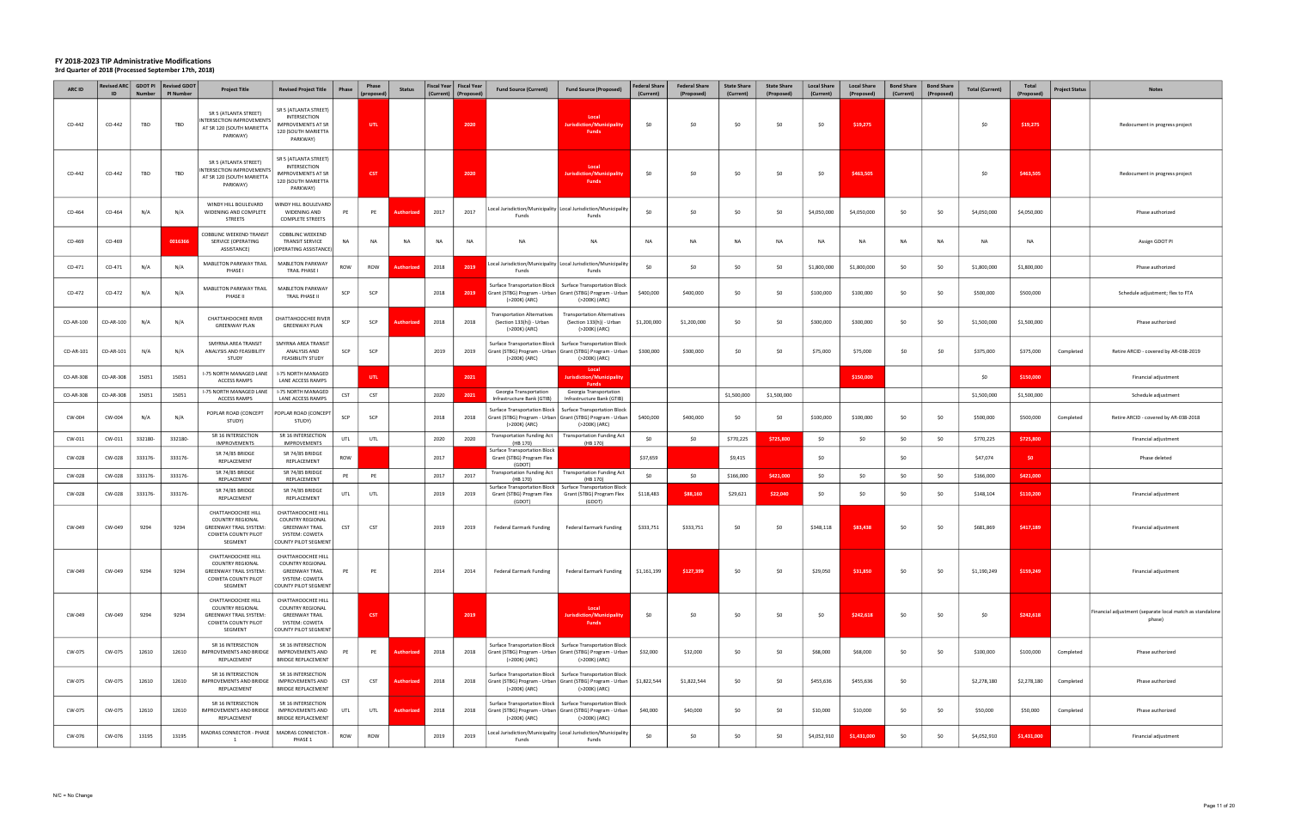| ARC ID    | ID        | <b>Number</b> | Revised ARC   GDOT PI   Revised GDOT<br><b>PI Number</b> | <b>Project Title</b>                                                                                             | <b>Revised Project Title</b>                                                                                     | Phase      | Phase<br>(proposed) | <b>Status</b>     | Fiscal Year   Fiscal Year<br>(Current) | (Proposed) | <b>Fund Source (Current)</b>                                                    | <b>Fund Source (Proposed)</b>                                                                                                               | <b>Federal Share</b><br>(Current) | <b>Federal Share</b><br>(Proposed) | <b>State Share</b><br>(Current) | <b>State Share</b><br>(Proposed) | <b>Local Share</b><br>(Current) | <b>Local Share</b><br>(Proposed) | <b>Bond Share</b><br>(Current) | <b>Bond Share</b><br>(Proposed) | <b>Total (Current)</b> | Total<br>(Proposed) | <b>Project Status</b> | <b>Notes</b>                                                       |
|-----------|-----------|---------------|----------------------------------------------------------|------------------------------------------------------------------------------------------------------------------|------------------------------------------------------------------------------------------------------------------|------------|---------------------|-------------------|----------------------------------------|------------|---------------------------------------------------------------------------------|---------------------------------------------------------------------------------------------------------------------------------------------|-----------------------------------|------------------------------------|---------------------------------|----------------------------------|---------------------------------|----------------------------------|--------------------------------|---------------------------------|------------------------|---------------------|-----------------------|--------------------------------------------------------------------|
| CO-442    | CO-442    | TBD           | TBD                                                      | SR 5 (ATLANTA STREET)<br>INTERSECTION IMPROVEMENTS<br>AT SR 120 (SOUTH MARIETTA<br>PARKWAY)                      | SR 5 (ATLANTA STREET)<br>INTERSECTION<br><b>IMPROVEMENTS AT SR</b><br>120 (SOUTH MARIETTA<br>PARKWAY)            |            | UTL <sub>1</sub>    |                   |                                        | 2020       |                                                                                 | Local<br>Jurisdiction/Municipality<br><b>Funds</b>                                                                                          | \$0                               | \$0                                | -SO                             | \$0                              | \$0                             | \$19,275                         |                                |                                 | \$0                    | \$19,275            |                       | Redocument in progress project                                     |
| CO-442    | CO-442    | TBD           | TBD                                                      | SR 5 (ATLANTA STREET)<br>INTERSECTION IMPROVEMENTS<br>AT SR 120 (SOUTH MARIETTA<br>PARKWAY)                      | SR 5 (ATLANTA STREET)<br>INTERSECTION<br>MPROVEMENTS AT SR<br>120 (SOUTH MARIETTA<br>PARKWAY)                    |            | <b>CST</b>          |                   |                                        | 2020       |                                                                                 | Local<br>urisdiction/Municipalit<br><b>Funds</b>                                                                                            | \$0                               | \$0                                | -SO                             | \$0                              | \$0                             | \$463,505                        |                                |                                 | - \$0                  | \$463,505           |                       | Redocument in progress project                                     |
| CO-464    | CO-464    | N/A           | N/A                                                      | WINDY HILL BOULEVARD<br>WIDENING AND COMPLETE<br><b>STREETS</b>                                                  | <b>NINDY HILL BOULEVARD</b><br>WIDENING AND<br><b>COMPLETE STREETS</b>                                           | PE         | PE                  | Authorized        | 2017                                   | 2017       | Funds                                                                           | Local Jurisdiction/Municipality Local Jurisdiction/Municipality<br>Funds                                                                    | -SO                               | \$0                                | -SO                             | \$0                              | \$4,050,000                     | \$4,050,000                      | \$0                            | \$0                             | \$4,050,000            | \$4,050,000         |                       | Phase authorized                                                   |
| CO-469    | CO-469    |               | 0016366                                                  | COBBLINC WEEKEND TRANSIT<br>SERVICE (OPERATING<br>ASSISTANCE)                                                    | <b>COBBLINC WEEKEND</b><br><b>TRANSIT SERVICE</b><br>OPERATING ASSISTANCE)                                       | NA         | NA                  | NA                | NA                                     | NA         | NA                                                                              | NA                                                                                                                                          | NA                                | NA                                 | <b>NA</b>                       | NA                               | <b>NA</b>                       | <b>NA</b>                        | <b>NA</b>                      | NA                              | NA                     | NA                  |                       | Assign GDOT PI                                                     |
| CO-471    | CO-471    | N/A           | N/A                                                      | MABLETON PARKWAY TRAIL<br>PHASE I                                                                                | MABLETON PARKWAY<br>TRAIL PHASE I                                                                                | ROW        | ROW                 |                   | 2018                                   | 2019       | Funds                                                                           | ocal Jurisdiction/Municipality   Local Jurisdiction/Municipality<br>Funds                                                                   | \$0                               | \$0                                | -SO                             | \$0                              | \$1,800,000                     | \$1,800,000                      | \$0                            | -SO                             | \$1,800,000            | \$1,800,000         |                       | Phase authorized                                                   |
| CO-472    | CO-472    | N/A           | N/A                                                      | <b>MABLETON PARKWAY TRAIL</b><br>PHASE II                                                                        | MABLETON PARKWAY<br>TRAIL PHASE II                                                                               | SCP        | SCP                 |                   | 2018                                   | 2019       | Surface Transportation Block  <br>(>200K) (ARC)                                 | <b>Surface Transportation Block</b><br>Grant (STBG) Program - Urban   Grant (STBG) Program - Urban<br>(>200K) (ARC)                         | \$400,000                         | \$400,000                          | \$0                             | \$0                              | \$100,000                       | \$100,000                        | \$0                            | \$0                             | \$500,000              | \$500,000           |                       | Schedule adjustment; flex to FTA                                   |
| CO-AR-100 | CO-AR-100 | N/A           | N/A                                                      | CHATTAHOOCHEE RIVER<br><b>GREENWAY PLAN</b>                                                                      | CHATTAHOOCHEE RIVER<br><b>GREENWAY PLAN</b>                                                                      | SCP        | SCP                 | <b>\uthoriz</b>   | 2018                                   | 2018       | <b>Transportation Alternatives</b><br>(Section 133(h)) - Urban<br>(>200K) (ARC) | <b>Transportation Alternatives</b><br>(Section 133(h)) - Urban<br>(>200K) (ARC)                                                             | \$1,200,000                       | \$1,200,000                        | \$0                             | \$0                              | \$300,000                       | \$300,000                        | \$0                            | \$0                             | \$1,500,000            | \$1,500,000         |                       | Phase authorized                                                   |
| CO-AR-101 | CO-AR-101 | N/A           | N/A                                                      | SMYRNA AREA TRANSIT<br>ANALYSIS AND FEASIBILITY<br>STUDY                                                         | SMYRNA AREA TRANSIT<br>ANALYSIS AND<br><b>FEASIBILITY STUDY</b>                                                  | SCP        | SCP                 |                   | 2019                                   | 2019       | Surface Transportation Block  <br>(>200K) (ARC)                                 | <b>Surface Transportation Block</b><br>Grant (STBG) Program - Urban Grant (STBG) Program - Urban<br>(>200K) (ARC)                           | \$300,000                         | \$300,000                          | \$0                             | \$0                              | \$75,000                        | \$75,000                         | \$0                            | SO.                             | \$375,000              | \$375,000           | Completed             | Retire ARCID - covered by AR-038-2019                              |
| CO-AR-308 | CO-AR-308 | 15051         | 15051                                                    | I-75 NORTH MANAGED LANE<br>ACCESS RAMPS                                                                          | I-75 NORTH MANAGED<br>LANE ACCESS RAMPS                                                                          |            | UTL                 |                   |                                        | 2021       |                                                                                 | Local<br><b>Jurisdiction/Municipality</b><br>Funds                                                                                          |                                   |                                    |                                 |                                  |                                 | \$150,000                        |                                |                                 | \$0                    | \$150,000           |                       | Financial adjustment                                               |
| CO-AR-308 | CO-AR-308 | 15051         | 15051                                                    | I-75 NORTH MANAGED LANE<br>ACCESS RAMPS                                                                          | I-75 NORTH MANAGED<br>LANE ACCESS RAMPS                                                                          | <b>CST</b> | <b>CST</b>          |                   | 2020                                   | 2021       | Georgia Transportation<br>Infrastructure Bank (GTIB)                            | Georgia Transportation<br>Infrastructure Bank (GTIB)                                                                                        |                                   |                                    | \$1,500,000                     | \$1,500,000                      |                                 |                                  |                                |                                 | \$1,500,000            | \$1,500,000         |                       | Schedule adjustment                                                |
| CW-004    | CW-004    | N/A           | N/A                                                      | POPLAR ROAD (CONCEPT<br>STUDY)                                                                                   | POPLAR ROAD (CONCEPT<br>STUDY)                                                                                   | SCP        | SCP                 |                   | 2018                                   | 2018       | Surface Transportation Block<br>(>200K) (ARC)                                   | <b>Surface Transportation Block</b><br>Grant (STBG) Program - Urban   Grant (STBG) Program - Urban<br>(>200K) (ARC)                         | \$400,000                         | \$400,000                          | \$0                             | \$0                              | \$100,000                       | \$100,000                        | \$0                            | \$0                             | \$500,000              | \$500,000           | Completed             | Retire ARCID - covered by AR-038-2018                              |
| CW-011    | CW-011    | 332180-       | 332180-                                                  | SR 16 INTERSECTION<br><b>IMPROVEMENTS</b>                                                                        | SR 16 INTERSECTION<br>IMPROVEMENTS                                                                               | UTL        | UTL                 |                   | 2020                                   | 2020       | <b>Transportation Funding Act</b><br>(HB 170)                                   | <b>Transportation Funding Act</b><br>(HB 170)                                                                                               | \$0                               | \$0                                | \$770,225                       | \$725,800                        | \$0                             | \$0                              | \$0                            | \$0                             | \$770,225              | \$725,800           |                       | Financial adjustment                                               |
| CW-028    | CW-028    | 333176-       | 333176-                                                  | SR 74/85 BRIDGE<br>REPLACEMENT                                                                                   | SR 74/85 BRIDGE<br>REPLACEMENT                                                                                   | ROW        |                     |                   | 2017                                   |            | <b>Surface Transportation Block</b><br>Grant (STBG) Program Flex<br>(GDOT)      |                                                                                                                                             | \$37,659                          |                                    | \$9,415                         |                                  | \$0                             |                                  | \$0                            |                                 | \$47,074               | <b>SO</b>           |                       | Phase deleted                                                      |
| CW-028    | CW-028    | 333176-       | 333176-                                                  | SR 74/85 BRIDGE<br>REPLACEMENT                                                                                   | SR 74/85 BRIDGE<br>REPLACEMENT                                                                                   | PE         | PE                  |                   | 2017                                   | 2017       | Transportation Funding Act<br>(HB 170)                                          | <b>Transportation Funding Act</b><br>(HB 170)                                                                                               | \$0                               | \$0                                | \$166,000                       | \$421,000                        | \$0                             | \$0                              | \$0                            | \$0                             | \$166,000              | \$421,000           |                       |                                                                    |
| CW-028    | CW-028    | 333176-       | 333176-                                                  | SR 74/85 BRIDGE<br>REPLACEMENT                                                                                   | SR 74/85 BRIDGE<br>REPLACEMENT                                                                                   | UTL        | UTL                 |                   | 2019                                   | 2019       | Surface Transportation Block  <br>Grant (STBG) Program Flex<br>(GDOT)           | <b>Surface Transportation Block</b><br>Grant (STBG) Program Flex<br>(GDOT)                                                                  | \$118,483                         | \$88,160                           | \$29,621                        | \$22,040                         | \$0                             | \$0                              | \$0                            | \$0                             | \$148,104              | \$110,200           |                       | Financial adjustment                                               |
| CW-049    | CW-049    | 9294          | 9294                                                     | CHATTAHOOCHEE HILL<br><b>COUNTRY REGIONAL</b><br><b>GREENWAY TRAIL SYSTEM:</b><br>COWETA COUNTY PILOT<br>SEGMENT | CHATTAHOOCHEE HILL<br>COUNTRY REGIONAL<br><b>GREENWAY TRAIL</b><br>SYSTEM: COWETA<br>COUNTY PILOT SEGMENT        | <b>CST</b> | CST                 |                   | 2019                                   | 2019       | <b>Federal Earmark Funding</b>                                                  | <b>Federal Earmark Funding</b>                                                                                                              | \$333,751                         | \$333,751                          | \$0                             | \$0                              | \$348,118                       | \$83,438                         | \$0                            | \$0                             | \$681,869              | \$417,189           |                       | Financial adjustment                                               |
| CW-049    | CW-049    | 9294          | 9294                                                     | CHATTAHOOCHEE HILL<br><b>COUNTRY REGIONAL</b><br><b>GREENWAY TRAIL SYSTEM:</b><br>COWETA COUNTY PILOT<br>SEGMENT | CHATTAHOOCHEE HILL<br><b>COUNTRY REGIONAL</b><br><b>GREENWAY TRAIL</b><br>SYSTEM: COWETA<br>COUNTY PILOT SEGMENT | PE         | PE                  |                   | 2014                                   | 2014       | Federal Earmark Funding                                                         | Federal Earmark Funding                                                                                                                     | \$1,161,199                       | \$127,399                          | \$0                             | \$0                              | \$29,050                        | \$31,850                         | \$0                            | \$0                             | \$1,190,249            | \$159,249           |                       | Financial adjustment                                               |
| CW-049    | CW-049    | 9294          | 9294                                                     | CHATTAHOOCHEE HILL<br><b>COUNTRY REGIONAL</b><br><b>GREENWAY TRAIL SYSTEM:</b><br>COWETA COUNTY PILOT<br>SEGMENT | CHATTAHOOCHEE HILL<br><b>COUNTRY REGIONAL</b><br><b>GREENWAY TRAIL</b><br>SYSTEM: COWETA<br>COUNTY PILOT SEGMENT |            | <b>CST</b>          |                   |                                        | 2019       |                                                                                 | Local<br><b>Jurisdiction/Municipality</b><br><b>Funds</b>                                                                                   | \$0                               | \$0                                | \$0                             | \$0                              | \$0                             | \$242,618                        | \$0                            | \$0                             | \$0                    | \$242,618           |                       | Financial adjustment (separate local match as standalone<br>phase) |
| CW-075    | CW-075    | 12610         | 12610                                                    | SR 16 INTERSECTION<br><b>IMPROVEMENTS AND BRIDGE</b><br>REPLACEMENT                                              | SR 16 INTERSECTION<br><b>IMPROVEMENTS AND</b><br><b>BRIDGE REPLACEMENT</b>                                       | PE         | PE                  | Authorized        | 2018                                   | 2018       | (>200K) (ARC)                                                                   | Surface Transportation Block   Surface Transportation Block<br>Grant (STBG) Program - Urban   Grant (STBG) Program - Urban<br>(>200K) (ARC) | \$32,000                          | \$32,000                           | \$0                             | \$0                              | \$68,000                        | \$68,000                         | \$0                            | \$0                             | \$100,000              | \$100,000           | Completed             | Phase authorized                                                   |
| CW-075    | CW-075    | 12610         | 12610                                                    | SR 16 INTERSECTION<br>IMPROVEMENTS AND BRIDGE<br>REPLACEMENT                                                     | SR 16 INTERSECTION<br><b>IMPROVEMENTS AND</b><br><b>BRIDGE REPLACEMENT</b>                                       | <b>CST</b> | CST                 | Authorized        | 2018                                   | 2018       | Surface Transportation Block  <br>(>200K) (ARC)                                 | <b>Surface Transportation Block</b><br>Grant (STBG) Program - Urban   Grant (STBG) Program - Urban<br>(>200K) (ARC)                         | \$1,822,544                       | \$1,822,544                        | \$0                             | \$0                              | \$455,636                       | \$455,636                        | \$0                            |                                 | \$2,278,180            | \$2,278,180         | Completed             | Phase authorized                                                   |
| CW-075    | CW-075    | 12610         | 12610                                                    | SR 16 INTERSECTION<br><b>IMPROVEMENTS AND BRIDGE</b><br>REPLACEMENT                                              | SR 16 INTERSECTION<br><b>IMPROVEMENTS AND</b><br><b>BRIDGE REPLACEMENT</b>                                       | UTL        | UTL                 | <b>Authorized</b> | 2018                                   | 2018       | Surface Transportation Block  <br>(>200K) (ARC)                                 | <b>Surface Transportation Block</b><br>Grant (STBG) Program - Urban   Grant (STBG) Program - Urban<br>(>200K) (ARC)                         | \$40,000                          | \$40,000                           | \$0                             | \$0                              | \$10,000                        | \$10,000                         | \$0                            | \$0                             | \$50,000               | \$50,000            | Completed             | Phase authorized                                                   |
| CW-076    | CW-076    | 13195         | 13195                                                    | MADRAS CONNECTOR - PHASE<br>1                                                                                    | MADRAS CONNECTOR -<br>PHASE 1                                                                                    | ROW        | ROW                 |                   | 2019                                   | 2019       | Funds                                                                           | Local Jurisdiction/Municipality   Local Jurisdiction/Municipality<br>Funds                                                                  | \$0                               | \$0                                | \$0                             | \$0                              | \$4,052,910                     | \$1,431,000                      | \$0                            | \$0                             | \$4,052,910            | \$1,431,000         |                       | Financial adjustment                                               |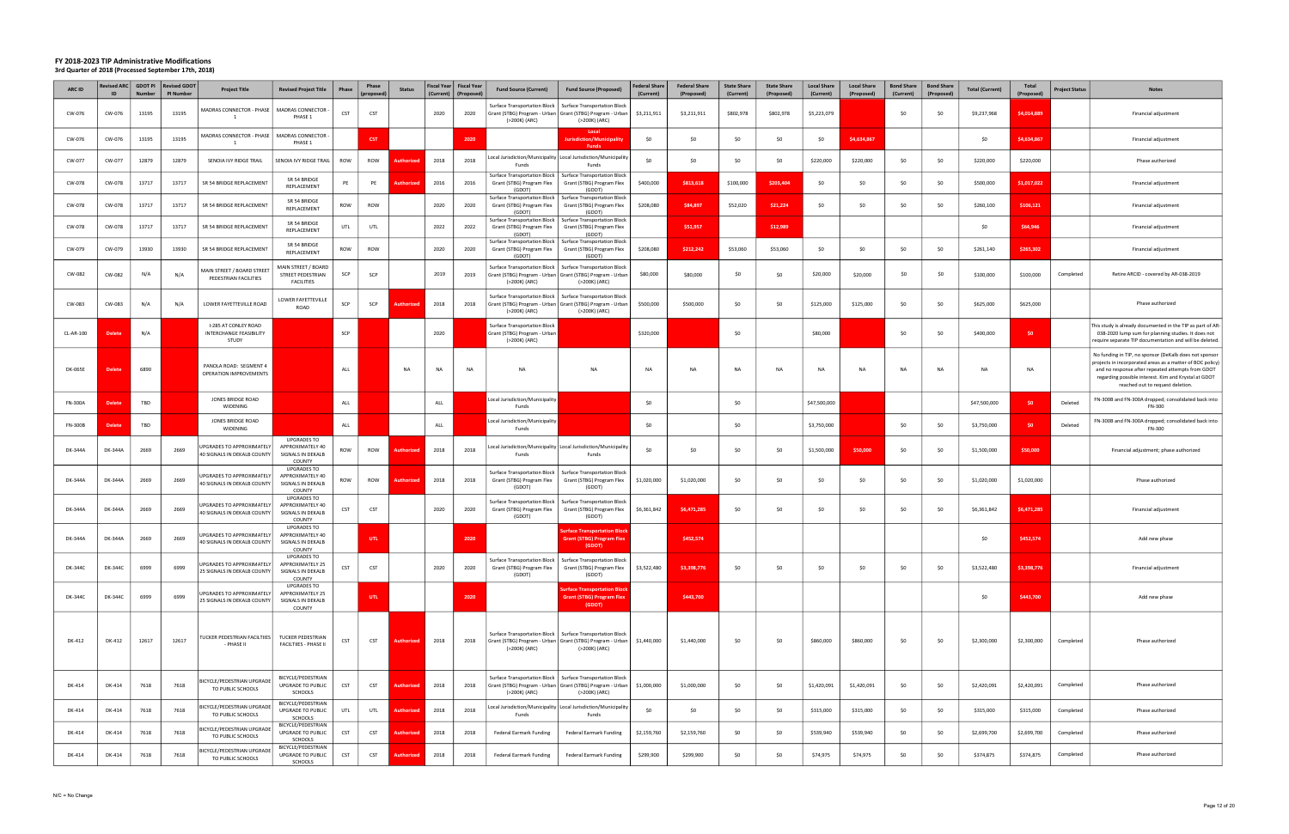| ARC ID         | <b>Revised ARC</b><br>ID | <b>GDOT PI</b><br><b>Number</b> | <b>Revised GDOT</b><br>PI Number | <b>Project Title</b>                                            | <b>Revised Project Title</b>                                           | Phase      | Phase<br>(proposed) | <b>Status</b>     | Fiscal Year   Fiscal Year<br>(Current) | (Proposed) | <b>Fund Source (Current)</b>                                                                                                                  | <b>Fund Source (Proposed)</b>                                                                                       | Federal Share<br>(Current) | <b>Federal Share</b><br>(Proposed) | <b>State Share</b><br>(Current) | <b>State Share</b><br>(Proposed) | <b>Local Share</b><br>(Current) | <b>Local Share</b><br>(Proposed) | <b>Bond Share</b><br>(Current) | <b>Bond Share</b><br>(Proposed) | <b>Total (Current)</b> | Total<br>(Proposed) | <b>Project Status</b> | <b>Notes</b>                                                                                                                                                                                                                                                         |
|----------------|--------------------------|---------------------------------|----------------------------------|-----------------------------------------------------------------|------------------------------------------------------------------------|------------|---------------------|-------------------|----------------------------------------|------------|-----------------------------------------------------------------------------------------------------------------------------------------------|---------------------------------------------------------------------------------------------------------------------|----------------------------|------------------------------------|---------------------------------|----------------------------------|---------------------------------|----------------------------------|--------------------------------|---------------------------------|------------------------|---------------------|-----------------------|----------------------------------------------------------------------------------------------------------------------------------------------------------------------------------------------------------------------------------------------------------------------|
| CW-076         | CW-076                   | 13195                           | 13195                            | MADRAS CONNECTOR - PHASE                                        | MADRAS CONNECTOR -<br>PHASE 1                                          | CST        | CST                 |                   | 2020                                   | 2020       | Surface Transportation Block  <br>(>200K) (ARC)                                                                                               | <b>Surface Transportation Block</b><br>Grant (STBG) Program - Urban   Grant (STBG) Program - Urban<br>(>200K) (ARC) | \$3,211,911                | \$3,211,911                        | \$802,978                       | \$802,978                        | \$5,223,079                     |                                  | \$0                            | S0                              | \$9,237,968            | \$4,014,889         |                       | Financial adjustment                                                                                                                                                                                                                                                 |
| CW-076         | CW-076                   | 13195                           | 13195                            | MADRAS CONNECTOR - PHASE                                        | MADRAS CONNECTOR -<br>PHASE 1                                          |            | <b>CST</b>          |                   |                                        | 2020       |                                                                                                                                               | Local<br>Jurisdiction/Municipality<br><b>Funds</b>                                                                  | \$0                        | \$0                                | \$0                             | \$0                              | \$0                             | \$4,634,867                      |                                |                                 | \$0                    | \$4,634,867         |                       | Financial adjustment                                                                                                                                                                                                                                                 |
| CW-077         | CW-077                   | 12879                           | 12879                            | SENOIA IVY RIDGE TRAIL                                          | SENOIA IVY RIDGE TRAIL                                                 | ROW        | ROW                 | Authorize         | 2018                                   | 2018       | Local Jurisdiction/Municipality Local Jurisdiction/Municipality<br>Funds                                                                      | Funds                                                                                                               | . ሩስ                       | \$0                                | -SO                             | \$0                              | \$220,000                       | \$220,000                        | \$0                            | \$0                             | \$220,000              | \$220,000           |                       | Phase authorized                                                                                                                                                                                                                                                     |
| CW-078         | CW-078                   | 13717                           | 13717                            | SR 54 BRIDGE REPLACEMENT                                        | SR 54 BRIDGE<br>REPLACEMENT                                            | PE         | PE                  | <b>Authorize</b>  | 2016                                   | 2016       | Surface Transportation Block  <br>Grant (STBG) Program Flex<br>(GDOT)                                                                         | <b>Surface Transportation Block</b><br>Grant (STBG) Program Flex<br>(GDOT)                                          | \$400,000                  | \$813,618                          | \$100,000                       | \$203,404                        | \$0                             | \$0                              | \$0                            | \$0                             | \$500,000              | \$1,017,022         |                       | Financial adjustment                                                                                                                                                                                                                                                 |
| CW-078         | CW-078                   | 13717                           | 13717                            | SR 54 BRIDGE REPLACEMENT                                        | SR 54 BRIDGE<br>REPLACEMENT                                            | ROW        | ROW                 |                   | 2020                                   | 2020       | Grant (STBG) Program Flex<br>(GDOT)                                                                                                           | Surface Transportation Block   Surface Transportation Block<br>Grant (STBG) Program Flex<br>(GDOT)                  | \$208,080                  | \$84,897                           | \$52,020                        | \$21,224                         | \$0                             | -SO                              | \$0                            | -SO                             | \$260,100              | \$106,121           |                       | Financial adjustment                                                                                                                                                                                                                                                 |
| CW-078         | CW-078                   | 13717                           | 13717                            | SR 54 BRIDGE REPLACEMENT                                        | SR 54 BRIDGE<br>REPLACEMENT                                            | UTL        | UTL                 |                   | 2022                                   | 2022       | Surface Transportation Block  <br>Grant (STBG) Program Flex<br>(GDOT)                                                                         | <b>Surface Transportation Block</b><br>Grant (STBG) Program Flex<br>(GDOT)                                          |                            | \$51,957                           |                                 | \$12,989                         |                                 |                                  |                                |                                 | \$0                    | \$64,946            |                       | Financial adjustment                                                                                                                                                                                                                                                 |
| CW-079         | CW-079                   | 13930                           | 13930                            | SR 54 BRIDGE REPLACEMENT                                        | SR 54 BRIDGE<br>REPLACEMENT                                            | ROW        | ROW                 |                   | 2020                                   | 2020       | Surface Transportation Block  <br>Grant (STBG) Program Flex<br>(GDOT)                                                                         | <b>Surface Transportation Block</b><br>Grant (STBG) Program Flex<br>(GDOT)                                          | \$208,080                  | \$212,242                          | \$53,060                        | \$53,060                         | \$0                             | -SO                              | \$0                            | \$0                             | \$261,140              | \$265,302           |                       | Financial adjustment                                                                                                                                                                                                                                                 |
| CW-082         | CW-082                   | N/A                             | N/A                              | MAIN STREET / BOARD STREET<br>PEDESTRIAN FACILITIES             | <b>MAIN STREET / BOARD</b><br>STREET PEDESTRIAN<br><b>FACILITIES</b>   | SCP        | SCP                 |                   | 2019                                   | 2019       | Surface Transportation Block  <br>Grant (STBG) Program - Urban   Grant (STBG) Program - Urban<br>(>200K) (ARC)                                | <b>Surface Transportation Block</b><br>(>200K) (ARC)                                                                | \$80,000                   | \$80,000                           | \$0                             | \$0                              | \$20,000                        | \$20,000                         | \$0                            | SO.                             | \$100,000              | \$100,000           | Completed             | Retire ARCID - covered by AR-038-2019                                                                                                                                                                                                                                |
| CW-083         | CW-083                   | N/A                             | N/A                              | LOWER FAYETTEVILLE ROAD                                         | LOWER FAYETTEVILLE<br><b>ROAD</b>                                      | SCP        | SCP                 | uthorize          | 2018                                   | 2018       | Surface Transportation Block   Surface Transportation Block<br>Grant (STBG) Program - Urban   Grant (STBG) Program - Urban<br>(>200K) (ARC)   | (>200K) (ARC)                                                                                                       | \$500,000                  | \$500,000                          | \$0                             | \$0                              | \$125,000                       | \$125,000                        | \$0                            | \$0                             | \$625,000              | \$625,000           |                       | Phase authorized                                                                                                                                                                                                                                                     |
| CL-AR-100      | Delete                   | N/A                             |                                  | I-285 AT CONLEY ROAD<br>INTERCHANGE FEASIBILITY<br>STUDY        |                                                                        | SCP        |                     |                   | 2020                                   |            | <b>Surface Transportation Block</b><br>rant (STBG) Program - Urban<br>(>200K) (ARC)                                                           |                                                                                                                     | \$320,000                  |                                    | \$0                             |                                  | \$80,000                        |                                  | \$0                            | \$0                             | \$400,000              | SO                  |                       | This study is already documented in the TIP as part of AR-<br>038-2020 lump sum for planning studies. It does not<br>require separate TIP documentation and will be deleted.                                                                                         |
| <b>DK-065E</b> | <b>Delete</b>            | 6890                            |                                  | PANOLA ROAD: SEGMENT 4<br>OPERATION IMPROVEMENTS                |                                                                        | ALL        |                     | <b>NA</b>         | NA                                     | <b>NA</b>  | NA                                                                                                                                            | <b>NA</b>                                                                                                           | <b>NA</b>                  | NA                                 | <b>NA</b>                       | <b>NA</b>                        | <b>NA</b>                       | NA                               | <b>NA</b>                      | NA                              | <b>NA</b>              | <b>NA</b>           |                       | No funding in TIP, no sponsor (DeKalb does not sponsor<br>projects in incorporated areas as a matter of BOC policy)<br>and no response after repeated attempts from GDOT<br>regarding possible interest. Kim and Krystal at GDOT<br>reached out to request deletion. |
| <b>FN-300A</b> | Delete                   | TBD                             |                                  | JONES BRIDGE ROAD<br>WIDENING                                   |                                                                        | ALL        |                     |                   | ALL                                    |            | Local Jurisdiction/Municipality<br>Funds                                                                                                      |                                                                                                                     | \$0                        |                                    | \$0                             |                                  | \$47,500,000                    |                                  |                                |                                 | \$47,500,000           | SO.                 | Deleted               | FN-300B and FN-300A dropped; consolidated back into<br>FN-300                                                                                                                                                                                                        |
| <b>FN-300B</b> | Delete                   | TBD                             |                                  | JONES BRIDGE ROAD<br>WIDENING                                   |                                                                        | ALL        |                     |                   | ALL                                    |            | ocal Jurisdiction/Municipality<br>Funds                                                                                                       |                                                                                                                     | \$0                        |                                    | \$0                             |                                  | \$3,750,000                     |                                  | \$0                            | \$0                             | \$3,750,000            | \$0                 | Deleted               | FN-300B and FN-300A dropped; consolidated back into<br>FN-300                                                                                                                                                                                                        |
| DK-344A        | DK-344A                  | 2669                            | 2669                             | JPGRADES TO APPROXIMATELY<br>40 SIGNALS IN DEKALB COUNTY        | <b>UPGRADES TO</b><br>APPROXIMATELY 40<br>SIGNALS IN DEKALB<br>COUNTY  | ROW        | ROW                 | <b>Authorize</b>  | 2018                                   | 2018       | Local Jurisdiction/Municipality   Local Jurisdiction/Municipality<br>Funds                                                                    | Funds                                                                                                               | \$0                        | \$0                                | \$0                             | \$0                              | \$1,500,000                     | \$50,000                         | \$0                            | \$0                             | \$1,500,000            | \$50,000            |                       | Financial adjustment; phase authorized                                                                                                                                                                                                                               |
| DK-344A        | <b>DK-344A</b>           | 2669                            | 2669                             | JPGRADES TO APPROXIMATELY<br>40 SIGNALS IN DEKALB COUNTY        | <b>UPGRADES TO</b><br>APPROXIMATELY 40<br>SIGNALS IN DEKALB<br>COUNTY  | ROW        | ROW                 | Authorize         | 2018                                   | 2018       | <b>Surface Transportation Block</b><br>Grant (STBG) Program Flex<br>(GDOT)                                                                    | <b>Surface Transportation Block</b><br>Grant (STBG) Program Flex<br>(GDOT)                                          | \$1,020,000                | \$1,020,000                        | \$0                             | \$0                              | \$0                             | \$0                              | \$0                            | \$0                             | \$1,020,000            | \$1,020,000         |                       | Phase authorized                                                                                                                                                                                                                                                     |
| DK-344A        | DK-344A                  | 2669                            | 2669                             | JPGRADES TO APPROXIMATELY<br>40 SIGNALS IN DEKALB COUNTY        | <b>UPGRADES TO</b><br>APPROXIMATELY 40<br>SIGNALS IN DEKALB<br>COUNTY  | CST        | CST                 |                   | 2020                                   | 2020       | Surface Transportation Block<br>Grant (STBG) Program Flex<br>(GDOT)                                                                           | <b>Surface Transportation Block</b><br>Grant (STBG) Program Flex<br>(GDOT)                                          | \$6,361,842                | \$6,471,285                        | \$0                             | \$0                              | \$0                             | \$0                              | \$0                            | \$0                             | \$6,361,842            | \$6,471,285         |                       | Financial adjustment                                                                                                                                                                                                                                                 |
| DK-344A        | <b>DK-344A</b>           | 2669                            | 2669                             | <b>IPGRADES TO APPROXIMATELY</b><br>40 SIGNALS IN DEKALB COUNTY | <b>UPGRADES TO</b><br>APPROXIMATELY 40<br>SIGNALS IN DEKALB<br>COLINTY |            | UTL.                |                   |                                        | 2020       |                                                                                                                                               | <b>rface Transportation Bloc</b><br><b>Grant (STBG) Program Flex</b><br>(GDOT)                                      |                            | \$452.574                          |                                 |                                  |                                 |                                  |                                |                                 | \$0                    | \$452,574           |                       | Add new phase                                                                                                                                                                                                                                                        |
| DK-344C        | DK-344C                  | 6999                            | 6999                             | UPGRADES TO APPROXIMATELY<br>25 SIGNALS IN DEKALB COUNTY        | <b>UPGRADES TO</b><br>APPROXIMATELY 25<br>SIGNALS IN DEKALB<br>COUNTY  | CST        | CST                 |                   | 2020                                   | 2020       | Surface Transportation Block<br>Grant (STBG) Program Flex<br>(GDOT)                                                                           | <b>Surface Transportation Block</b><br>Grant (STBG) Program Flex<br>(GDOT)                                          | \$3,522,480                | \$3,398,776                        | \$0                             | \$0                              | \$0                             | \$0                              | \$0                            | \$0                             | \$3,522,480            | \$3,398,776         |                       | Financial adjustment                                                                                                                                                                                                                                                 |
| DK-344C        | DK-344C                  | 6999                            | 6999                             | <b>UPGRADES TO APPROXIMATELY</b><br>25 SIGNALS IN DEKALB COUNTY | <b>UPGRADES TO</b><br>APPROXIMATELY 25<br>SIGNALS IN DEKALB<br>COUNTY  |            | UTL.                |                   |                                        | 2020       |                                                                                                                                               | urface Transportation Blocl<br><b>Grant (STBG) Program Flex</b><br>(GDOT)                                           |                            | \$443,700                          |                                 |                                  |                                 |                                  |                                |                                 | \$0                    | \$443,700           |                       | Add new phase                                                                                                                                                                                                                                                        |
| DK-412         | DK-412                   | 12617                           | 12617                            | TUCKER PEDESTRIAN FACILTIIES<br>- PHASE II                      | TUCKER PEDESTRIAN<br><b>FACILTIIES - PHASE II</b>                      | CST        | CST                 | Authorized        | 2018                                   | 2018       | Grant (STBG) Program - Urban   Grant (STBG) Program - Urban  <br>(>200K) (ARC)                                                                | Surface Transportation Block   Surface Transportation Block<br>(>200K) (ARC)                                        | \$1,440,000                | \$1,440,000                        | \$0                             | \$0                              | \$860,000                       | \$860,000                        | \$0                            | \$0                             | \$2,300,000            | \$2,300,000         | Completed             | Phase authorized                                                                                                                                                                                                                                                     |
| DK-414         | DK-414                   | 7618                            | 7618                             | BICYCLE/PEDESTRIAN UPGRADE<br>TO PUBLIC SCHOOLS                 | BICYCLE/PEDESTRIAN<br>UPGRADE TO PUBLIC<br>SCHOOLS                     | <b>CST</b> | <b>CST</b>          | <b>Authorized</b> | 2018                                   | 2018       | Surface Transportation Block   Surface Transportation Block<br>Grant (STBG) Program - Urban   Grant (STBG) Program - Urban  <br>(>200K) (ARC) | (>200K) (ARC)                                                                                                       | \$1,000,000                | \$1,000,000                        | \$0                             | \$0                              | \$1,420,091                     | \$1,420,091                      | \$0                            | \$0                             | \$2,420,091            | \$2,420,091         | Completed             | Phase authorized                                                                                                                                                                                                                                                     |
| DK-414         | DK-414                   | 7618                            | 7618                             | <b>ICYCLE/PEDESTRIAN UPGRADE</b><br>TO PUBLIC SCHOOLS           | BICYCLE/PEDESTRIAN<br>UPGRADE TO PUBLIC<br>SCHOOLS                     | UTL        | UTL                 | Authorized        | 2018                                   | 2018       | Local Jurisdiction/Municipality   Local Jurisdiction/Municipality<br>Funds                                                                    | Funds                                                                                                               | \$0                        | \$0                                | \$0                             | \$0                              | \$315,000                       | \$315,000                        | \$0                            | \$0                             | \$315,000              | \$315,000           | Completed             | Phase authorized                                                                                                                                                                                                                                                     |
| DK-414         | DK-414                   | 7618                            | 7618                             | BICYCLE/PEDESTRIAN UPGRADE<br>TO PUBLIC SCHOOLS                 | BICYCLE/PEDESTRIAN<br>UPGRADE TO PUBLIC<br><b>SCHOOLS</b>              | <b>CST</b> | CST                 | Authorized        | 2018                                   | 2018       | <b>Federal Earmark Funding</b>                                                                                                                | <b>Federal Earmark Funding</b>                                                                                      | \$2,159,760                | \$2,159,760                        | \$0                             | \$0                              | \$539,940                       | \$539,940                        | \$0                            | \$0                             | \$2,699,700            | \$2,699,700         | Completed             | Phase authorized                                                                                                                                                                                                                                                     |
| DK-414         | DK-414                   | 7618                            | 7618                             | BICYCLE/PEDESTRIAN UPGRADE<br>TO PUBLIC SCHOOLS                 | BICYCLE/PEDESTRIAN<br>UPGRADE TO PUBLIC<br>SCHOOLS                     | <b>CST</b> | <b>CST</b>          | Authorized        | 2018                                   | 2018       | <b>Federal Earmark Funding</b>                                                                                                                | Federal Earmark Funding                                                                                             | \$299,900                  | \$299,900                          | \$0                             | \$0                              | \$74,975                        | \$74,975                         | \$0                            | \$0                             | \$374,875              | \$374,875           | Completed             | Phase authorized                                                                                                                                                                                                                                                     |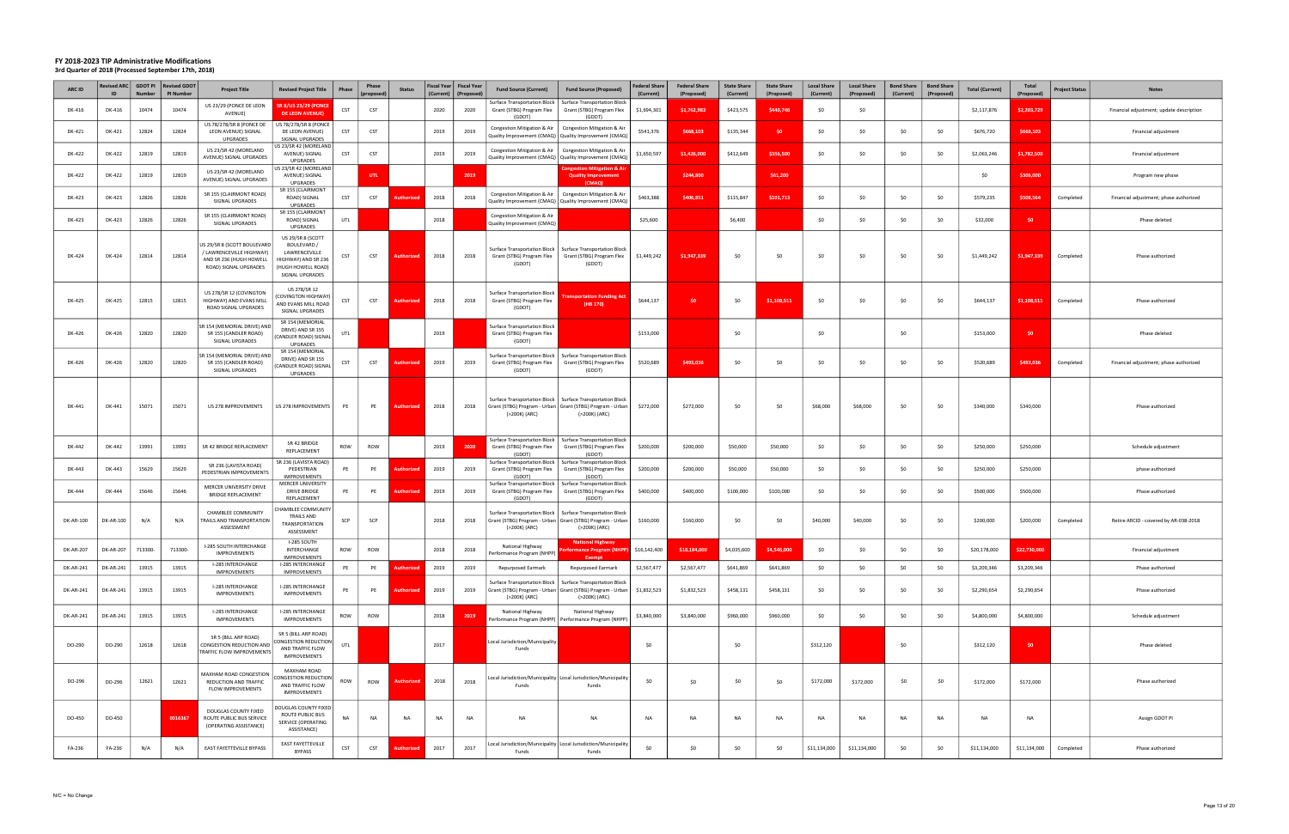| ARC ID    | Revised ARC   GDOT PI<br>ID     | <b>Number</b> | <b>Revised GDOT</b><br>PI Number | <b>Project Title</b>                                                                                        | <b>Revised Project Title</b>                                                                                      | <b>Phase</b> | Phase<br>(proposed | <b>Status</b>     | (Current) | Fiscal Year   Fiscal Year<br>(Proposed | <b>Fund Source (Current)</b>                                                                                 | <b>Fund Source (Proposed)</b>                                                                      | <b>Federal Share</b><br>(Current) | <b>Federal Share</b><br>(Proposed) | <b>State Share</b><br>(Current) | <b>State Share</b><br>(Proposed) | <b>Local Share</b><br>(Current) | <b>Local Share</b><br>(Proposed) | <b>Bond Share</b><br>(Current) | <b>Bond Share</b><br>(Proposed) | <b>Total (Current)</b> | <b>Total</b><br>(Proposed) | <b>Project Status</b> | <b>Notes</b>                             |
|-----------|---------------------------------|---------------|----------------------------------|-------------------------------------------------------------------------------------------------------------|-------------------------------------------------------------------------------------------------------------------|--------------|--------------------|-------------------|-----------|----------------------------------------|--------------------------------------------------------------------------------------------------------------|----------------------------------------------------------------------------------------------------|-----------------------------------|------------------------------------|---------------------------------|----------------------------------|---------------------------------|----------------------------------|--------------------------------|---------------------------------|------------------------|----------------------------|-----------------------|------------------------------------------|
| DK-416    | DK-416                          | 10474         | 10474                            | US 23/29 (PONCE DE LEON<br>AVENUE)                                                                          | <b>SR 8/US 23/29 (PONCE</b><br><b>DE LEON AVENUE)</b>                                                             | CST          | <b>CST</b>         |                   | 2020      | 2020                                   | Surface Transportation Block<br>Grant (STBG) Program Flex<br>(GDOT)                                          | <b>Surface Transportation Block</b><br>Grant (STBG) Program Flex<br>(GDOT)                         | \$1,694,301                       | \$1,762,983                        | \$423,575                       | \$440,746                        | \$0                             | \$0                              |                                |                                 | \$2,117,876            | \$2,203,729                |                       | Financial adjustment; update description |
| DK-421    | DK-421                          | 12824         | 12824                            | US 78/278/SR 8 (PONCE DE<br>LEON AVENUE) SIGNAL<br>UPGRADES                                                 | US 78/278/SR 8 (PONCE<br>DE LEON AVENUE)<br>SIGNAL UPGRADES                                                       | <b>CST</b>   | CST                |                   | 2019      | 2019                                   | Quality Improvement (CMAQ)   Quality Improvement (CMAQ                                                       | Congestion Mitigation & Air   Congestion Mitigation & Air                                          | \$541,376                         | \$668,103                          | \$135,344                       | \$0                              | \$0                             | \$0                              | \$0                            | \$0                             | \$676,720              | \$668,103                  |                       | Financial adjustment                     |
| DK-422    | DK-422                          | 12819         | 12819                            | US 23/SR 42 (MORELAND<br>AVENUE) SIGNAL UPGRADES                                                            | JS 23/SR 42 (MORELAND<br>AVENUE) SIGNAL<br><b>UPGRADES</b>                                                        | <b>CST</b>   | CST                |                   | 2019      | 2019                                   | Congestion Mitigation & Air<br>Quality Improvement (CMAQ)   Quality Improvement (CMAQ)                       | Congestion Mitigation & Air                                                                        | \$1,650,597                       | \$1,426,000                        | \$412,649                       | \$356,500                        | \$0                             | SO                               | \$0                            | S <sub>0</sub>                  | \$2,063,246            | \$1,782,500                |                       | Financial adjustment                     |
| DK-422    | DK-422                          | 12819         | 12819                            | US 23/SR 42 (MORELAND<br>AVENUE) SIGNAL UPGRADES                                                            | S 23/SR 42 (MORELAND<br>AVENUE) SIGNAL<br><b>UPGRADES</b>                                                         |              | UTL.               |                   |           | 2019                                   |                                                                                                              | <b>Congestion Mitigation &amp; Ai</b><br><b>Quality Improvement</b><br>(CMAQ)                      |                                   | \$244,800                          |                                 | \$61,200                         |                                 |                                  |                                |                                 | - SO                   | \$306,000                  |                       | Program new phase                        |
| DK-423    | DK-423                          | 12826         | 12826                            | SR 155 (CLAIRMONT ROAD)<br>SIGNAL UPGRADES                                                                  | SR 155 (CLAIRMONT<br>ROAD) SIGNAL<br>UPGRADES                                                                     | <b>CST</b>   | CST                |                   | 2018      | 2018                                   | Congestion Mitigation & Air<br>Quality Improvement (CMAQ)   Quality Improvement (CMAQ                        | Congestion Mitigation & Air                                                                        | \$463,388                         | \$406,851                          | \$115,847                       | \$101,713                        | \$0                             | \$0                              | \$0                            | S <sub>0</sub>                  | \$579,235              | \$508,564                  | Completed             | Financial adjustment; phase authorized   |
| DK-423    | DK-423                          | 12826         | 12826                            | SR 155 (CLAIRMONT ROAD)<br>SIGNAL UPGRADES                                                                  | SR 155 (CLAIRMONT<br>ROAD) SIGNAL<br><b>UPGRADES</b>                                                              | UTL          |                    |                   | 2018      |                                        | Congestion Mitigation & Air<br>Quality Improvement (CMAQ)                                                    |                                                                                                    | \$25,600                          |                                    | \$6,400                         |                                  | \$0                             | SO.                              | \$0                            | S <sub>0</sub>                  | \$32,000               | S <sub>0</sub>             |                       | Phase deleted                            |
| DK-424    | DK-424                          | 12814         | 12814                            | US 29/SR 8 (SCOTT BOULEVARD<br>/ LAWRENCEVILLE HIGHWAY)<br>AND SR 236 (HUGH HOWELL<br>ROAD) SIGNAL UPGRADES | US 29/SR 8 (SCOTT<br>BOULEVARD /<br>LAWRENCEVILLE<br>HIGHWAY) AND SR 236<br>(HUGH HOWELL ROAD)<br>SIGNAL UPGRADES | CST          | CST                | <b>Authorize</b>  | 2018      | 2018                                   | Grant (STBG) Program Flex<br>(GDOT)                                                                          | Surface Transportation Block   Surface Transportation Block<br>Grant (STBG) Program Flex<br>(GDOT) | \$1,449,242                       | \$1,947,339                        | \$0                             | \$0                              | \$0                             | \$0                              | \$0                            | - SO                            | \$1,449,242            | \$1,947,339                | Completed             | Phase authorized                         |
| DK-425    | DK-425                          | 12815         | 12815                            | US 278/SR 12 (COVINGTON<br>HIGHWAY) AND EVANS MILL<br>ROAD SIGNAL UPGRADES                                  | US 278/SR 12<br>COVINGTON HIGHWAY)<br>AND EVANS MILL ROAD<br>SIGNAL UPGRADES                                      | <b>CST</b>   | CST                | <b>Authorized</b> | 2018      | 2018                                   | Surface Transportation Block<br>Grant (STBG) Program Flex<br>(GDOT)                                          | ansportation Funding Ac<br>(HB 170)                                                                | \$644,137                         | \$0                                | \$0                             | \$1,108,511                      | \$0                             | SO.                              | \$0                            | - SO                            | \$644,137              | \$1,108,511                | Completed             | Phase authorized                         |
| DK-426    | DK-426                          | 12820         | 12820                            | SR 154 (MEMORIAL DRIVE) AND<br>SR 155 (CANDLER ROAD)<br>SIGNAL UPGRADES                                     | SR 154 (MEMORIAL<br>DRIVE) AND SR 155<br>(CANDLER ROAD) SIGNAL<br>UPGRADES                                        | UTL          |                    |                   | 2019      |                                        | Surface Transportation Block<br>Grant (STBG) Program Flex<br>(GDOT)                                          |                                                                                                    | \$153,000                         |                                    | \$0                             |                                  | \$0                             |                                  | \$0                            |                                 | \$153,000              | S <sub>0</sub>             |                       | Phase deleted                            |
| DK-426    | DK-426                          | 12820         | 12820                            | SR 154 (MEMORIAL DRIVE) AND<br>SR 155 (CANDLER ROAD)<br>SIGNAL UPGRADES                                     | SR 154 (MEMORIAL<br>DRIVE) AND SR 155<br><b>CANDLER ROAD) SIGNAL</b><br>UPGRADES                                  | CST          | CST                | Authorized        | 2019      | 2019                                   | Surface Transportation Block<br>Grant (STBG) Program Flex<br>(GDOT)                                          | <b>Surface Transportation Block</b><br>Grant (STBG) Program Flex<br>(GDOT)                         | \$520,689                         | \$493,036                          | \$0                             | \$0                              | \$0                             | \$0                              | \$0                            | \$0                             | \$520,689              | \$493,036                  | Completed             | Financial adjustment; phase authorized   |
| DK-441    | DK-441                          | 15071         | 15071                            | US 278 IMPROVEMENTS                                                                                         | US 278 IMPROVEMENTS                                                                                               | PE           | PE                 | <b>Authorize</b>  | 2018      | 2018                                   | Grant (STBG) Program - Urban   Grant (STBG) Program - Urban<br>(>200K) (ARC)                                 | Surface Transportation Block   Surface Transportation Block<br>(>200K) (ARC)                       | \$272,000                         | \$272,000                          | \$0                             | \$0                              | \$68,000                        | \$68,000                         | \$0                            | \$0                             | \$340,000              | \$340,000                  |                       | Phase authorized                         |
| DK-442    | DK-442                          | 13991         | 13991                            | SR 42 BRIDGE REPLACEMENT                                                                                    | SR 42 BRIDGE<br>REPLACEMENT                                                                                       | ROW          | ROW                |                   | 2019      | 2020                                   | Grant (STBG) Program Flex<br>(GDOT)                                                                          | Surface Transportation Block   Surface Transportation Blocl<br>Grant (STBG) Program Flex<br>(GDOT) | \$200,000                         | \$200,000                          | \$50,000                        | \$50,000                         | \$0                             | \$0                              | \$0                            | \$0                             | \$250,000              | \$250,000                  |                       | Schedule adjustment                      |
| DK-443    | DK-443                          | 15629         | 15629                            | SR 236 (LAVISTA ROAD)<br>PEDESTRIAN IMPROVEMENTS                                                            | SR 236 (LAVISTA ROAD)<br>PEDESTRIAN<br><b>IMPROVEMENTS</b>                                                        | PE           | PE                 |                   | 2019      | 2019                                   | Grant (STBG) Program Flex<br>(GDOT)                                                                          | Surface Transportation Block   Surface Transportation Block<br>Grant (STBG) Program Flex<br>(GDOT  | \$200,000                         | \$200,000                          | \$50,000                        | \$50,000                         | \$0                             | SO.                              | \$0                            | S <sub>0</sub>                  | \$250,000              | \$250,000                  |                       | phase authorized                         |
| DK-444    | DK-444                          | 15646         | 15646                            | MERCER UNIVERSITY DRIVE<br><b>BRIDGE REPLACEMENT</b>                                                        | MERCER UNIVERSITY<br>DRIVE BRIDGE<br>REPLACEMENT                                                                  | PE           | PE                 | <b>Authorize</b>  | 2019      | 2019                                   | Surface Transportation Block  <br>Grant (STBG) Program Flex<br>(GDOT)                                        | Surface Transportation Block<br>Grant (STBG) Program Flex<br>(GDOT)                                | \$400,000                         | \$400,000                          | \$100,000                       | \$100,000                        | \$0                             | - SO                             | \$0                            | \$0                             | \$500,000              | \$500,000                  |                       | Phase authorized                         |
| DK-AR-100 | DK-AR-100                       | N/A           | N/A                              | CHAMBLEE COMMUNITY<br>TRAILS AND TRANSPORTATION<br>ASSESSMENT                                               | HAMBLEE COMMUNITY<br>TRAILS AND<br><b>TRANSPORTATION</b><br>ASSESSMENT                                            | SCP          | SCP                |                   | 2018      | 2018                                   | Grant (STBG) Program - Urban   Grant (STBG) Program - Urban<br>(>200K) (ARC)                                 | Surface Transportation Block   Surface Transportation Block<br>(>200K) (ARC)                       | \$160,000                         | \$160,000                          | \$0                             | \$0                              | \$40,000                        | \$40,000                         | \$0                            | \$0                             | \$200,000              | \$200,000                  | Completed             | Retire ARCID - covered by AR-038-2018    |
|           | DK-AR-207   DK-AR-207   713300- |               | 713300-                          | I-285 SOUTH INTERCHANGE<br><b>IMPROVEMENTS</b>                                                              | I-285 SOUTH<br>INTERCHANGE<br><b>IMPROVEMENTS</b>                                                                 | ROW          | ROW                |                   | 2018      | 2018                                   | National Highway<br>Performance Program (NHPP)                                                               | <b>National Highway</b><br>Exempt                                                                  | \$16.142.400                      | \$18,184,000                       | \$4.035.600                     | \$4,546,000                      | SO.                             | \$0                              | -SO                            | ςu                              | \$20,178,000           | \$22,730,000               |                       | Financial adjustment                     |
| DK-AR-241 | DK-AR-241                       | 13915         | 13915                            | I-285 INTERCHANGE<br><b>IMPROVEMENTS</b>                                                                    | I-285 INTERCHANGE<br><b>IMPROVEMENTS</b>                                                                          | PE           | PE                 | Authorizeo        | 2019      | 2019                                   | Repurposed Earmark                                                                                           | <b>Repurposed Earmark</b>                                                                          | \$2,567,477                       | \$2,567,477                        | \$641,869                       | \$641,869                        | \$0                             | \$0                              | \$0                            | \$0                             | \$3,209,346            | \$3,209,346                |                       | Phase authorized                         |
| DK-AR-241 | DK-AR-241                       | 13915         | 13915                            | I-285 INTERCHANGE<br><b>IMPROVEMENTS</b>                                                                    | I-285 INTERCHANGE<br>IMPROVEMENTS                                                                                 | PE           | PE                 | Authorized        | 2019      | 2019                                   | Surface Transportation Block  <br>Grant (STBG) Program - Urban Grant (STBG) Program - Urban<br>(>200K) (ARC) | <b>Surface Transportation Block</b><br>(>200K) (ARC)                                               | \$1,832,523                       | \$1,832,523                        | \$458,131                       | \$458,131                        | \$0                             | \$0                              | \$0                            | \$0                             | \$2,290,654            | \$2,290,654                |                       | Phase authorized                         |
| DK-AR-241 | DK-AR-241                       | 13915         | 13915                            | I-285 INTERCHANGE<br><b>IMPROVEMENTS</b>                                                                    | I-285 INTERCHANGE<br>IMPROVEMENTS                                                                                 | ROW          | ROW                |                   | 2018      | 201                                    | National Highway                                                                                             | National Highway<br>'erformance Program (NHPP)   Performance Program (NHPP)                        | \$3,840,000                       | \$3,840,000                        | \$960,000                       | \$960,000                        | \$0                             | \$0                              | \$0                            | S0                              | \$4,800,000            | \$4,800,000                |                       | Schedule adjustment                      |
| DO-290    | DO-290                          | 12618         | 12618                            | SR 5 (BILL ARP ROAD)<br>CONGESTION REDUCTION AND<br>TRAFFIC FLOW IMPROVEMENTS                               | SR 5 (BILL ARP ROAD)<br>CONGESTION REDUCTION<br>AND TRAFFIC FLOW<br>IMPROVEMENTS                                  | UTL          |                    |                   | 2017      |                                        | Local Jurisdiction/Municipality<br>Funds                                                                     |                                                                                                    | \$0                               |                                    | \$0                             |                                  | \$312,120                       |                                  | \$0                            |                                 | \$312,120              | \$0                        |                       | Phase deleted                            |
| DO-296    | DO-296                          | 12621         | 12621                            | MAXHAM ROAD CONGESTION<br>REDUCTION AND TRAFFIC<br><b>FLOW IMPROVEMENTS</b>                                 | MAXHAM ROAD<br>ONGESTION REDUCTION<br>AND TRAFFIC FLOW<br>IMPROVEMENTS                                            | ROW          | ROW                | <b>Authorized</b> | 2018      | 2018                                   | Local Jurisdiction/Municipality   Local Jurisdiction/Municipality<br>Funds                                   | Funds                                                                                              | \$0                               | \$0                                | \$0                             | \$0                              | \$172,000                       | \$172,000                        | \$0                            | \$0                             | \$172,000              | \$172,000                  |                       | Phase authorized                         |
| DO-450    | DO-450                          |               | 0016367                          | DOUGLAS COUNTY FIXED<br>ROUTE PUBLIC BUS SERVICE<br>(OPERATING ASSISTANCE)                                  | DOUGLAS COUNTY FIXED<br>ROUTE PUBLIC BUS<br>SERVICE (OPERATING<br>ASSISTANCE)                                     | NA           | <b>NA</b>          | <b>NA</b>         | NA        | <b>NA</b>                              | NA                                                                                                           | <b>NA</b>                                                                                          | <b>NA</b>                         | NA                                 | <b>NA</b>                       | <b>NA</b>                        | <b>NA</b>                       | NA                               | NA                             | NA                              | <b>NA</b>              | <b>NA</b>                  |                       | Assign GDOT PI                           |
| FA-236    | FA-236                          | N/A           | N/A                              | EAST FAYETTEVILLE BYPASS                                                                                    | EAST FAYETTEVILLE<br><b>BYPASS</b>                                                                                | <b>CST</b>   | <b>CST</b>         | <b>Authorized</b> | 2017      | 2017                                   | Local Jurisdiction/Municipality   Local Jurisdiction/Municipality<br>Funds                                   | Funds                                                                                              | \$0                               | \$0                                | \$0                             | \$0                              | \$11,134,000                    | \$11,134,000                     | \$0                            | \$0                             | \$11,134,000           | \$11,134,000               | Completed             | Phase authorized                         |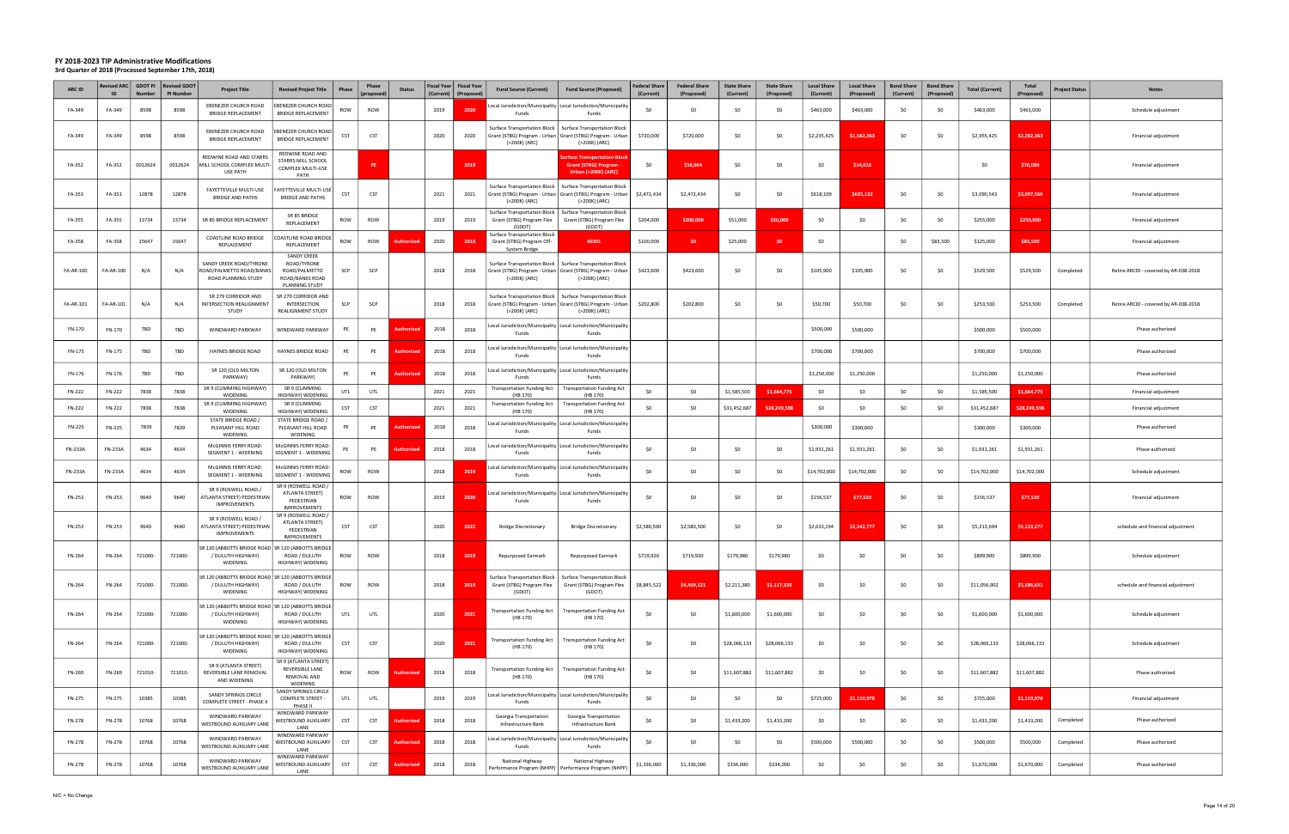| <b>ARC ID</b>  | <b>Revised ARC</b><br>ID | <b>Number</b> | GDOT PI Revised GDOT<br>PI Number | <b>Project Title</b>                                                                  | <b>Revised Project Title</b><br>Phase                                                          | Phase<br>(proposec | <b>Status</b>     | (Current) | Fiscal Year   Fiscal Year<br>(Proposed) | <b>Fund Source (Current)</b>                                                                                        | <b>Fund Source (Proposed)</b>                                                              | <b>Federal Share</b><br>(Current) | <b>Federal Share</b><br>(Proposed) | <b>State Share</b><br>(Current) | <b>State Share</b><br>(Proposed) | <b>Local Share</b><br>(Current) | <b>Local Share</b><br>(Proposed) | <b>Bond Share</b><br>(Current) | <b>Bond Share</b><br>(Proposed) | <b>Total (Current)</b> | Total<br>(Proposed) | <b>Project Status</b> | <b>Notes</b>                          |
|----------------|--------------------------|---------------|-----------------------------------|---------------------------------------------------------------------------------------|------------------------------------------------------------------------------------------------|--------------------|-------------------|-----------|-----------------------------------------|---------------------------------------------------------------------------------------------------------------------|--------------------------------------------------------------------------------------------|-----------------------------------|------------------------------------|---------------------------------|----------------------------------|---------------------------------|----------------------------------|--------------------------------|---------------------------------|------------------------|---------------------|-----------------------|---------------------------------------|
| FA-349         | FA-349                   | 8598          | 8598                              | <b>EBENEZER CHURCH ROAD</b><br><b>BRIDGE REPLACEMENT</b>                              | EBENEZER CHURCH ROAD<br>ROW<br><b>BRIDGE REPLACEMENT</b>                                       | ROW                |                   | 2019      | 2020                                    | Funds                                                                                                               | pcal Jurisdiction/Municipality   Local Jurisdiction/Municipality<br>Funds                  | S <sub>0</sub>                    | \$0                                |                                 | \$0                              | \$463,000                       | \$463,000                        | \$0                            |                                 | \$463,000              | \$463,000           |                       | Schedule adjustment                   |
| FA-349         | FA-349                   | 8598          | 8598                              | EBENEZER CHURCH ROAD<br><b>BRIDGE REPLACEMENT</b>                                     | <b>BENEZER CHURCH ROAD</b><br>CST<br><b>BRIDGE REPLACEMENT</b>                                 | CST                |                   | 2020      | 2020                                    | Surface Transportation Block  <br>Grant (STBG) Program - Urban   Grant (STBG) Program - Urbar<br>(>200K) (ARC)      | Surface Transportation Block<br>(>200K) (ARC)                                              | \$720,000                         | \$720,000                          | S <sub>0</sub>                  | \$0                              | \$2,235,425                     | \$1,562,363                      | \$0                            | \$0                             | \$2,955,425            | \$2,282,363         |                       | Financial adjustment                  |
| FA-352         | FA-352                   | 0012624       | 0012624                           | REDWINE ROAD AND STARRS<br>MILL SCHOOL COMPLEX MULTI<br><b>USE PATH</b>               | REDWINE ROAD AND<br>STARRS MILL SCHOOL<br>COMPLEX MULTI-USE<br>PATH                            | PE                 |                   |           | 2019                                    |                                                                                                                     | urface Transportation Bloc<br><b>Grant (STBG) Program</b><br><b>Urban (&gt;200K) (ARC)</b> | \$0                               | \$56,064                           | \$0                             | \$0                              | \$0                             | \$14,016                         |                                |                                 | \$0                    | \$70,080            |                       | Financial adjustment                  |
| FA-353         | FA-353                   | 12878         | 12878                             | <b>FAYETTEVILLE MULTI-USE</b><br><b>BRIDGE AND PATHS</b>                              | FAYETTEVILLE MULTI-USE<br><b>CST</b><br><b>BRIDGE AND PATHS</b>                                | CST                |                   | 2021      | 2021                                    | Surface Transportation Block  <br>Grant (STBG) Program - Urban Grant (STBG) Program - Urbar<br>(>200K) (ARC)        | <b>Surface Transportation Block</b><br>(>200K) (ARC)                                       | \$2,472,434                       | \$2,472,434                        | \$0                             | \$0                              | \$618,109                       | \$625,132                        | \$0                            | \$0                             | \$3,090,543            | \$3,097,566         |                       | Financial adjustment                  |
| FA-355         | FA-355                   | 13734         | 13734                             | SR 85 BRIDGE REPLACEMENT                                                              | SR 85 BRIDGE<br>ROW<br>REPLACEMENT                                                             | ROW                |                   | 2019      | 2019                                    | Surface Transportation Block   Surface Transportation Block<br>Grant (STBG) Program Flex<br>(GDOT)                  | Grant (STBG) Program Flex<br>(GDOT)                                                        | \$204,000                         | \$200,000                          | \$51,000                        | \$50,000                         | \$0                             | \$0                              | \$0                            | -SO                             | \$255,000              | \$250,000           |                       | Financial adjustment                  |
| FA-358         | FA-358                   | 15647         | 15647                             | COASTLINE ROAD BRIDGE<br>REPLACEMENT                                                  | OASTLINE ROAD BRIDGE<br>ROW<br>REPLACEMENT                                                     | ROW                | Authorizec        | 2020      | 2018                                    | <b>Surface Transportation Block</b><br>Grant (STBG) Program Off-<br>System Bridge                                   | 40301                                                                                      | \$100,000                         | \$0                                | \$25,000                        | \$0                              | \$0                             |                                  | \$0                            | \$83,500                        | \$125,000              | \$83,500            |                       | Financial adjustment                  |
| FA-AR-100      | FA-AR-100                | N/A           | N/A                               | SANDY CREEK ROAD/TYRONE<br>ROAD/PALMETTO ROAD/BANKS<br>ROAD PLANNING STUDY            | <b>SANDY CREEK</b><br>ROAD/TYRONE<br>ROAD/PALMETTO<br>SCP<br>ROAD/BANKS ROAD<br>PLANNING STUDY | SCP                |                   | 2018      | 2018                                    | Surface Transportation Block<br>Grant (STBG) Program - Urban   Grant (STBG) Program - Urba<br>(>200K) (ARC)         | Surface Transportation Block<br>(>200K) (ARC)                                              | \$423,600                         | \$423,600                          | \$0                             | \$0                              | \$105,900                       | \$105,900                        | \$0                            | \$0                             | \$529,500              | \$529,500           | Completed             | Retire ARCID - covered by AR-038-2018 |
| FA-AR-101      | FA-AR-101                | N/A           | N/A                               | SR 279 CORRIDOR AND<br>INTERSECTION REALIGNMENT<br>STUDY                              | SR 279 CORRIDOR AND<br>INTERSECTION<br>SCP<br>REALIGNMENT STUDY                                | SCP                |                   | 2018      | 2018                                    | <b>Surface Transportation Block</b><br>Grant (STBG) Program - Urban   Grant (STBG) Program - Urban<br>(>200K) (ARC) | Surface Transportation Block<br>(>200K) (ARC)                                              | \$202,800                         | \$202,800                          | \$0                             | \$0                              | \$50,700                        | \$50,700                         | \$0                            | \$0                             | \$253,500              | \$253,500           | Completed             | Retire ARCID - covered by AR-038-2018 |
| FN-170         | FN-170                   | TBD           | TBD                               | WINDWARD PARKWAY                                                                      | WINDWARD PARKWAY<br>PE                                                                         | PE                 | Authorizec        | 2018      | 2018                                    | Funds                                                                                                               | Local Jurisdiction/Municipality Local Jurisdiction/Municipality<br>Funds                   |                                   |                                    |                                 |                                  | \$500,000                       | \$500,000                        |                                |                                 | \$500,000              | \$500,000           |                       | Phase authorized                      |
| FN-175         | FN-175                   | TBD           | TBD                               | HAYNES BRIDGE ROAD                                                                    | HAYNES BRIDGE ROAD<br>PE                                                                       | PE                 | Authorize         | 2018      | 2018                                    | Local Jurisdiction/Municipality Local Jurisdiction/Municipality<br>Funds                                            | Funds                                                                                      |                                   |                                    |                                 |                                  | \$700,000                       | \$700,000                        |                                |                                 | \$700,000              | \$700,000           |                       | Phase authorized                      |
| FN-176         | FN-176                   | TBD           | TBD                               | SR 120 (OLD MILTON<br>PARKWAY)                                                        | SR 120 (OLD MILTON<br>PE<br>PARKWAY)                                                           | PE                 | Authoria          | 2018      | 2018                                    | Funds                                                                                                               | ocal Jurisdiction/Municipality Local Jurisdiction/Municipality<br>Funds                    |                                   |                                    |                                 |                                  | \$1,250,000                     | \$1,250,000                      |                                |                                 | \$1,250,000            | \$1,250,000         |                       | Phase authorized                      |
| FN-222         | FN-222                   | 7838          | 7838                              | SR 9 (CUMMING HIGHWAY)<br>WIDENING                                                    | SR 9 (CUMMING<br>UTL<br>HIGHWAY) WIDENING                                                      | UTL                |                   | 2021      | 2021                                    | <b>Transportation Funding Act</b><br>(HB 170)                                                                       | <b>Transportation Funding Act</b><br>(HB 170)                                              | \$0                               | \$0                                | \$1,585,500                     | \$1,664,775                      | \$0                             | \$0                              | \$0                            | -SO                             | \$1,585,500            | \$1,664,775         |                       | Financial adjustment                  |
| FN-222         | FN-222                   | 7838          | 7838                              | SR 9 (CUMMING HIGHWAY)<br>WIDENING                                                    | SR 9 (CUMMING<br><b>CST</b><br>HIGHWAY) WIDENING                                               | CST                |                   | 2021      | 2021                                    | <b>Transportation Funding Act</b><br>(HB 170)                                                                       | <b>Transportation Funding Act</b><br>(HB 170)                                              | \$0                               | \$0                                | \$31,452,687                    | \$28,249,598                     | \$0                             | \$0                              | \$0                            | \$0                             | \$31,452,687           | \$28,249,598        |                       | Financial adjustment                  |
| FN-225         | FN-225                   | 7839          | 7839                              | STATE BRIDGE ROAD<br>PLEASANT HILL ROAD<br>WIDENING                                   | STATE BRIDGE ROAD /<br>PLEASANT HILL ROAD<br>PE<br>WIDENING                                    | PE                 | <b>Authorize</b>  | 2018      | 2018                                    | Funds                                                                                                               | Local Jurisdiction/Municipality Local Jurisdiction/Municipality<br>Funds                   |                                   |                                    |                                 |                                  | \$300,000                       | \$300,000                        |                                |                                 | \$300,000              | \$300,000           |                       | Phase authorized                      |
| FN-233A        | <b>FN-233A</b>           | 4634          | 4634                              | McGINNIS FERRY ROAD:<br>SEGMENT 1 - WIDENING                                          | McGINNIS FERRY ROAD:<br>PE<br>SEGMENT 1 - WIDENING                                             | PE                 | Authorizec        | 2018      | 2018                                    | ocal Jurisdiction/Municipality   Local Jurisdiction/Municipalit<br>Funds                                            | Funds                                                                                      | S <sub>0</sub>                    | \$0                                | - SO                            | \$0                              | \$1,931,261                     | \$1,931,261                      | \$0                            | \$0                             | \$1,931,261            | \$1,931,261         |                       | Phase authorized                      |
| <b>FN-233A</b> | <b>FN-233A</b>           | 4634          | 4634                              | McGINNIS FERRY ROAD:<br>SEGMENT 1 - WIDENING                                          | McGINNIS FERRY ROAD:<br>ROW<br>SEGMENT 1 - WIDENING                                            | ROW                |                   | 2018      | 201                                     | Funds                                                                                                               | pcal Jurisdiction/Municipality   Local Jurisdiction/Municipalit<br>Funds                   | S <sub>0</sub>                    | \$0                                | \$0                             | \$0                              | \$14,702,000                    | \$14,702,000                     | \$0                            | S0                              | \$14,702,000           | \$14,702,000        |                       | Schedule adjustment                   |
| FN-253         | FN-253                   | 9640          | 9640                              | SR 9 (ROSWELL ROAD /<br>ATLANTA STREET) PEDESTRIAN<br><b>IMPROVEMENTS</b>             | SR 9 (ROSWELL ROAD /<br>ATLANTA STREET)<br>ROW<br>PEDESTRIAN<br><b>IMPROVEMENTS</b>            | ROW                |                   | 2019      | 202                                     | ocal Jurisdiction/Municipality   Local Jurisdiction/Municipalit<br>Funds                                            | Funds                                                                                      | \$0                               | \$0                                | \$0                             | \$0                              | \$156,537                       | \$77,520                         | \$0                            | \$0                             | \$156,537              | \$77,520            |                       | Financial adjustment                  |
| FN-253         | FN-253                   | 9640          | 9640                              | SR 9 (ROSWELL ROAD /<br>ATLANTA STREET) PEDESTRIAN<br><b>IMPROVEMENTS</b>             | SR 9 (ROSWELL ROAD)<br>ATLANTA STREET)<br>CST<br>PEDESTRIAN<br><b>IMPROVEMENTS</b>             | CST                |                   | 2020      | 2022                                    | <b>Bridge Discretionary</b>                                                                                         | <b>Bridge Discretionary</b>                                                                | \$2,580,500                       | \$2,580,500                        | SO.                             | \$0                              | \$2,633,194                     | \$2,542,777                      | \$0                            | \$0                             | \$5,213,694            | \$5,123,277         |                       | schedule and financial adjustment     |
| FN-264         | FN-264                   | 721000-       | 721000-                           | SR 120 (ABBOTTS BRIDGE ROAD SR 120 (ABBOTTS BRIDGE<br>/ DULUTH HIGHWAY)<br>WIDENING   | ROW<br>ROAD / DULUTH<br>HIGHWAY) WIDENING                                                      | ROW                |                   | 2018      | 2019                                    | <b>Repurposed Earmark</b>                                                                                           | <b>Repurposed Earmark</b>                                                                  | \$719,920                         | \$719,920                          | \$179,980                       | \$179,980                        | \$0                             | \$0                              | \$0                            | \$0                             | \$899,900              | \$899,900           |                       | Schedule adjustment                   |
| FN-264         | FN-264                   | 721000-       | 721000-                           | SR 120 (ABBOTTS BRIDGE ROAD   SR 120 (ABBOTTS BRIDGE<br>/ DULUTH HIGHWAY)<br>WIDENING | ROAD / DULUTH<br>ROW<br>HIGHWAY) WIDENING                                                      | ROW                |                   | 2018      | 2019                                    | Surface Transportation Block<br>Grant (STBG) Program Flex<br>(GDOT)                                                 | <b>Surface Transportation Block</b><br>Grant (STBG) Program Flex<br>(GDOT)                 | \$8,845,522                       | \$4,469,321                        | \$2,211,380                     | \$1,117,330                      | \$0                             | \$0                              | \$0                            | \$0                             | \$11,056,902           | \$5,586,651         |                       | schedule and financial adjustment     |
| FN-264         | FN-264                   | 721000-       | 721000-                           | SR 120 (ABBOTTS BRIDGE ROAD<br>/ DULUTH HIGHWAY)<br>WIDENING                          | SR 120 (ABBOTTS BRIDGE<br>UTL<br>ROAD / DULUTH<br>HIGHWAY) WIDENING                            | UTL                |                   | 2020      | 2021                                    | <b>Transportation Funding Act</b><br>(HB 170)                                                                       | <b>Transportation Funding Act</b><br>(HB 170)                                              | \$0                               | \$0                                | \$1,600,000                     | \$1,600,000                      | \$0                             | \$0                              | \$0                            | \$0                             | \$1,600,000            | \$1,600,000         |                       | Schedule adjustment                   |
| FN-264         | FN-264                   | 721000-       | 721000-                           | SR 120 (ABBOTTS BRIDGE ROAD SR 120 (ABBOTTS BRIDGE<br>/ DULUTH HIGHWAY)<br>WIDENING   | <b>CST</b><br>ROAD / DULUTH<br>HIGHWAY) WIDENING                                               | CST                |                   | 2020      | 2021                                    | <b>Transportation Funding Act</b><br>(HB 170)                                                                       | <b>Transportation Funding Act</b><br>(HB 170)                                              | \$0                               | \$0                                | \$28,066,133                    | \$28,066,133                     | \$0                             | \$0                              | \$0                            | \$0                             | \$28,066,133           | \$28,066,133        |                       | Schedule adjustment                   |
| FN-269         | FN-269                   | 721010-       | 721010-                           | SR 9 (ATLANTA STREET)<br>REVERSIBLE LANE REMOVAL<br>AND WIDENING                      | SR 9 (ATLANTA STREET)<br>REVERSIBLE LANE<br>ROW<br>REMOVAL AND<br>WIDENING                     | ROW                | <b>Authorized</b> | 2018      | 2018                                    | <b>Transportation Funding Act</b><br>(HB 170)                                                                       | <b>Transportation Funding Act</b><br>(HB 170)                                              | \$0                               | \$0                                | \$11,607,882                    | \$11,607,882                     | \$0                             | \$0                              | \$0                            | \$0                             | \$11,607,882           | \$11,607,882        |                       | Phase authorized                      |
| FN-275         | FN-275                   | 10385         | 10385                             | SANDY SPRINGS CIRCLE<br>COMPLETE STREET - PHASE II                                    | SANDY SPRINGS CIRCLE<br>COMPLETE STREET -<br>UTL<br>PHASE II                                   | UTL                |                   | 2019      | 2019                                    | Funds                                                                                                               | ocal Jurisdiction/Municipality   Local Jurisdiction/Municipality<br>Funds                  | \$0                               | \$0                                | \$0                             | \$0                              | \$725,000                       | \$1,119,978                      | \$0                            | \$0                             | \$725,000              | \$1,119,978         |                       | Financial adjustment                  |
| FN-278         | <b>FN-278</b>            | 10768         | 10768                             | WINDWARD PARKWAY<br>WESTBOUND AUXILIARY LANE                                          | WINDWARD PARKWAY<br><b>CST</b><br>WESTBOUND AUXILIARY<br>LANE                                  | CST                | <b>Authorized</b> | 2018      | 2018                                    | Georgia Transportation<br>Infrastructure Bank                                                                       | Georgia Transportation<br>Infrastructure Bank                                              | \$0                               | \$0                                | \$1,433,200                     | \$1,433,200                      | \$0                             | \$0                              | \$0                            | \$0                             | \$1,433,200            | \$1,433,200         | Completed             | Phase authorized                      |
| FN-278         | <b>FN-278</b>            | 10768         | 10768                             | WINDWARD PARKWAY<br>WESTBOUND AUXILIARY LANE                                          | WINDWARD PARKWAY<br>CST<br>WESTBOUND AUXILIARY<br>LANE                                         | CST                | <b>uthorized</b>  | 2018      | 2018                                    | Funds                                                                                                               | ocal Jurisdiction/Municipality   Local Jurisdiction/Municipality<br>Funds                  | \$0                               | \$0                                | \$0                             | \$0                              | \$500,000                       | \$500,000                        | \$0                            | -SO                             | \$500,000              | \$500,000           | Completed             | Phase authorized                      |
| <b>FN-278</b>  | <b>FN-278</b>            | 10768         | 10768                             | WINDWARD PARKWAY<br>WESTBOUND AUXILIARY LANE                                          | WINDWARD PARKWAY<br>CST<br>WESTBOUND AUXILIARY<br>LANE                                         | <b>CST</b>         | <b>\uthorized</b> | 2018      | 2018                                    | National Highway<br>Performance Program (NHPP) Performance Program (NHP)                                            | National Highway                                                                           | \$1,336,000                       | \$1,336,000                        | \$334,000                       | \$334,000                        | \$0                             | \$0                              | \$0                            | \$0                             | \$1,670,000            | \$1,670,000         | Completed             | Phase authorized                      |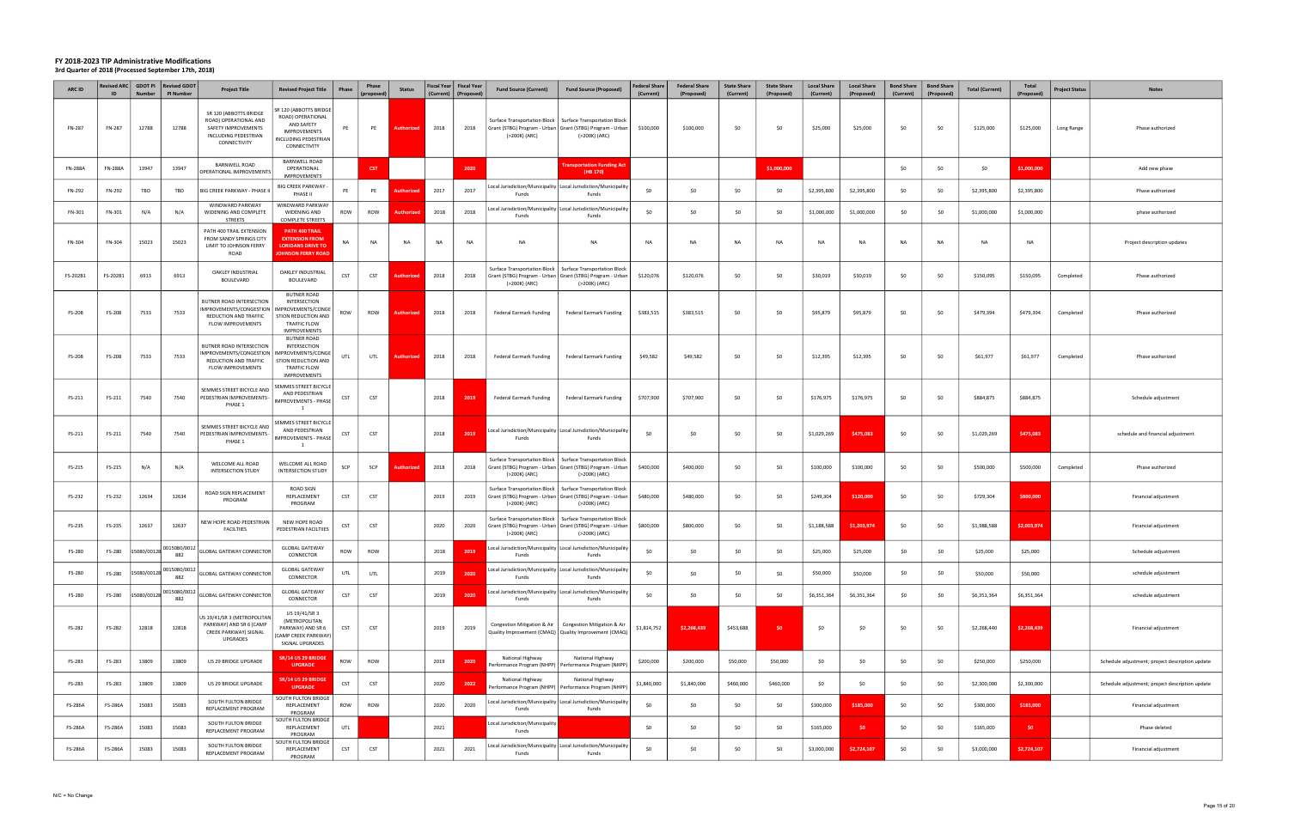| ARC ID         | ID             | Revised ARC   GDOT PI<br><b>Number</b> | <b>Revised GDOT</b><br><b>PI Number</b> | <b>Project Title</b>                                                                                           | <b>Revised Project Title</b>                                                                                                 | Phase      | Phase<br>(proposed) | <b>Status</b>     | Fiscal Year   Fiscal Year<br>(Current) | (Proposed | <b>Fund Source (Current)</b>                                                                                 | <b>Fund Source (Proposed)</b>                                                                                                               | <b>Federal Share</b><br>(Current) | <b>Federal Share</b><br>(Proposed) | <b>State Share</b><br>(Current) | <b>State Share</b><br>(Proposed) | <b>Local Share</b><br>(Current) | <b>Local Share</b><br>(Proposed) | <b>Bond Share</b><br>(Current) | <b>Bond Share</b><br>(Proposed) | <b>Total (Current)</b> | Total<br>(Proposed) | <b>Project Status</b> | <b>Notes</b>                                    |
|----------------|----------------|----------------------------------------|-----------------------------------------|----------------------------------------------------------------------------------------------------------------|------------------------------------------------------------------------------------------------------------------------------|------------|---------------------|-------------------|----------------------------------------|-----------|--------------------------------------------------------------------------------------------------------------|---------------------------------------------------------------------------------------------------------------------------------------------|-----------------------------------|------------------------------------|---------------------------------|----------------------------------|---------------------------------|----------------------------------|--------------------------------|---------------------------------|------------------------|---------------------|-----------------------|-------------------------------------------------|
| FN-287         | FN-287         | 12788                                  | 12788                                   | SR 120 (ABBOTTS BRIDGE<br>ROAD) OPERATIONAL AND<br>SAFETY IMPROVEMENTS<br>INCLUDING PEDESTRIAN<br>CONNECTIVITY | <b>SR 120 (ABBOTTS BRIDGE</b><br>ROAD) OPERATIONAL<br>AND SAFETY<br>IMPROVEMENTS<br>NCLUDING PEDESTRIAN<br>CONNECTIVITY      | PE         | PE                  | Authorized        | 2018                                   | 2018      | Grant (STBG) Program - Urban   Grant (STBG) Program - Urban<br>(>200K) (ARC)                                 | Surface Transportation Block   Surface Transportation Block<br>(>200K) (ARC)                                                                | \$100,000                         | \$100,000                          | \$0                             | \$0                              | \$25,000                        | \$25,000                         | \$0                            | \$0                             | \$125,000              | \$125,000           | Long Range            | Phase authorized                                |
| <b>FN-288A</b> | <b>FN-288A</b> | 13947                                  | 13947                                   | <b>BARNWELL ROAD</b><br>OPERATIONAL IMPROVEMENTS                                                               | BARNWELL ROAD<br>OPERATIONAL<br>IMPROVEMENTS                                                                                 |            | <b>CST</b>          |                   |                                        | 2020      |                                                                                                              | <b>Transportation Funding Act</b><br>(HB 170)                                                                                               |                                   |                                    |                                 | \$1,000,000                      |                                 |                                  | \$0                            | S <sub>0</sub>                  | \$0                    | \$1,000,000         |                       | Add new phase                                   |
| FN-292         | FN-292         | TBD                                    | TBD                                     | BIG CREEK PARKWAY - PHASE II                                                                                   | <b>BIG CREEK PARKWAY -</b><br>PHASE II                                                                                       | PE         | PE                  | <b>Authorized</b> | 2017                                   | 2017      | Funds                                                                                                        | Local Jurisdiction/Municipality Local Jurisdiction/Municipality<br>Funds                                                                    | \$0                               | \$0                                | \$0                             | \$0                              | \$2,395,800                     | \$2,395,800                      | \$0                            | \$0                             | \$2,395,800            | \$2,395,800         |                       | Phase authorized                                |
| FN-301         | FN-301         | N/A                                    | N/A                                     | WINDWARD PARKWAY<br>WIDENING AND COMPLETE<br>STREETS                                                           | WINDWARD PARKWAY<br>WIDENING AND<br><b>COMPLETE STREETS</b>                                                                  | ROW        | ROW                 | Authorize         | 2018                                   | 2018      | Funds                                                                                                        | Local Jurisdiction/Municipality Local Jurisdiction/Municipalit<br>Funds                                                                     | \$0                               | \$0                                | \$0                             | \$0                              | \$1,000,000                     | \$1,000,000                      | \$0                            | \$0                             | \$1,000,000            | \$1,000,000         |                       | phase authorized                                |
| FN-304         | FN-304         | 15023                                  | 15023                                   | PATH 400 TRAIL EXTENSION<br>FROM SANDY SPRINGS CITY<br>LIMIT TO JOHNSON FERRY<br>ROAD                          | PATH 400 TRAIL<br><b>EXTENSION FROM</b><br><b>LORIDANS DRIVE TO</b><br><b>JOHNSON FERRY ROAD</b>                             | <b>NA</b>  | NA                  | <b>NA</b>         | <b>NA</b>                              | <b>NA</b> | NA                                                                                                           | NA                                                                                                                                          | <b>NA</b>                         | <b>NA</b>                          | <b>NA</b>                       | <b>NA</b>                        | <b>NA</b>                       | <b>NA</b>                        | <b>NA</b>                      | <b>NA</b>                       | <b>NA</b>              | <b>NA</b>           |                       | Project description updates                     |
| FS-202B1       | FS-202B1       | 6913                                   | 6913                                    | <b>OAKLEY INDUSTRIAL</b><br>BOULEVARD                                                                          | OAKLEY INDUSTRIAL<br>BOULEVARD                                                                                               | CST        | <b>CST</b>          | Authorize         | 2018                                   | 2018      | Grant (STBG) Program - Urban   Grant (STBG) Program - Urban<br>(>200K) (ARC)                                 | Surface Transportation Block   Surface Transportation Block<br>(>200K) (ARC)                                                                | \$120,076                         | \$120,076                          | \$0                             | \$0                              | \$30,019                        | \$30,019                         | \$0                            | \$0                             | \$150,095              | \$150,095           | Completed             | Phase authorized                                |
| FS-208         | FS-208         | 7533                                   | 7533                                    | BUTNER ROAD INTERSECTION<br>MPROVEMENTS/CONGESTION<br>REDUCTION AND TRAFFIC<br>FLOW IMPROVEMENTS               | <b>BUTNER ROAD</b><br>INTERSECTION<br>MPROVEMENTS/CONGE<br>STION REDUCTION AND<br><b>TRAFFIC FLOW</b><br><b>IMPROVEMENTS</b> | ROW        | ROW                 | Authorized        | 2018                                   | 2018      | Federal Earmark Funding                                                                                      | <b>Federal Earmark Funding</b>                                                                                                              | \$383,515                         | \$383,515                          | \$0                             | \$0                              | \$95,879                        | \$95,879                         | \$0                            | \$0                             | \$479,394              | \$479,394           | Completed             | Phase authorized                                |
| FS-208         | FS-208         | 7533                                   | 7533                                    | BUTNER ROAD INTERSECTION<br>MPROVEMENTS/CONGESTION<br>REDUCTION AND TRAFFIC<br>FLOW IMPROVEMENTS               | <b>BUTNER ROAD</b><br>INTERSECTION<br>MPROVEMENTS/CONGE<br>STION REDUCTION AND<br><b>TRAFFIC FLOW</b><br><b>IMPROVEMENTS</b> | UTL        | UTL                 | Authorize         | 2018                                   | 2018      | <b>Federal Earmark Funding</b>                                                                               | <b>Federal Earmark Funding</b>                                                                                                              | \$49,582                          | \$49,582                           | \$0                             | \$0                              | \$12,395                        | \$12,395                         | \$0                            | \$0                             | \$61,977               | \$61,977            | Completed             | Phase authorized                                |
| FS-211         | FS-211         | 7540                                   | 7540                                    | SEMMES STREET BICYCLE AND<br>PEDESTRIAN IMPROVEMENTS -<br>PHASE 1                                              | SEMMES STREET BICYCLE<br>AND PEDESTRIAN<br>IMPROVEMENTS - PHASE<br>$\mathbf{1}$                                              | CST        | CST                 |                   | 2018                                   | 2019      | <b>Federal Earmark Funding</b>                                                                               | <b>Federal Earmark Funding</b>                                                                                                              | \$707,900                         | \$707,900                          | \$0                             | \$0                              | \$176,975                       | \$176,975                        | \$0                            | - SO                            | \$884,875              | \$884,875           |                       | Schedule adjustment                             |
| FS-211         | FS-211         | 7540                                   | 7540                                    | SEMMES STREET BICYCLE AND<br>PEDESTRIAN IMPROVEMENTS -<br>PHASE 1                                              | SEMMES STREET BICYCLE<br>AND PEDESTRIAN<br><b>IMPROVEMENTS - PHASE</b><br>$\mathbf{1}$                                       | CST        | CST                 |                   | 2018                                   | 2019      | Funds                                                                                                        | Local Jurisdiction/Municipality   Local Jurisdiction/Municipality<br>Funds                                                                  | \$0                               | \$0                                | \$0                             | \$0                              | \$1,029,269                     | \$475,083                        | \$0                            | \$0                             | \$1,029,269            | \$475,083           |                       | schedule and financial adjustment               |
| FS-215         | FS-215         | N/A                                    | N/A                                     | WELCOME ALL ROAD<br><b>INTERSECTION STUDY</b>                                                                  | WELCOME ALL ROAD<br><b>INTERSECTION STUDY</b>                                                                                | SCP        | SCP                 | <b>Authorize</b>  | 2018                                   | 2018      | Surface Transportation Block<br>Grant (STBG) Program - Urban   Grant (STBG) Program - Urban<br>(>200K) (ARC) | Surface Transportation Block<br>(>200K) (ARC)                                                                                               | \$400,000                         | \$400,000                          | \$0                             | \$0                              | \$100,000                       | \$100,000                        | \$0                            | \$0                             | \$500,000              | \$500,000           | Completed             | Phase authorized                                |
| FS-232         | FS-232         | 12634                                  | 12634                                   | ROAD SIGN REPLACEMENT<br>PROGRAM                                                                               | ROAD SIGN<br>REPLACEMENT<br>PROGRAM                                                                                          | CST        | CST                 |                   | 2019                                   | 2019      | (>200K) (ARC)                                                                                                | Surface Transportation Block   Surface Transportation Block<br>Grant (STBG) Program - Urban   Grant (STBG) Program - Urban<br>(>200K) (ARC) | \$480,000                         | \$480,000                          | \$0                             | \$0                              | \$249,304                       | \$120,000                        | \$0                            | - SO                            | \$729,304              | \$600,000           |                       | Financial adjustment                            |
| FS-235         | FS-235         | 12637                                  | 12637                                   | NEW HOPE ROAD PEDESTRIAN<br><b>FACILTIIES</b>                                                                  | NEW HOPE ROAD<br>PEDESTRIAN FACILTIIES                                                                                       | CST        | <b>CST</b>          |                   | 2020                                   | 2020      | Grant (STBG) Program - Urban   Grant (STBG) Program - Urban<br>(>200K) (ARC)                                 | Surface Transportation Block   Surface Transportation Block<br>(>200K) (ARC)                                                                | \$800,000                         | \$800,000                          | \$0                             | \$0                              | \$1,188,588                     | \$1,203,974                      | \$0                            | \$0                             | \$1,988,588            | \$2,003,974         |                       | Financial adjustment                            |
| FS-280         |                | FS-280 15080/0012                      | 882                                     | 0015080/0012 GLOBAL GATEWAY CONNECTOR                                                                          | <b>GLOBAL GATEWAY</b><br>CONNECTOR                                                                                           | <b>WOR</b> | ROW                 |                   | 2018                                   |           | Funds                                                                                                        | Local Jurisdiction/Municipality   Local Jurisdiction/Municipality<br>Funds                                                                  | \$0                               | <b>SO</b>                          |                                 | \$0                              | \$25,000                        | \$25,000                         |                                |                                 | \$25,000               | \$25,000            |                       | Schedule adjustment                             |
| FS-280         | FS-280         | 15080/00128                            | 0015080/0012<br>882                     | <b>GLOBAL GATEWAY CONNECTOR</b>                                                                                | <b>GLOBAL GATEWAY</b><br>CONNECTOR                                                                                           | UTL        | UTL                 |                   | 2019                                   | 2020      | Funds                                                                                                        | Local Jurisdiction/Municipality   Local Jurisdiction/Municipality<br>Funds                                                                  | \$0                               | \$0                                | \$0                             | \$0                              | \$50,000                        | \$50,000                         | \$0                            | \$0                             | \$50,000               | \$50,000            |                       | schedule adjustment                             |
| FS-280         | FS-280         | 5080/00128                             | 0015080/0012<br>882                     | <b>GLOBAL GATEWAY CONNECTOR</b>                                                                                | <b>GLOBAL GATEWAY</b><br>CONNECTOR                                                                                           | <b>CST</b> | <b>CST</b>          |                   | 2019                                   | 2020      | Funds                                                                                                        | Local Jurisdiction/Municipality Local Jurisdiction/Municipality<br>Funds                                                                    | \$0                               | \$0                                | \$0                             | \$0                              | \$6,351,364                     | \$6,351,364                      | \$0                            | \$0                             | \$6,351,364            | \$6,351,364         |                       | schedule adjustment                             |
| FS-282         | FS-282         | 12818                                  | 12818                                   | US 19/41/SR 3 (METROPOLITAN<br>PARKWAY) AND SR 6 (CAMP<br>CREEK PARKWAY) SIGNAL<br>UPGRADES                    | US 19/41/SR 3<br>(METROPOLITAN<br>PARKWAY) AND SR 6<br>CAMP CREEK PARKWAY)<br>SIGNAL UPGRADES                                | <b>CST</b> | <b>CST</b>          |                   | 2019                                   | 2019      | Quality Improvement (CMAQ)   Quality Improvement (CMAQ)                                                      | Congestion Mitigation & Air   Congestion Mitigation & Air                                                                                   | \$1,814,752                       | \$2,268,439                        | \$453,688                       | \$0                              | \$0                             | \$0                              | \$0                            | \$0                             | \$2,268,440            | \$2,268,439         |                       | Financial adjustment                            |
| FS-283         | FS-283         | 13809                                  | 13809                                   | US 29 BRIDGE UPGRADE                                                                                           | SR/14 US 29 BRIDGI<br><b>UPGRADE</b>                                                                                         | ROW        | ROW                 |                   | 2019                                   | 2020      | National Highway                                                                                             | National Highway<br>Performance Program (NHPP)   Performance Program (NHPP)                                                                 | \$200,000                         | \$200,000                          | \$50,000                        | \$50,000                         | \$0                             | \$0                              | \$0                            | \$0                             | \$250,000              | \$250,000           |                       | Schedule adjustment; project description update |
| FS-283         | FS-283         | 13809                                  | 13809                                   | US 29 BRIDGE UPGRADE                                                                                           | SR/14 US 29 BRIDGI<br><b>UPGRADE</b>                                                                                         | <b>CST</b> | <b>CST</b>          |                   | 2020                                   | 2022      | National Highway                                                                                             | National Highway<br>Performance Program (NHPP)   Performance Program (NHPP                                                                  | \$1,840,000                       | \$1,840,000                        | \$460,000                       | \$460,000                        | \$0                             | \$0                              | \$0                            | \$0                             | \$2,300,000            | \$2,300,000         |                       | Schedule adjustment; project description update |
| <b>FS-286A</b> | <b>FS-286A</b> | 15083                                  | 15083                                   | SOUTH FULTON BRIDGE<br>REPLACEMENT PROGRAM                                                                     | SOUTH FULTON BRIDGE<br>REPLACEMENT<br>PROGRAM                                                                                | ROW        | ROW                 |                   | 2020                                   | 2020      | Funds                                                                                                        | Local Jurisdiction/Municipality   Local Jurisdiction/Municipality<br>Funds                                                                  | \$0                               | \$0                                | \$0                             | \$0                              | \$300,000                       | \$185,000                        | \$0                            | S <sub>0</sub>                  | \$300,000              | \$185,000           |                       | Financial adjustment                            |
| FS-286A        | FS-286A        | 15083                                  | 15083                                   | SOUTH FULTON BRIDGE<br>REPLACEMENT PROGRAM                                                                     | <b>SOUTH FULTON BRIDGE</b><br>REPLACEMENT<br>PROGRAM                                                                         | UTL        |                     |                   | 2021                                   |           | Local Jurisdiction/Municipality<br>Funds                                                                     |                                                                                                                                             | \$0                               | \$0                                | \$0                             | \$0                              | \$165,000                       | \$0                              | \$0                            | \$0                             | \$165,000              | \$0                 |                       | Phase deleted                                   |
| FS-286A        | FS-286A        | 15083                                  | 15083                                   | SOUTH FULTON BRIDGE<br>REPLACEMENT PROGRAM                                                                     | <b>SOUTH FULTON BRIDGE</b><br>REPLACEMENT<br>PROGRAM                                                                         | CST        | CST                 |                   | 2021                                   | 2021      | Funds                                                                                                        | Local Jurisdiction/Municipality   Local Jurisdiction/Municipality<br>Funds                                                                  | \$0                               | \$0                                | \$0                             | \$0                              | \$3,000,000                     | \$2,724,107                      | \$0                            | \$0                             | \$3,000,000            | \$2,724,107         |                       | Financial adjustment                            |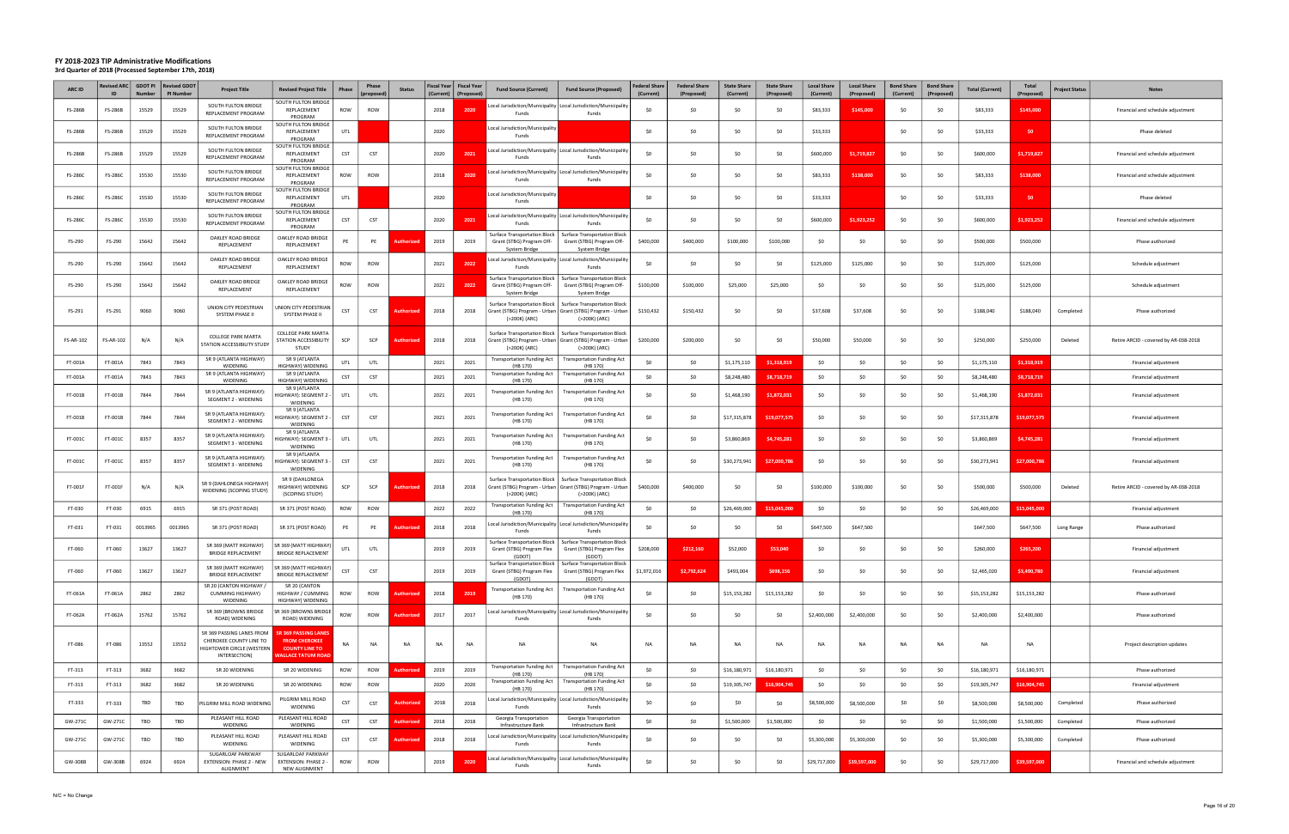| <b>ARC ID</b>    | <b>Revised ARC</b> | <b>GDOT PI</b><br>Number | <b>Revised GDOT</b><br><b>PI Number</b> | <b>Project Title</b>                                                                               | <b>Revised Project Title</b>                                                                              | Phase      | Phase<br>propose | <b>Status</b>     | Fiscal Year   Fiscal Year<br>(Current) | (Proposed | <b>Fund Source (Current)</b>                                                                       | <b>Fund Source (Proposed)</b>                                                                                                        | <b>Federal Share</b><br>(Current) | <b>Federal Share</b><br>(Proposed) | <b>State Share</b><br>(Current) | <b>State Share</b><br>(Proposed) | <b>Local Share</b><br>(Current) | <b>Local Share</b><br>(Proposed) | <b>Bond Share</b><br>(Current) | <b>Bond Share</b><br>(Proposed) | <b>Total (Current)</b> | <b>Total</b><br>(Proposed) | <b>Project Status</b> | <b>Notes</b>                          |
|------------------|--------------------|--------------------------|-----------------------------------------|----------------------------------------------------------------------------------------------------|-----------------------------------------------------------------------------------------------------------|------------|------------------|-------------------|----------------------------------------|-----------|----------------------------------------------------------------------------------------------------|--------------------------------------------------------------------------------------------------------------------------------------|-----------------------------------|------------------------------------|---------------------------------|----------------------------------|---------------------------------|----------------------------------|--------------------------------|---------------------------------|------------------------|----------------------------|-----------------------|---------------------------------------|
| <b>FS-286B</b>   | FS-286B            | 15529                    | 15529                                   | SOUTH FULTON BRIDGE<br>REPLACEMENT PROGRAM                                                         | SOUTH FULTON BRIDGE<br>REPLACEMENT<br>PROGRAM                                                             | ROW        | ROW              |                   | 2018                                   | 202       | Funds                                                                                              | ocal Jurisdiction/Municipality   Local Jurisdiction/Municipalit<br>Funds                                                             | \$0                               | \$0                                | \$0                             | \$0                              | \$83,333                        | \$145,000                        | \$0                            | \$0                             | \$83,333               | \$145,000                  |                       | Financial and schedule adjustment     |
| <b>FS-286B</b>   | <b>FS-286B</b>     | 15529                    | 15529                                   | SOUTH FULTON BRIDGE<br>REPLACEMENT PROGRAM                                                         | OUTH FULTON BRIDGE<br>REPLACEMENT<br>PROGRAM                                                              | UTL        |                  |                   | 2020                                   |           | Local Jurisdiction/Municipality<br>Fund:                                                           |                                                                                                                                      | \$0                               | \$0                                | \$0                             | \$0                              | \$33,333                        |                                  | \$0                            | SO.                             | \$33,333               | \$0                        |                       | Phase deleted                         |
| <b>FS-286B</b>   | FS-286B            | 15529                    | 15529                                   | SOUTH FULTON BRIDGE<br>REPLACEMENT PROGRAM                                                         | <b>OUTH FULTON BRIDGE</b><br>REPLACEMENT<br>PROGRAM                                                       | <b>CST</b> | CST              |                   | 2020                                   | 2021      | Local Jurisdiction/Municipality   Local Jurisdiction/Municipality<br>Funds                         | Funds                                                                                                                                | \$0                               | \$0                                | -SO                             | \$0                              | \$600,000                       | \$1,719,827                      | \$0                            | \$0                             | \$600,000              | \$1,719,827                |                       | Financial and schedule adjustment     |
| <b>FS-286C</b>   | FS-286C            | 15530                    | 15530                                   | SOUTH FULTON BRIDGE<br>REPLACEMENT PROGRAM                                                         | OUTH FULTON BRIDGE<br>REPLACEMENT<br>PROGRAM                                                              | ROW        | ROW              |                   | 2018                                   | 2020      | Local Jurisdiction/Municipality   Local Jurisdiction/Municipality<br>Fund:                         | Funds                                                                                                                                | \$0                               | \$0                                | \$0                             | \$0                              | \$83,333                        | \$138,000                        | \$0                            | \$0                             | \$83,333               | \$138,000                  |                       | Financial and schedule adjustment     |
| FS-286C          | <b>FS-286C</b>     | 15530                    | 15530                                   | SOUTH FULTON BRIDGE<br>REPLACEMENT PROGRAM                                                         | <b>OUTH FULTON BRIDGE</b><br>REPLACEMENT                                                                  | UTL        |                  |                   | 2020                                   |           | Local Jurisdiction/Municipality<br>Funds                                                           |                                                                                                                                      | \$0                               | \$0                                | -SO                             | \$0                              | \$33,333                        |                                  | \$0                            | \$0                             | \$33,333               | \$0                        |                       | Phase deleted                         |
| <b>FS-286C</b>   | <b>FS-286C</b>     | 15530                    | 15530                                   | SOUTH FULTON BRIDGE<br>REPLACEMENT PROGRAM                                                         | PROGRAM<br>OUTH FULTON BRIDGE<br>REPLACEMENT                                                              | CST        | CST              |                   | 2020                                   | 2021      | Local Jurisdiction/Municipality   Local Jurisdiction/Municipality<br>Funds                         | Funds                                                                                                                                | SO.                               | \$0                                | \$0                             | \$0                              | \$600,000                       | \$1,923,252                      | \$0                            | \$0                             | \$600,000              | \$1,923,252                |                       | Financial and schedule adjustment     |
| FS-290           | FS-290             | 15642                    | 15642                                   | OAKLEY ROAD BRIDGE<br>REPLACEMENT                                                                  | PROGRAM<br>OAKLEY ROAD BRIDGE<br>REPLACEMENT                                                              | PE         | PE               | <b>Authorize</b>  | 2019                                   | 2019      | Surface Transportation Block<br>Grant (STBG) Program Off-                                          | <b>Surface Transportation Block</b><br>Grant (STBG) Program Off-                                                                     | \$400,000                         | \$400,000                          | \$100,000                       | \$100,000                        | \$0                             | \$0                              | \$0                            | \$0                             | \$500,000              | \$500,000                  |                       | Phase authorized                      |
| FS-290           | FS-290             | 15642                    | 15642                                   | OAKLEY ROAD BRIDGE<br>REPLACEMENT                                                                  | OAKLEY ROAD BRIDGE<br>REPLACEMENT                                                                         | ROW        | ROW              |                   | 2021                                   | 2022      | System Bridge<br>Funds                                                                             | System Bridge<br>Local Jurisdiction/Municipality   Local Jurisdiction/Municipality<br>Funds                                          | \$0                               | \$0                                | \$0                             | \$0                              | \$125,000                       | \$125,000                        | \$0                            | \$0                             | \$125,000              | \$125,000                  |                       | Schedule adjustment                   |
| FS-290           | FS-290             | 15642                    | 15642                                   | OAKLEY ROAD BRIDGE<br>REPLACEMENT                                                                  | OAKLEY ROAD BRIDGE<br>REPLACEMENT                                                                         | ROW        | ROW              |                   | 2021                                   | 2022      | Surface Transportation Block<br>Grant (STBG) Program Off-                                          | <b>Surface Transportation Block</b><br>Grant (STBG) Program Off-                                                                     | \$100,000                         | \$100,000                          | \$25,000                        | \$25,000                         | \$0                             | \$0                              | \$0                            | \$0                             | \$125,000              | \$125,000                  |                       | Schedule adjustment                   |
| FS-291           | FS-291             | 9060                     | 9060                                    | UNION CITY PEDESTRIAN<br>SYSTEM PHASE II                                                           | JNION CITY PEDESTRIAN<br>SYSTEM PHASE II                                                                  | CST        | CST              | <b>Authorize</b>  | 2018                                   | 2018      | System Bridge<br>Surface Transportation Block<br>(>200K) (ARC)                                     | System Bridge<br><b>Surface Transportation Block</b><br>Grant (STBG) Program - Urban   Grant (STBG) Program - Urban<br>(>200K) (ARC) | \$150,432                         | \$150,432                          | \$0                             | \$0                              | \$37,608                        | \$37,608                         | \$0                            | \$0                             | \$188,040              | \$188,040                  | Completed             | Phase authorized                      |
| <b>FS-AR-102</b> | $-S-AR-102$        | N/A                      | N/A                                     | COLLEGE PARK MARTA<br>STATION ACCESSIBILITY STUDY                                                  | <b>COLLEGE PARK MARTA</b><br>STATION ACCESSIBILITY<br>STUDY                                               | SCP        | SCP              | uthorize          | 2018                                   | 2018      | Grant (STBG) Program - Urban   Grant (STBG) Program - Urban<br>(>200K) (ARC)                       | Surface Transportation Block   Surface Transportation Block<br>(>200K) (ARC)                                                         | \$200,000                         | \$200,000                          | \$0                             | \$0                              | \$50,000                        | \$50,000                         | \$0                            | \$0                             | \$250,000              | \$250,000                  | Deleted               | Retire ARCID - covered by AR-038-2018 |
| FT-001A          | FT-001A            | 7843                     | 7843                                    | SR 9 (ATLANTA HIGHWAY)<br>WIDENING                                                                 | SR 9 (ATLANTA<br>HIGHWAY) WIDENING                                                                        | UTL        | UTL              |                   | 2021                                   | 2021      | Transportation Funding Act  <br>(HB 170)                                                           | <b>Transportation Funding Act</b><br>(HB 170)                                                                                        | \$0                               | \$0\$                              | \$1,175,110                     | \$1,318,919                      | \$0                             | SO.                              | \$0                            | SO.                             | \$1,175,110            | \$1,318,919                |                       | Financial adjustment                  |
| FT-001A          | FT-001A            | 7843                     | 7843                                    | SR 9 (ATLANTA HIGHWAY)<br>WIDENING                                                                 | SR 9 (ATLANTA<br>HIGHWAY) WIDENING                                                                        | CST        | <b>CST</b>       |                   | 2021                                   | 2021      | Transportation Funding Act<br>(HB 170)                                                             | <b>Transportation Funding Act</b><br>(HB 170)                                                                                        | \$0                               | \$0                                | \$8,248,480                     | \$8,718,719                      | \$0                             | \$0                              | \$0                            | \$0                             | \$8,248,480            | \$8,718,719                |                       | Financial adjustment                  |
| FT-001B          | FT-001B            | 7844                     | 7844                                    | SR 9 (ATLANTA HIGHWAY):<br>SEGMENT 2 - WIDENING                                                    | SR 9 (ATLANTA<br>IIGHWAY): SEGMENT 2<br>WIDENING                                                          | UTL        | UTL              |                   | 2021                                   | 2021      | <b>Transportation Funding Act</b><br>(HB 170)                                                      | <b>Transportation Funding Act</b><br>(HB 170)                                                                                        | \$0                               | \$0                                | \$1,468,190                     | \$1,872,031                      | \$0                             | SO.                              | \$0                            | SO.                             | \$1,468,190            | \$1,872,031                |                       | Financial adjustment                  |
| FT-001B          | FT-001B            | 7844                     | 7844                                    | SR 9 (ATLANTA HIGHWAY):<br>SEGMENT 2 - WIDENING                                                    | SR 9 (ATLANTA<br>IGHWAY): SEGMENT 2<br>WIDENING                                                           | CST        | CST              |                   | 2021                                   | 2021      | <b>Transportation Funding Act</b><br>(HB 170)                                                      | <b>Transportation Funding Act</b><br>(HB 170)                                                                                        | \$0                               | \$0                                | \$17,315,878                    | \$19,077,575                     | \$0                             | \$0                              | \$0                            | SO.                             | \$17,315,878           | \$19,077,575               |                       | Financial adjustment                  |
| FT-001C          | FT-001C            | 8357                     | 8357                                    | SR 9 (ATLANTA HIGHWAY):<br>SEGMENT 3 - WIDENING                                                    | SR 9 (ATLANTA<br>IGHWAY): SEGMENT 3<br>WIDENING                                                           | UTL        | UTL              |                   | 2021                                   | 2021      | <b>Transportation Funding Act</b><br>(HB 170)                                                      | <b>Transportation Funding Act</b><br>(HB 170)                                                                                        | \$0                               | \$0                                | \$3,860,869                     | \$4,745,281                      | \$0                             | \$0                              | \$0                            | \$0                             | \$3,860,869            | \$4,745,281                |                       | Financial adjustment                  |
| FT-001C          | FT-001C            | 8357                     | 8357                                    | SR 9 (ATLANTA HIGHWAY):<br>SEGMENT 3 - WIDENING                                                    | SR 9 (ATLANTA<br>IIGHWAY): SEGMENT 3<br>WIDENING                                                          | CST        | CST              |                   | 2021                                   | 2021      | Transportation Funding Act<br>(HB 170)                                                             | <b>Transportation Funding Act</b><br>(HB 170)                                                                                        | \$0                               | \$0                                | \$30,273,941                    | \$27,000,786                     | \$0                             | \$0                              | \$0                            | \$0                             | \$30,273,941           | \$27,000,786               |                       | Financial adjustment                  |
| FT-001F          | FT-001F            | N/A                      | N/A                                     | SR 9 (DAHLONEGA HIGHWAY)<br>WIDENING (SCOPING STUDY)                                               | SR 9 (DAHLONEGA<br>HIGHWAY) WIDENING<br>(SCOPING STUDY)                                                   | SCP        | SCP              | <b>Authorize</b>  | 2018                                   | 2018      | Surface Transportation Block  <br>(>200K) (ARC)                                                    | <b>Surface Transportation Block</b><br>Grant (STBG) Program - Urban   Grant (STBG) Program - Urban<br>(>200K) (ARC)                  | \$400,000                         | \$400,000                          | \$0                             | \$0                              | \$100,000                       | \$100,000                        | \$0                            | \$0                             | \$500,000              | \$500,000                  | Deleted               | Retire ARCID - covered by AR-038-2018 |
| FT-030           | FT-030             | 6915                     | 6915                                    | SR 371 (POST ROAD)                                                                                 | SR 371 (POST ROAD)                                                                                        | <b>ROW</b> | ROW              |                   | 2022                                   | 2022      | Transportation Funding Act  <br>(HB 170)                                                           | <b>Transportation Funding Act</b><br>(HB 170)                                                                                        | \$0                               | \$0                                | \$26,469,000                    | \$15,045,000                     | \$0                             | \$0                              | \$0                            | \$0                             | \$26,469,000           | \$15,045,000               |                       | Financial adjustment                  |
| FT-031           | FT-031             | 0013965                  | 0013965                                 | SR 371 (POST ROAD)                                                                                 | SR 371 (POST ROAD)                                                                                        | PE         | PE               | Authorize         | 2018                                   | 2018      | Local Jurisdiction/Municipality Local Jurisdiction/Municipalit<br>Funds                            | Funds                                                                                                                                | \$0                               | \$0                                | \$0                             | \$0                              | \$647,500                       | \$647,500                        |                                |                                 | \$647,500              | \$647,500                  | Long Range            | Phase authorized                      |
| FT-060           | FT-060             | 13627                    | 13627                                   | SR 369 (MATT HIGHWAY)<br>BRIDGE REPLACEMEN'                                                        | SR 369 (MATT HIGHWAY)<br><b>BRIDGE REPLACEMEN</b>                                                         | UTI        | UTL              |                   | 2019                                   | 2019      | Surface Transportation Block   Surface Transportation Blocl<br>Grant (STBG) Program Flex<br>(GDOT) | Grant (STBG) Program Flex<br>(GDOT)                                                                                                  | \$208,000                         | \$212.160                          | \$52,000                        |                                  |                                 |                                  |                                |                                 | \$260,000              | \$265.200                  |                       | Financial adjustment                  |
| FT-060           | FT-060             | 13627                    | 13627                                   | SR 369 (MATT HIGHWAY)<br><b>BRIDGE REPLACEMENT</b>                                                 | SR 369 (MATT HIGHWAY)<br><b>BRIDGE REPLACEMENT</b>                                                        | CST        | CST              |                   | 2019                                   | 2019      | Grant (STBG) Program Flex<br>(GDOT)                                                                | Surface Transportation Block   Surface Transportation Block<br>Grant (STBG) Program Flex<br>(GDOT)                                   | \$1,972,016                       | \$2,792,624                        | \$493,004                       | \$698,156                        | \$0                             | \$0                              | \$0                            | \$0                             | \$2,465,020            | \$3,490,780                |                       | Financial adjustment                  |
| FT-061A          | FT-061A            | 2862                     | 2862                                    | SR 20 (CANTON HIGHWAY)<br><b>CUMMING HIGHWAY)</b><br>WIDENING                                      | SR 20 (CANTON<br>HIGHWAY / CUMMING<br>HIGHWAY) WIDENING                                                   | ROW        | ROW              | <b>Authorized</b> | 2018                                   | 2019      | <b>Transportation Funding Act</b><br>(HB 170)                                                      | <b>Transportation Funding Act</b><br>(HB 170)                                                                                        | \$0                               | \$0                                | \$15,153,282                    | \$15,153,282                     | \$0                             | \$0                              | \$0                            | \$0                             | \$15,153,282           | \$15,153,282               |                       | Phase authorized                      |
| FT-062A          | FT-062A            | 15762                    | 15762                                   | SR 369 (BROWNS BRIDGE<br>ROAD) WIDENING                                                            | R 369 (BROWNS BRIDGE<br>ROAD) WIDENING                                                                    | ROW        | ROW              | Authorizeo        | 2017                                   | 2017      | Funds                                                                                              | Local Jurisdiction/Municipality   Local Jurisdiction/Municipality<br>Funds                                                           | \$0                               | \$0                                | \$0                             | \$0                              | \$2,400,000                     | \$2,400,000                      | \$0                            | \$0                             | \$2,400,000            | \$2,400,000                |                       | Phase authorized                      |
| FT-086           | FT-086             | 13552                    | 13552                                   | SR 369 PASSING LANES FROM<br>CHEROKEE COUNTY LINE TO<br>HIGHTOWER CIRCLE (WESTERN<br>INTERSECTION) | <b>SR 369 PASSING LANES</b><br><b>FROM CHEROKEE</b><br><b>COUNTY LINE TO</b><br><b>NALLACE TATUM ROAD</b> | NA         | NA               | NA                | NA                                     | NA        | NA                                                                                                 | <b>NA</b>                                                                                                                            | <b>NA</b>                         | NA                                 | NA                              | <b>NA</b>                        | <b>NA</b>                       | NA                               | <b>NA</b>                      | NA                              | <b>NA</b>              | <b>NA</b>                  |                       | Project description updates           |
| FT-313           | FT-313             | 3682                     | 3682                                    | SR 20 WIDENING                                                                                     | SR 20 WIDENING                                                                                            | ROW        | <b>ROW</b>       | <b>Authorized</b> | 2019                                   | 2019      | <b>Transportation Funding Act</b>                                                                  | <b>Transportation Funding Act</b>                                                                                                    | \$0                               | \$0                                | \$16,180,971                    | \$16,180,971                     | \$0                             | \$0                              | \$0                            | \$0                             | \$16,180,971           | \$16,180,971               |                       | Phase authorized                      |
| FT-313           | FT-313             | 3682                     | 3682                                    | SR 20 WIDENING                                                                                     | SR 20 WIDENING                                                                                            | ROW        | <b>ROW</b>       |                   | 2020                                   | 2020      | (HB 170)<br>(HB 170)                                                                               | (HB 170)<br>Transportation Funding Act   Transportation Funding Act<br>(HB 170)                                                      | \$0                               | \$0                                | \$19,305,747                    | \$16,904,745                     | \$0                             | \$0                              | \$0                            | \$0                             | \$19,305,747           | \$16,904,745               |                       | Financial adjustment                  |
| FT-333           | FT-333             | TBD                      | TBD                                     | PILGRIM MILL ROAD WIDENING                                                                         | PILGRIM MILL ROAD<br>WIDENING                                                                             | <b>CST</b> | <b>CST</b>       | Authorized        | 2018                                   | 2018      | Funds                                                                                              | ocal Jurisdiction/Municipality Local Jurisdiction/Municipality<br>Funds                                                              | \$0                               | \$0                                | SO.                             | \$0                              | \$8,500,000                     | \$8,500,000                      | \$0                            | \$0                             | \$8,500,000            | \$8,500,000                | Completed             | Phase authorized                      |
| GW-271C          | GW-271C            | TBD                      | TBD                                     | PLEASANT HILL ROAD<br>WIDENING                                                                     | PLEASANT HILL ROAD<br>WIDENING                                                                            | CST        | <b>CST</b>       | <b>Authorize</b>  | 2018                                   | 2018      | Georgia Transportation<br>Infrastructure Bank                                                      | Georgia Transportation<br>Infrastructure Bank                                                                                        | \$0                               | \$0                                | \$1,500,000                     | \$1,500,000                      | \$0                             | \$0                              | \$0                            | \$0                             | \$1,500,000            | \$1,500,000                | Completed             | Phase authorized                      |
| GW-271C          | GW-271C            | TBD                      | TBD                                     | PLEASANT HILL ROAD<br>WIDENING                                                                     | PLEASANT HILL ROAD<br>WIDENING                                                                            | CST        | <b>CST</b>       | <b>Authorize</b>  | 2018                                   | 2018      | Funds                                                                                              | Local Jurisdiction/Municipality   Local Jurisdiction/Municipality<br>Funds                                                           | \$0                               | \$0                                | \$0                             | \$0                              | \$5,300,000                     | \$5,300,000                      | \$0                            | \$0                             | \$5,300,000            | \$5,300,000                | Completed             | Phase authorized                      |
| GW-308B          | GW-308B            | 6924                     | 6924                                    | SUGARLOAF PARKWAY<br>EXTENSION: PHASE 2 - NEW<br><b>ALIGNMENT</b>                                  | SUGARLOAF PARKWAY<br><b>EXTENSION: PHASE 2 -</b><br>NEW ALIGNMENT                                         | ROW        | ROW              |                   | 2019                                   | 2020      | Funds                                                                                              | Local Jurisdiction/Municipality   Local Jurisdiction/Municipality<br>Funds                                                           | \$0                               | \$0                                | \$0                             | \$0                              | \$29,717,000                    | \$39,597,000                     | \$0                            | \$0                             | \$29,717,000           | \$39,597,000               |                       | Financial and schedule adjustment     |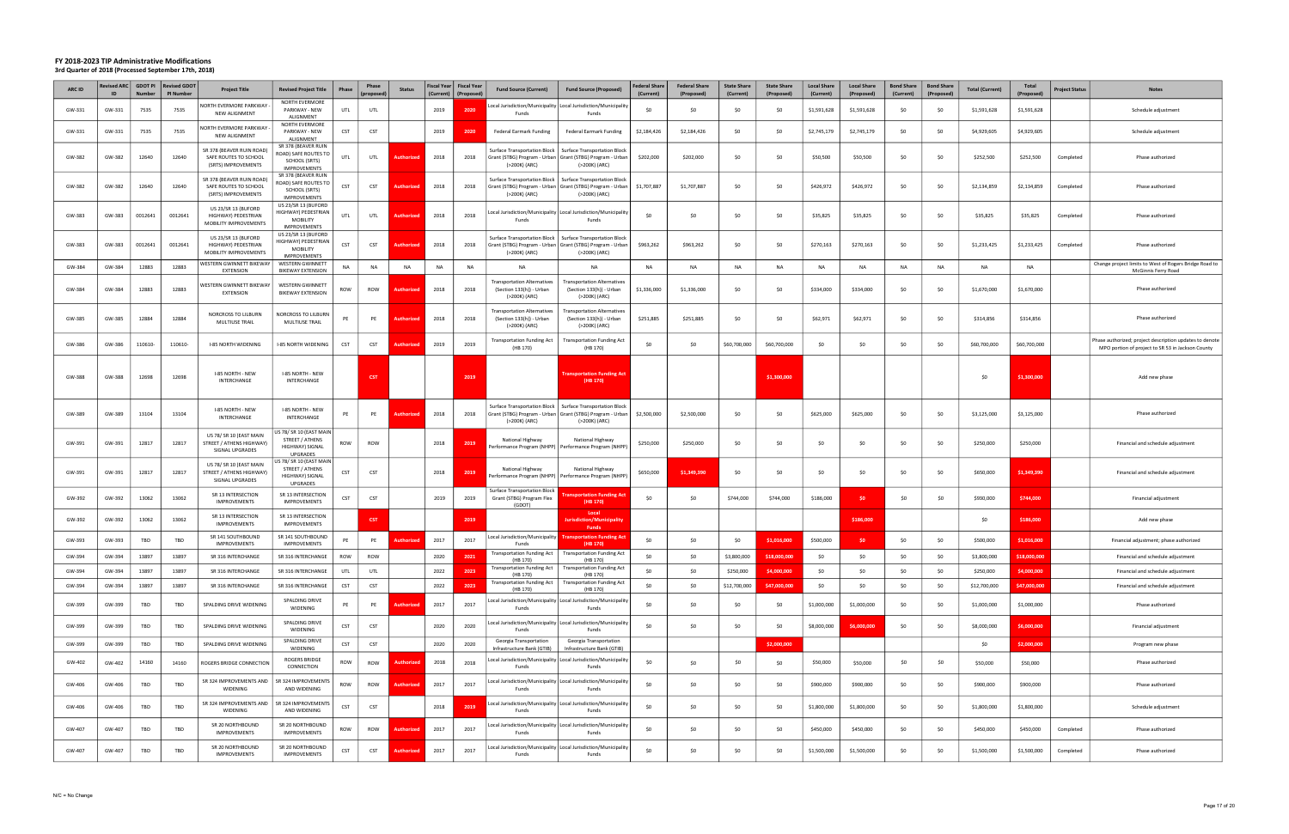| <b>ARC ID</b> | levised ARC  <br>ID | <b>GDOT PI</b><br><b>Number</b> | <b>Revised GDOT</b><br><b>PI Number</b> | <b>Project Title</b>                                                      | <b>Revised Project Title</b>                                                               | Phase      | Phase           | <b>Status</b>     |           | Fiscal Year   Fiscal Year<br>(Current)   (Proposed) | <b>Fund Source (Current)</b>                                               | <b>Fund Source (Proposed)</b>                                                                                       | <b>Federal Share</b><br>(Current) | <b>Federal Share</b><br>(Proposed) | <b>State Share</b><br>(Current) | <b>State Share</b><br>(Proposed) | <b>Local Share</b><br>(Current) | <b>Local Share</b><br>(Proposed) | <b>Bond Share</b><br>(Current) | <b>Bond Share</b><br>(Proposed) | <b>Total (Current)</b> | Total<br>(Proposed) | Project Status | <b>Notes</b>                                                                                                 |
|---------------|---------------------|---------------------------------|-----------------------------------------|---------------------------------------------------------------------------|--------------------------------------------------------------------------------------------|------------|-----------------|-------------------|-----------|-----------------------------------------------------|----------------------------------------------------------------------------|---------------------------------------------------------------------------------------------------------------------|-----------------------------------|------------------------------------|---------------------------------|----------------------------------|---------------------------------|----------------------------------|--------------------------------|---------------------------------|------------------------|---------------------|----------------|--------------------------------------------------------------------------------------------------------------|
| GW-331        | GW-331              | 7535                            | 7535                                    | NORTH EVERMORE PARKWAY<br>NEW ALIGNMENT                                   | NORTH EVERMORE<br>PARKWAY - NEW<br>ALIGNMENT                                               | UTL        | UTL             |                   | 2019      | 2020                                                | Funds                                                                      | ocal Jurisdiction/Municipality   Local Jurisdiction/Municipalit<br>Funds                                            | \$0                               | \$0                                | -SO                             | \$0                              | \$1,591,628                     | \$1,591,628                      | \$0                            | \$0                             | \$1,591,628            | \$1,591,628         |                | Schedule adjustment                                                                                          |
| GW-331        | GW-331              | 7535                            | 7535                                    | NORTH EVERMORE PARKWAY<br>NEW ALIGNMENT                                   | NORTH EVERMORE<br>PARKWAY - NEW<br>ALIGNMENT                                               | <b>CST</b> | <b>CST</b>      |                   | 2019      | 2020                                                | <b>Federal Earmark Funding</b>                                             | Federal Earmark Funding                                                                                             | \$2,184,426                       | \$2,184,426                        | \$0                             | \$0                              | \$2,745,179                     | \$2,745,179                      | \$0                            | \$0                             | \$4,929,605            | \$4,929,605         |                | Schedule adjustment                                                                                          |
| GW-382        | GW-382              | 12640                           | 12640                                   | SR 378 (BEAVER RUIN ROAD)<br>SAFE ROUTES TO SCHOOL<br>(SRTS) IMPROVEMENTS | SR 378 (BEAVER RUIN<br>OAD) SAFE ROUTES TO<br>SCHOOL (SRTS)<br><b>IMPROVEMENTS</b>         | UTL        | UTL             |                   | 2018      | 2018                                                | Surface Transportation Block  <br>(>200K) (ARC)                            | <b>Surface Transportation Block</b><br>rant (STBG) Program - Urban   Grant (STBG) Program - Urban<br>(>200K) (ARC)  | \$202,000                         | \$202,000                          | \$0                             | \$0                              | \$50,500                        | \$50,500                         | \$0                            | \$0                             | \$252,500              | \$252,500           | Completed      | Phase authorized                                                                                             |
| GW-382        | GW-382              | 12640                           | 12640                                   | SR 378 (BEAVER RUIN ROAD)<br>SAFE ROUTES TO SCHOOL<br>(SRTS) IMPROVEMENTS | SR 378 (BEAVER RUIN<br><b>ROAD) SAFE ROUTES TO</b><br>SCHOOL (SRTS)<br><b>IMPROVEMENTS</b> | CST        | CST             | Authorized        | 2018      | 2018                                                | Surface Transportation Block<br>(>200K) (ARC)                              | <b>Surface Transportation Block</b><br>Grant (STBG) Program - Urban   Grant (STBG) Program - Urban<br>(>200K) (ARC) | \$1,707,887                       | \$1,707,887                        | \$0                             | \$0                              | \$426,972                       | \$426,972                        | \$0                            | \$0                             | \$2,134,859            | \$2,134,859         | Completed      | Phase authorized                                                                                             |
| GW-383        | GW-383              | 0012641                         | 0012641                                 | US 23/SR 13 (BUFORD<br>HIGHWAY) PEDESTRIAN<br>MOBILITY IMPROVEMENTS       | US 23/SR 13 (BUFORD<br>HIGHWAY) PEDESTRIAN<br>MOBILITY<br><b>IMPROVEMENTS</b>              | UTL        | UTL             | <b>Authorizec</b> | 2018      | 2018                                                | Funds                                                                      | Local Jurisdiction/Municipality Local Jurisdiction/Municipality<br>Funds                                            | \$0                               | \$0                                | \$0                             | \$0                              | \$35,825                        | \$35,825                         | \$0                            | S0                              | \$35,825               | \$35,825            | Completed      | Phase authorized                                                                                             |
| GW-383        | GW-383              | 0012641                         | 0012641                                 | US 23/SR 13 (BUFORD<br>HIGHWAY) PEDESTRIAN<br>MOBILITY IMPROVEMENTS       | US 23/SR 13 (BUFORD<br>HIGHWAY) PEDESTRIAN<br><b>MOBILITY</b><br><b>IMPROVEMENTS</b>       | <b>CST</b> | CST             |                   | 2018      | 2018                                                | Surface Transportation Block  <br>(>200K) (ARC)                            | <b>Surface Transportation Block</b><br>Grant (STBG) Program - Urban   Grant (STBG) Program - Urba<br>(>200K) (ARC)  | \$963,262                         | \$963,262                          | \$0                             | \$0                              | \$270,163                       | \$270,163                        | \$0                            | \$0                             | \$1,233,425            | \$1,233,425         | Completed      | Phase authorized                                                                                             |
| GW-384        | GW-384              | 12883                           | 12883                                   | WESTERN GWINNETT BIKEWAY<br><b>EXTENSION</b>                              | WESTERN GWINNETT<br><b>BIKEWAY EXTENSION</b>                                               | NA         | NA              | NA                | <b>NA</b> | NA                                                  | NA                                                                         | <b>NA</b>                                                                                                           | <b>NA</b>                         | NA                                 | NA                              | <b>NA</b>                        | NA                              | <b>NA</b>                        | NA                             | <b>NA</b>                       | NA                     | <b>NA</b>           |                | Change project limits to West of Rogers Bridge Road to<br>McGinnis Ferry Road                                |
| GW-384        | GW-384              | 12883                           | 12883                                   | <b>WESTERN GWINNETT BIKEWAY</b><br><b>EXTENSION</b>                       | WESTERN GWINNETT<br><b>BIKEWAY EXTENSION</b>                                               | ROW        | ROW             | Authorizec        | 2018      | 2018                                                | ransportation Alternatives<br>(Section 133(h)) - Urban<br>(>200K) (ARC)    | <b>Transportation Alternatives</b><br>(Section 133(h)) - Urban<br>(>200K) (ARC)                                     | \$1,336,000                       | \$1,336,000                        | \$0                             | \$0                              | \$334,000                       | \$334,000                        | \$0                            | \$0                             | \$1,670,000            | \$1,670,000         |                | Phase authorized                                                                                             |
| GW-385        | GW-385              | 12884                           | 12884                                   | NORCROSS TO LILBURN<br><b>MULTIUSE TRAIL</b>                              | NORCROSS TO LILBURN<br>MULTIUSE TRAIL                                                      | PE         | PE              |                   | 2018      | 2018                                                | ransportation Alternatives<br>(Section 133(h)) - Urban<br>(>200K) (ARC)    | <b>Transportation Alternatives</b><br>(Section 133(h)) - Urban<br>(>200K) (ARC)                                     | \$251,885                         | \$251,885                          | \$0                             | S <sub>0</sub>                   | \$62,971                        | \$62,971                         | \$0                            | S0                              | \$314,856              | \$314,856           |                | Phase authorized                                                                                             |
| GW-386        | GW-386              | 110610-                         | 110610-                                 | <b>I-85 NORTH WIDENING</b>                                                | I-85 NORTH WIDENING                                                                        | CST        | <b>CST</b>      |                   | 2019      | 2019                                                | ransportation Funding Act<br>(HB 170)                                      | <b>Transportation Funding Act</b><br>(HB 170)                                                                       | \$0                               | \$0                                | \$60,700,000                    | \$60,700,000                     | \$0                             | SO.                              | \$0                            | S0                              | \$60,700,000           | \$60,700,000        |                | Phase authorized; project description updates to denote<br>MPO portion of project to SR 53 in Jackson County |
| GW-388        | GW-388              | 12698                           | 12698                                   | I-85 NORTH - NEW<br>INTERCHANGE                                           | I-85 NORTH - NEW<br>INTERCHANGE                                                            |            | <b>CST</b>      |                   |           | 2019                                                |                                                                            | ransportation Funding Ac<br>(HB 170)                                                                                |                                   |                                    |                                 | \$1,300,000                      |                                 |                                  |                                |                                 | \$0                    | \$1,300,000         |                | Add new phase                                                                                                |
| GW-389        | GW-389              | 13104                           | 13104                                   | I-85 NORTH - NEW<br>INTERCHANGE                                           | I-85 NORTH - NEW<br>INTERCHANGE                                                            | PE         | PE              | Authorized        | 2018      | 2018                                                | <b>Surface Transportation Block</b><br>(>200K) (ARC)                       | <b>Surface Transportation Block</b><br>Grant (STBG) Program - Urban   Grant (STBG) Program - Urban<br>(>200K) (ARC) | \$2,500,000                       | \$2,500,000                        | \$0                             | \$0                              | \$625,000                       | \$625,000                        | \$0                            | \$0                             | \$3,125,000            | \$3,125,000         |                | Phase authorized                                                                                             |
| GW-391        | GW-391              | 12817                           | 12817                                   | US 78/ SR 10 (EAST MAIN<br>STREET / ATHENS HIGHWAY)<br>SIGNAL UPGRADES    | JS 78/ SR 10 (EAST MAIN<br>STREET / ATHENS<br>HIGHWAY) SIGNAL<br><b>UPGRADES</b>           | ROW        | ROW             |                   | 2018      | 2019                                                | National Highway                                                           | National Highway<br>Performance Program (NHPP)   Performance Program (NHPP                                          | \$250,000                         | \$250,000                          | \$0                             | \$0                              | \$0                             | SO.                              | \$0                            | \$0                             | \$250,000              | \$250,000           |                | Financial and schedule adjustment                                                                            |
| GW-391        | GW-391              | 12817                           | 12817                                   | US 78/ SR 10 (EAST MAIN<br>STREET / ATHENS HIGHWAY)<br>SIGNAL UPGRADES    | IS 78/ SR 10 (EAST MAIN<br>STREET / ATHENS<br>HIGHWAY) SIGNAL<br><b>UPGRADES</b>           | <b>CST</b> | <b>CST</b>      |                   | 2018      | 2019                                                | National Highway                                                           | National Highway<br>Performance Program (NHPP)   Performance Program (NHPF                                          | \$650,000                         | \$1,349,390                        | \$0                             | \$0                              | \$0                             | SO.                              | \$0                            | SO.                             | \$650,000              | \$1,349,390         |                | Financial and schedule adjustment                                                                            |
| GW-392        | GW-392              | 13062                           | 13062                                   | SR 13 INTERSECTION<br><b>IMPROVEMENTS</b>                                 | SR 13 INTERSECTION<br><b>IMPROVEMENTS</b>                                                  | CST        | <b>CST</b>      |                   | 2019      | 2019                                                | <b>Surface Transportation Block</b><br>Grant (STBG) Program Flex<br>(GDOT) | (HB 170)                                                                                                            | \$0                               | \$0                                | \$744,000                       | \$744,000                        | \$186,000                       | \$0                              | \$0                            | SO.                             | \$930,000              | \$744,000           |                | Financial adjustment                                                                                         |
| GW-392        | GW-392              | 13062                           | 13062                                   | SR 13 INTERSECTION<br><b>IMPROVEMENTS</b>                                 | SR 13 INTERSECTION<br><b>IMPROVEMENTS</b>                                                  |            | CS <sub>1</sub> |                   |           | 2019                                                |                                                                            | Local<br>ırisdiction/M<br>cipality<br>Funds                                                                         |                                   |                                    |                                 |                                  |                                 | \$186,000                        |                                |                                 | \$0                    | \$186,000           |                | Add new phase                                                                                                |
| GW-393        | GW-393              | TBD                             | TBD                                     | SR 141 SOUTHBOUND<br><b>IMPROVEMENTS</b>                                  | SR 141 SOUTHBOUND<br><b>IMPROVEMENTS</b>                                                   | PE         | PE              | Authorized        | 2017      | 2017                                                | Local Jurisdiction/Municipality<br>Funds                                   | <b>Fransportation Funding A</b><br>(HB 170)                                                                         | \$0                               | \$0                                | \$0                             | \$1,016,000                      | \$500,000                       | SO.                              | \$0                            | \$0                             | \$500,000              | \$1,016,000         |                | Financial adjustment; phase authorized                                                                       |
| GW-394        | GW-394              | 13897                           | 13897                                   | SR 316 INTERCHANGE                                                        | SR 316 INTERCHANGE                                                                         | ROW        | ROW             |                   | 2020      | 2021                                                | ransportation Funding Act<br>(HB 170)                                      | <b>Transportation Funding Act</b><br>(HB 170)                                                                       | \$0                               | \$0                                | \$3,800,000                     | \$18,000,000                     | \$0                             | \$0                              | \$0                            | \$0                             | \$3,800,000            | \$18,000,000        |                | Financial and schedule adjustment                                                                            |
| GW-394        | GW-394              | 13897                           | 13897                                   | SR 316 INTERCHANGE                                                        | SR 316 INTERCHANGE                                                                         | UTL        | UTL             |                   | 2022      | 2023                                                | <b>Transportation Funding Act</b><br>(HB 170)                              | <b>Transportation Funding Act</b><br>(HB 170)                                                                       | \$0                               | \$0                                | \$250,000                       | \$4,000,000                      | \$0                             | \$0                              | \$0                            | \$0                             | \$250,000              | \$4,000,000         |                | Financial and schedule adjustment                                                                            |
| GW-394        | GW-394              | 13897                           | 13897                                   | SR 316 INTERCHANGE                                                        | SR 316 INTERCHANGE                                                                         | <b>CST</b> | <b>CST</b>      |                   | 2022      | 2023                                                | <b>Transportation Funding Act</b><br>(HB 170)                              | <b>Transportation Funding Act</b><br>(HB 170)                                                                       | \$0                               | \$0                                | \$12,700,000                    | \$47,000,000                     | \$0                             | \$0                              | \$0                            | \$0                             | \$12,700,000           | \$47,000,000        |                | Financial and schedule adjustment                                                                            |
| GW-399        | GW-399              | TBD                             | TBD                                     | SPALDING DRIVE WIDENING                                                   | SPALDING DRIVE<br>WIDENING                                                                 | PE         | PE              | <b>Authorized</b> | 2017      | 2017                                                | Funds                                                                      | Local Jurisdiction/Municipality   Local Jurisdiction/Municipality<br>Funds                                          | $50^{\circ}$                      | \$0                                | \$0                             | \$0                              | \$1,000,000                     | \$1,000,000                      | \$0                            | S0                              | \$1,000,000            | \$1,000,000         |                | Phase authorized                                                                                             |
| GW-399        | GW-399              | TBD                             | TBD                                     | SPALDING DRIVE WIDENING                                                   | SPALDING DRIVE<br>WIDENING                                                                 | <b>CST</b> | CST             |                   | 2020      | 2020                                                | Funds                                                                      | Local Jurisdiction/Municipality Local Jurisdiction/Municipality<br>Funds                                            | \$0                               | \$0                                | \$0                             | \$0                              | \$8,000,000                     | \$6,000,000                      | \$0                            | \$0                             | \$8,000,000            | \$6,000,000         |                | Financial adjustment                                                                                         |
| GW-399        | GW-399              | TBD                             | TBD                                     | SPALDING DRIVE WIDENING                                                   | SPALDING DRIVE<br>WIDENING                                                                 | CST        | CST             |                   | 2020      | 2020                                                | Georgia Transportation<br>Infrastructure Bank (GTIB)                       | Georgia Transportation<br>Infrastructure Bank (GTIB)                                                                |                                   |                                    |                                 | \$2,000,000                      |                                 |                                  |                                |                                 | \$0                    | \$2,000,000         |                | Program new phase                                                                                            |
| GW-402        | GW-402              | 14160                           | 14160                                   | ROGERS BRIDGE CONNECTION                                                  | ROGERS BRIDGE<br>CONNECTION                                                                | ROW        | ROW             | <b>Authorized</b> | 2018      | 2018                                                | Funds                                                                      | Local Jurisdiction/Municipality   Local Jurisdiction/Municipality<br>Funds                                          | \$0                               | \$0                                | \$0                             | \$0                              | \$50,000                        | \$50,000                         | \$0                            | \$0                             | \$50,000               | \$50,000            |                | Phase authorized                                                                                             |
| GW-406        | GW-406              | TBD                             | TBD                                     | SR 324 IMPROVEMENTS AND<br>WIDENING                                       | SR 324 IMPROVEMENTS<br>AND WIDENING                                                        | ROW        | ROW             | Authorized        | 2017      | 2017                                                | Funds                                                                      | Local Jurisdiction/Municipality   Local Jurisdiction/Municipalit<br>Funds                                           | \$0                               | \$0                                | \$0                             | \$0                              | \$900,000                       | \$900,000                        | \$0                            | \$0                             | \$900,000              | \$900,000           |                | Phase authorized                                                                                             |
| GW-406        | GW-406              | TBD                             | TBD                                     | SR 324 IMPROVEMENTS AND<br>WIDENING                                       | SR 324 IMPROVEMENTS<br>AND WIDENING                                                        | CST        | CST             |                   | 2018      | 2019                                                | Funds                                                                      | Local Jurisdiction/Municipality   Local Jurisdiction/Municipalit<br>Funds                                           | \$0                               | \$0                                | \$0                             | \$0                              | \$1,800,000                     | \$1,800,000                      | \$0                            | \$0                             | \$1,800,000            | \$1,800,000         |                | Schedule adjustment                                                                                          |
| GW-407        | GW-407              | TBD                             | TBD                                     | SR 20 NORTHBOUND<br><b>IMPROVEMENTS</b>                                   | SR 20 NORTHBOUND<br><b>IMPROVEMENTS</b>                                                    | ROW        | ROW             | Authorized        | 2017      | 2017                                                | Funds                                                                      | Local Jurisdiction/Municipality   Local Jurisdiction/Municipalit<br>Funds                                           | \$0                               | \$0                                | \$0                             | \$0                              | \$450,000                       | \$450,000                        | \$0                            | \$0                             | \$450,000              | \$450,000           | Completed      | Phase authorized                                                                                             |
| GW-407        | GW-407              | TBD                             | TBD                                     | SR 20 NORTHBOUND<br><b>IMPROVEMENTS</b>                                   | SR 20 NORTHBOUND<br><b>IMPROVEMENTS</b>                                                    | CST        | <b>CST</b>      | Authorized        | 2017      | 2017                                                | Funds                                                                      | Local Jurisdiction/Municipality   Local Jurisdiction/Municipality<br>Funds                                          | \$0                               | \$0                                | \$0                             | \$0                              | \$1,500,000                     | \$1,500,000                      | \$0                            | \$0                             | \$1,500,000            | \$1,500,000         | Completed      | Phase authorized                                                                                             |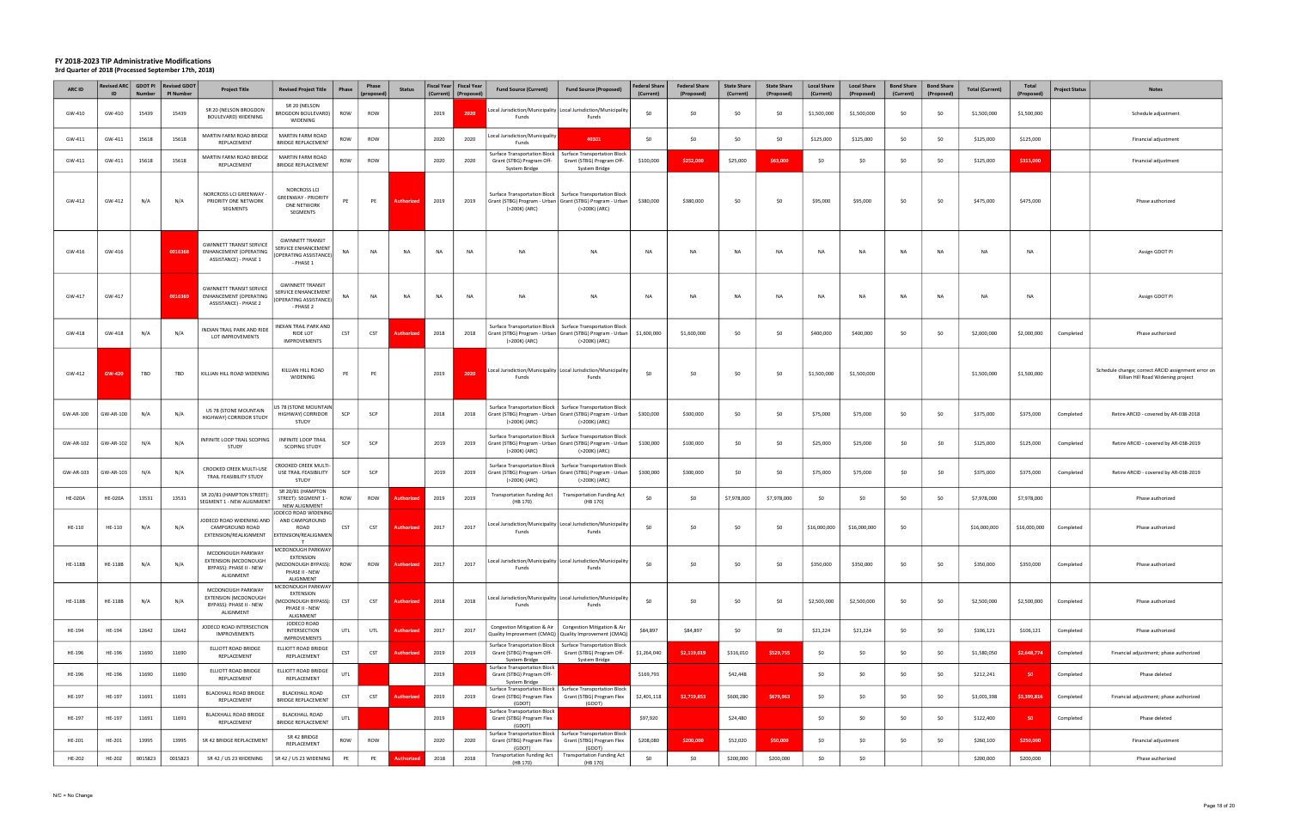| ARC ID         | ID             | <b>Number</b> | Revised ARC GDOT PI Revised GDOT<br><b>PI Number</b> | <b>Project Title</b>                                                                     | <b>Revised Project Title</b>                                                                             | Phase      | Phase<br>(proposed) | <b>Status</b>     | (Current) | Fiscal Year   Fiscal Year<br>(Proposed | <b>Fund Source (Current)</b>                                                 | <b>Fund Source (Proposed)</b>                                                                                       | <b>Federal Share</b><br>(Current) | <b>Federal Share</b><br>(Proposed) | <b>State Share</b><br>(Current) | <b>State Share</b><br>(Proposed) | <b>Local Share</b><br>(Current) | <b>Local Share</b><br>(Proposed) | <b>Bond Share</b><br>(Current) | <b>Bond Share</b><br>(Proposed) | <b>Total (Current)</b> | Total<br>(Proposed) | <b>Project Status</b> | <b>Notes</b>                                                                             |
|----------------|----------------|---------------|------------------------------------------------------|------------------------------------------------------------------------------------------|----------------------------------------------------------------------------------------------------------|------------|---------------------|-------------------|-----------|----------------------------------------|------------------------------------------------------------------------------|---------------------------------------------------------------------------------------------------------------------|-----------------------------------|------------------------------------|---------------------------------|----------------------------------|---------------------------------|----------------------------------|--------------------------------|---------------------------------|------------------------|---------------------|-----------------------|------------------------------------------------------------------------------------------|
| GW-410         | GW-410         | 15439         | 15439                                                | SR 20 (NELSON BROGDON<br>BOULEVARD) WIDENING                                             | SR 20 (NELSON<br>BROGDON BOULEVARD)<br>WIDENING                                                          | ROW        | ROW                 |                   | 2019      | 2020                                   | Funds                                                                        | Local Jurisdiction/Municipality   Local Jurisdiction/Municipality<br>Funds                                          | \$0                               | \$0                                | -SO                             | \$0                              | \$1,500,000                     | \$1,500,000                      | \$0                            | \$0                             | \$1,500,000            | \$1,500,000         |                       | Schedule adjustment                                                                      |
| GW-411         | GW-411         | 15618         | 15618                                                | MARTIN FARM ROAD BRIDGE<br>REPLACEMENT                                                   | MARTIN FARM ROAD<br><b>BRIDGE REPLACEMENT</b>                                                            | ROW        | ROW                 |                   | 2020      | 2020                                   | Local Jurisdiction/Municipality<br>Funds                                     | 40301                                                                                                               | \$0                               | \$0                                | \$0                             | \$0                              | \$125,000                       | \$125,000                        | \$0                            | \$0                             | \$125,000              | \$125,000           |                       | Financial adjustment                                                                     |
| GW-411         | GW-411         | 15618         | 15618                                                | MARTIN FARM ROAD BRIDGE<br>REPLACEMENT                                                   | MARTIN FARM ROAD<br><b>BRIDGE REPLACEMENT</b>                                                            | ROW        | ROW                 |                   | 2020      | 2020                                   | Surface Transportation Block  <br>Grant (STBG) Program Off-<br>System Bridge | <b>Surface Transportation Block</b><br>Grant (STBG) Program Off-<br>System Bridge                                   | \$100,000                         | \$252,000                          | \$25,000                        | \$63,000                         | \$0                             | -SO                              | \$0                            | \$0                             | \$125,000              | \$315,000           |                       | Financial adjustment                                                                     |
| GW-412         | GW-412         | N/A           | N/A                                                  | NORCROSS LCI GREENWAY -<br>PRIORITY ONE NETWORK<br>SEGMENTS                              | <b>NORCROSS LCI</b><br>GREENWAY - PRIORITY<br>ONE NETWORK<br>SEGMENTS                                    | PE         | PE                  | <b>Authorized</b> | 2019      | 2019                                   | Surface Transportation Block  <br>(>200K) (ARC)                              | <b>Surface Transportation Block</b><br>Grant (STBG) Program - Urban   Grant (STBG) Program - Urban<br>(>200K) (ARC) | \$380,000                         | \$380,000                          | \$0                             | \$0                              | \$95,000                        | \$95,000                         | \$0                            | \$0                             | \$475,000              | \$475,000           |                       | Phase authorized                                                                         |
| GW-416         | GW-416         |               | 0016368                                              | <b>GWINNETT TRANSIT SERVICE</b><br>ENHANCEMENT (OPERATING<br>ASSISTANCE) - PHASE 1       | <b>GWINNETT TRANSIT</b><br>SERVICE ENHANCEMENT<br>OPERATING ASSISTANCE)<br>- PHASE 1                     | NA         | <b>NA</b>           | <b>NA</b>         | NA        | <b>NA</b>                              | NA                                                                           | <b>NA</b>                                                                                                           | <b>NA</b>                         | <b>NA</b>                          | <b>NA</b>                       | <b>NA</b>                        | <b>NA</b>                       | <b>NA</b>                        | <b>NA</b>                      | NA                              | <b>NA</b>              | <b>NA</b>           |                       | Assign GDOT PI                                                                           |
| GW-417         | GW-417         |               | 0016369                                              | <b>GWINNETT TRANSIT SERVICE</b><br>ENHANCEMENT (OPERATING<br>ASSISTANCE) - PHASE 2       | <b>GWINNETT TRANSIT</b><br>SERVICE ENHANCEMENT<br>OPERATING ASSISTANCE)<br>- PHASE 2                     | NA         | <b>NA</b>           | NA                | NA        | <b>NA</b>                              | NA                                                                           | <b>NA</b>                                                                                                           | <b>NA</b>                         | <b>NA</b>                          | <b>NA</b>                       | <b>NA</b>                        | <b>NA</b>                       | <b>NA</b>                        | <b>NA</b>                      | NA                              | <b>NA</b>              | <b>NA</b>           |                       | Assign GDOT PI                                                                           |
| GW-418         | GW-418         | N/A           | N/A                                                  | INDIAN TRAIL PARK AND RIDE<br>LOT IMPROVEMENTS                                           | NDIAN TRAIL PARK AND<br><b>RIDE LOT</b><br><b>IMPROVEMENTS</b>                                           | <b>CST</b> | CST                 | uthor             | 2018      | 2018                                   | Surface Transportation Block  <br>(>200K) (ARC)                              | <b>Surface Transportation Block</b><br>Grant (STBG) Program - Urban   Grant (STBG) Program - Urban<br>(>200K) (ARC) | \$1,600,000                       | \$1,600,000                        | \$0                             | \$0                              | \$400,000                       | \$400,000                        | \$0                            | \$0                             | \$2,000,000            | \$2,000,000         | Completed             | Phase authorized                                                                         |
| GW-412         | <b>GW-420</b>  | TBD           | TBD                                                  | KILLIAN HILL ROAD WIDENING                                                               | KILLIAN HILL ROAD<br>WIDENING                                                                            | PE         | PE                  |                   | 2019      | 2020                                   | Funds                                                                        | ocal Jurisdiction/Municipality   Local Jurisdiction/Municipality<br>Funds                                           | \$0                               | \$0                                | \$0                             | \$0                              | \$1,500,000                     | \$1,500,000                      |                                |                                 | \$1,500,000            | \$1,500,000         |                       | Schedule change; correct ARCID assignment error on<br>Killian Hill Road Widening project |
| GW-AR-100      | 3W-AR-100      | N/A           | N/A                                                  | US 78 (STONE MOUNTAIN<br>HIGHWAY) CORRIDOR STUDY                                         | JS 78 (STONE MOUNTAIN<br>HIGHWAY) CORRIDOR<br><b>STUDY</b>                                               | SCP        | SCP                 |                   | 2018      | 2018                                   | Surface Transportation Block  <br>(>200K) (ARC)                              | <b>Surface Transportation Block</b><br>Grant (STBG) Program - Urban   Grant (STBG) Program - Urban<br>(>200K) (ARC) | \$300,000                         | \$300,000                          | \$0                             | \$0                              | \$75,000                        | \$75,000                         | \$0                            | \$0                             | \$375,000              | \$375,000           | Completed             | Retire ARCID - covered by AR-038-2018                                                    |
| GW-AR-102      | GW-AR-102      | N/A           | N/A                                                  | INFINITE LOOP TRAIL SCOPING<br>STUDY                                                     | INFINITE LOOP TRAIL<br><b>SCOPING STUDY</b>                                                              | SCP        | SCP                 |                   | 2019      | 2019                                   | Surface Transportation Block  <br>(>200K) (ARC)                              | <b>Surface Transportation Block</b><br>Grant (STBG) Program - Urban   Grant (STBG) Program - Urban<br>(>200K) (ARC) | \$100,000                         | \$100,000                          | \$0                             | \$0                              | \$25,000                        | \$25,000                         | \$0                            | \$0                             | \$125,000              | \$125,000           | Completed             | Retire ARCID - covered by AR-038-2019                                                    |
| GW-AR-103      | GW-AR-103      | N/A           | N/A                                                  | CROOKED CREEK MULTI-USE<br>TRAIL FEASIBILITY STUDY                                       | CROOKED CREEK MULTI-<br>USE TRAIL FEASIBILITY<br>STUDY                                                   | SCP        | SCP                 |                   | 2019      | 2019                                   | Surface Transportation Block  <br>(>200K) (ARC)                              | <b>Surface Transportation Block</b><br>Grant (STBG) Program - Urban   Grant (STBG) Program - Urban<br>(>200K) (ARC) | \$300,000                         | \$300,000                          | \$0                             | \$0                              | \$75,000                        | \$75,000                         | \$0                            | SO.                             | \$375,000              | \$375,000           | Completed             | Retire ARCID - covered by AR-038-2019                                                    |
| <b>HE-020A</b> | <b>HE-020A</b> | 13531         | 13531                                                | SR 20/81 (HAMPTON STREET):<br>SEGMENT 1 - NEW ALIGNMENT                                  | SR 20/81 (HAMPTON<br>STREET): SEGMENT 1<br><b>NEW ALIGNMENT</b>                                          | ROW        | ROW                 | Authorized        | 2019      | 2019                                   | <b>Transportation Funding Act</b><br>(HB 170)                                | <b>Transportation Funding Act</b><br>(HB 170)                                                                       | \$0                               | \$0                                | \$7,978,000                     | \$7,978,000                      | \$0                             | \$0                              | \$0                            | \$0                             | \$7,978,000            | \$7,978,000         |                       | Phase authorized                                                                         |
| HE-110         | HE-110         | N/A           | N/A                                                  | JODECO ROAD WIDENING AND<br>CAMPGROUND ROAD<br>EXTENSION/REALIGNMENT                     | ODECO ROAD WIDENING<br>AND CAMPGROUND<br><b>ROAD</b><br><b>EXTENSION/REALIGNMEN</b>                      | CST        | CST                 | Authorized        | 2017      | 2017                                   | Funds                                                                        | Local Jurisdiction/Municipality Local Jurisdiction/Municipality<br>Funds                                            | \$0                               | \$0                                | \$0                             | \$0                              | \$16,000,000                    | \$16,000,000                     | \$0                            |                                 | \$16,000,000           | \$16,000,000        | Completed             | Phase authorized                                                                         |
| HE-118B        | <b>HE-118B</b> | N/A           | N/A                                                  | MCDONOUGH PARKWAY<br><b>EXTENSION (MCDONOUGH</b><br>BYPASS): PHASE II - NEW<br>ALIGNMENT | MCDONOUGH PARKWAY<br>EXTENSION<br>MCDONOUGH BYPASS):<br>PHASE II - NEW<br>ALIGNMENT                      | ROW        | ROW                 | <b>Authorized</b> | 2017      | 2017                                   | Funds                                                                        | Local Jurisdiction/Municipality   Local Jurisdiction/Municipality<br>Funds                                          | \$0                               | \$0                                | \$0                             | \$0                              | \$350,000                       | \$350,000                        | \$0                            | \$0                             | \$350,000              | \$350,000           | Completed             | Phase authorized                                                                         |
| <b>HE-118B</b> | HE-118B        | N/A           | N/A                                                  | MCDONOUGH PARKWAY<br><b>EXTENSION (MCDONOUGH</b><br>BYPASS): PHASE II - NEW<br>ALIGNMENT | <b>ACDONOUGH PARKWAY</b><br><b>EXTENSION</b><br><b>MCDONOUGH BYPASS):</b><br>PHASE II - NEW<br>ALIGNMENT | <b>CST</b> | <b>CST</b>          | Authorized        | 2018      | 2018                                   | Funds                                                                        | Local Jurisdiction/Municipality Local Jurisdiction/Municipality<br>Funds                                            | \$0                               | \$0                                | \$0                             | \$0                              | \$2,500,000                     | \$2,500,000                      | \$0                            | \$0                             | \$2,500,000            | \$2,500,000         | Completed             | Phase authorized                                                                         |
| HE-194         | HE-194         | 12642         | 12642                                                | JODECO ROAD INTERSECTION<br><b>IMPROVEMENTS</b>                                          | JODECO ROAD<br>INTERSECTION<br><b>IMPROVEMENTS</b>                                                       | UTL        | UTL                 | <b>Authorized</b> | 2017      | 2017                                   | Congestion Mitigation & Air                                                  | Congestion Mitigation & Air<br>Quality Improvement (CMAQ)   Quality Improvement (CMAQ)                              | \$84,897                          | \$84,897                           | \$0                             | \$0                              | \$21,224                        | \$21,224                         | \$0                            | \$0                             | \$106,121              | \$106,121           | Completed             | Phase authorized                                                                         |
| HE-196         | HE-196         | 11690         | 11690                                                | ELLIOTT ROAD BRIDGE<br>REPLACEMENT                                                       | ELLIOTT ROAD BRIDGE<br>REPLACEMENT                                                                       | <b>CST</b> | <b>CST</b>          | <b>Authorized</b> | 2019      | 2019                                   | Surface Transportation Block<br>Grant (STBG) Program Off-<br>System Bridge   | <b>Surface Transportation Block</b><br>Grant (STBG) Program Off-<br>System Bridge                                   | \$1,264,040                       | \$2,119,019                        | \$316,010                       | \$529,755                        | \$0                             | \$0                              | \$0                            | \$0                             | \$1,580,050            | \$2,648,774         | Completed             | Financial adjustment; phase authorized                                                   |
| HE-196         | HE-196         | 11690         | 11690                                                | ELLIOTT ROAD BRIDGE<br>REPLACEMENT                                                       | ELLIOTT ROAD BRIDGE<br>REPLACEMENT                                                                       | UTL        |                     |                   | 2019      |                                        | Surface Transportation Block<br>Grant (STBG) Program Off-<br>System Bridge   |                                                                                                                     | \$169,793                         |                                    | \$42,448                        |                                  | \$0                             | \$0                              | \$0                            | \$0                             | \$212,241              | - \$0               | Completed             | Phase deleted                                                                            |
| HE-197         | HE-197         | 11691         | 11691                                                | <b>BLACKHALL ROAD BRIDGE</b><br>REPLACEMENT                                              | <b>BLACKHALL ROAD</b><br><b>BRIDGE REPLACEMENT</b>                                                       | CST        | CST                 | Authorize         | 2019      | 2019                                   | Grant (STBG) Program Flex<br>(GDOT)                                          | Surface Transportation Block   Surface Transportation Block<br>Grant (STBG) Program Flex<br>(GDOT)                  | \$2,401,118                       | \$2,719,853                        | \$600,280                       | \$679,963                        | \$0                             | \$0                              | \$0                            | \$0                             | \$3,001,398            | \$3,399,816         | Completed             | Financial adjustment; phase authorized                                                   |
| HE-197         | HE-197         | 11691         | 11691                                                | BLACKHALL ROAD BRIDGE<br>REPLACEMENT                                                     | <b>BLACKHALL ROAD</b><br><b>BRIDGE REPLACEMENT</b>                                                       | UTL        |                     |                   | 2019      |                                        | <b>Surface Transportation Block</b><br>Grant (STBG) Program Flex<br>(GDOT)   |                                                                                                                     | \$97,920                          |                                    | \$24,480                        |                                  | \$0                             | \$0                              | \$0                            | \$0                             | \$122,400              | \$0                 | Completed             | Phase deleted                                                                            |
| HE-201         | HE-201         | 13995         | 13995                                                | SR 42 BRIDGE REPLACEMENT                                                                 | SR 42 BRIDGE<br>REPLACEMENT                                                                              | ROW        | ROW                 |                   | 2020      | 2020                                   | Grant (STBG) Program Flex<br>(GDOT)                                          | Surface Transportation Block   Surface Transportation Block<br>Grant (STBG) Program Flex<br>(GDOT)                  | \$208,080                         | \$200,000                          | \$52,020                        | \$50,000                         | \$0                             | \$0                              | \$0                            | \$0                             | \$260,100              | \$250,000           |                       | Financial adjustment                                                                     |
| HE-202         | HE-202         | 0015823       | 0015823                                              | SR 42 / US 23 WIDENING                                                                   | SR 42 / US 23 WIDENING                                                                                   | PE         | PE                  | <b>Authorized</b> | 2018      | 2018                                   | <b>Transportation Funding Act</b><br>(HB 170)                                | <b>Transportation Funding Act</b><br>(HB 170)                                                                       | \$0                               | \$0                                | \$200,000                       | \$200,000                        | \$0                             | \$0                              |                                |                                 | \$200,000              | \$200,000           |                       | Phase authorized                                                                         |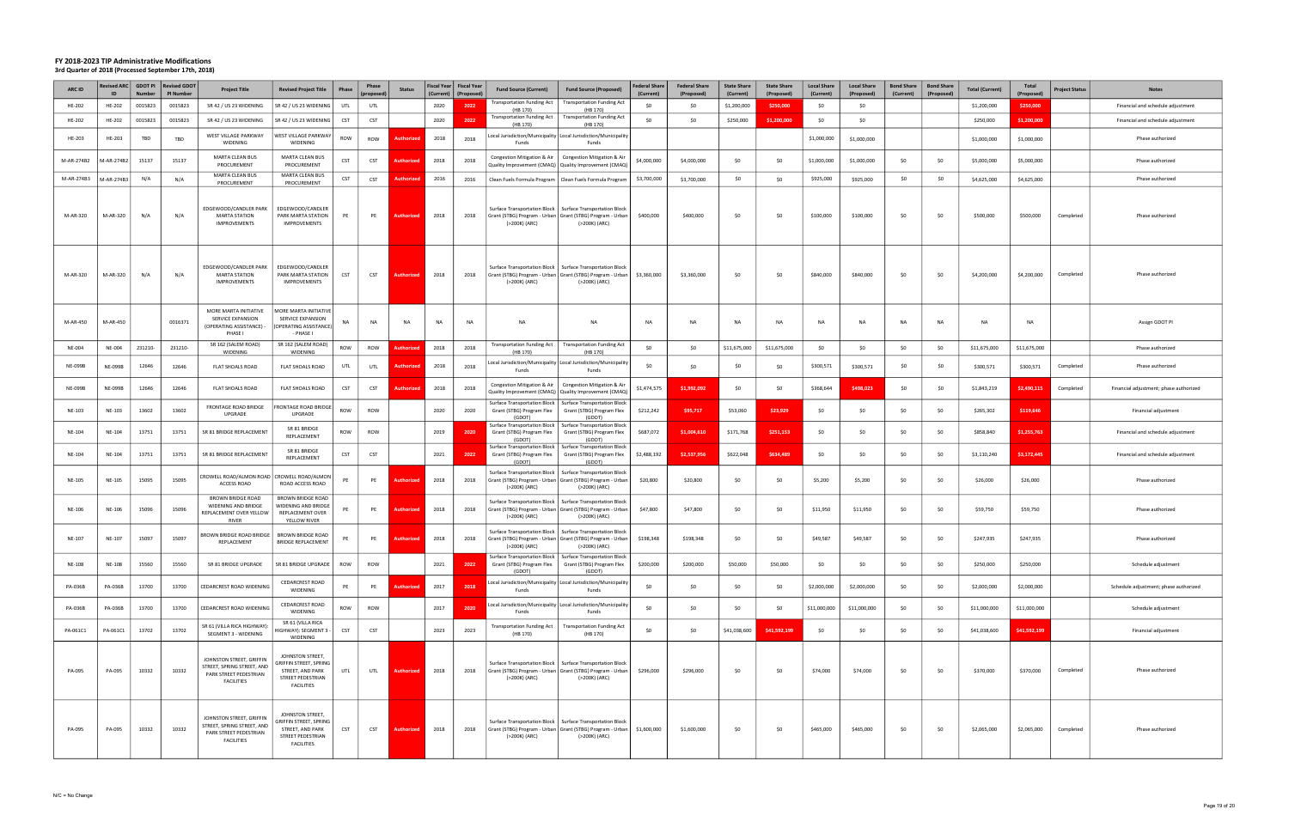| <b>ARC ID</b>  | Revised ARC    | <b>GDOT PI</b><br>Numbe | <b>Revised GDOT</b><br>PI Number | <b>Project Title</b>                                                                                  | <b>Revised Project Title</b>                                                                                    | Phase      | Phase<br><i>proposed</i> | <b>Status</b>     | (Current) | Fiscal Year   Fiscal Year<br>(Proposed | <b>Fund Source (Current)</b>                                          | <b>Fund Source (Proposed)</b>                                                                                                                 | <b>Federal Share</b><br>(Current) | <b>Federal Share</b><br>(Proposed) | <b>State Share</b><br>(Current) | <b>State Share</b><br>(Proposed) | <b>Local Share</b><br>(Current) | <b>Local Share</b><br>(Proposed) | <b>Bond Share</b><br>(Current) | <b>Bond Share</b><br>(Proposed) | <b>Total (Current)</b> | Total<br>(Proposed) | <b>Project Status</b> | <b>Notes</b>                           |
|----------------|----------------|-------------------------|----------------------------------|-------------------------------------------------------------------------------------------------------|-----------------------------------------------------------------------------------------------------------------|------------|--------------------------|-------------------|-----------|----------------------------------------|-----------------------------------------------------------------------|-----------------------------------------------------------------------------------------------------------------------------------------------|-----------------------------------|------------------------------------|---------------------------------|----------------------------------|---------------------------------|----------------------------------|--------------------------------|---------------------------------|------------------------|---------------------|-----------------------|----------------------------------------|
| HE-202         | HE-202         | 0015823                 | 0015823                          | SR 42 / US 23 WIDENING                                                                                | SR 42 / US 23 WIDENING                                                                                          | UTL        | UTL                      |                   | 2020      | 2022                                   | <b>Transportation Funding Act</b><br>(HB 170)                         | <b>Transportation Funding Act</b><br>(HB 170)                                                                                                 | SO.                               | \$0                                | \$1,200,000                     | \$250,000                        | \$0                             | \$0                              |                                |                                 | \$1,200,000            | \$250,000           |                       | Financial and schedule adjustment      |
| HE-202         | HE-202         | 0015823                 | 0015823                          | SR 42 / US 23 WIDENING                                                                                | SR 42 / US 23 WIDENING                                                                                          | <b>CST</b> | <b>CST</b>               |                   | 2020      | 2022                                   | Fransportation Funding Act  <br>(HB 170)                              | <b>Transportation Funding Act</b><br>(HB 170)                                                                                                 | \$0                               | \$0                                | \$250,000                       | \$1,200,000                      | \$0                             | \$0                              |                                |                                 | \$250,000              | \$1.200.000         |                       | Financial and schedule adjustment      |
| HE-203         | HE-203         | TBD                     | TBD                              | WEST VILLAGE PARKWAY<br>WIDENING                                                                      | WEST VILLAGE PARKWAY<br>WIDENING                                                                                | ROW        | ROW                      | uthorize          | 2018      | 2018                                   | Funds                                                                 | Local Jurisdiction/Municipality   Local Jurisdiction/Municipality<br>Funds                                                                    |                                   |                                    |                                 |                                  | \$1,000,000                     | \$1,000,000                      |                                |                                 | \$1,000,000            | \$1,000,000         |                       | Phase authorized                       |
| M-AR-274B2     | 1-AR-274B2     | 15137                   | 15137                            | MARTA CLEAN BUS<br>PROCUREMENT                                                                        | MARTA CLEAN BUS<br>PROCUREMENT                                                                                  | <b>CST</b> | CST                      | Authori           | 2018      | 2018                                   | Congestion Mitigation & Air                                           | Congestion Mitigation & Air<br>Quality Improvement (CMAQ) Quality Improvement (CMAQ)                                                          | \$4,000,000                       | \$4,000,000                        | \$0                             | \$0                              | \$1,000,000                     | \$1,000,000                      | \$0                            | - SO                            | \$5,000,000            | \$5,000,000         |                       | Phase authorized                       |
| M-AR-274B3     | A-AR-274B3     | N/A                     | N/A                              | <b>MARTA CLEAN BUS</b><br>PROCUREMENT                                                                 | MARTA CLEAN BUS<br>PROCUREMENT                                                                                  | <b>CST</b> | <b>CST</b>               | uthoriz           | 2016      | 2016                                   |                                                                       | Clean Fuels Formula Program   Clean Fuels Formula Program                                                                                     | \$3,700,000                       | \$3,700,000                        | \$0                             | \$0                              | \$925,000                       | \$925,000                        | \$0                            | \$0                             | \$4,625,000            | \$4,625,000         |                       | Phase authorized                       |
| M-AR-320       | M-AR-320       | N/A                     | N/A                              | EDGEWOOD/CANDLER PARK<br><b>MARTA STATION</b><br><b>IMPROVEMENTS</b>                                  | EDGEWOOD/CANDLER<br>PARK MARTA STATION<br><b>IMPROVEMENTS</b>                                                   | PE         | PE                       | Authorized        | 2018      | 2018                                   | (>200K) (ARC)                                                         | Surface Transportation Block   Surface Transportation Block<br>Grant (STBG) Program - Urban   Grant (STBG) Program - Urban<br>(>200K) (ARC)   | \$400,000                         | \$400,000                          | \$0                             | \$0                              | \$100,000                       | \$100,000                        | \$0                            | \$0                             | \$500,000              | \$500,000           | Completed             | Phase authorized                       |
| M-AR-320       | M-AR-320       | N/A                     | N/A                              | EDGEWOOD/CANDLER PARK<br><b>MARTA STATION</b><br><b>IMPROVEMENTS</b>                                  | EDGEWOOD/CANDLER<br>PARK MARTA STATION<br>IMPROVEMENTS                                                          | CST        | CST                      | <b>Authorize</b>  | 2018      | 2018                                   | (>200K) (ARC)                                                         | Surface Transportation Block   Surface Transportation Block<br>Grant (STBG) Program - Urban   Grant (STBG) Program - Urban  <br>(>200K) (ARC) | \$3,360,000                       | \$3,360,000                        | \$0                             | \$0                              | \$840,000                       | \$840,000                        | \$0                            | - SO                            | \$4,200,000            | \$4,200,000         | Completed             | Phase authorized                       |
| M-AR-450       | M-AR-450       |                         | 0016371                          | MORE MARTA INITIATIVE<br>SERVICE EXPANSION<br>(OPERATING ASSISTANCE) -<br>PHASE I                     | <b>MORE MARTA INITIATIVE</b><br><b>SERVICE EXPANSION</b><br>(OPERATING ASSISTANCE)<br>- PHASE I                 |            | NA                       | <b>NA</b>         | <b>NA</b> | <b>NA</b>                              | NA                                                                    | <b>NA</b>                                                                                                                                     | <b>NA</b>                         | <b>NA</b>                          | <b>NA</b>                       | <b>NA</b>                        | <b>NA</b>                       | NA                               | NA                             | NA                              | <b>NA</b>              | <b>NA</b>           |                       | Assign GDOT PI                         |
| <b>NE-004</b>  | <b>NE-004</b>  | 231210-                 | 231210-                          | SR 162 (SALEM ROAD)<br>WIDENING                                                                       | SR 162 (SALEM ROAD)<br>WIDENING                                                                                 | ROW        | ROW                      |                   | 2018      | 2018                                   | <b>Transportation Funding Act</b><br>(HB 170)                         | <b>Transportation Funding Act</b><br>(HB 170)                                                                                                 | \$0                               | \$0                                | \$11,675,000                    | \$11,675,000                     | \$0                             | \$0                              | \$0                            | \$0                             | \$11,675,000           | \$11,675,000        |                       | Phase authorized                       |
| <b>NE-099B</b> | <b>NE-099B</b> | 12646                   | 12646                            | <b>FLAT SHOALS ROAD</b>                                                                               | <b>FLAT SHOALS ROAD</b>                                                                                         | UTL        | UTL                      | uthoriz           | 2018      | 2018                                   | Funds                                                                 | Local Jurisdiction/Municipality Local Jurisdiction/Municipality<br>Funds                                                                      | \$0                               | \$0                                | -SO                             | \$0                              | \$300,571                       | \$300,571                        | \$0                            | \$0                             | \$300,571              | \$300,571           | Completed             | Phase authorized                       |
| <b>NE-099B</b> | <b>NE-099B</b> | 12646                   | 12646                            | FLAT SHOALS ROAD                                                                                      | FLAT SHOALS ROAD                                                                                                | <b>CST</b> | <b>CST</b>               | uthoriz           | 2018      | 2018                                   | Congestion Mitigation & Air                                           | Congestion Mitigation & Air<br>Quality Improvement (CMAQ)   Quality Improvement (CMAQ)                                                        | \$1,474,575                       | \$1,992,092                        | \$0                             | \$0                              | \$368,644                       | \$498,023                        | \$0                            | \$0                             | \$1,843,219            | \$2,490,115         | Completed             | Financial adjustment; phase authorized |
| NE-103         | NE-103         | 13602                   | 13602                            | FRONTAGE ROAD BRIDGE<br>UPGRADE                                                                       | RONTAGE ROAD BRIDGE<br>UPGRADE                                                                                  | ROW        | ROW                      |                   | 2020      | 2020                                   | Grant (STBG) Program Flex<br>(GDOT)                                   | Surface Transportation Block   Surface Transportation Block<br>Grant (STBG) Program Flex<br>(GDOT)                                            | \$212,242                         | \$95,717                           | \$53,060                        | \$23,929                         | \$0                             | \$0                              | \$0                            | \$0                             | \$265,302              | \$119,646           |                       | Financial adjustment                   |
| NE-104         | NE-104         | 13751                   | 13751                            | SR 81 BRIDGE REPLACEMENT                                                                              | SR 81 BRIDGE<br>REPLACEMENT                                                                                     | ROW        | ROW                      |                   | 2019      | 2020                                   | Grant (STBG) Program Flex<br>(GDOT)                                   | Surface Transportation Block   Surface Transportation Block<br>Grant (STBG) Program Flex<br>(GDOT)                                            | \$687,072                         | \$1,004,610                        | \$171,768                       | \$251,153                        | \$0                             | \$0                              | \$0                            | SO.                             | \$858,840              | \$1,255,763         |                       | Financial and schedule adjustment      |
| NE-104         | NE-104         | 13751                   | 13751                            | SR 81 BRIDGE REPLACEMENT                                                                              | SR 81 BRIDGE<br>REPLACEMENT                                                                                     | <b>CST</b> | CST                      |                   | 2021      | 2022                                   | Surface Transportation Block  <br>Grant (STBG) Program Flex<br>(GDOT) | <b>Surface Transportation Block</b><br>Grant (STBG) Program Flex<br>(GDOT)                                                                    | \$2,488,192                       | \$2,537,956                        | \$622,048                       | \$634,489                        | \$0                             | \$0                              | \$0                            | \$0                             | \$3,110,240            | \$3,172,445         |                       | Financial and schedule adjustment      |
| NE-105         | NE-105         | 15095                   | 15095                            | CROWELL ROAD/ALMON ROAD<br>ACCESS ROAD                                                                | CROWELL ROAD/ALMON<br>ROAD ACCESS ROAD                                                                          | PE         | PE                       | Authorize         | 2018      | 2018                                   | (>200K) (ARC)                                                         | Surface Transportation Block   Surface Transportation Block<br>Grant (STBG) Program - Urban   Grant (STBG) Program - Urban<br>(>200K) (ARC)   | \$20,800                          | \$20,800                           | \$0                             | \$0                              | \$5,200                         | \$5,200                          | \$0                            | - SO                            | \$26,000               | \$26,000            |                       | Phase authorized                       |
| NE-106         | NE-106         | 15096                   | 15096                            | <b>BROWN BRIDGE ROAD</b><br>WIDENING AND BRIDGE<br>REPLACEMENT OVER YELLOW<br><b>RIVER</b>            | <b>BROWN BRIDGE ROAD</b><br>WIDENING AND BRIDGE<br>REPLACEMENT OVER<br>YELLOW RIVER                             |            | PE                       | <b>Authorize</b>  | 2018      | 2018                                   | (>200K) (ARC)                                                         | Surface Transportation Block   Surface Transportation Block<br>Grant (STBG) Program - Urban   Grant (STBG) Program - Urban<br>(>200K) (ARC)   | \$47,800                          | \$47,800                           | \$0                             | \$0                              | \$11,950                        | \$11,950                         | \$0                            | \$0                             | \$59,750               | \$59,750            |                       | Phase authorized                       |
| NE-107         | NE-107         | 15097                   | 15097                            | BROWN BRIDGE ROAD BRIDGE<br>REPLACEMENT                                                               | <b>BROWN BRIDGE ROAD</b><br><b>BRIDGE REPLACEMENT</b>                                                           | PE         | PE                       | <b>Authorized</b> | 2018      | 2018                                   | Surface Transportation Block  <br>(>200K) (ARC)                       | <b>Surface Transportation Block</b><br>Grant (STBG) Program - Urban   Grant (STBG) Program - Urban<br>(>200K) (ARC)                           | \$198,348                         | \$198,348                          | \$0                             | \$0                              | \$49,587                        | \$49,587                         | \$0                            | \$0                             | \$247,935              | \$247,935           |                       | Phase authorized                       |
| <b>NE-108</b>  | <b>NE-108</b>  | 15560                   | 15560                            | SR 81 BRIDGE UPGRADE                                                                                  | SR 81 BRIDGE UPGRADE                                                                                            | ROW        | ROW                      |                   | 2021      | 2022                                   | Grant (STBG) Program Flex<br>(GDOT)                                   | Surface Transportation Block   Surface Transportation Block<br>Grant (STBG) Program Flex<br>(GDOT)                                            | \$200,000                         | \$200,000                          | \$50,000                        | \$50,000                         | \$0                             | \$0                              | \$0                            | \$0                             | \$250,000              | \$250,000           |                       | Schedule adjustment                    |
| PA-036B        | PA-036B        | 13700                   | 13700                            | CEDARCREST ROAD WIDENING                                                                              | <b>CEDARCREST ROAD</b><br>WIDENING                                                                              | PE         | PE                       | <b>Authorized</b> | 2017      | 2018                                   | Funds                                                                 | Local Jurisdiction/Municipality Local Jurisdiction/Municipality<br>Funds                                                                      | \$0                               | \$0                                | \$0                             | \$0                              | \$2,000,000                     | \$2,000,000                      | \$0                            | \$0                             | \$2,000,000            | \$2,000,000         |                       | Schedule adjustment; phase authorized  |
| PA-036B        | PA-036B        | 13700                   | 13700                            | CEDARCREST ROAD WIDENING                                                                              | <b>CEDARCREST ROAD</b><br>WIDENING                                                                              | ROW        | ROW                      |                   | 2017      | 2020                                   | Funds                                                                 | Local Jurisdiction/Municipality Local Jurisdiction/Municipality<br>Funds                                                                      | \$0                               | \$0                                | \$0                             | \$0                              | \$11,000,000                    | \$11,000,000                     | \$0                            | \$0                             | \$11,000,000           | \$11,000,000        |                       | Schedule adjustment                    |
| PA-061C1       | PA-061C1       | 13702                   | 13702                            | SR 61 (VILLA RICA HIGHWAY):<br>SEGMENT 3 - WIDENING                                                   | SR 61 (VILLA RICA<br>IGHWAY): SEGMENT 3<br>WIDENING                                                             | CST        | CST                      |                   | 2023      | 2023                                   | <b>Transportation Funding Act</b><br>(HB 170)                         | <b>Transportation Funding Act</b><br>(HB 170)                                                                                                 | \$0                               | \$0                                | \$41,038,600                    | \$41,592,199                     | \$0                             | \$0                              | \$0                            | \$0                             | \$41,038,600           | \$41,592,199        |                       | Financial adjustment                   |
| PA-095         | PA-095         | 10332                   | 10332                            | JOHNSTON STREET, GRIFFIN<br>STREET, SPRING STREET, AND<br>PARK STREET PEDESTRIAN<br><b>FACILITIES</b> | JOHNSTON STREET,<br><b>GRIFFIN STREET, SPRING</b><br>STREET, AND PARK<br>STREET PEDESTRIAN<br>FACILITIES        | UTL        | UTL                      | Authorized        | 2018      | 2018                                   | (>200K) (ARC)                                                         | Surface Transportation Block   Surface Transportation Block<br>Grant (STBG) Program - Urban   Grant (STBG) Program - Urban<br>(>200K) (ARC)   | \$296,000                         | \$296,000                          | \$0                             | \$0                              | \$74,000                        | \$74,000                         | \$0                            | \$0                             | \$370,000              | \$370,000           | Completed             | Phase authorized                       |
| PA-095         | PA-095         | 10332                   | 10332                            | JOHNSTON STREET, GRIFFIN<br>STREET, SPRING STREET, AND<br>PARK STREET PEDESTRIAN<br><b>FACILITIES</b> | JOHNSTON STREET,<br><b>GRIFFIN STREET, SPRING</b><br>STREET, AND PARK<br>STREET PEDESTRIAN<br><b>FACILITIES</b> | CST        | CST                      | <b>Authoriz</b>   | 2018      | 2018                                   | (>200K) (ARC)                                                         | Surface Transportation Block   Surface Transportation Block<br>Grant (STBG) Program - Urban   Grant (STBG) Program - Urban<br>(>200K) (ARC)   | \$1,600,000                       | \$1,600,000                        | \$0                             | \$0                              | \$465,000                       | \$465,000                        | \$0                            | \$0                             | \$2,065,000            | \$2,065,000         | Completed             | Phase authorized                       |